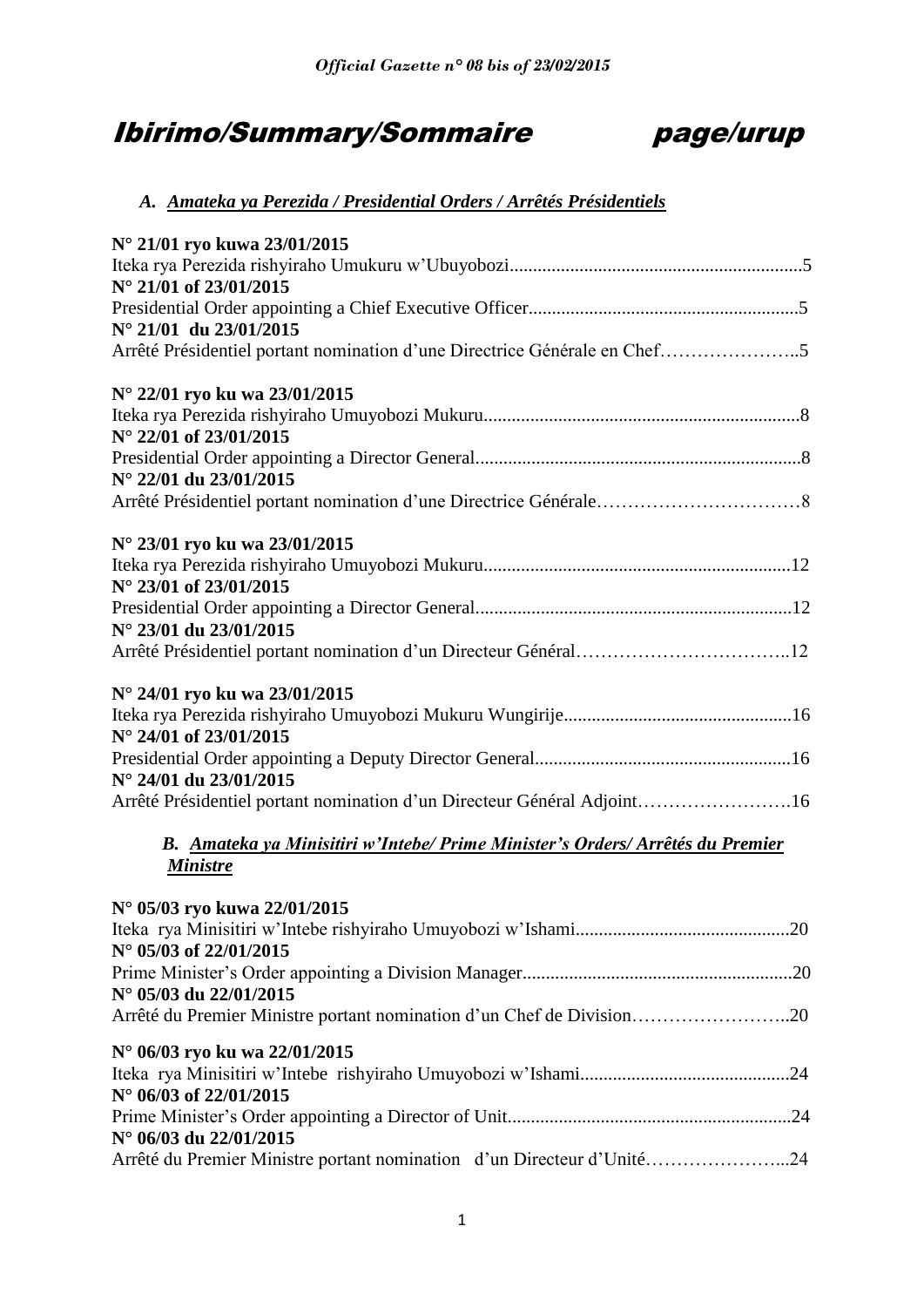# Ibirimo/Summary/Sommaire page/urup



# *A. Amateka ya Perezida / Presidential Orders / Arrêtés Présidentiels*

| N° 21/01 ryo kuwa 23/01/2015                                                   |     |
|--------------------------------------------------------------------------------|-----|
|                                                                                |     |
| N° 21/01 of 23/01/2015                                                         |     |
|                                                                                |     |
| N° 21/01 du 23/01/2015                                                         |     |
| Arrêté Présidentiel portant nomination d'une Directrice Générale en Chef5      |     |
| N° 22/01 ryo ku wa 23/01/2015                                                  |     |
|                                                                                |     |
| N° 22/01 of 23/01/2015                                                         |     |
|                                                                                |     |
| N° 22/01 du 23/01/2015                                                         |     |
|                                                                                |     |
| N° 23/01 ryo ku wa 23/01/2015                                                  |     |
|                                                                                |     |
| N° 23/01 of 23/01/2015                                                         |     |
|                                                                                |     |
| N° 23/01 du 23/01/2015                                                         |     |
|                                                                                |     |
| N° 24/01 ryo ku wa 23/01/2015                                                  |     |
|                                                                                |     |
| N° 24/01 of 23/01/2015                                                         |     |
|                                                                                |     |
| N° 24/01 du 23/01/2015                                                         |     |
| Arrêté Présidentiel portant nomination d'un Directeur Général Adjoint16        |     |
| B. Amateka ya Minisitiri w'Intebe/ Prime Minister's Orders/ Arrêtés du Premier |     |
| <b>Ministre</b>                                                                |     |
| N° 05/03 ryo kuwa 22/01/2015                                                   |     |
| Iteka rya Minisitiri w'Intebe rishyiraho Umuyobozi w'Ishami                    | .20 |
| $N^{\circ}$ 05/03 of 22/01/2015                                                |     |
|                                                                                |     |
| N° 05/03 du 22/01/2015                                                         |     |
| Arrêté du Premier Ministre portant nomination d'un Chef de Division20          |     |
| N° 06/03 ryo ku wa 22/01/2015                                                  |     |
|                                                                                |     |
| N° 06/03 of 22/01/2015                                                         |     |
|                                                                                |     |
| N° 06/03 du 22/01/2015                                                         |     |
| Arrêté du Premier Ministre portant nomination d'un Directeur d'Unité24         |     |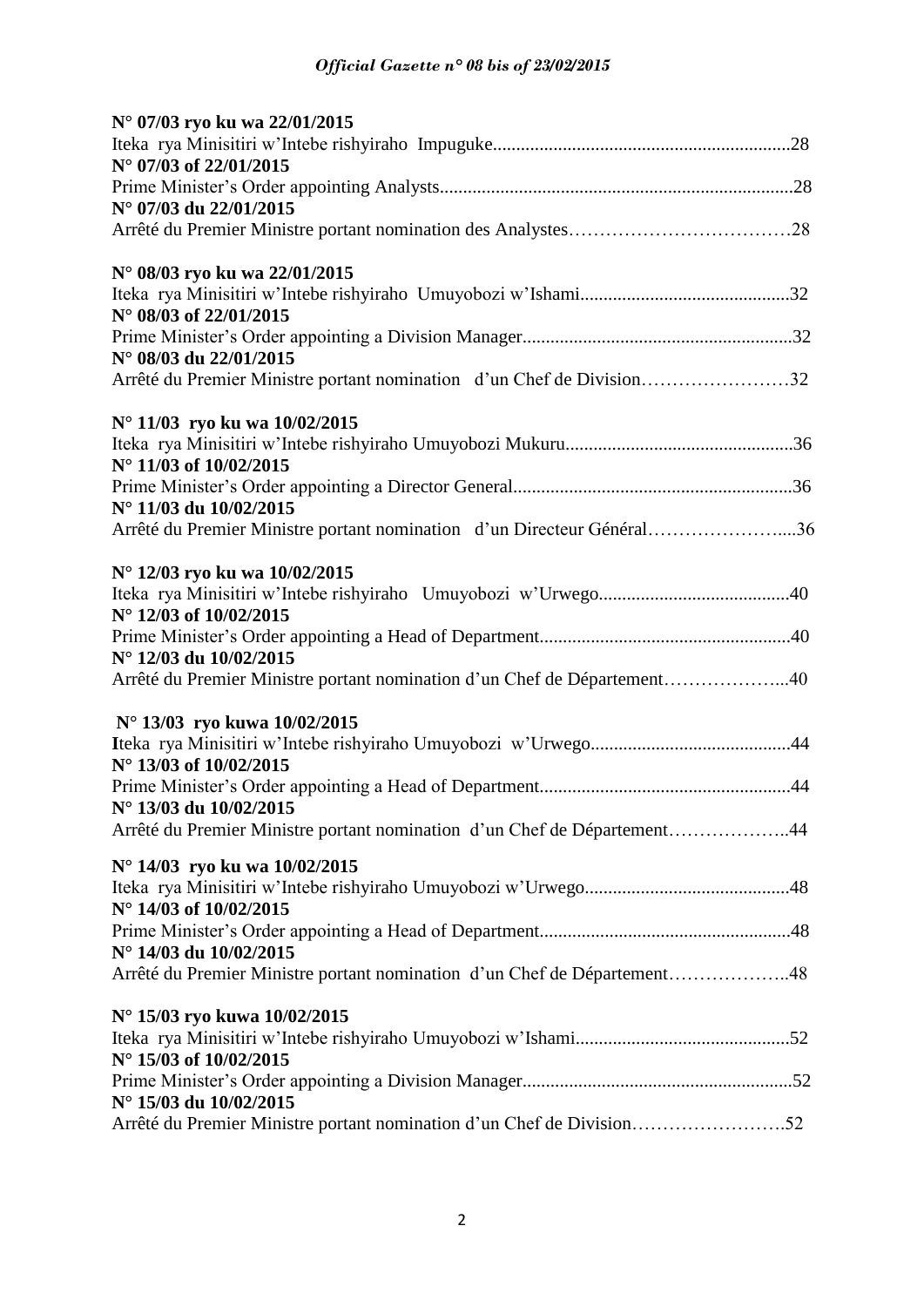| N° 07/03 ryo ku wa 22/01/2015                                                                      |  |
|----------------------------------------------------------------------------------------------------|--|
| N° 07/03 of 22/01/2015                                                                             |  |
|                                                                                                    |  |
| N° 07/03 du 22/01/2015                                                                             |  |
|                                                                                                    |  |
| N° 08/03 ryo ku wa 22/01/2015                                                                      |  |
| N° 08/03 of 22/01/2015                                                                             |  |
|                                                                                                    |  |
| N° 08/03 du 22/01/2015                                                                             |  |
| Arrêté du Premier Ministre portant nomination d'un Chef de Division32                              |  |
| N° 11/03 ryo ku wa 10/02/2015                                                                      |  |
| $N^{\circ}$ 11/03 of 10/02/2015                                                                    |  |
| N° 11/03 du 10/02/2015                                                                             |  |
| Arrêté du Premier Ministre portant nomination d'un Directeur Général36                             |  |
| N° 12/03 ryo ku wa 10/02/2015                                                                      |  |
| N° 12/03 of 10/02/2015                                                                             |  |
|                                                                                                    |  |
| N° 12/03 du 10/02/2015                                                                             |  |
| Arrêté du Premier Ministre portant nomination d'un Chef de Département40                           |  |
| N° 13/03 ryo kuwa 10/02/2015                                                                       |  |
| N° 13/03 of 10/02/2015                                                                             |  |
|                                                                                                    |  |
| N° 13/03 du 10/02/2015<br>Arrêté du Premier Ministre portant nomination d'un Chef de Département44 |  |
|                                                                                                    |  |
| N° 14/03 ryo ku wa 10/02/2015                                                                      |  |
| N° 14/03 of 10/02/2015                                                                             |  |
|                                                                                                    |  |
| N° 14/03 du 10/02/2015                                                                             |  |
| Arrêté du Premier Ministre portant nomination d'un Chef de Département48                           |  |
| N° 15/03 ryo kuwa 10/02/2015                                                                       |  |
| N° 15/03 of 10/02/2015                                                                             |  |
|                                                                                                    |  |
| N° 15/03 du 10/02/2015                                                                             |  |
| Arrêté du Premier Ministre portant nomination d'un Chef de Division52                              |  |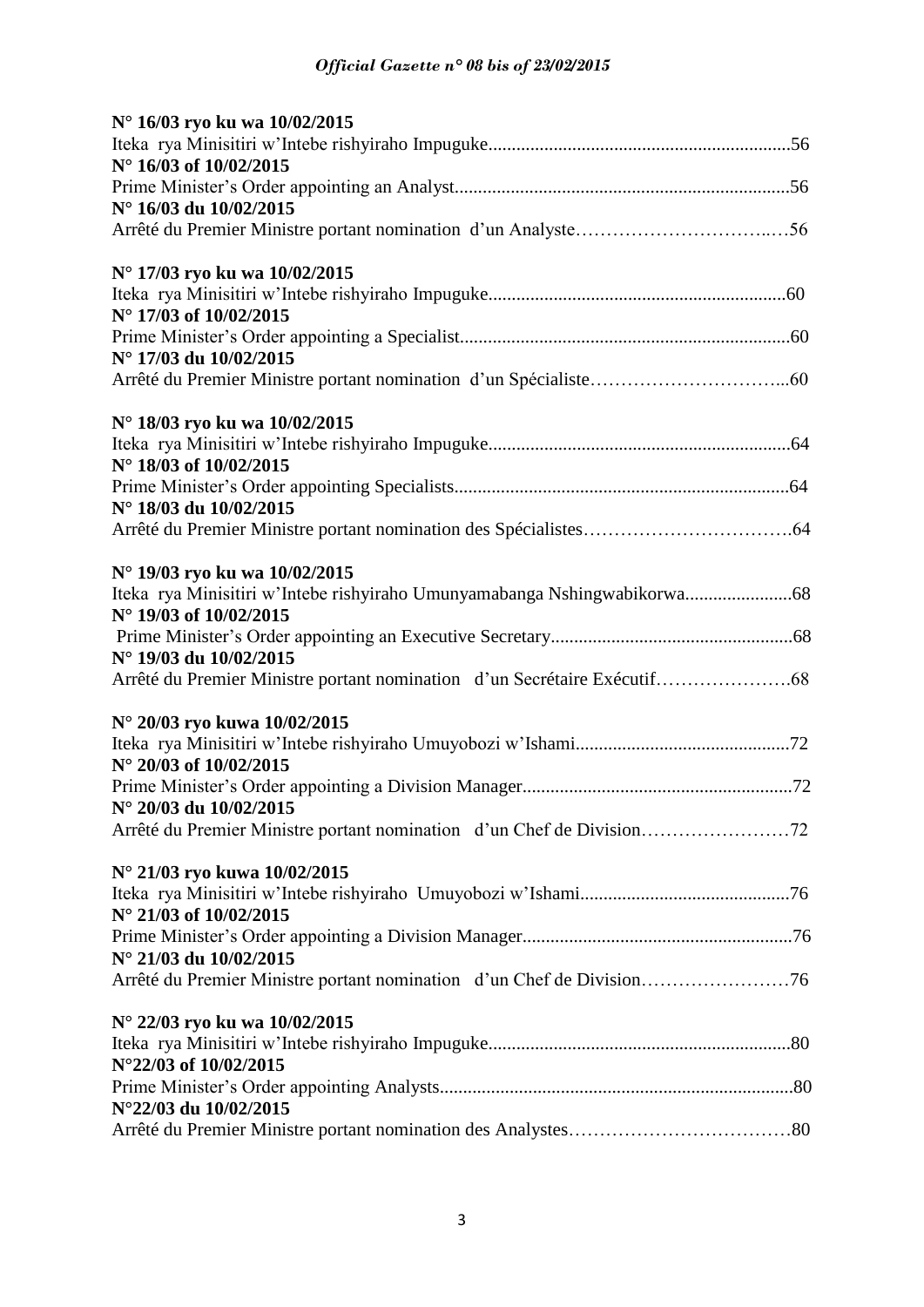| N° 16/03 ryo ku wa 10/02/2015 |
|-------------------------------|
|                               |
| N° 16/03 of 10/02/2015        |
|                               |
| N° 16/03 du 10/02/2015        |
|                               |
|                               |
| N° 17/03 ryo ku wa 10/02/2015 |
|                               |
| N° 17/03 of 10/02/2015        |
|                               |
| N° 17/03 du 10/02/2015        |
|                               |
|                               |
| N° 18/03 ryo ku wa 10/02/2015 |
|                               |
| N° 18/03 of 10/02/2015        |
|                               |
| N° 18/03 du 10/02/2015        |
|                               |
| N° 19/03 ryo ku wa 10/02/2015 |
|                               |
| N° 19/03 of 10/02/2015        |
|                               |
| N° 19/03 du 10/02/2015        |
|                               |
|                               |
| N° 20/03 ryo kuwa 10/02/2015  |
|                               |
| N° 20/03 of 10/02/2015        |
|                               |
| N° 20/03 du 10/02/2015        |
|                               |
|                               |
| N° 21/03 ryo kuwa 10/02/2015  |
|                               |
| N° 21/03 of 10/02/2015        |
|                               |
| N° 21/03 du 10/02/2015        |
|                               |
| N° 22/03 ryo ku wa 10/02/2015 |
|                               |
|                               |
| N°22/03 of 10/02/2015         |
| N°22/03 du 10/02/2015         |
|                               |
|                               |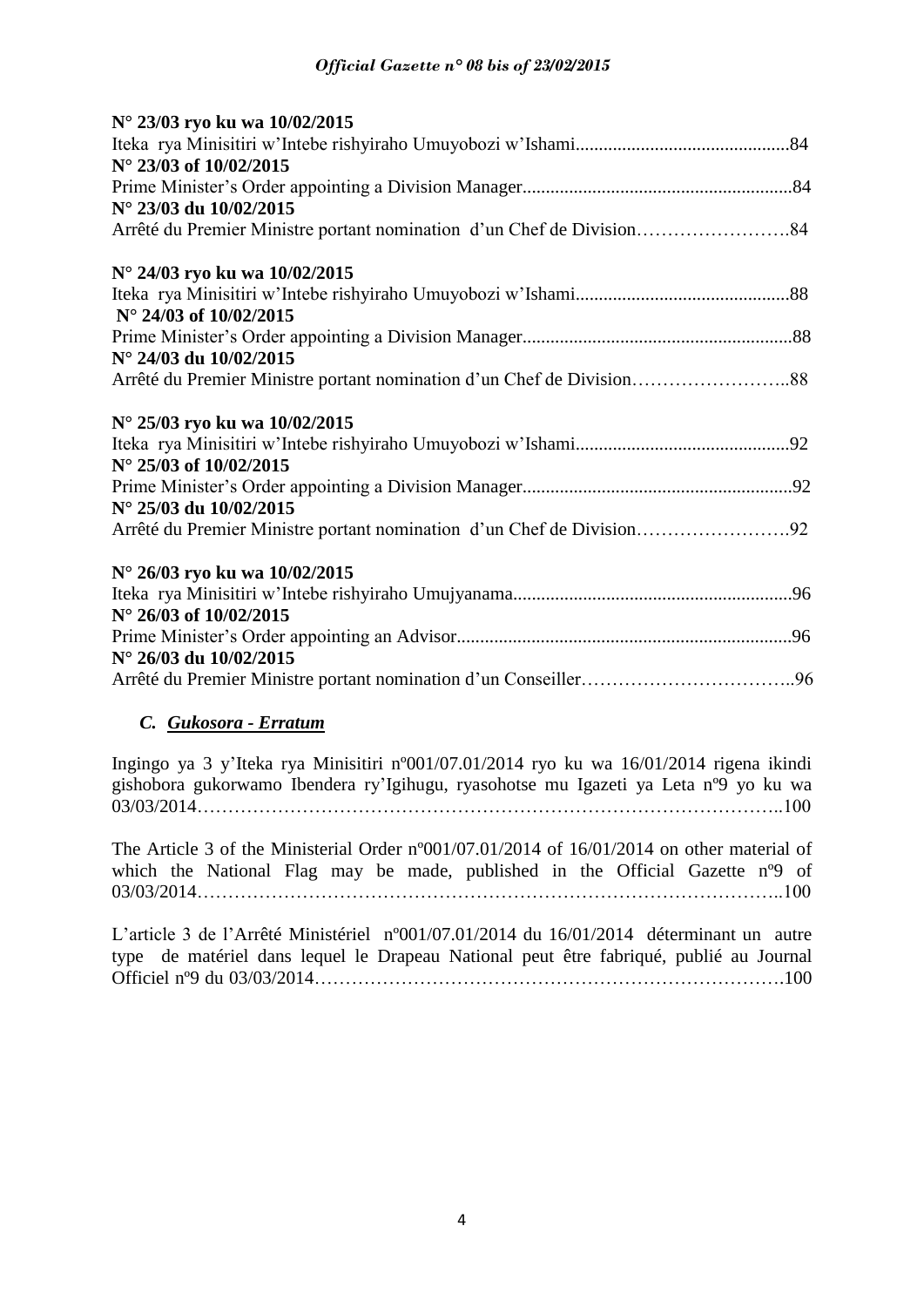| N° 23/03 ryo ku wa 10/02/2015                                         |  |
|-----------------------------------------------------------------------|--|
|                                                                       |  |
| N° 23/03 of 10/02/2015                                                |  |
|                                                                       |  |
| N° 23/03 du 10/02/2015                                                |  |
|                                                                       |  |
| N° 24/03 ryo ku wa 10/02/2015                                         |  |
|                                                                       |  |
| $N^{\circ}$ 24/03 of 10/02/2015                                       |  |
|                                                                       |  |
| N° 24/03 du 10/02/2015                                                |  |
|                                                                       |  |
| N° 25/03 ryo ku wa 10/02/2015                                         |  |
|                                                                       |  |
| $N^{\circ}$ 25/03 of 10/02/2015                                       |  |
|                                                                       |  |
| N° 25/03 du 10/02/2015                                                |  |
| Arrêté du Premier Ministre portant nomination d'un Chef de Division92 |  |
| N° 26/03 ryo ku wa 10/02/2015                                         |  |
|                                                                       |  |
| $N^{\circ}$ 26/03 of 10/02/2015                                       |  |
|                                                                       |  |
| N° 26/03 du 10/02/2015                                                |  |
|                                                                       |  |

# *C. Gukosora - Erratum*

Ingingo ya 3 y'Iteka rya Minisitiri nº001/07.01/2014 ryo ku wa 16/01/2014 rigena ikindi gishobora gukorwamo Ibendera ry'Igihugu, ryasohotse mu Igazeti ya Leta nº9 yo ku wa 03/03/2014…………………………………………………………………………………..100

The Article 3 of the Ministerial Order nº001/07.01/2014 of 16/01/2014 on other material of which the National Flag may be made, published in the Official Gazette n<sup>o</sup>9 of 03/03/2014…………………………………………………………………………………..100

L'article 3 de l'Arrêté Ministériel nº001/07.01/2014 du 16/01/2014 déterminant un autre type de matériel dans lequel le Drapeau National peut être fabriqué, publié au Journal Officiel nº9 du 03/03/2014………………………………………………………………….100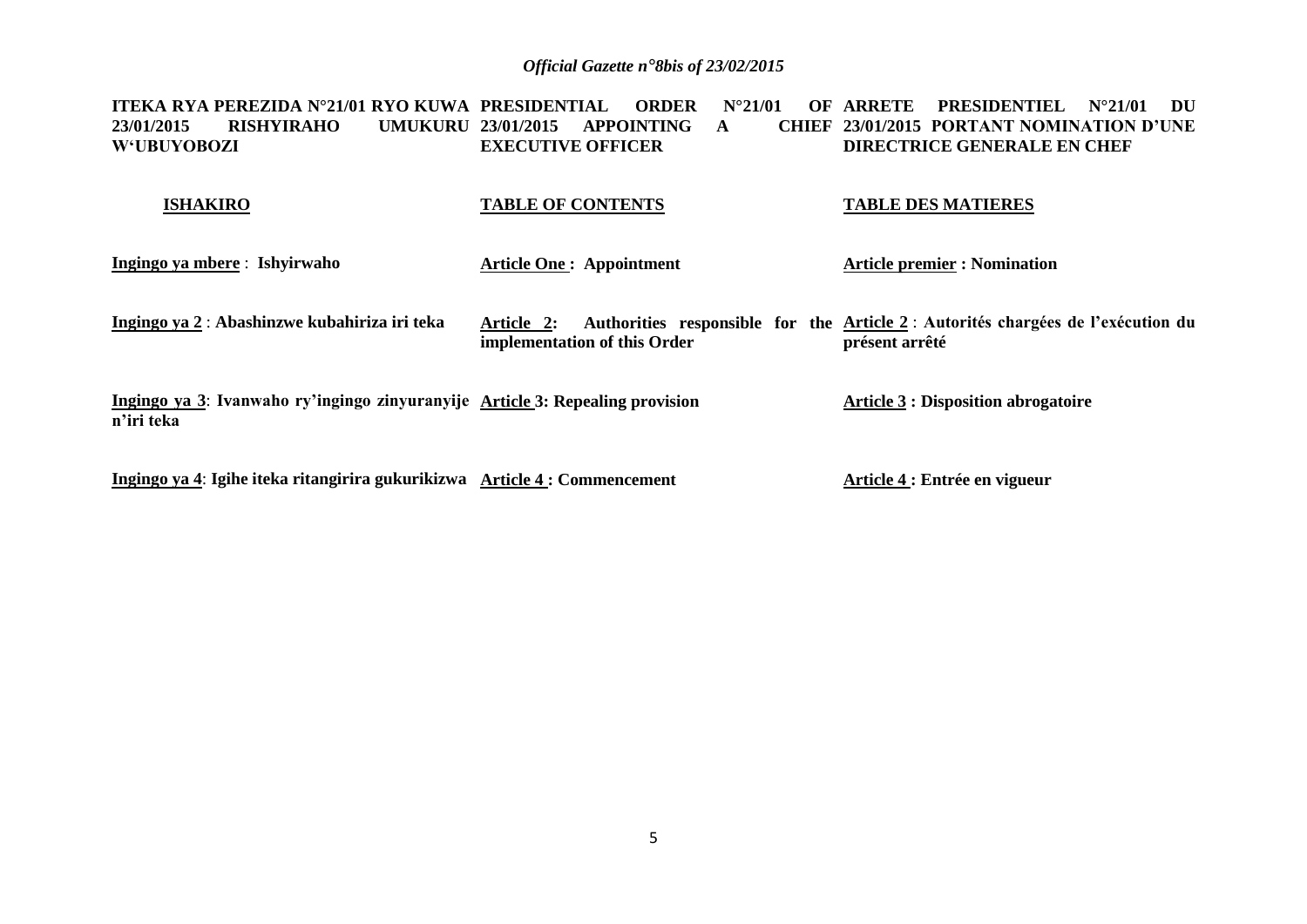**ITEKA RYA PEREZIDA N°21/01 RYO KUWA 23/01/2015 RISHYIRAHO W'UBUYOBOZI PRDER N°21/01 UMUKURU 23/01/2015 APPOINTING A EXECUTIVE OFFICER ARRETE PRESIDENTIEL N°21/01 DU 23/01/2015 PORTANT NOMINATION D'UNE DIRECTRICE GENERALE EN CHEF**

#### **TABLE OF CONTENTS TABLE DES MATIERES**

**Ingingo ya mbere** : **Ishyirwaho** 

 **ISHAKIRO**

**Article One : Appointment**

**Article premier : Nomination**

**Ingingo ya 2** : **Abashinzwe kubahiriza iri teka Article 2: Authorities responsible for the Article 2** : **Autorités chargées de l'exécution du implementation of this Order présent arrêté**

**Ingingo ya 3**: **Ivanwaho ry'ingingo zinyuranyije Article 3: Repealing provision n'iri teka Article 3 : Disposition abrogatoire**

**Ingingo ya 4**: **Igihe iteka ritangirira gukurikizwa Article 4 : Commencement**

**Article 4 : Entrée en vigueur**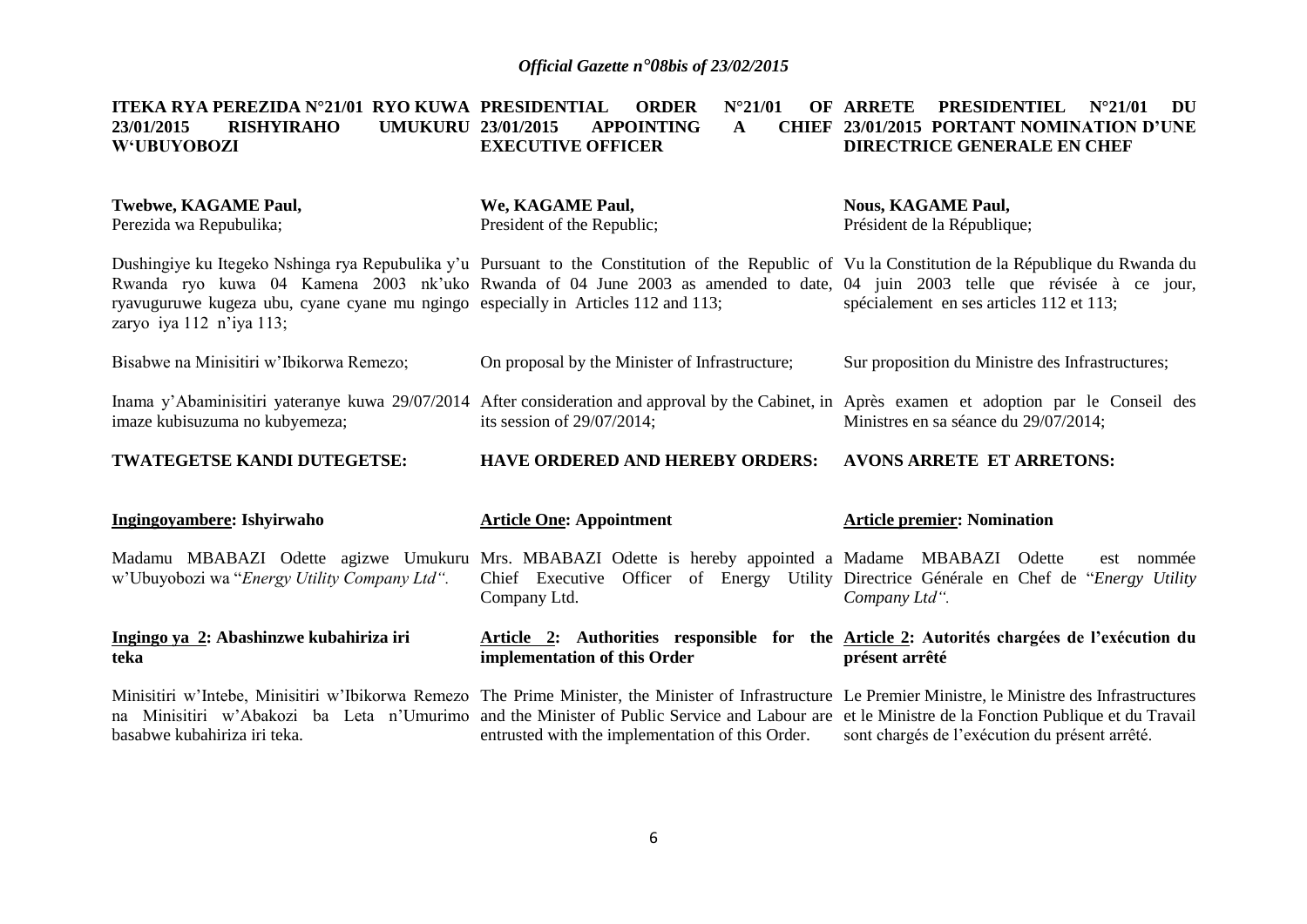#### <code>ITEKA RYA PEREZIDA N°21/01 RYO KUWA PRESIDENTIAL ORDER N°21/01 OF ARRETE PRESIDENTIEL N°21/01 DU</code> **23/01/2015 RISHYIRAHO UMUKURU W'UBUYOBOZI 23/01/2015 APPOINTING A EXECUTIVE OFFICER 23/01/2015 PORTANT NOMINATION D'UNE DIRECTRICE GENERALE EN CHEF**

| Twebwe, KAGAME Paul,<br>Perezida wa Repubulika;                                                                                                                                                                                                                                                                                                                                                  | We, KAGAME Paul,<br>President of the Republic;   | <b>Nous, KAGAME Paul,</b><br>Président de la République;                                                     |
|--------------------------------------------------------------------------------------------------------------------------------------------------------------------------------------------------------------------------------------------------------------------------------------------------------------------------------------------------------------------------------------------------|--------------------------------------------------|--------------------------------------------------------------------------------------------------------------|
| Dushingiye ku Itegeko Nshinga rya Repubulika y'u Pursuant to the Constitution of the Republic of Vu la Constitution de la République du Rwanda du<br>Rwanda ryo kuwa 04 Kamena 2003 nk'uko Rwanda of 04 June 2003 as amended to date, 04 juin 2003 telle que révisée à ce jour,<br>ryavuguruwe kugeza ubu, cyane cyane mu ngingo especially in Articles 112 and 113;<br>zaryo iya 112 n'iya 113; |                                                  | spécialement en ses articles 112 et 113;                                                                     |
| Bisabwe na Minisitiri w'Ibikorwa Remezo;                                                                                                                                                                                                                                                                                                                                                         | On proposal by the Minister of Infrastructure;   | Sur proposition du Ministre des Infrastructures;                                                             |
| Inama y'Abaminisitiri yateranye kuwa 29/07/2014 After consideration and approval by the Cabinet, in Après examen et adoption par le Conseil des<br>imaze kubisuzuma no kubyemeza;                                                                                                                                                                                                                | its session of $29/07/2014$ ;                    | Ministres en sa séance du 29/07/2014;                                                                        |
| TWATEGETSE KANDI DUTEGETSE:                                                                                                                                                                                                                                                                                                                                                                      | <b>HAVE ORDERED AND HEREBY ORDERS:</b>           | <b>AVONS ARRETE ET ARRETONS:</b>                                                                             |
| Ingingoyambere: Ishyirwaho                                                                                                                                                                                                                                                                                                                                                                       | <b>Article One: Appointment</b>                  | <b>Article premier: Nomination</b>                                                                           |
| Madamu MBABAZI Odette agizwe Umukuru Mrs. MBABAZI Odette is hereby appointed a Madame MBABAZI Odette<br>w'Ubuyobozi wa "Energy Utility Company Ltd".                                                                                                                                                                                                                                             | Chief Executive<br>Company Ltd.                  | est nommée<br>Officer of Energy Utility Directrice Générale en Chef de "Energy Utility"<br>Company Ltd".     |
| Ingingo ya 2: Abashinzwe kubahiriza iri<br>teka                                                                                                                                                                                                                                                                                                                                                  | implementation of this Order                     | Article 2: Authorities responsible for the Article 2: Autorités chargées de l'exécution du<br>présent arrêté |
| Minisitiri w'Intebe, Minisitiri w'Ibikorwa Remezo The Prime Minister, the Minister of Infrastructure Le Premier Ministre, le Ministre des Infrastructures<br>na Minisitiri w'Abakozi ba Leta n'Umurimo and the Minister of Public Service and Labour are et le Ministre de la Fonction Publique et du Travail<br>basabwe kubahiriza iri teka.                                                    | entrusted with the implementation of this Order. | sont chargés de l'exécution du présent arrêté.                                                               |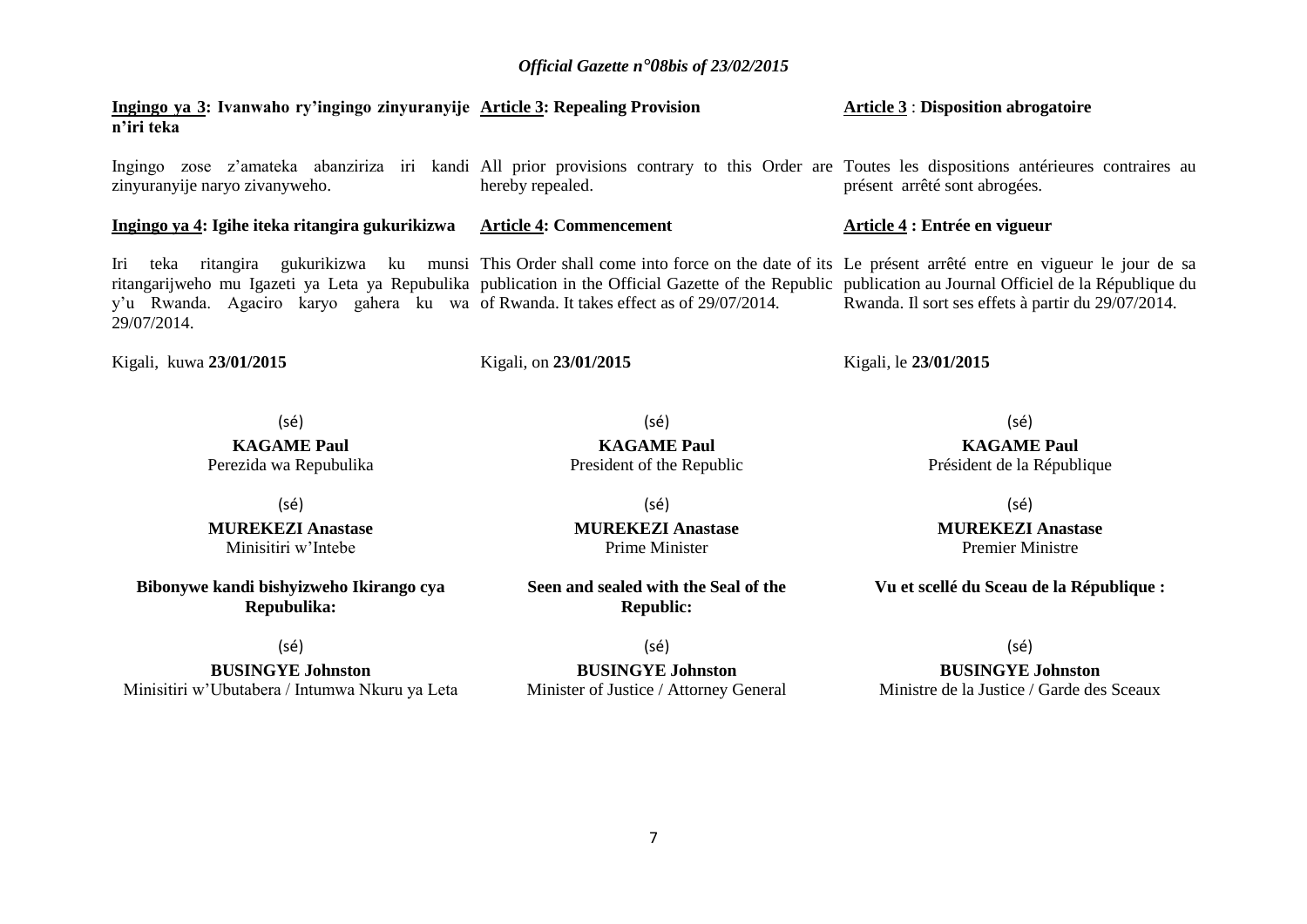**Ingingo ya 3: Ivanwaho ry'ingingo zinyuranyije Article 3: Repealing Provision n'iri teka**

Ingingo zose z'amateka abanziriza iri kandi All prior provisions contrary to this Order are Toutes les dispositions antérieures contraires au zinyuranyije naryo zivanyweho. hereby repealed. présent arrêté sont abrogées.

**Ingingo ya 4: Igihe iteka ritangira gukurikizwa Article 4: Commencement**

Iri teka ritangira gukurikizwa ku munsi This Order shall come into force on the date of its Le présent arrêté entre en vigueur le jour de sa ritangarijweho mu Igazeti ya Leta ya Repubulika publication in the Official Gazette of the Republic publication au Journal Officiel de la République du y'u Rwanda. Agaciro karyo gahera ku wa of Rwanda. It takes effect as of 29/07/2014. 29/07/2014.

Kigali, kuwa **23/01/2015**

Kigali, on **23/01/2015** 

(sé)

(sé)

**MUREKEZI Anastase**  Minisitiri w'Intebe

**Bibonywe kandi bishyizweho Ikirango cya Repubulika:**

(sé)

**BUSINGYE Johnston** Minisitiri w'Ubutabera / Intumwa Nkuru ya Leta

(sé) **MUREKEZI Anastase**  Prime Minister

(sé) **KAGAME Paul**

**Seen and sealed with the Seal of the Republic:**

(sé) **BUSINGYE Johnston** Minister of Justice / Attorney General

#### **Article 3** : **Disposition abrogatoire**

#### **Article 4 : Entrée en vigueur**

Rwanda. Il sort ses effets à partir du 29/07/2014.

Kigali, le **23/01/2015** 

(sé) **KAGAME Paul** Président de la République

(sé)

**MUREKEZI Anastase** Premier Ministre

**Vu et scellé du Sceau de la République :**

(sé)

#### **BUSINGYE Johnston**

Ministre de la Justice / Garde des Sceaux

# **KAGAME Paul** Perezida wa Repubulika

President of the Republic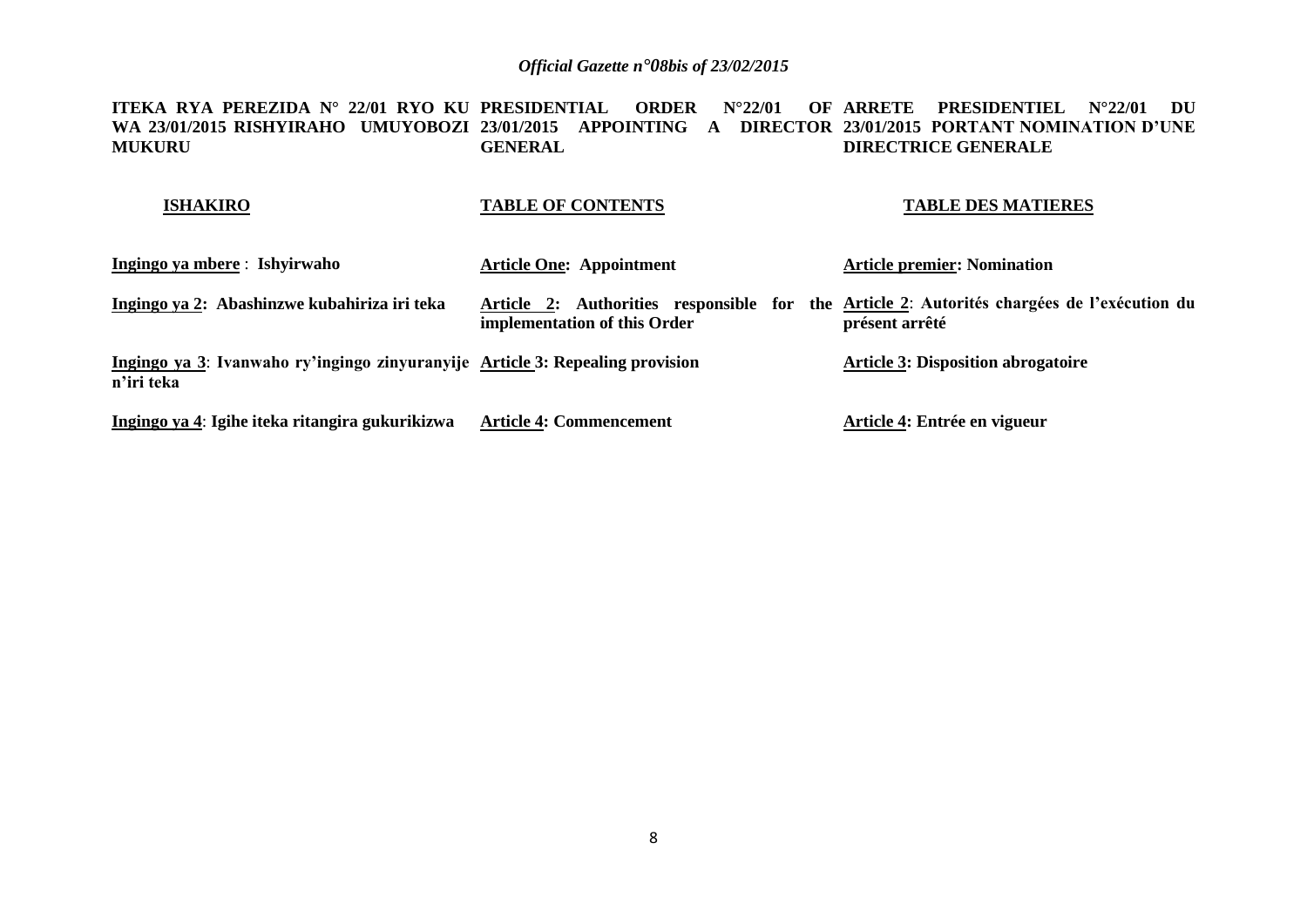<code>ITEKA RYA PEREZIDA N° 22/01 RYO KU PRESIDENTIAL ORDER N°22/01 OF ARRETE PRESIDENTIEL N°22/01 DU</code> **WA 23/01/2015 RISHYIRAHO UMUYOBOZI 23/01/2015 APPOINTING A DIRECTOR 23/01/2015 PORTANT NOMINATION D'UNE MUKURU GENERAL DIRECTRICE GENERALE**

#### **ISHAKIRO**

#### **TABLE OF CONTENTS**

#### **TABLE DES MATIERES**

| Ingingo ya mbere: Ishyirwaho                                                                | <b>Article One: Appointment</b>                                                                                            | <b>Article premier: Nomination</b>        |
|---------------------------------------------------------------------------------------------|----------------------------------------------------------------------------------------------------------------------------|-------------------------------------------|
| Ingingo ya 2: Abashinzwe kubahiriza iri teka                                                | Article 2: Authorities responsible for the Article 2: Autorités chargées de l'exécution du<br>implementation of this Order | présent arrêté                            |
| Ingingo ya 3: Ivanwaho ry'ingingo zinyuranyije Article 3: Repealing provision<br>n'iri teka |                                                                                                                            | <b>Article 3: Disposition abrogatoire</b> |
| Ingingo ya 4: Igihe iteka ritangira gukurikizwa                                             | <b>Article 4: Commencement</b>                                                                                             | Article 4: Entrée en vigueur              |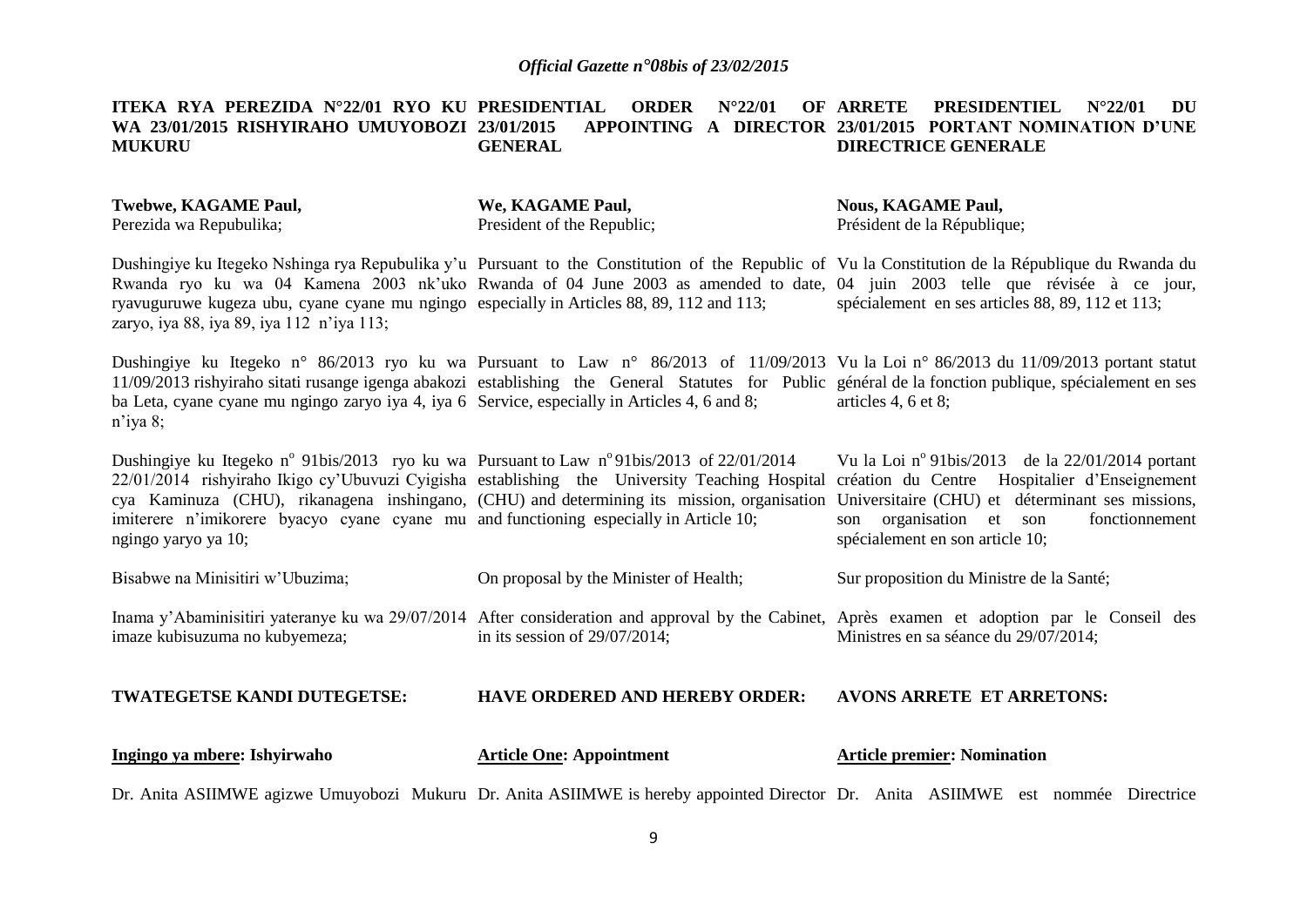#### **ITEKA RYA PEREZIDA N°22/01 RYO KU PRESIDENTIAL ORDER N°22/01 OF WA 23/01/2015 RISHYIRAHO UMUYOBOZI 23/01/2015 APPOINTING A DIRECTOR 23/01/2015 PORTANT NOMINATION D'UNE MUKURU GENERAL ARRETE PRESIDENTIEL N°22/01 DU DIRECTRICE GENERALE**

| Twebwe, KAGAME Paul,<br>Perezida wa Repubulika;                                                                                                                                                                                                                                                                                                                                                          | We, KAGAME Paul,<br>President of the Republic; | <b>Nous, KAGAME Paul,</b><br>Président de la République;                                                                                                                                                                                                                                                                             |
|----------------------------------------------------------------------------------------------------------------------------------------------------------------------------------------------------------------------------------------------------------------------------------------------------------------------------------------------------------------------------------------------------------|------------------------------------------------|--------------------------------------------------------------------------------------------------------------------------------------------------------------------------------------------------------------------------------------------------------------------------------------------------------------------------------------|
| ryavuguruwe kugeza ubu, cyane cyane mu ngingo especially in Articles 88, 89, 112 and 113;<br>zaryo, iya 88, iya 89, iya 112 n'iya 113;                                                                                                                                                                                                                                                                   |                                                | Dushingiye ku Itegeko Nshinga rya Repubulika y'u Pursuant to the Constitution of the Republic of Vu la Constitution de la République du Rwanda du<br>Rwanda ryo ku wa 04 Kamena 2003 nk'uko Rwanda of 04 June 2003 as amended to date, 04 juin 2003 telle que révisée à ce jour,<br>spécialement en ses articles 88, 89, 112 et 113; |
| ba Leta, cyane cyane mu ngingo zaryo iya 4, iya 6 Service, especially in Articles 4, 6 and 8;<br>$n$ 'iya 8;                                                                                                                                                                                                                                                                                             |                                                | Dushingiye ku Itegeko n° 86/2013 ryo ku wa Pursuant to Law n° 86/2013 of 11/09/2013 Vu la Loi n° 86/2013 du 11/09/2013 portant statut<br>11/09/2013 rishyiraho sitati rusange igenga abakozi establishing the General Statutes for Public général de la fonction publique, spécialement en ses<br>articles 4, 6 et 8;                |
| Dushingiye ku Itegeko n° 91bis/2013 ryo ku wa Pursuant to Law n° 91bis/2013 of 22/01/2014<br>22/01/2014 rishyiraho Ikigo cy'Ubuvuzi Cyigisha establishing the University Teaching Hospital<br>cya Kaminuza (CHU), rikanagena inshingano, (CHU) and determining its mission, organisation<br>imiterere n'imikorere byacyo cyane cyane mu and functioning especially in Article 10;<br>ngingo yaryo ya 10; |                                                | Vu la Loi nº 91bis/2013 de la 22/01/2014 portant<br>création du Centre Hospitalier d'Enseignement<br>Universitaire (CHU) et déterminant ses missions,<br>son organisation et son<br>fonctionnement<br>spécialement en son article 10;                                                                                                |
| Bisabwe na Minisitiri w'Ubuzima;                                                                                                                                                                                                                                                                                                                                                                         | On proposal by the Minister of Health;         | Sur proposition du Ministre de la Santé;                                                                                                                                                                                                                                                                                             |
| imaze kubisuzuma no kubyemeza;                                                                                                                                                                                                                                                                                                                                                                           | in its session of $29/07/2014$ ;               | Inama y'Abaminisitiri yateranye ku wa 29/07/2014 After consideration and approval by the Cabinet, Après examen et adoption par le Conseil des<br>Ministres en sa séance du 29/07/2014;                                                                                                                                               |
| TWATEGETSE KANDI DUTEGETSE:                                                                                                                                                                                                                                                                                                                                                                              | <b>HAVE ORDERED AND HEREBY ORDER:</b>          | <b>AVONS ARRETE ET ARRETONS:</b>                                                                                                                                                                                                                                                                                                     |
| Ingingo ya mbere: Ishyirwaho                                                                                                                                                                                                                                                                                                                                                                             | <b>Article One: Appointment</b>                | <b>Article premier: Nomination</b>                                                                                                                                                                                                                                                                                                   |

Dr. Anita ASIIMWE agizwe Umuyobozi Mukuru Dr. Anita ASIIMWE is hereby appointed Director Dr. Anita ASIIMWE est nommée Directrice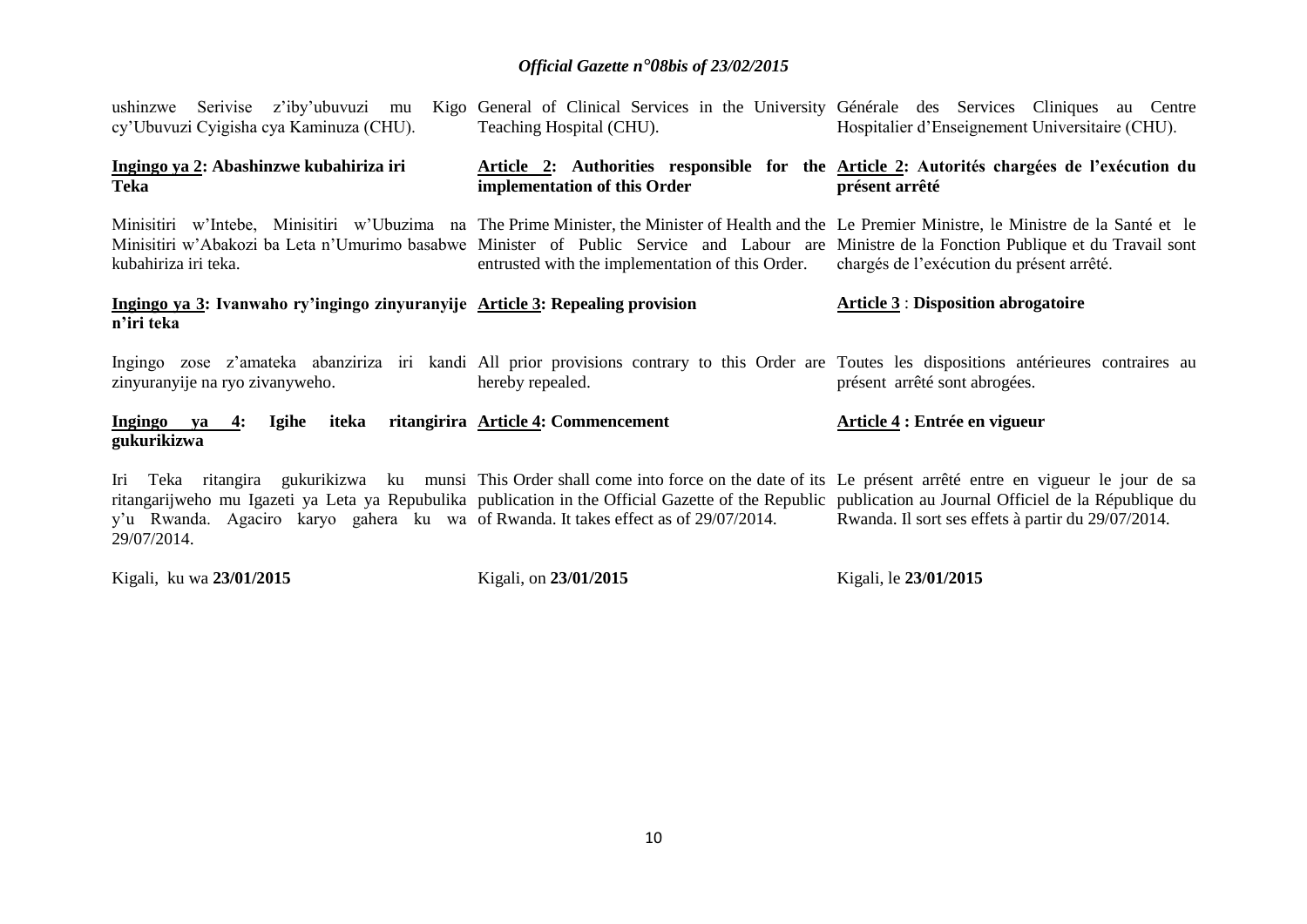| Serivise z'iby'ubuvuzi mu<br>ushinzwe<br>cy'Ubuvuzi Cyigisha cya Kaminuza (CHU).                   | Teaching Hospital (CHU).                         | Kigo General of Clinical Services in the University Générale des Services Cliniques au Centre<br>Hospitalier d'Enseignement Universitaire (CHU).                                                                                                                                                                                                              |
|----------------------------------------------------------------------------------------------------|--------------------------------------------------|---------------------------------------------------------------------------------------------------------------------------------------------------------------------------------------------------------------------------------------------------------------------------------------------------------------------------------------------------------------|
| Ingingo ya 2: Abashinzwe kubahiriza iri<br>Teka                                                    | implementation of this Order                     | Article 2: Authorities responsible for the Article 2: Autorités chargées de l'exécution du<br>présent arrêté                                                                                                                                                                                                                                                  |
| kubahiriza iri teka.                                                                               | entrusted with the implementation of this Order. | Minisitiri w'Intebe, Minisitiri w'Ubuzima na The Prime Minister, the Minister of Health and the Le Premier Ministre, le Ministre de la Santé et le<br>Minisitiri w'Abakozi ba Leta n'Umurimo basabwe Minister of Public Service and Labour are Ministre de la Fonction Publique et du Travail sont<br>chargés de l'exécution du présent arrêté.               |
| Ingingo ya 3: Ivanwaho ry'ingingo zinyuranyije Article 3: Repealing provision<br>n'iri teka        |                                                  | <b>Article 3: Disposition abrogatoire</b>                                                                                                                                                                                                                                                                                                                     |
| zinyuranyije na ryo zivanyweho.                                                                    | hereby repealed.                                 | Ingingo zose z'amateka abanziriza iri kandi All prior provisions contrary to this Order are Toutes les dispositions antérieures contraires au<br>présent arrêté sont abrogées.                                                                                                                                                                                |
| iteka<br>Ingingo ya<br><b>Igihe</b><br>4:<br>gukurikizwa                                           | ritangirira Article 4: Commencement              | Article 4 : Entrée en vigueur                                                                                                                                                                                                                                                                                                                                 |
| y'u Rwanda. Agaciro karyo gahera ku wa of Rwanda. It takes effect as of 29/07/2014.<br>29/07/2014. |                                                  | Iri Teka ritangira gukurikizwa ku munsi This Order shall come into force on the date of its Le présent arrêté entre en vigueur le jour de sa<br>ritangarijweho mu Igazeti ya Leta ya Repubulika publication in the Official Gazette of the Republic publication au Journal Officiel de la République du<br>Rwanda. Il sort ses effets à partir du 29/07/2014. |

Kigali, ku wa **23/01/2015** Kigali, on **23/01/2015** Kigali, le **23/01/2015**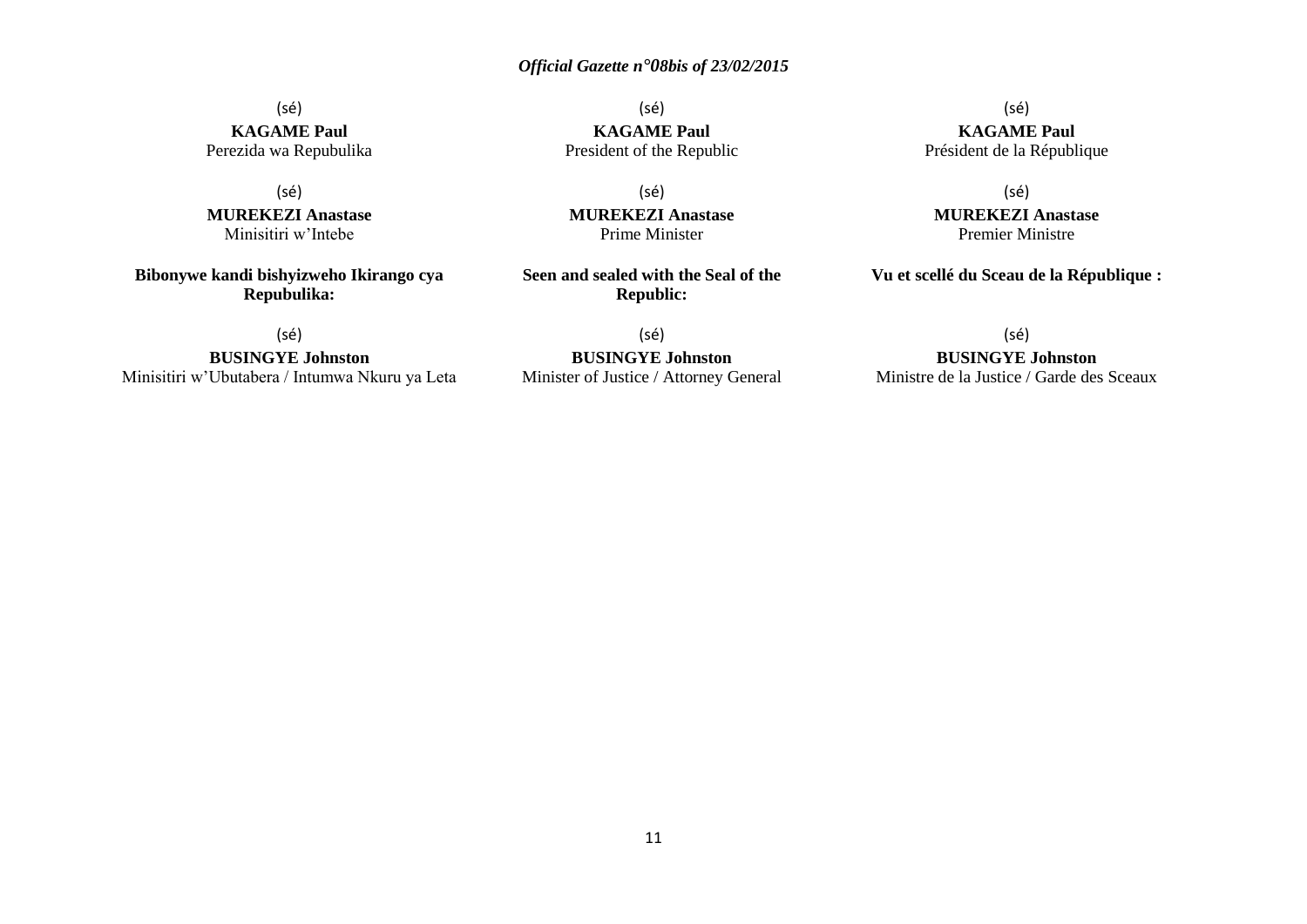(sé) **KAGAME Paul** Perezida wa Repubulika

(sé) **MUREKEZI Anastase** Minisitiri w'Intebe

**Bibonywe kandi bishyizweho Ikirango cya Repubulika:**

(sé)

**BUSINGYE Johnston** Minisitiri w'Ubutabera / Intumwa Nkuru ya Leta

(sé) **KAGAME Paul** President of the Republic

(sé) **MUREKEZI Anastase** Prime Minister

**Seen and sealed with the Seal of the Republic:**

(sé) **BUSINGYE Johnston** Minister of Justice / Attorney General

(sé) **KAGAME Paul** Président de la République

(sé)

**MUREKEZI Anastase** Premier Ministre

**Vu et scellé du Sceau de la République :**

(sé)

**BUSINGYE Johnston**

Ministre de la Justice / Garde des Sceaux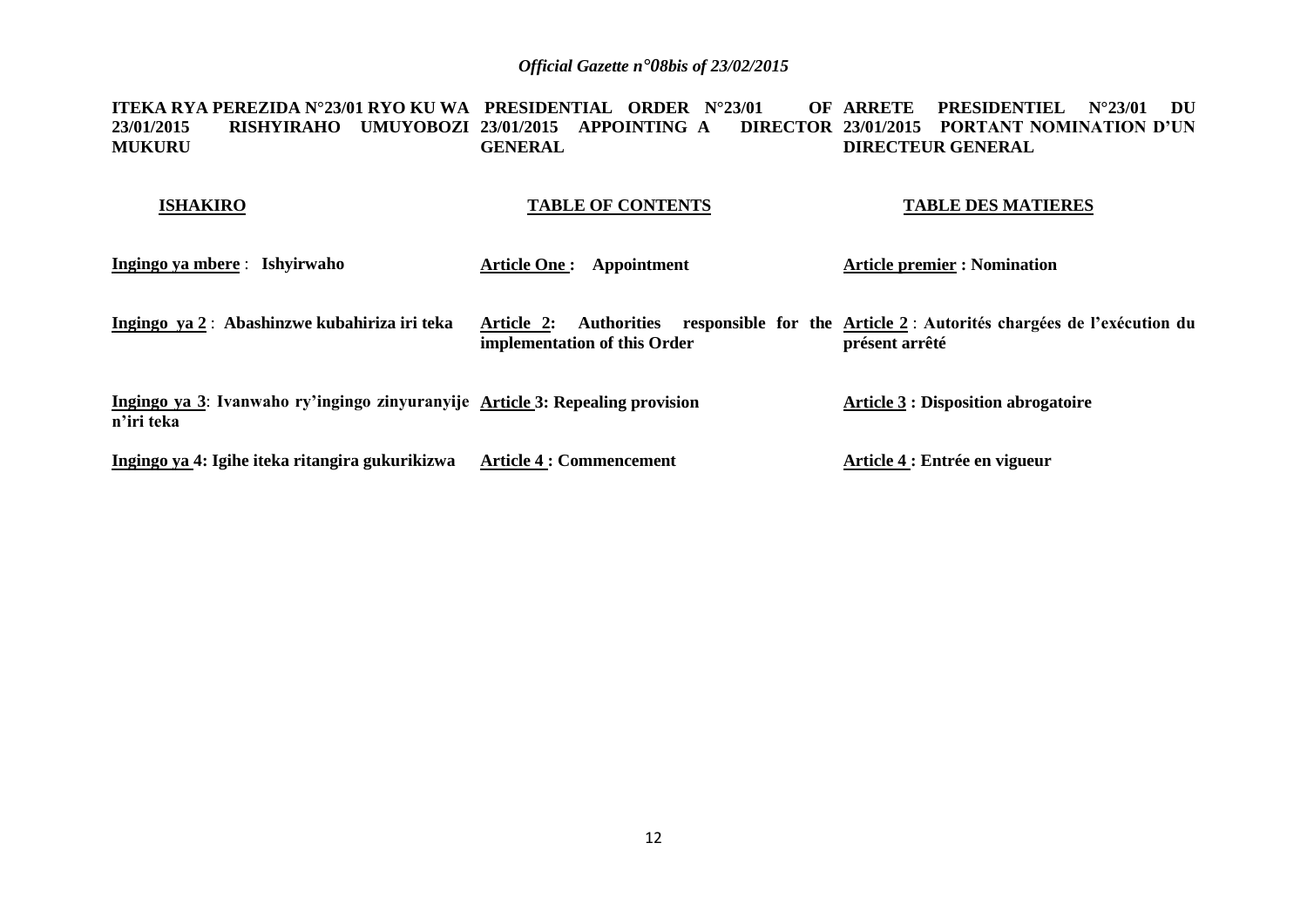**ITEKA RYA PEREZIDA N°23/01 RYO KU WA PRESIDENTIAL ORDER N°23/01 OF 23/01/2015 RISHYIRAHO UMUYOBOZI 23/01/2015 APPOINTING A DIRECTOR 23/01/2015 PORTANT NOMINATION D'UN MUKURU GENERAL** OF ARRETE PRESIDENTIEL N°23/01 DU **DIRECTEUR GENERAL** 

| <b>ISHAKIRO</b>                                                                             | <b>TABLE OF CONTENTS</b>                                         | <b>TABLE DES MATIERES</b>                                                             |
|---------------------------------------------------------------------------------------------|------------------------------------------------------------------|---------------------------------------------------------------------------------------|
| Ingingo ya mbere : Ishyirwaho                                                               | <b>Article One :</b><br>Appointment                              | <b>Article premier : Nomination</b>                                                   |
| Ingingo ya 2: Abashinzwe kubahiriza iri teka                                                | Article 2:<br><b>Authorities</b><br>implementation of this Order | responsible for the Article 2: Autorités chargées de l'exécution du<br>présent arrêté |
| Ingingo ya 3: Ivanwaho ry'ingingo zinyuranyije Article 3: Repealing provision<br>n'iri teka |                                                                  | <b>Article 3 : Disposition abrogatoire</b>                                            |
| Ingingo ya 4: Igihe iteka ritangira gukurikizwa                                             | <b>Article 4 : Commencement</b>                                  | Article 4 : Entrée en vigueur                                                         |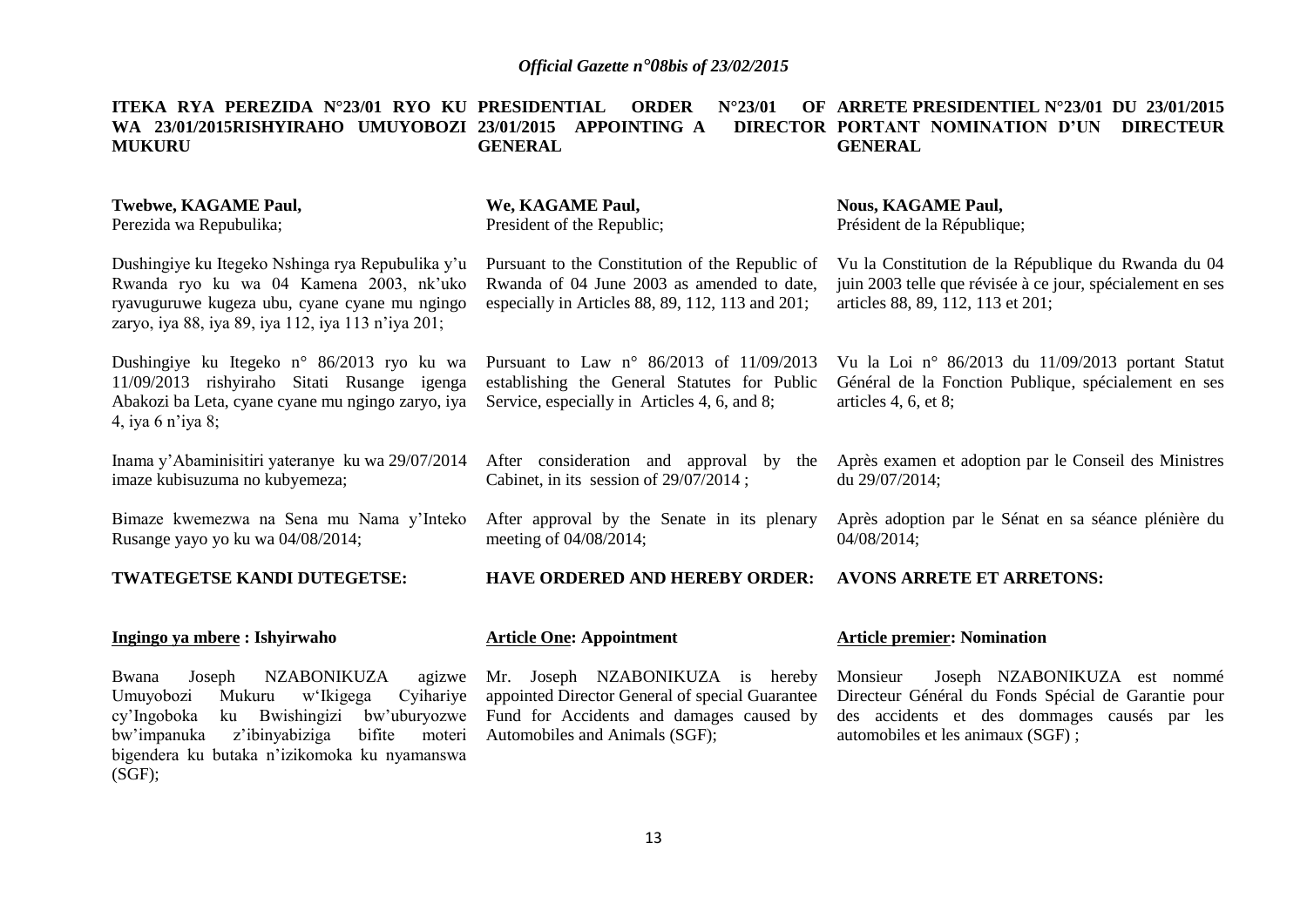**ITEKA RYA PEREZIDA N°23/01 RYO KU PRESIDENTIAL ORDER N°23/01 OF WA 23/01/2015RISHYIRAHO UMUYOBOZI 23/01/2015 APPOINTING A DIRECTOR MUKURU GENERAL ARRETE PRESIDENTIEL N°23/01 DU 23/01/2015 PORTANT NOMINATION D'UN DIRECTEUR GENERAL**

#### **Twebwe, KAGAME Paul,** Perezida wa Repubulika; Dushingiye ku Itegeko Nshinga rya Repubulika y'u Rwanda ryo ku wa 04 Kamena 2003, nk'uko ryavuguruwe kugeza ubu, cyane cyane mu ngingo zaryo, iya 88, iya 89, iya 112, iya 113 n'iya 201; Dushingiye ku Itegeko n° 86/2013 ryo ku wa 11/09/2013 rishyiraho Sitati Rusange igenga Abakozi ba Leta, cyane cyane mu ngingo zaryo, iya 4, iya 6 n'iya 8; Inama y'Abaminisitiri yateranye ku wa 29/07/2014 imaze kubisuzuma no kubyemeza; Bimaze kwemezwa na Sena mu Nama y'Inteko Rusange yayo yo ku wa 04/08/2014; **TWATEGETSE KANDI DUTEGETSE: Ingingo ya mbere : Ishyirwaho** Bwana Joseph NZABONIKUZA agizwe Umuyobozi Mukuru w'Ikigega Cyihariye cy'Ingoboka ku Bwishingizi bw'uburyozwe bw'impanuka z'ibinyabiziga bifite moteri **We, KAGAME Paul,** President of the Republic; Pursuant to the Constitution of the Republic of Rwanda of 04 June 2003 as amended to date, especially in Articles 88, 89, 112, 113 and 201; Pursuant to Law n° 86/2013 of 11/09/2013 establishing the General Statutes for Public Service, especially in Articles 4, 6, and 8; After consideration and approval by the Cabinet, in its session of 29/07/2014 ; After approval by the Senate in its plenary meeting of 04/08/2014; **HAVE ORDERED AND HEREBY ORDER: Article One: Appointment** Mr. Joseph NZABONIKUZA is hereby appointed Director General of special Guarantee Fund for Accidents and damages caused by Automobiles and Animals (SGF); **Nous, KAGAME Paul,** Président de la République; Vu la Constitution de la République du Rwanda du 04 juin 2003 telle que révisée à ce jour, spécialement en ses articles 88, 89, 112, 113 et 201; Vu la Loi n° 86/2013 du 11/09/2013 portant Statut Général de la Fonction Publique, spécialement en ses articles 4, 6, et 8; Après examen et adoption par le Conseil des Ministres du 29/07/2014; Après adoption par le Sénat en sa séance plénière du 04/08/2014; **AVONS ARRETE ET ARRETONS: Article premier: Nomination** Monsieur Joseph NZABONIKUZA est nommé Directeur Général du Fonds Spécial de Garantie pour des accidents et des dommages causés par les automobiles et les animaux (SGF) ;

bigendera ku butaka n'izikomoka ku nyamanswa

(SGF);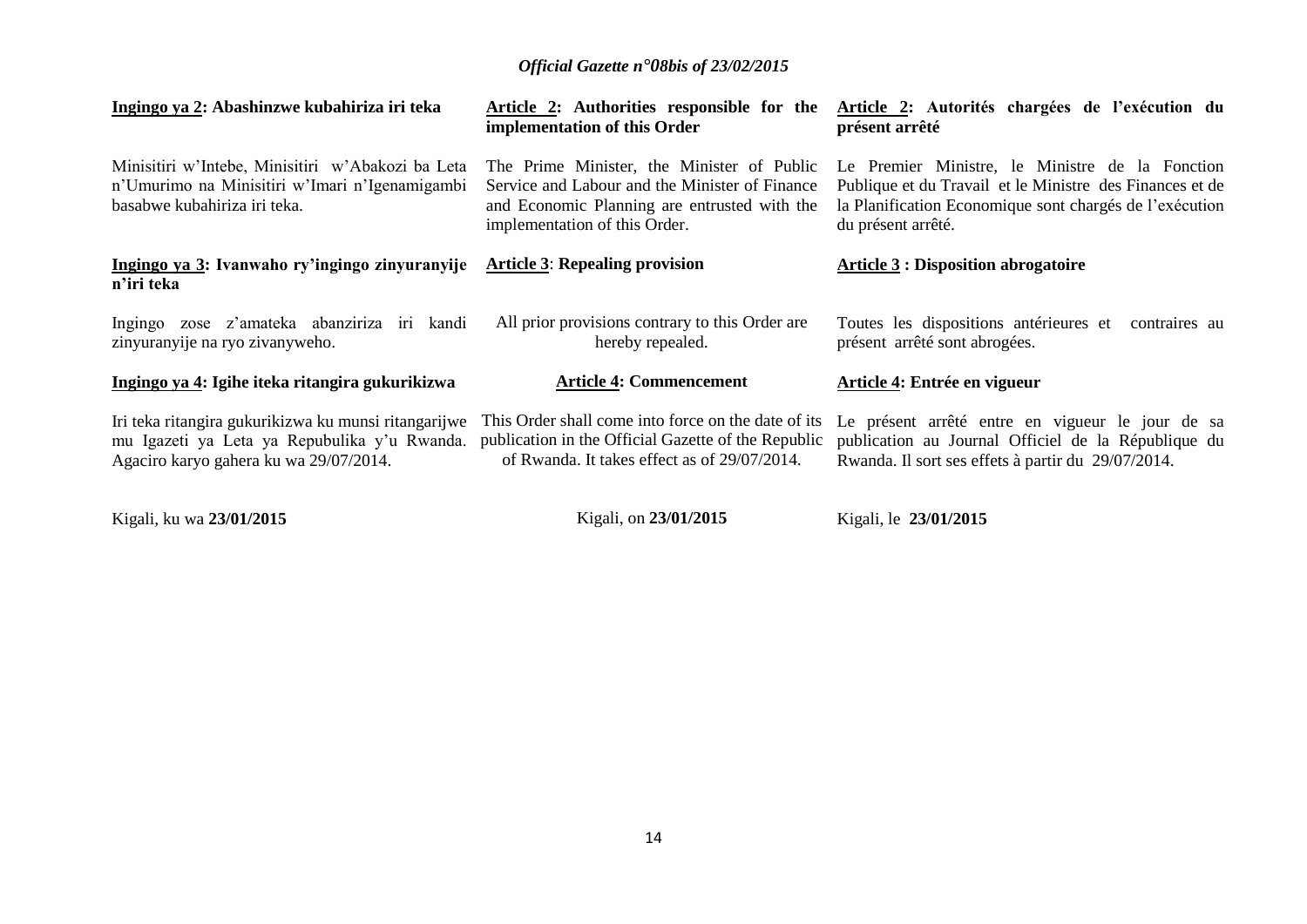| Ingingo ya 2: Abashinzwe kubahiriza iri teka                                                                                                   | Article 2: Authorities responsible for the<br>implementation of this Order                                                                                                    | Article 2: Autorités chargées de l'exécution du<br>présent arrêté                                                                                                                            |
|------------------------------------------------------------------------------------------------------------------------------------------------|-------------------------------------------------------------------------------------------------------------------------------------------------------------------------------|----------------------------------------------------------------------------------------------------------------------------------------------------------------------------------------------|
| Minisitiri w'Intebe, Minisitiri w'Abakozi ba Leta<br>n'Umurimo na Minisitiri w'Imari n'Igenamigambi<br>basabwe kubahiriza iri teka.            | The Prime Minister, the Minister of Public<br>Service and Labour and the Minister of Finance<br>and Economic Planning are entrusted with the<br>implementation of this Order. | Le Premier Ministre, le Ministre de la Fonction<br>Publique et du Travail et le Ministre des Finances et de<br>la Planification Economique sont chargés de l'exécution<br>du présent arrêté. |
| Ingingo ya 3: Ivanwaho ry'ingingo zinyuranyije<br>n'iri teka                                                                                   | <b>Article 3: Repealing provision</b>                                                                                                                                         | <b>Article 3 : Disposition abrogatoire</b>                                                                                                                                                   |
| zose z'amateka abanziriza iri kandi<br>Ingingo<br>zinyuranyije na ryo zivanyweho.                                                              | All prior provisions contrary to this Order are<br>hereby repealed.                                                                                                           | Toutes les dispositions antérieures et contraires au<br>présent arrêté sont abrogées.                                                                                                        |
| <u>Ingingo ya 4: Igihe iteka ritangira gukurikizwa</u>                                                                                         | <b>Article 4: Commencement</b>                                                                                                                                                | Article 4: Entrée en vigueur                                                                                                                                                                 |
| Iri teka ritangira gukurikizwa ku munsi ritangarijwe<br>mu Igazeti ya Leta ya Repubulika y'u Rwanda.<br>Agaciro karyo gahera ku wa 29/07/2014. | This Order shall come into force on the date of its<br>publication in the Official Gazette of the Republic<br>of Rwanda. It takes effect as of 29/07/2014.                    | Le présent arrêté entre en vigueur le jour de sa<br>publication au Journal Officiel de la République du<br>Rwanda. Il sort ses effets à partir du 29/07/2014.                                |
|                                                                                                                                                |                                                                                                                                                                               |                                                                                                                                                                                              |

Kigali, ku wa **23/01/2015**

Kigali, on **23/01/2015**

Kigali, le **23/01/2015**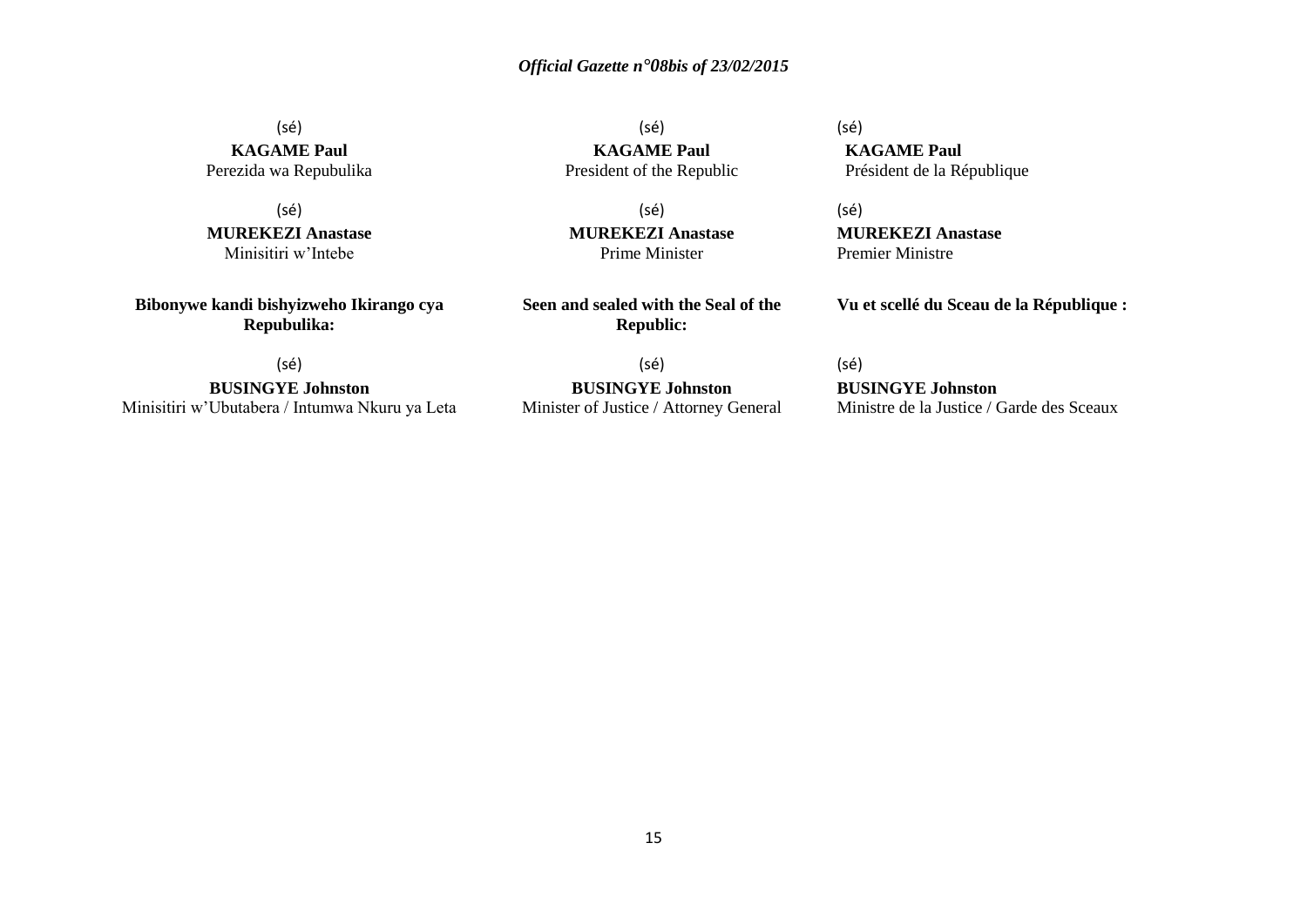(sé) **KAGAME Paul** Perezida wa Repubulika

(sé) **MUREKEZI Anastase** Minisitiri w'Intebe

**Bibonywe kandi bishyizweho Ikirango cya Repubulika:**

(sé) **BUSINGYE Johnston** Minisitiri w'Ubutabera / Intumwa Nkuru ya Leta

(sé) **KAGAME Paul** President of the Republic

(sé) **MUREKEZI Anastase** Prime Minister

**Seen and sealed with the Seal of the Republic:**

(sé) **BUSINGYE Johnston** Minister of Justice / Attorney General (sé) **KAGAME Paul** Président de la République

(sé) **MUREKEZI Anastase** Premier Ministre

**Vu et scellé du Sceau de la République :**

(sé) **BUSINGYE Johnston** Ministre de la Justice / Garde des Sceaux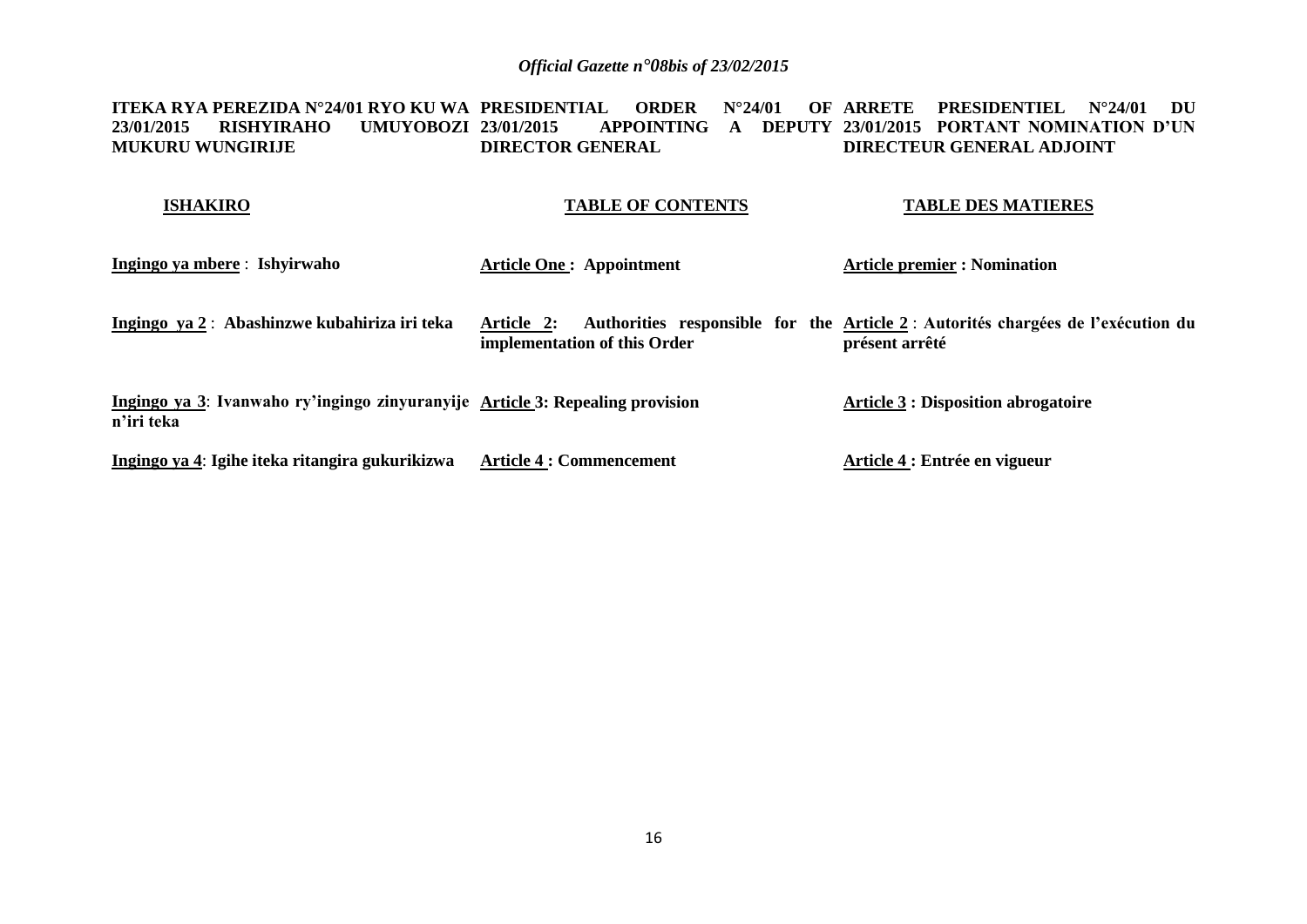**ITEKA RYA PEREZIDA N°24/01 RYO KU WA PRESIDENTIAL ORDER N°24/01 OF ARRETE PRESIDENTIEL N°24/01 DU 23/01/2015 RISHYIRAHO UMUYOBOZI MUKURU WUNGIRIJE 23/01/2015 APPOINTING A DEPUTY 23/01/2015 PORTANT NOMINATION D'UN DIRECTOR GENERAL DIRECTEUR GENERAL ADJOINT** 

#### **ISHAKIRO TABLE OF CONTENTS TABLE DES MATIERES**

| Ingingo ya mbere : Ishyirwaho                                                               | <b>Article One: Appointment</b>            | <b>Article premier : Nomination</b>                                                                |
|---------------------------------------------------------------------------------------------|--------------------------------------------|----------------------------------------------------------------------------------------------------|
| Ingingo ya 2: Abashinzwe kubahiriza iri teka                                                | Article 2:<br>implementation of this Order | Authorities responsible for the Article 2 : Autorités chargées de l'exécution du<br>présent arrêté |
| Ingingo ya 3: Ivanwaho ry'ingingo zinyuranyije Article 3: Repealing provision<br>n'iri teka |                                            | <b>Article 3 : Disposition abrogatoire</b>                                                         |
| Ingingo ya 4: Igihe iteka ritangira gukurikizwa                                             | <b>Article 4 : Commencement</b>            | Article 4 : Entrée en vigueur                                                                      |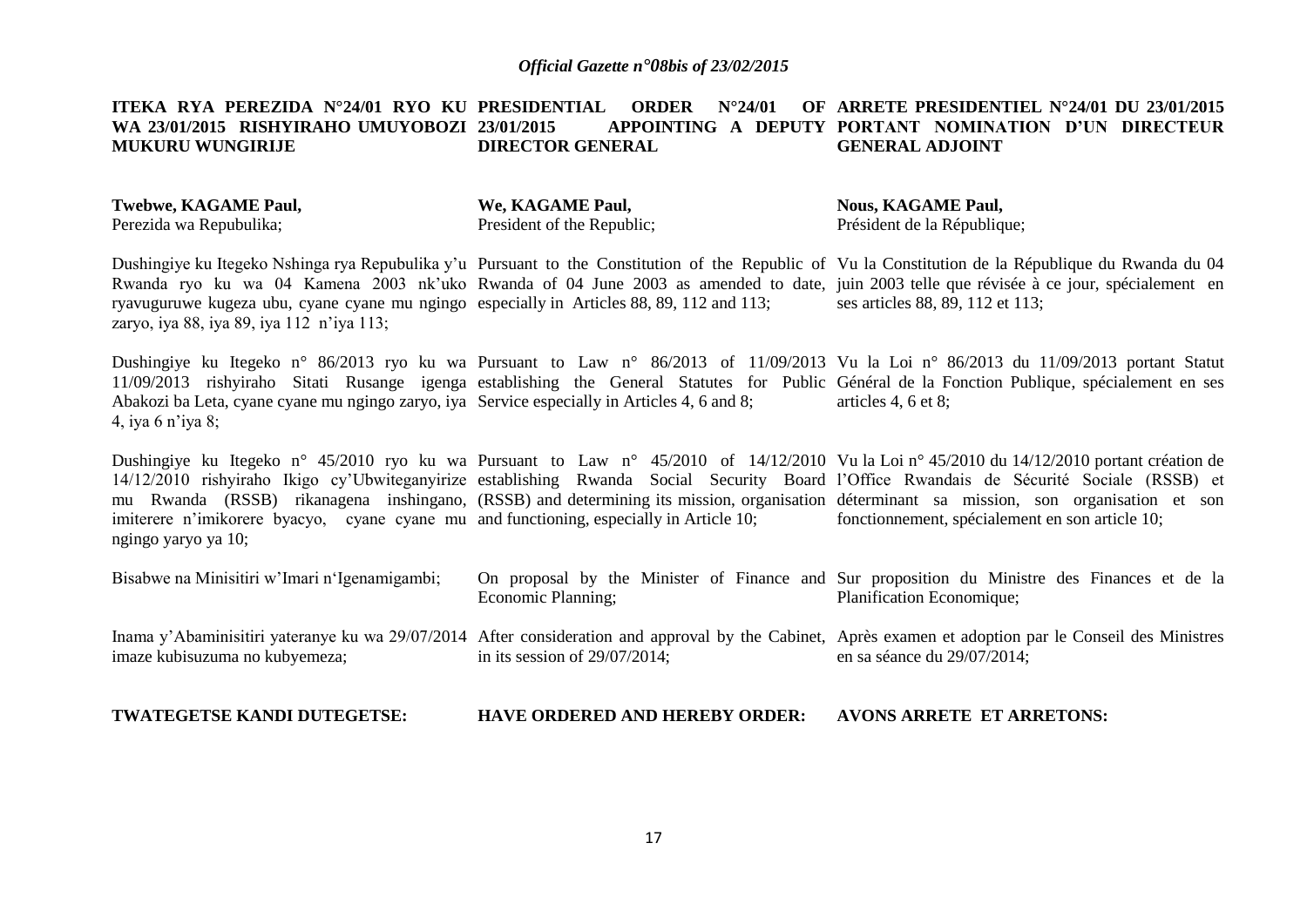#### **ITEKA RYA PEREZIDA N°24/01 RYO KU PRESIDENTIAL ORDER N°24/01 OF** WA 23/01/2015 RISHYIRAHO UMUYOBOZI 23/01/2015 **MUKURU WUNGIRIJE 23/01/2015 APPOINTING A DEPUTY PORTANT NOMINATION D'UN DIRECTEUR DIRECTOR GENERAL ARRETE PRESIDENTIEL N°24/01 DU 23/01/2015 GENERAL ADJOINT**

**Twebwe, KAGAME Paul,** Perezida wa Repubulika;

**We, KAGAME Paul,** President of the Republic; **Nous, KAGAME Paul,** Président de la République;

Dushingiye ku Itegeko Nshinga rya Repubulika y'u Pursuant to the Constitution of the Republic of Vu la Constitution de la République du Rwanda du 04 Rwanda ryo ku wa 04 Kamena 2003 nk'uko Rwanda of 04 June 2003 as amended to date, juin 2003 telle que révisée à ce jour, spécialement en ryavuguruwe kugeza ubu, cyane cyane mu ngingo especially in Articles 88, 89, 112 and 113; zaryo, iya 88, iya 89, iya 112 n'iya 113; ses articles 88, 89, 112 et 113;

Dushingiye ku Itegeko n° 86/2013 ryo ku wa Pursuant to Law n° 86/2013 of 11/09/2013 Vu la Loi n° 86/2013 du 11/09/2013 portant Statut 11/09/2013 rishyiraho Sitati Rusange igenga establishing the General Statutes for Public Général de la Fonction Publique, spécialement en ses Abakozi ba Leta, cyane cyane mu ngingo zaryo, iya Service especially in Articles 4, 6 and 8; 4, iya 6 n'iya 8; articles 4, 6 et 8;

Dushingiye ku Itegeko n° 45/2010 ryo ku wa Pursuant to Law n° 45/2010 of 14/12/2010 Vu la Loi n° 45/2010 du 14/12/2010 portant création de 14/12/2010 rishyiraho Ikigo cy'Ubwiteganyirize establishing Rwanda Social Security Board l'Office Rwandais de Sécurité Sociale (RSSB) et mu Rwanda (RSSB) rikanagena inshingano, (RSSB) and determining its mission, organisation déterminant sa mission, son organisation et son imiterere n'imikorere byacyo, cyane cyane mu and functioning, especially in Article 10; ngingo yaryo ya 10; fonctionnement, spécialement en son article 10;

| Bisabwe na Minisitiri w'Imari n'Igenamigambi; | Economic Planning;               | On proposal by the Minister of Finance and Sur proposition du Ministre des Finances et de la<br>Planification Economique;                                                                 |
|-----------------------------------------------|----------------------------------|-------------------------------------------------------------------------------------------------------------------------------------------------------------------------------------------|
| imaze kubisuzuma no kubyemeza;                | in its session of $29/07/2014$ ; | Inama y'Abaminisitiri yateranye ku wa 29/07/2014 After consideration and approval by the Cabinet, Après examen et adoption par le Conseil des Ministres<br>en sa séance du $29/07/2014$ ; |

#### **TWATEGETSE KANDI DUTEGETSE: HAVE ORDERED AND HEREBY ORDER: AVONS ARRETE ET ARRETONS:**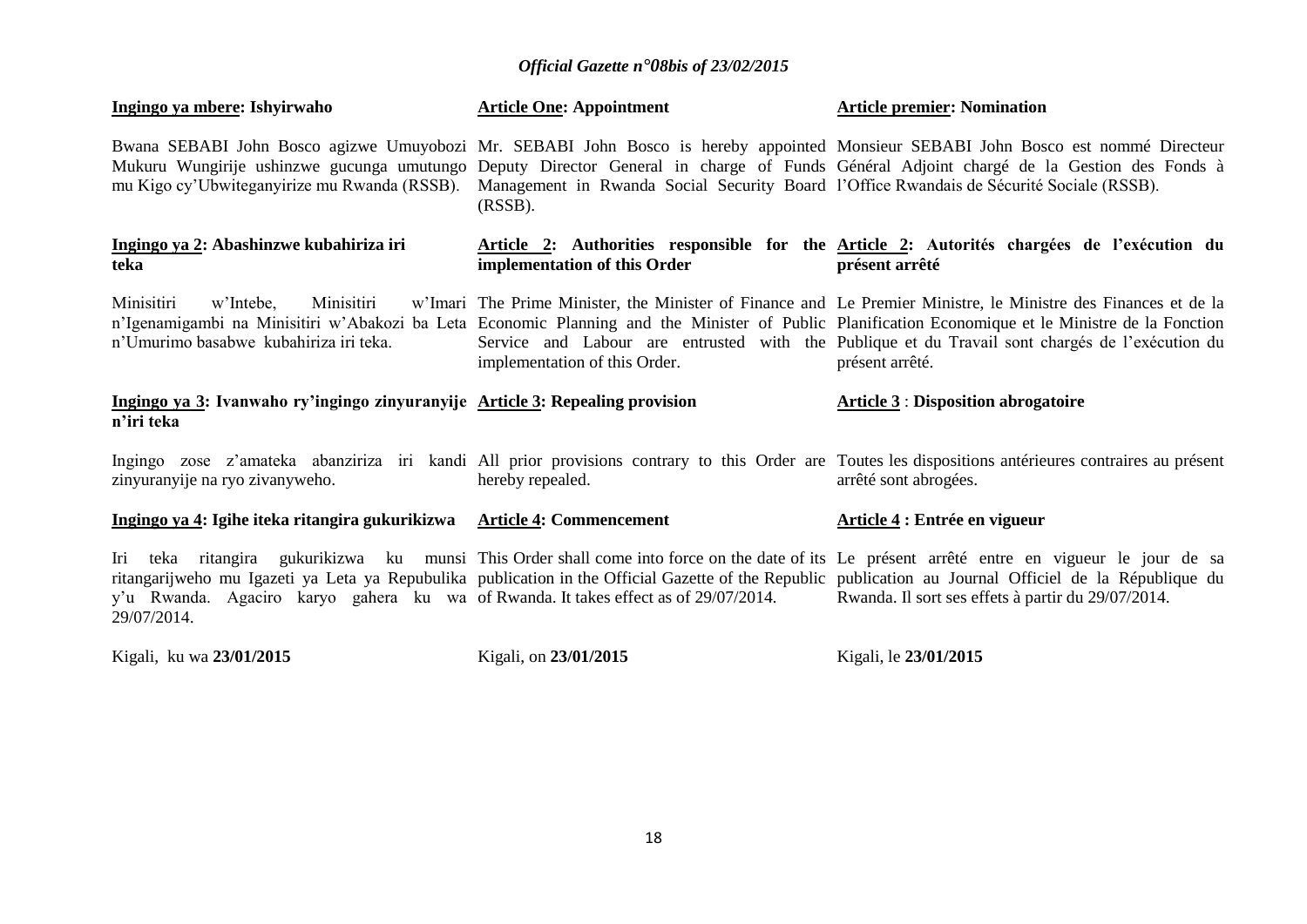| Ingingo ya mbere: Ishyirwaho                                                                              | <b>Article One: Appointment</b>                                                                        | <b>Article premier: Nomination</b>                                                                                                                                                                                                                                                                                                                                                         |
|-----------------------------------------------------------------------------------------------------------|--------------------------------------------------------------------------------------------------------|--------------------------------------------------------------------------------------------------------------------------------------------------------------------------------------------------------------------------------------------------------------------------------------------------------------------------------------------------------------------------------------------|
| mu Kigo cy'Ubwiteganyirize mu Rwanda (RSSB).                                                              | Management in Rwanda Social Security Board l'Office Rwandais de Sécurité Sociale (RSSB).<br>$(RSSB)$ . | Bwana SEBABI John Bosco agizwe Umuyobozi Mr. SEBABI John Bosco is hereby appointed Monsieur SEBABI John Bosco est nommé Directeur<br>Mukuru Wungirije ushinzwe gucunga umutungo Deputy Director General in charge of Funds Général Adjoint chargé de la Gestion des Fonds à                                                                                                                |
| Ingingo ya 2: Abashinzwe kubahiriza iri<br>teka                                                           | implementation of this Order                                                                           | <u>Article 2</u> : Authorities responsible for the <u>Article 2</u> : Autorités chargées de l'exécution du<br>présent arrêté                                                                                                                                                                                                                                                               |
| Minisitiri<br>w'Intebe.<br>Minisitiri<br>n'Umurimo basabwe kubahiriza iri teka.                           | implementation of this Order.                                                                          | w'Imari The Prime Minister, the Minister of Finance and Le Premier Ministre, le Ministre des Finances et de la<br>n'Igenamigambi na Minisitiri w'Abakozi ba Leta Economic Planning and the Minister of Public Planification Economique et le Ministre de la Fonction<br>Service and Labour are entrusted with the Publique et du Travail sont chargés de l'exécution du<br>présent arrêté. |
|                                                                                                           |                                                                                                        |                                                                                                                                                                                                                                                                                                                                                                                            |
| Ingingo ya 3: Ivanwaho ry'ingingo zinyuranyije Article 3: Repealing provision<br>n'iri teka               |                                                                                                        | <b>Article 3 : Disposition abrogatoire</b>                                                                                                                                                                                                                                                                                                                                                 |
| zinyuranyije na ryo zivanyweho.                                                                           | hereby repealed.                                                                                       | Ingingo zose z'amateka abanziriza iri kandi All prior provisions contrary to this Order are Toutes les dispositions antérieures contraires au présent<br>arrêté sont abrogées.                                                                                                                                                                                                             |
| Ingingo ya 4: Igihe iteka ritangira gukurikizwa Article 4: Commencement                                   |                                                                                                        | Article 4 : Entrée en vigueur                                                                                                                                                                                                                                                                                                                                                              |
| Iri<br>y'u Rwanda. Agaciro karyo gahera ku wa of Rwanda. It takes effect as of 29/07/2014.<br>29/07/2014. |                                                                                                        | teka ritangira gukurikizwa ku munsi This Order shall come into force on the date of its Le présent arrêté entre en vigueur le jour de sa<br>ritangarijweho mu Igazeti ya Leta ya Repubulika publication in the Official Gazette of the Republic publication au Journal Officiel de la République du<br>Rwanda. Il sort ses effets à partir du 29/07/2014.                                  |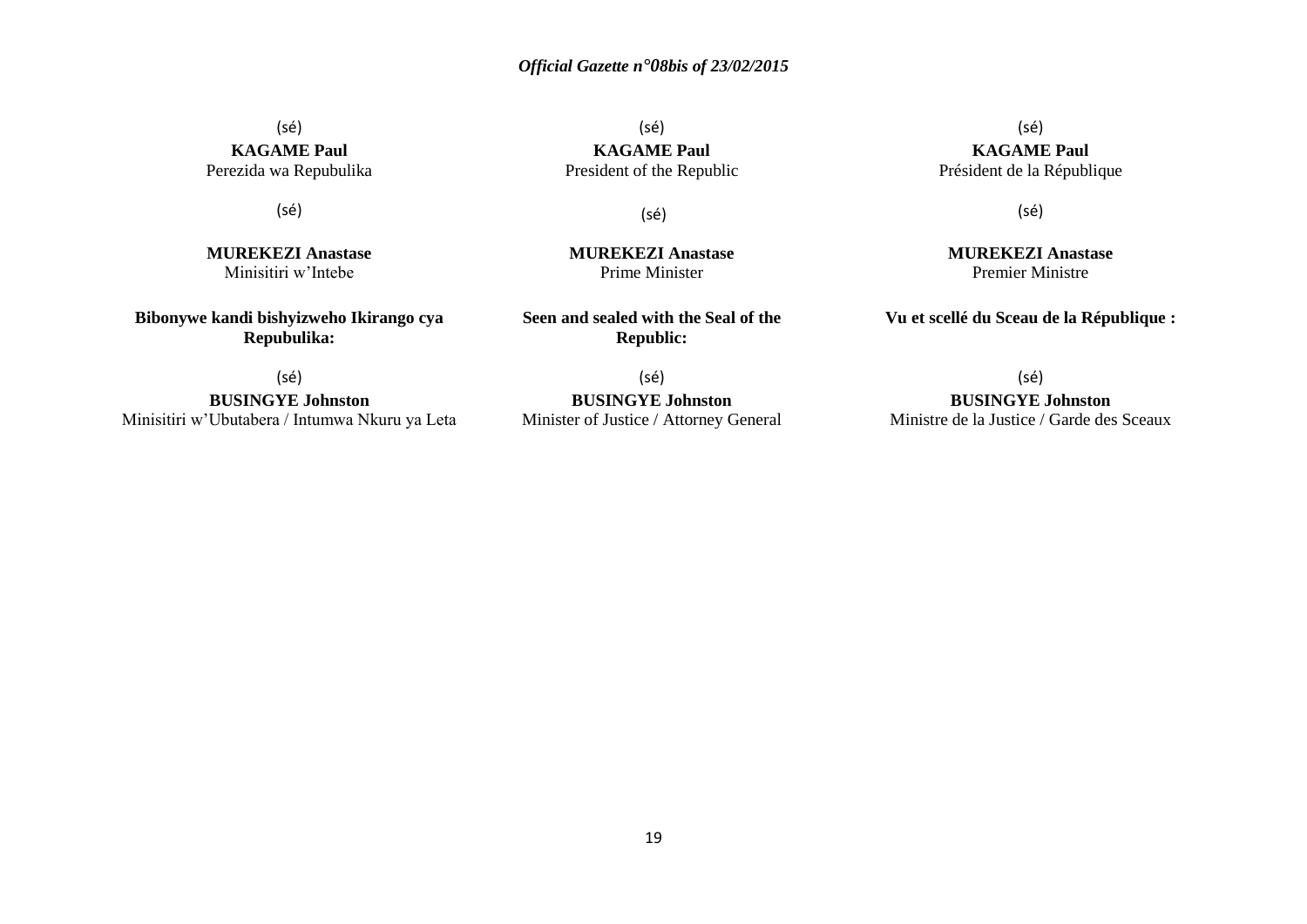(sé) **KAGAME Paul**

(sé) **KAGAME Paul** Perezida wa Repubulika

(sé)

**MUREKEZI Anastase**  Minisitiri w'Intebe

**Bibonywe kandi bishyizweho Ikirango cya Repubulika:**

President of the Republic

(sé)

**MUREKEZI Anastase**  Prime Minister

**Seen and sealed with the Seal of the Republic:**

(sé) **BUSINGYE Johnston** Minisitiri w'Ubutabera / Intumwa Nkuru ya Leta

(sé) **BUSINGYE Johnston** Minister of Justice / Attorney General

(sé) **KAGAME Paul** Président de la République

(sé)

**MUREKEZI Anastase** Premier Ministre

**Vu et scellé du Sceau de la République :**

(sé)

**BUSINGYE Johnston** Ministre de la Justice / Garde des Sceaux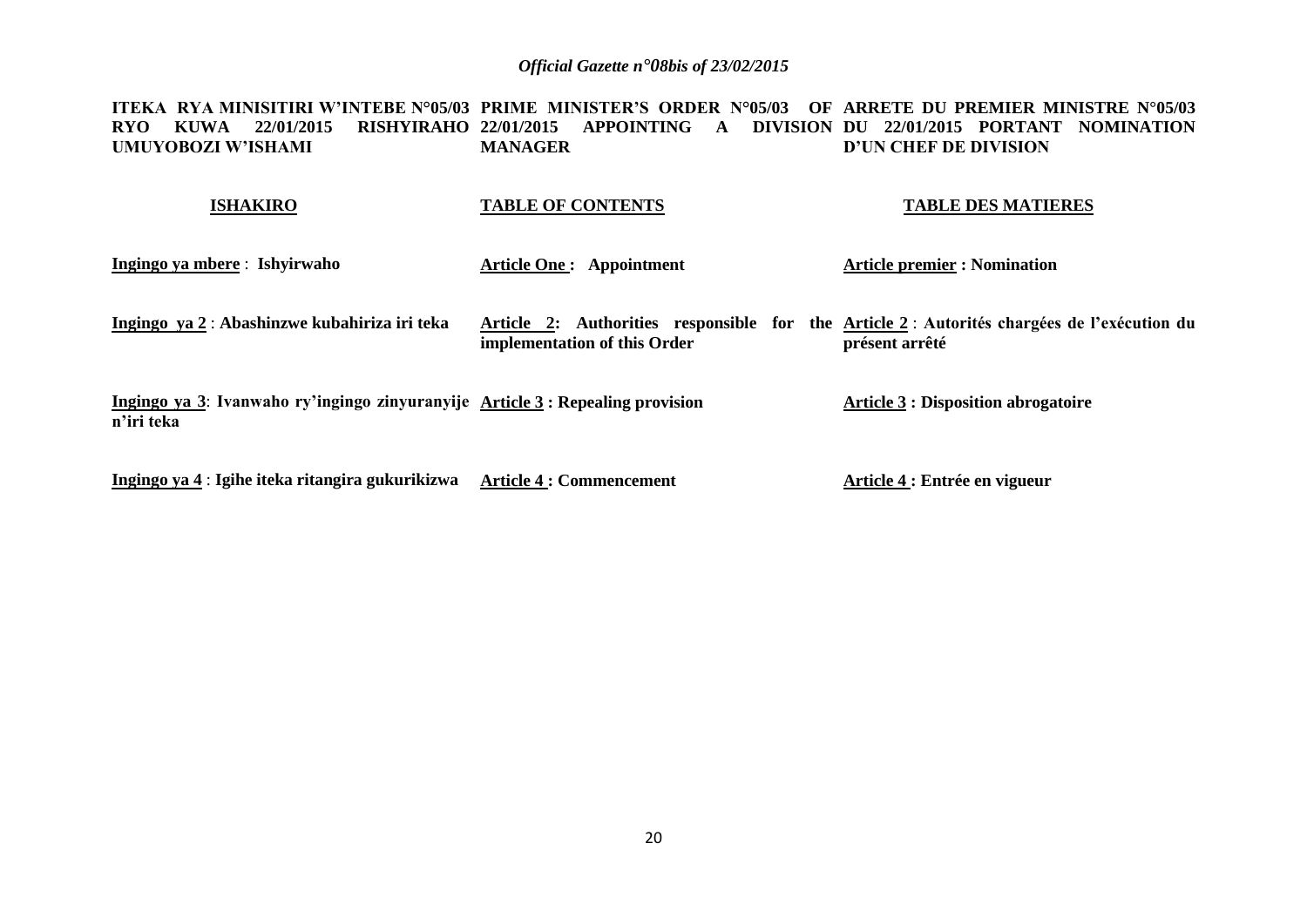**ITEKA RYA MINISITIRI W'INTEBE N°05/03 PRIME MINISTER'S ORDER N°05/03 OF ARRETE DU PREMIER MINISTRE N°05/03 RYO KUWA 22/01/2015 RISHYIRAHO 22/01/2015 APPOINTING A DIVISION DU 22/01/2015 PORTANT NOMINATION UMUYOBOZI W'ISHAMI MANAGER D'UN CHEF DE DIVISION**

| <b>ISHAKIRO</b>                                                                              | <b>TABLE OF CONTENTS</b>                                                                                                   | <b>TABLE DES MATIERES</b>                  |
|----------------------------------------------------------------------------------------------|----------------------------------------------------------------------------------------------------------------------------|--------------------------------------------|
| Ingingo ya mbere : Ishyirwaho                                                                | <b>Article One: Appointment</b>                                                                                            | <b>Article premier : Nomination</b>        |
| Ingingo ya 2: Abashinzwe kubahiriza iri teka                                                 | Article 2: Authorities responsible for the Article 2: Autorités chargées de l'exécution du<br>implementation of this Order | présent arrêté                             |
| Ingingo ya 3: Ivanwaho ry'ingingo zinyuranyije Article 3 : Repealing provision<br>n'iri teka |                                                                                                                            | <b>Article 3 : Disposition abrogatoire</b> |
| Ingingo ya 4 : Igihe iteka ritangira gukurikizwa                                             | <b>Article 4 : Commencement</b>                                                                                            | Article 4 : Entrée en vigueur              |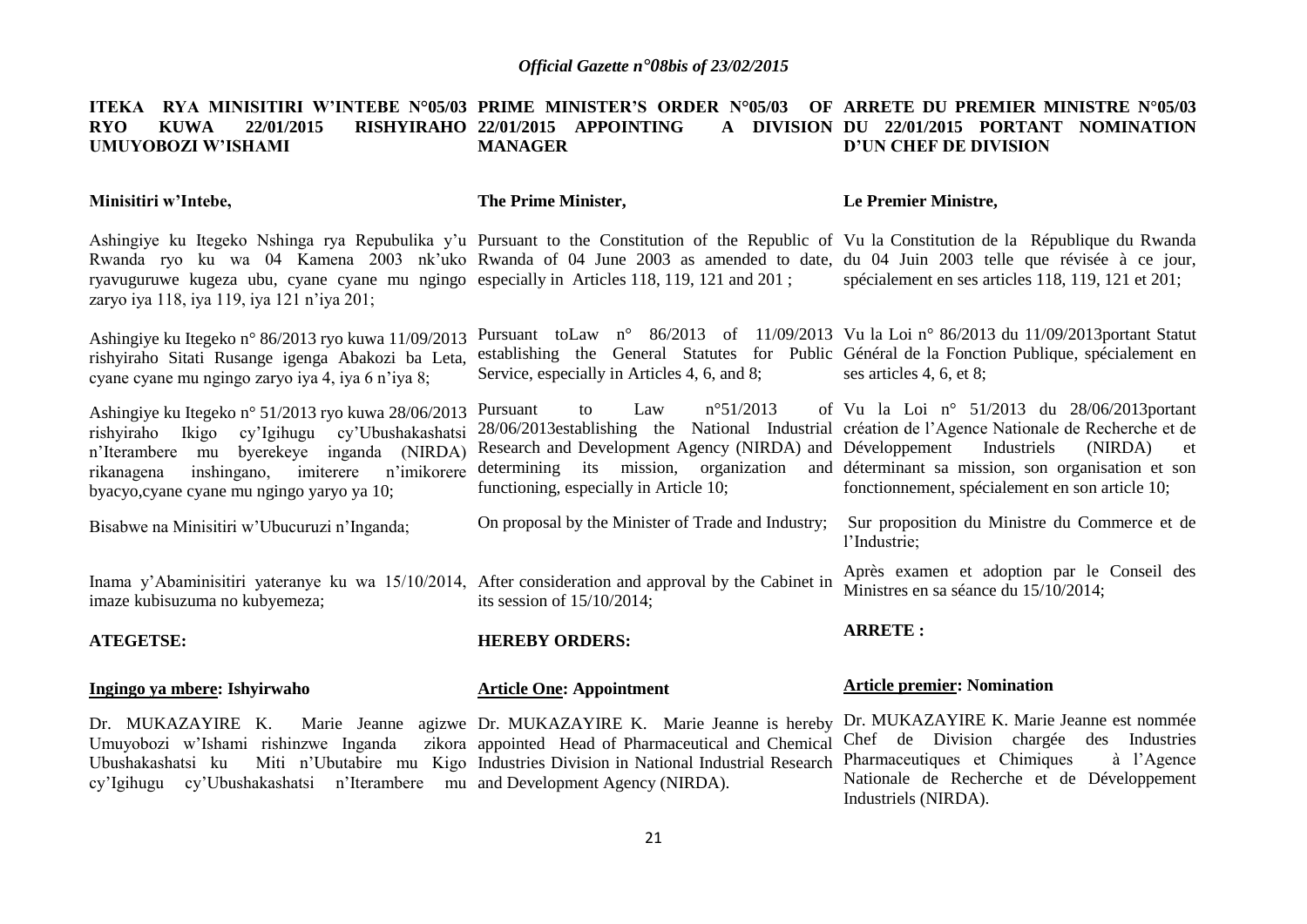#### **ITEKA RYA MINISITIRI W'INTEBE N°05/03 PRIME MINISTER'S ORDER N°05/03 OF ARRETE DU PREMIER MINISTRE N°05/03 RYO KUWA 22/01/2015 RISHYIRAHO 22/01/2015 APPOINTING A DIVISION UMUYOBOZI W'ISHAMI MANAGER** A DIVISION DU 22/01/2015 PORTANT NOMINATION **D'UN CHEF DE DIVISION**

| Minisitiri w'Intebe,                                                                                                                                                                                                                                                                                                                                                                                                         | The Prime Minister,                                                                                                                                                                                                                                                                                                                                  | Le Premier Ministre,                                                                                                                 |
|------------------------------------------------------------------------------------------------------------------------------------------------------------------------------------------------------------------------------------------------------------------------------------------------------------------------------------------------------------------------------------------------------------------------------|------------------------------------------------------------------------------------------------------------------------------------------------------------------------------------------------------------------------------------------------------------------------------------------------------------------------------------------------------|--------------------------------------------------------------------------------------------------------------------------------------|
| Ashingiye ku Itegeko Nshinga rya Repubulika y'u Pursuant to the Constitution of the Republic of Vu la Constitution de la République du Rwanda<br>Rwanda ryo ku wa 04 Kamena 2003 nk'uko Rwanda of 04 June 2003 as amended to date, du 04 Juin 2003 telle que révisée à ce jour,<br>ryavuguruwe kugeza ubu, cyane cyane mu ngingo especially in Articles 118, 119, 121 and 201;<br>zaryo iya 118, iya 119, iya 121 n'iya 201; |                                                                                                                                                                                                                                                                                                                                                      | spécialement en ses articles 118, 119, 121 et 201;                                                                                   |
| Ashingiye ku Itegeko n° 86/2013 ryo kuwa 11/09/2013<br>rishyiraho Sitati Rusange igenga Abakozi ba Leta,<br>cyane cyane mu ngingo zaryo iya 4, iya 6 n'iya 8;                                                                                                                                                                                                                                                                | Pursuant to Law n° $86/2013$ of $11/09/2013$ Vu la Loi n° $86/2013$ du $11/09/2013$ portant Statut<br>establishing the General Statutes for Public Général de la Fonction Publique, spécialement en<br>Service, especially in Articles 4, 6, and 8;                                                                                                  | ses articles 4, 6, et 8;                                                                                                             |
| Ashingiye ku Itegeko n° 51/2013 ryo kuwa 28/06/2013<br>rishyiraho Ikigo cy'Igihugu cy'Ubushakashatsi<br>n'Iterambere mu byerekeye inganda (NIRDA)<br>n'imikorere<br>inshingano,<br>imiterere<br>rikanagena<br>byacyo, cyane cyane mu ngingo yaryo ya 10;                                                                                                                                                                     | $n^{\circ}51/2013$<br>Law<br>Pursuant<br>to<br>28/06/2013 establishing the National Industrial création de l'Agence Nationale de Recherche et de<br>Research and Development Agency (NIRDA) and Développement<br>determining its mission, organization and determinant sa mission, son organisation et son<br>functioning, especially in Article 10; | of Vu la Loi nº $51/2013$ du $28/06/2013$ portant<br>Industriels<br>(NIRDA)<br>et<br>fonctionnement, spécialement en son article 10; |
| Bisabwe na Minisitiri w'Ubucuruzi n'Inganda;                                                                                                                                                                                                                                                                                                                                                                                 | On proposal by the Minister of Trade and Industry;                                                                                                                                                                                                                                                                                                   | Sur proposition du Ministre du Commerce et de<br>l'Industrie;                                                                        |
| Inama y'Abaminisitiri yateranye ku wa 15/10/2014, After consideration and approval by the Cabinet in<br>imaze kubisuzuma no kubyemeza;                                                                                                                                                                                                                                                                                       | its session of $15/10/2014$ ;                                                                                                                                                                                                                                                                                                                        | Après examen et adoption par le Conseil des<br>Ministres en sa séance du 15/10/2014;                                                 |
| <b>ATEGETSE:</b>                                                                                                                                                                                                                                                                                                                                                                                                             | <b>HEREBY ORDERS:</b>                                                                                                                                                                                                                                                                                                                                | <b>ARRETE:</b>                                                                                                                       |
| Ingingo ya mbere: Ishyirwaho                                                                                                                                                                                                                                                                                                                                                                                                 | <b>Article One: Appointment</b>                                                                                                                                                                                                                                                                                                                      | <b>Article premier: Nomination</b>                                                                                                   |
| Dr. MUKAZAYIRE K.<br>Umuyobozi w'Ishami rishinzwe Inganda                                                                                                                                                                                                                                                                                                                                                                    | Marie Jeanne agizwe Dr. MUKAZAYIRE K. Marie Jeanne is hereby Dr. MUKAZAYIRE K. Marie Jeanne est nommée<br>zikora appointed Head of Pharmaceutical and Chemical                                                                                                                                                                                       | Chef de Division chargée des Industries                                                                                              |

Industries Division in National Industrial Research Pharmaceutiques et Chimiques à l'Agence

Industriels (NIRDA).

Nationale de Recherche et de Développement

Ubushakashatsi ku Miti n'Ubutabire mu Kigo

cy'Igihugu cy'Ubushakashatsi n'Iterambere mu and Development Agency (NIRDA).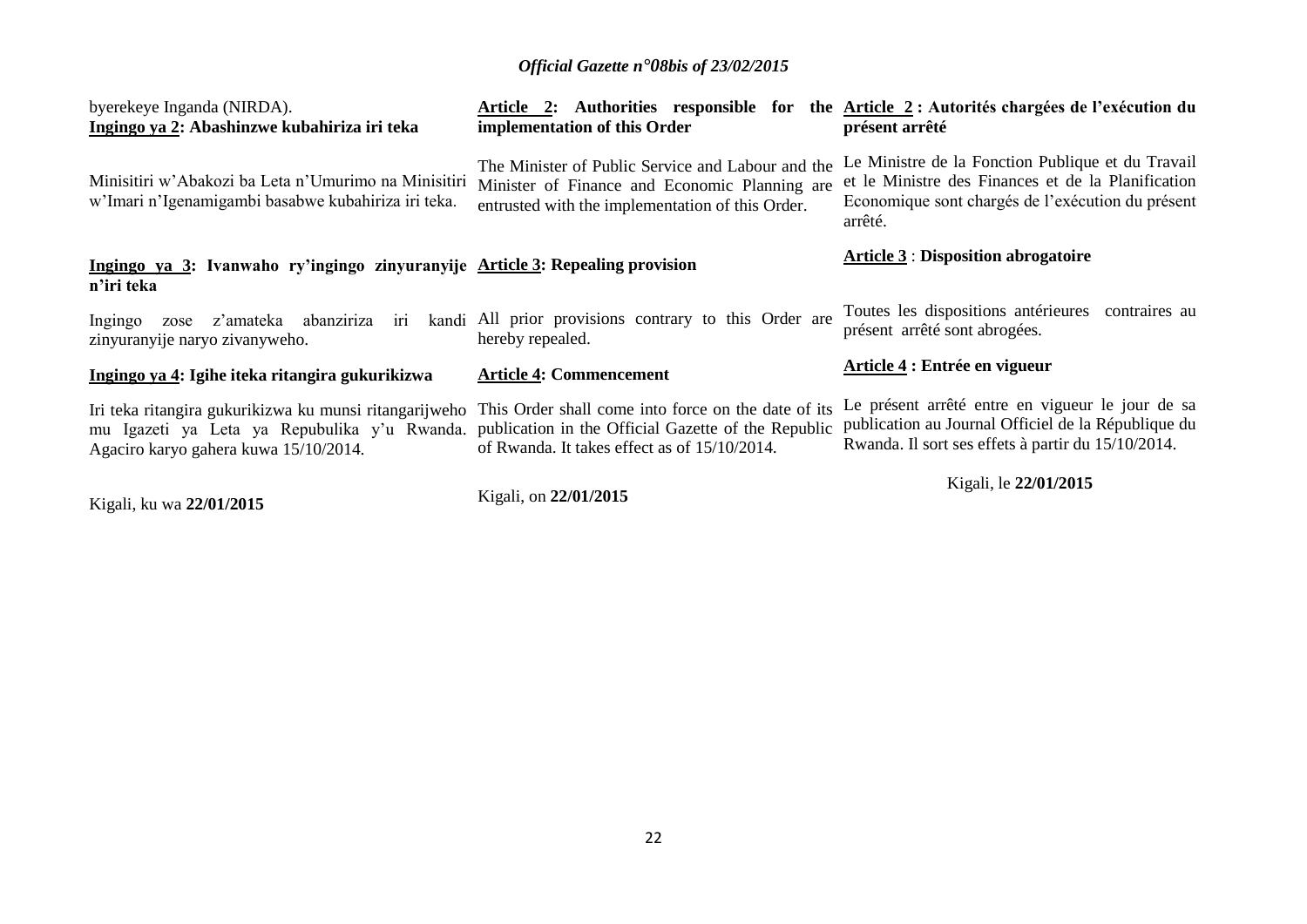| byerekeye Inganda (NIRDA).<br>Ingingo ya 2: Abashinzwe kubahiriza iri teka                                                                                                                                                                              | implementation of this Order                                                                                                                           | Article 2: Authorities responsible for the Article 2 : Autorités chargées de l'exécution du<br>présent arrêté                                                           |
|---------------------------------------------------------------------------------------------------------------------------------------------------------------------------------------------------------------------------------------------------------|--------------------------------------------------------------------------------------------------------------------------------------------------------|-------------------------------------------------------------------------------------------------------------------------------------------------------------------------|
| Minisitiri w'Abakozi ba Leta n'Umurimo na Minisitiri<br>w'Imari n'Igenamigambi basabwe kubahiriza iri teka.                                                                                                                                             | The Minister of Public Service and Labour and the<br>Minister of Finance and Economic Planning are<br>entrusted with the implementation of this Order. | Le Ministre de la Fonction Publique et du Travail<br>et le Ministre des Finances et de la Planification<br>Economique sont chargés de l'exécution du présent<br>arrêté. |
| Ingingo ya 3: Ivanwaho ry'ingingo zinyuranyije Article 3: Repealing provision<br>n'iri teka                                                                                                                                                             |                                                                                                                                                        | <b>Article 3 : Disposition abrogatoire</b>                                                                                                                              |
| z'amateka abanziriza iri<br>Ingingo<br>zose<br>zinyuranyije naryo zivanyweho.                                                                                                                                                                           | kandi All prior provisions contrary to this Order are<br>hereby repealed.                                                                              | Toutes les dispositions antérieures contraires au<br>présent arrêté sont abrogées.                                                                                      |
| Ingingo ya 4: Igihe iteka ritangira gukurikizwa                                                                                                                                                                                                         | <b>Article 4: Commencement</b>                                                                                                                         | Article 4 : Entrée en vigueur                                                                                                                                           |
| Iri teka ritangira gukurikizwa ku munsi ritangarijweho This Order shall come into force on the date of its<br>mu Igazeti ya Leta ya Repubulika y'u Rwanda. publication in the Official Gazette of the Republic<br>Agaciro karyo gahera kuwa 15/10/2014. | of Rwanda. It takes effect as of 15/10/2014.                                                                                                           | Le présent arrêté entre en vigueur le jour de sa<br>publication au Journal Officiel de la République du<br>Rwanda. Il sort ses effets à partir du 15/10/2014.           |
| Kigali, ku wa 22/01/2015                                                                                                                                                                                                                                | Kigali, on 22/01/2015                                                                                                                                  | Kigali, le 22/01/2015                                                                                                                                                   |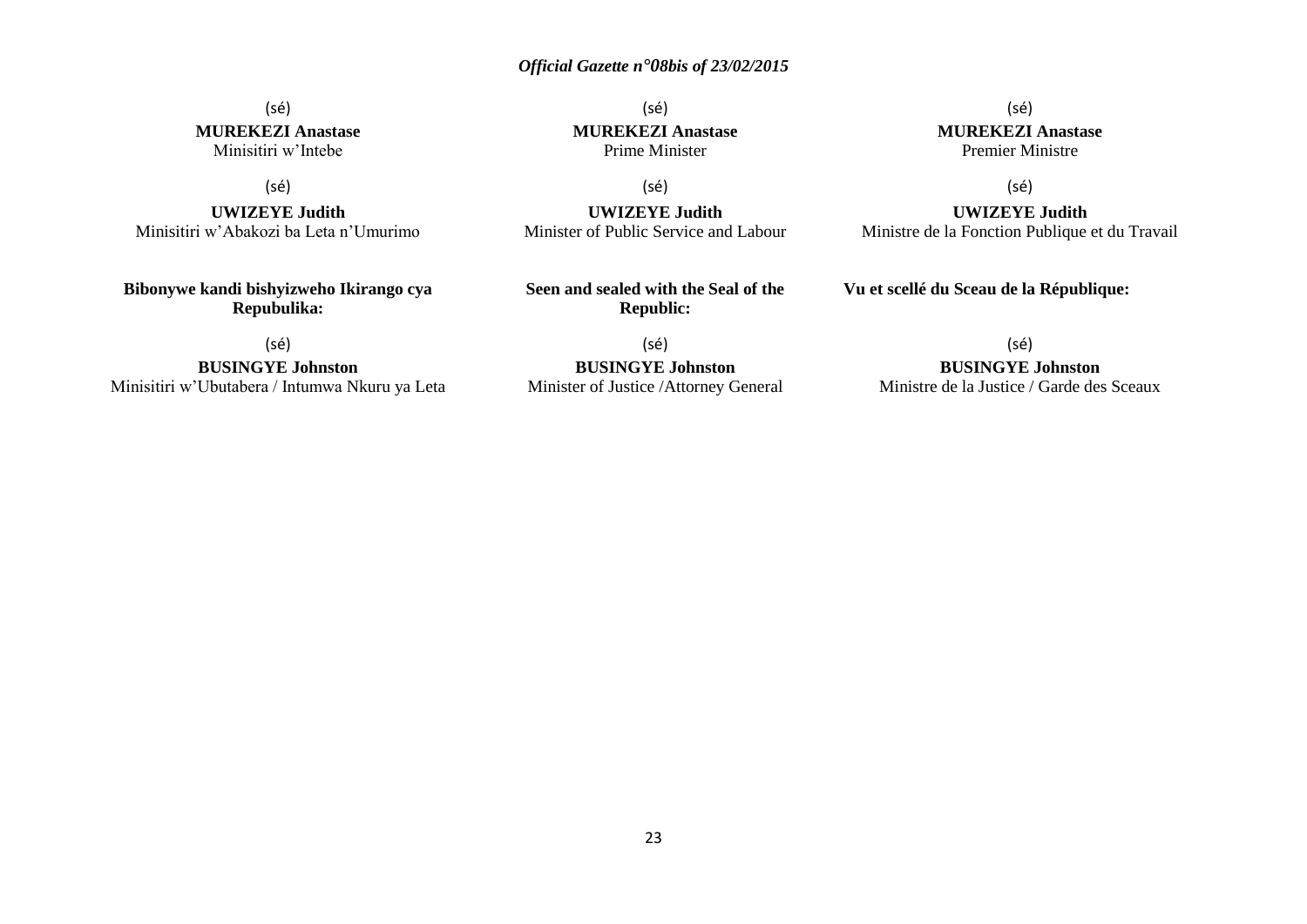#### (sé) **MUREKEZI Anastase** Minisitiri w'Intebe

#### (sé)

**UWIZEYE Judith** Minisitiri w'Abakozi ba Leta n'Umurimo

**Bibonywe kandi bishyizweho Ikirango cya Repubulika:**

(sé)

**BUSINGYE Johnston** Minisitiri w'Ubutabera / Intumwa Nkuru ya Leta

(sé) **MUREKEZI Anastase** Prime Minister

(sé) **MUREKEZI Anastase** Premier Ministre

(sé)

**UWIZEYE Judith** Ministre de la Fonction Publique et du Travail

(sé) **UWIZEYE Judith** Minister of Public Service and Labour

**Seen and sealed with the Seal of the Republic:**

(sé) **BUSINGYE Johnston** Minister of Justice /Attorney General (sé)

#### **BUSINGYE Johnston**

**Vu et scellé du Sceau de la République:**

Ministre de la Justice / Garde des Sceaux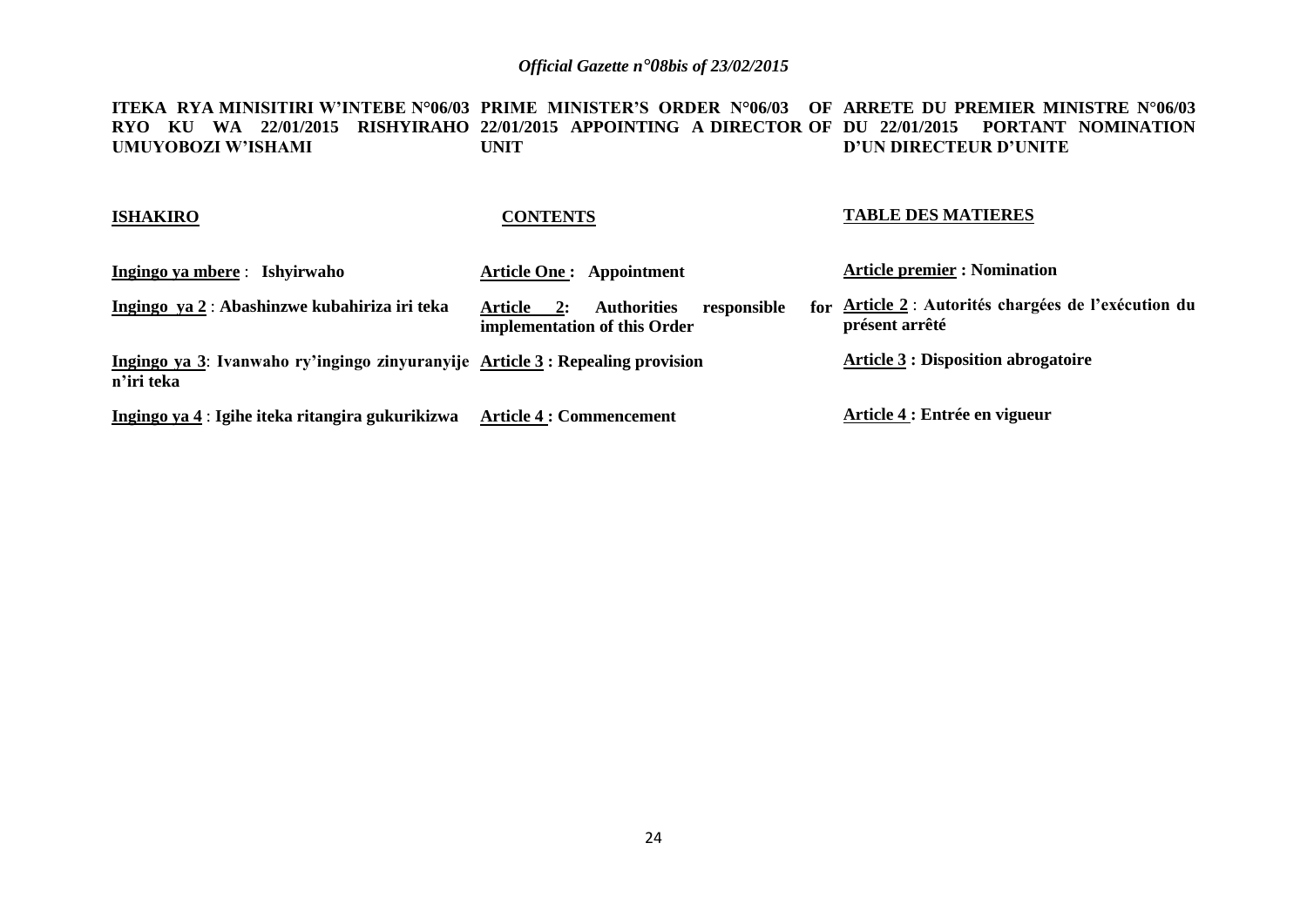**ITEKA RYA MINISITIRI W'INTEBE N°06/03 PRIME MINISTER'S ORDER N°06/03 OF ARRETE DU PREMIER MINISTRE N°06/03 RYO KU WA 22/01/2015 RISHYIRAHO 22/01/2015 APPOINTING A DIRECTOR OF DU 22/01/2015 PORTANT NOMINATION UMUYOBOZI W'ISHAMI UNIT D'UN DIRECTEUR D'UNITE**

| <b>ISHAKIRO</b>                                                                              | <b>CONTENTS</b>                                                                           | <b>TABLE DES MATIERES</b>                                              |
|----------------------------------------------------------------------------------------------|-------------------------------------------------------------------------------------------|------------------------------------------------------------------------|
| Ingingo ya mbere : Ishyirwaho                                                                | <b>Article One: Appointment</b>                                                           | <b>Article premier : Nomination</b>                                    |
| Ingingo ya 2 : Abashinzwe kubahiriza iri teka                                                | <b>Authorities</b><br>Article<br>responsible<br><b>2:</b><br>implementation of this Order | for Article 2 : Autorités chargées de l'exécution du<br>présent arrêté |
| Ingingo ya 3: Ivanwaho ry'ingingo zinyuranyije Article 3 : Repealing provision<br>n'iri teka |                                                                                           | <b>Article 3 : Disposition abrogatoire</b>                             |
| Ingingo ya 4 : Igihe iteka ritangira gukurikizwa                                             | <b>Article 4 : Commencement</b>                                                           | Article 4 : Entrée en vigueur                                          |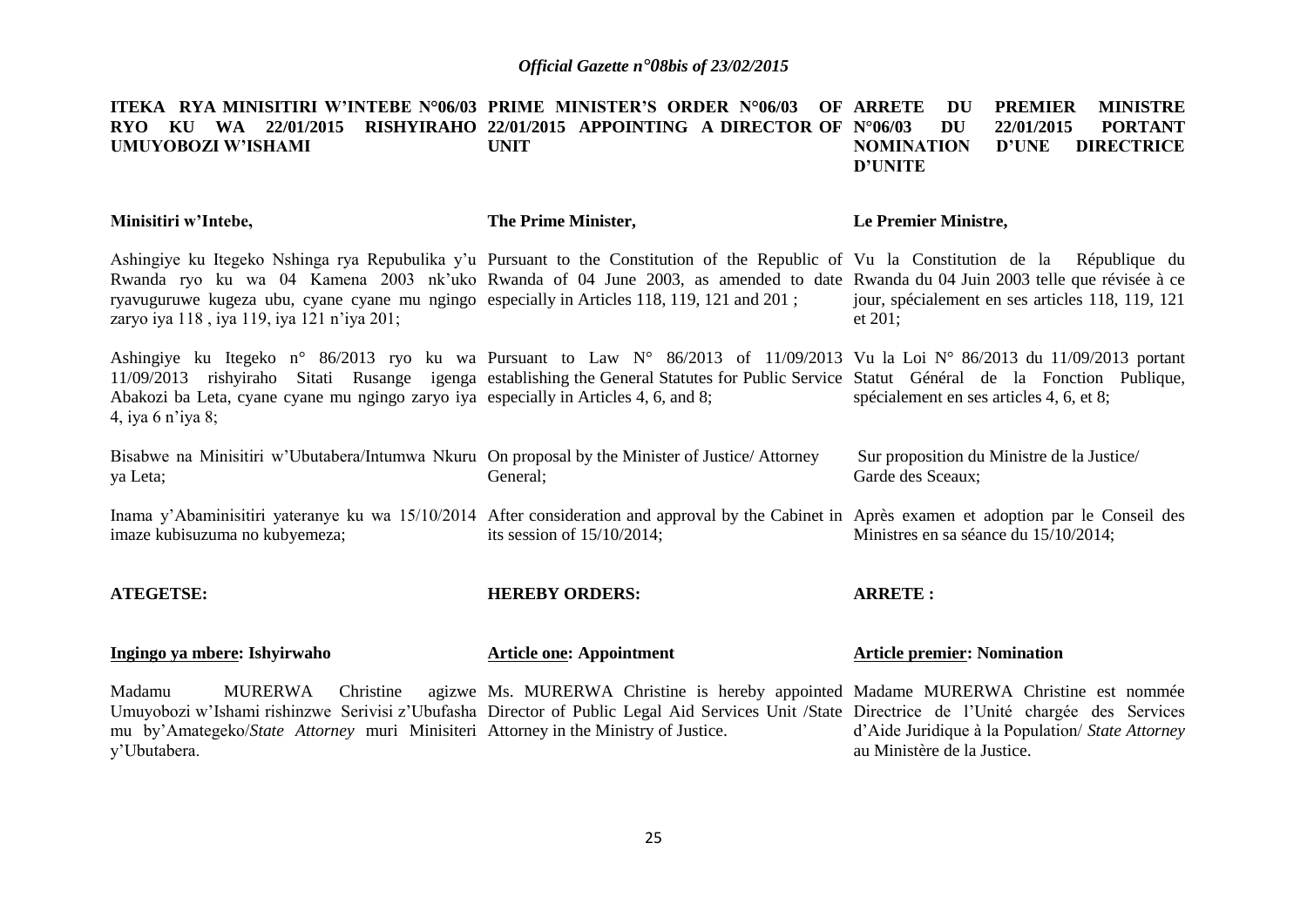#### **ITEKA RYA MINISITIRI W'INTEBE N°06/03 PRIME MINISTER'S ORDER N°06/03 OF ARRETE DU PREMIER MINISTRE RYO KU WA 22/01/2015 RISHYIRAHO 22/01/2015 APPOINTING A DIRECTOR OF UMUYOBOZI W'ISHAMI UNIT N°06/03 DU 22/01/2015 PORTANT NOMINATION D'UNE DIRECTRICE D'UNITE**

| Minisitiri w'Intebe,                                                                                                                                                                                                                                                                                                                                                                                                   | The Prime Minister,                                                                  | Le Premier Ministre,                                                            |
|------------------------------------------------------------------------------------------------------------------------------------------------------------------------------------------------------------------------------------------------------------------------------------------------------------------------------------------------------------------------------------------------------------------------|--------------------------------------------------------------------------------------|---------------------------------------------------------------------------------|
| Ashingiye ku Itegeko Nshinga rya Repubulika y'u Pursuant to the Constitution of the Republic of Vu la Constitution de la République du<br>Rwanda ryo ku wa 04 Kamena 2003 nk'uko Rwanda of 04 June 2003, as amended to date Rwanda du 04 Juin 2003 telle que révisée à ce<br>ryavuguruwe kugeza ubu, cyane cyane mu ngingo especially in Articles 118, 119, 121 and 201;<br>zaryo iya 118, iya 119, iya 121 n'iya 201; |                                                                                      | jour, spécialement en ses articles 118, 119, 121<br>et 201;                     |
| Ashingiye ku Itegeko n° 86/2013 ryo ku wa Pursuant to Law N° 86/2013 of 11/09/2013 Vu la Loi N° 86/2013 du 11/09/2013 portant<br>11/09/2013 rishyiraho Sitati Rusange igenga establishing the General Statutes for Public Service Statut Général de la Fonction Publique,<br>Abakozi ba Leta, cyane cyane mu ngingo zaryo iya especially in Articles 4, 6, and 8;<br>4, iya 6 n'iya 8;                                 |                                                                                      | spécialement en ses articles 4, 6, et 8;                                        |
| Bisabwe na Minisitiri w'Ubutabera/Intumwa Nkuru On proposal by the Minister of Justice/Attorney<br>ya Leta;                                                                                                                                                                                                                                                                                                            | General;                                                                             | Sur proposition du Ministre de la Justice/<br>Garde des Sceaux;                 |
| Inama y'Abaminisitiri yateranye ku wa 15/10/2014 After consideration and approval by the Cabinet in Après examen et adoption par le Conseil des<br>imaze kubisuzuma no kubyemeza;                                                                                                                                                                                                                                      | its session of $15/10/2014$ ;                                                        | Ministres en sa séance du 15/10/2014;                                           |
| <b>ATEGETSE:</b>                                                                                                                                                                                                                                                                                                                                                                                                       | <b>HEREBY ORDERS:</b>                                                                | <b>ARRETE:</b>                                                                  |
| Ingingo ya mbere: Ishyirwaho                                                                                                                                                                                                                                                                                                                                                                                           | <b>Article one: Appointment</b>                                                      | <b>Article premier: Nomination</b>                                              |
| Madamu<br><b>MURERWA</b><br>Christine<br>Umuyobozi w'Ishami rishinzwe Serivisi z'Ubufasha Director of Public Legal Aid Services Unit /State Directrice de l'Unité chargée des Services<br>mu by'Amategeko/State Attorney muri Minisiteri Attorney in the Ministry of Justice.<br>y'Ubutabera.                                                                                                                          | agizwe Ms. MURERWA Christine is hereby appointed Madame MURERWA Christine est nommée | d'Aide Juridique à la Population/ State Attorney<br>au Ministère de la Justice. |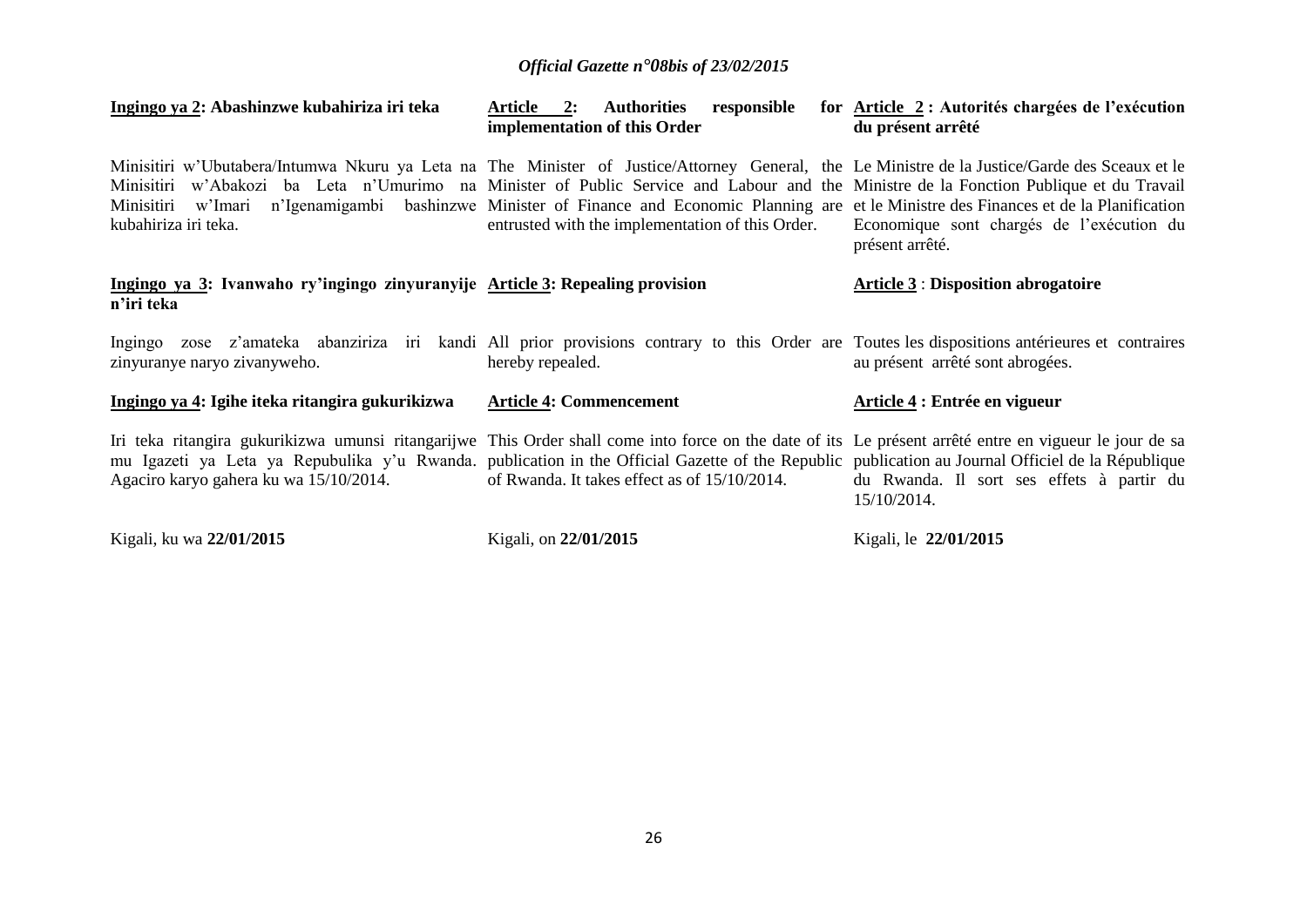| Ingingo ya 2: Abashinzwe kubahiriza iri teka                                                                                                                                                                                                                                                                                                           | 2:<br><b>Authorities</b><br>responsible<br>Article<br>implementation of this Order                                                                                            | for <u>Article 2</u> : Autorités chargées de l'exécution<br>du présent arrêté |
|--------------------------------------------------------------------------------------------------------------------------------------------------------------------------------------------------------------------------------------------------------------------------------------------------------------------------------------------------------|-------------------------------------------------------------------------------------------------------------------------------------------------------------------------------|-------------------------------------------------------------------------------|
| Minisitiri w'Ubutabera/Intumwa Nkuru ya Leta na The Minister of Justice/Attorney General, the Le Ministre de la Justice/Garde des Sceaux et le<br>Minisitiri w'Abakozi ba Leta n'Umurimo na Minister of Public Service and Labour and the Ministre de la Fonction Publique et du Travail<br>Minisitiri<br>w'lmari<br>kubahiriza iri teka.              | n'Igenamigambi bashinzwe Minister of Finance and Economic Planning are et le Ministre des Finances et de la Planification<br>entrusted with the implementation of this Order. | Economique sont chargés de l'exécution du<br>présent arrêté.                  |
| Ingingo ya 3: Ivanwaho ry'ingingo zinyuranyije Article 3: Repealing provision<br>n'iri teka                                                                                                                                                                                                                                                            |                                                                                                                                                                               | <b>Article 3: Disposition abrogatoire</b>                                     |
| Ingingo zose z'amateka abanziriza iri kandi All prior provisions contrary to this Order are Toutes les dispositions antérieures et contraires<br>zinyuranye naryo zivanyweho.                                                                                                                                                                          | hereby repealed.                                                                                                                                                              | au présent arrêté sont abrogées.                                              |
| Ingingo ya 4: Igihe iteka ritangira gukurikizwa                                                                                                                                                                                                                                                                                                        | <b>Article 4: Commencement</b>                                                                                                                                                | Article 4 : Entrée en vigueur                                                 |
| Iri teka ritangira gukurikizwa umunsi ritangarijwe This Order shall come into force on the date of its Le présent arrêté entre en vigueur le jour de sa<br>mu Igazeti ya Leta ya Repubulika y'u Rwanda. publication in the Official Gazette of the Republic publication au Journal Officiel de la République<br>Agaciro karyo gahera ku wa 15/10/2014. | of Rwanda. It takes effect as of 15/10/2014.                                                                                                                                  | du Rwanda. Il sort ses effets à partir du<br>15/10/2014.                      |
| Kigali, ku wa 22/01/2015                                                                                                                                                                                                                                                                                                                               | Kigali, on 22/01/2015                                                                                                                                                         | Kigali, le 22/01/2015                                                         |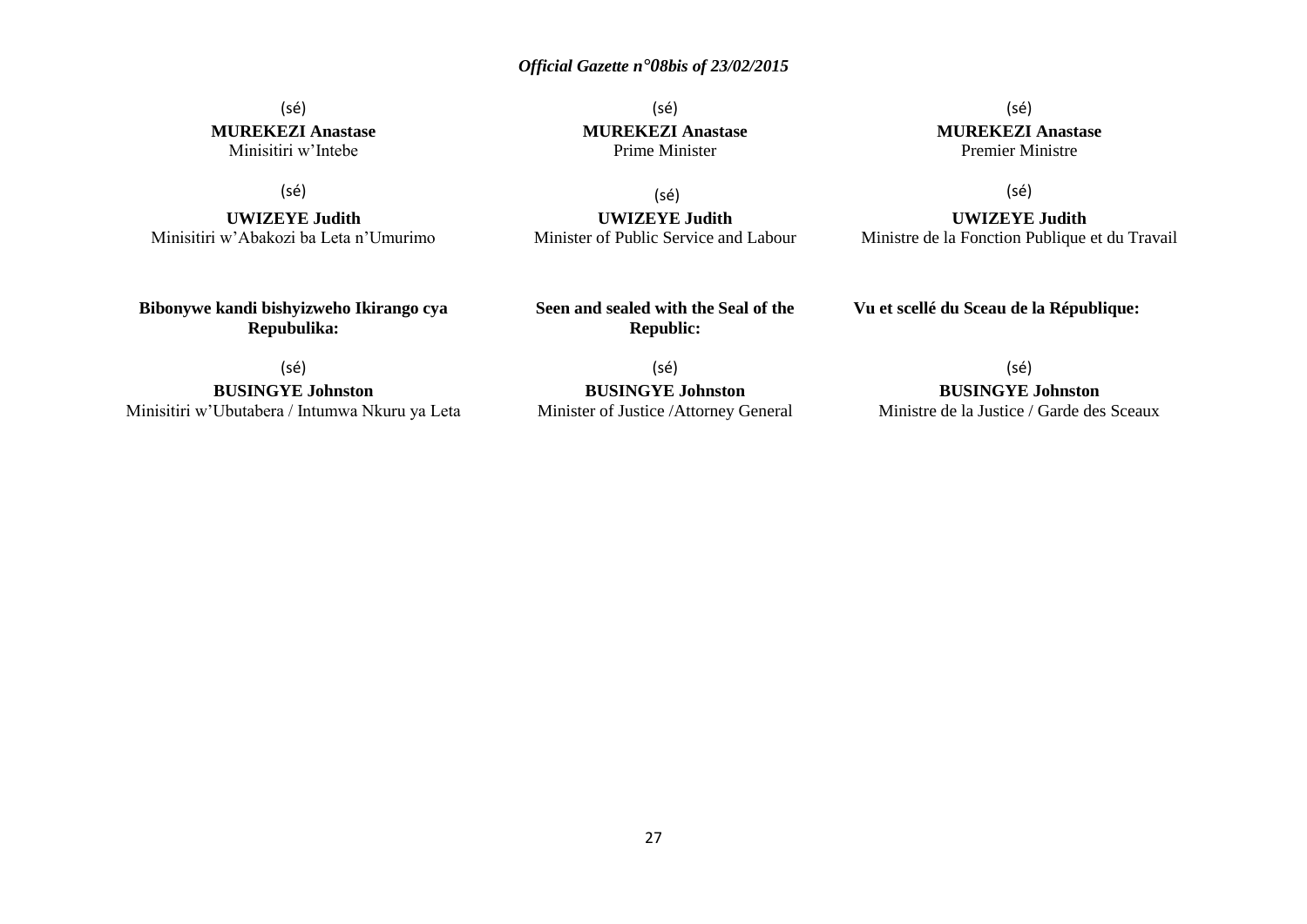#### (sé) **MUREKEZI Anastase** Minisitiri w'Intebe

(sé)

**UWIZEYE Judith** Minisitiri w'Abakozi ba Leta n'Umurimo

**Bibonywe kandi bishyizweho Ikirango cya Repubulika:**

(sé) **MUREKEZI Anastase** Prime Minister

(sé)

**UWIZEYE Judith** Minister of Public Service and Labour

(sé) **MUREKEZI Anastase** Premier Ministre

(sé)

**UWIZEYE Judith** Ministre de la Fonction Publique et du Travail

**Seen and sealed with the Seal of the Republic:**

(sé)

**BUSINGYE Johnston**

Minisitiri w'Ubutabera / Intumwa Nkuru ya Leta

(sé) **BUSINGYE Johnston** Minister of Justice /Attorney General (sé)

**Vu et scellé du Sceau de la République:**

**BUSINGYE Johnston** Ministre de la Justice / Garde des Sceaux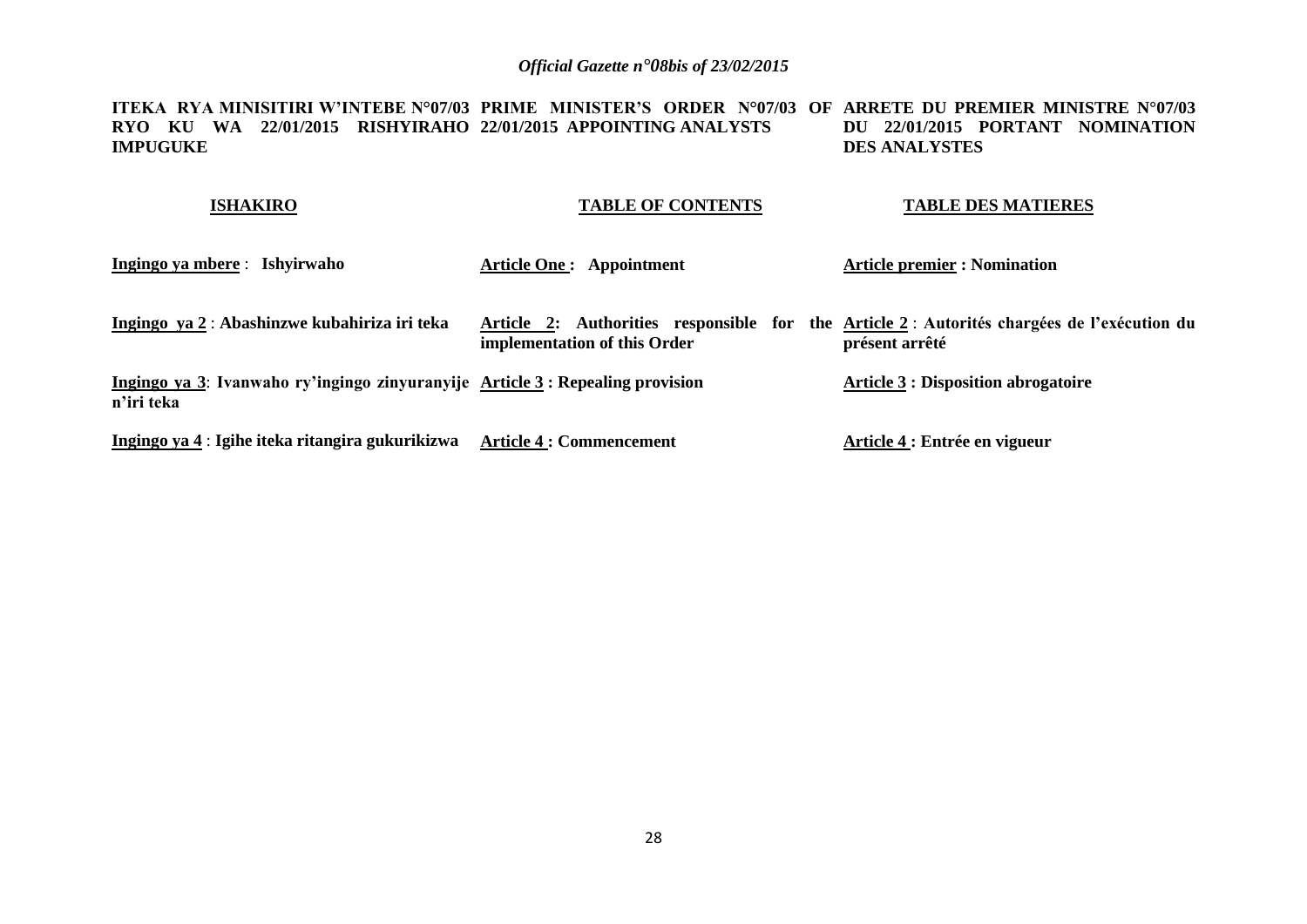**ITEKA RYA MINISITIRI W'INTEBE N°07/03 PRIME MINISTER'S ORDER N°07/03 OF ARRETE DU PREMIER MINISTRE N°07/03 RYO KU WA 22/01/2015 RISHYIRAHO 22/01/2015 APPOINTING ANALYSTS IMPUGUKE DU 22/01/2015 PORTANT NOMINATION DES ANALYSTES**

| <b>ISHAKIRO</b>                                                                             | <b>TABLE OF CONTENTS</b>        | <b>TABLE DES MATIERES</b>                                                                                     |
|---------------------------------------------------------------------------------------------|---------------------------------|---------------------------------------------------------------------------------------------------------------|
| Ingingo ya mbere : Ishyirwaho                                                               | Article One: Appointment        | <b>Article premier : Nomination</b>                                                                           |
| Ingingo ya 2 : Abashinzwe kubahiriza iri teka                                               | implementation of this Order    | Article 2: Authorities responsible for the Article 2 : Autorités chargées de l'exécution du<br>présent arrêté |
| Ingingo ya 3: Ivanwaho ry'ingingo zinyuranyije Article 3: Repealing provision<br>n'iri teka |                                 | <b>Article 3 : Disposition abrogatoire</b>                                                                    |
| Ingingo ya 4 : Igihe iteka ritangira gukurikizwa                                            | <b>Article 4 : Commencement</b> | Article 4 : Entrée en vigueur                                                                                 |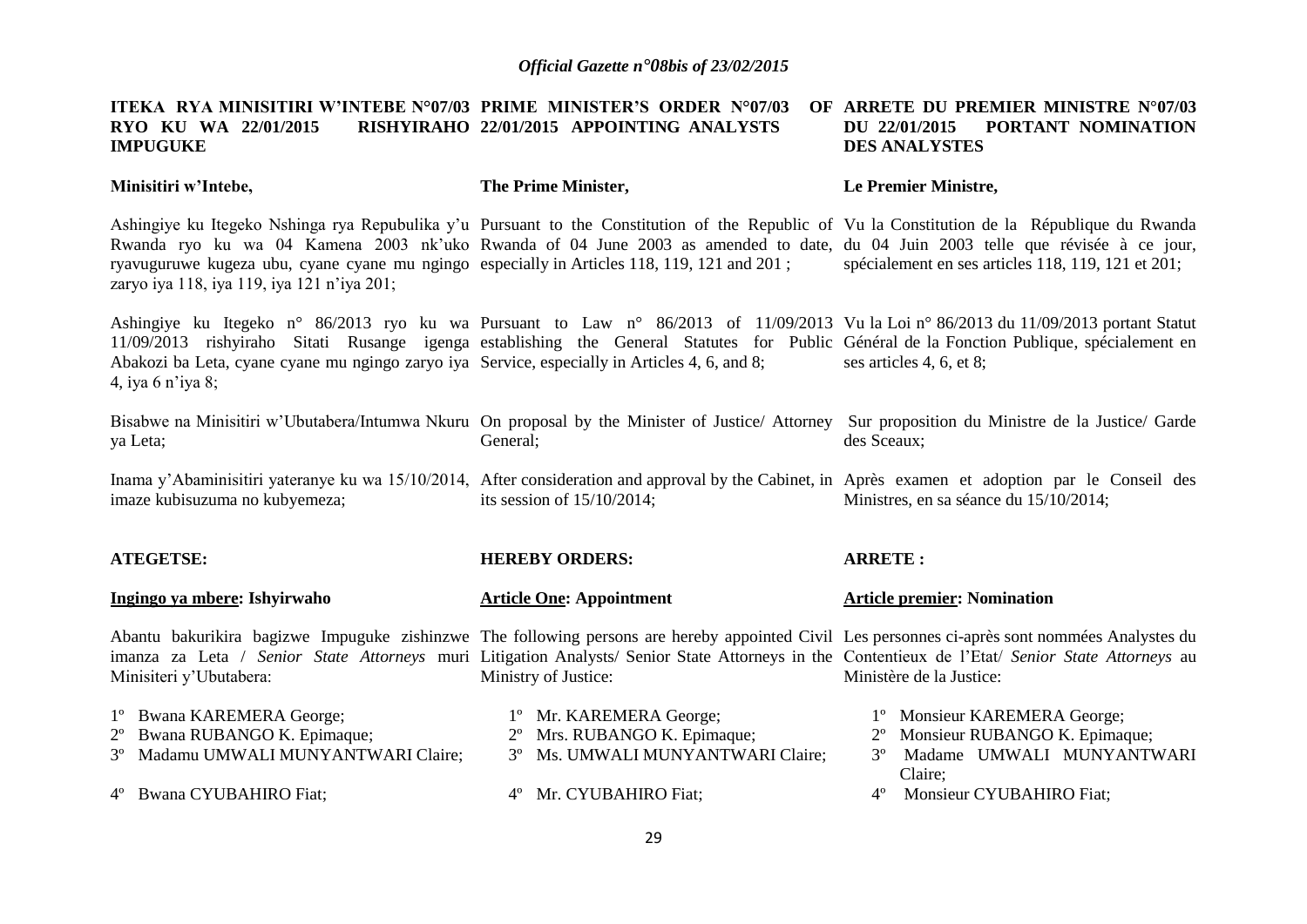#### **ITEKA RYA MINISITIRI W'INTEBE N°07/03 PRIME MINISTER'S ORDER N°07/03 OF RYO KU WA 22/01/2015 IMPUGUKE 22/01/2015 APPOINTING ANALYSTS ARRETE DU PREMIER MINISTRE N°07/03 DU 22/01/2015 PORTANT NOMINATION DES ANALYSTES**

**Minisitiri w'Intebe, The Prime Minister, Le Premier Ministre,**

Ashingiye ku Itegeko Nshinga rya Repubulika y'u Pursuant to the Constitution of the Republic of Vu la Constitution de la République du Rwanda Rwanda ryo ku wa 04 Kamena 2003 nk'uko Rwanda of 04 June 2003 as amended to date, du 04 Juin 2003 telle que révisée à ce jour, ryavuguruwe kugeza ubu, cyane cyane mu ngingo especially in Articles 118, 119, 121 and 201 ; zaryo iya 118, iya 119, iya 121 n'iya 201; spécialement en ses articles 118, 119, 121 et 201;

Ashingiye ku Itegeko n° 86/2013 ryo ku wa Pursuant to Law n° 86/2013 of 11/09/2013 Vu la Loi n° 86/2013 du 11/09/2013 portant Statut 11/09/2013 rishyiraho Sitati Rusange igenga establishing the General Statutes for Public Général de la Fonction Publique, spécialement en Abakozi ba Leta, cyane cyane mu ngingo zaryo iya Service, especially in Articles 4, 6, and 8; 4, iya 6 n'iya 8; ses articles 4, 6, et 8;

Bisabwe na Minisitiri w'Ubutabera/Intumwa Nkuru On proposal by the Minister of Justice/ Attorney Sur proposition du Ministre de la Justice/ Garde ya Leta; General; des Sceaux;

Inama y'Abaminisitiri yateranye ku wa 15/10/2014, After consideration and approval by the Cabinet, in Après examen et adoption par le Conseil des imaze kubisuzuma no kubyemeza; its session of 15/10/2014; Ministres, en sa séance du 15/10/2014;

| <b>ATEGETSE:</b>                                                                                                                                                                                                                                                                                                              | <b>HEREBY ORDERS:</b>                                   | <b>ARRETE:</b> |                                                                                                     |
|-------------------------------------------------------------------------------------------------------------------------------------------------------------------------------------------------------------------------------------------------------------------------------------------------------------------------------|---------------------------------------------------------|----------------|-----------------------------------------------------------------------------------------------------|
| Ingingo ya mbere: Ishyirwaho                                                                                                                                                                                                                                                                                                  | <b>Article One: Appointment</b>                         |                | <b>Article premier: Nomination</b>                                                                  |
| Abantu bakurikira bagizwe Impuguke zishinzwe The following persons are hereby appointed Civil Les personnes ci-après sont nommées Analystes du<br>imanza za Leta / Senior State Attorneys muri Litigation Analysts/ Senior State Attorneys in the Contentieux de l'Etat/ Senior State Attorneys au<br>Minisiteri y'Ubutabera: | Ministry of Justice:                                    |                | Ministère de la Justice:                                                                            |
| 1° Bwana KAREMERA George;<br>2° Bwana RUBANGO K. Epimaque;                                                                                                                                                                                                                                                                    | 1° Mr. KAREMERA George;<br>2° Mrs. RUBANGO K. Epimaque; |                | <sup>1</sup> <sup>o</sup> Monsieur KAREMERA George;<br>2 <sup>°</sup> Monsieur RUBANGO K. Epimaque; |
| 3º Madamu UMWALI MUNYANTWARI Claire;                                                                                                                                                                                                                                                                                          | 3º Ms. UMWALI MUNYANTWARI Claire;                       |                | Madame UMWALI MUNYANTWARI<br>Claire;                                                                |
| 4° Bwana CYUBAHIRO Fiat;                                                                                                                                                                                                                                                                                                      | 4° Mr. CYUBAHIRO Fiat;                                  | $4^{\circ}$    | Monsieur CYUBAHIRO Fiat;                                                                            |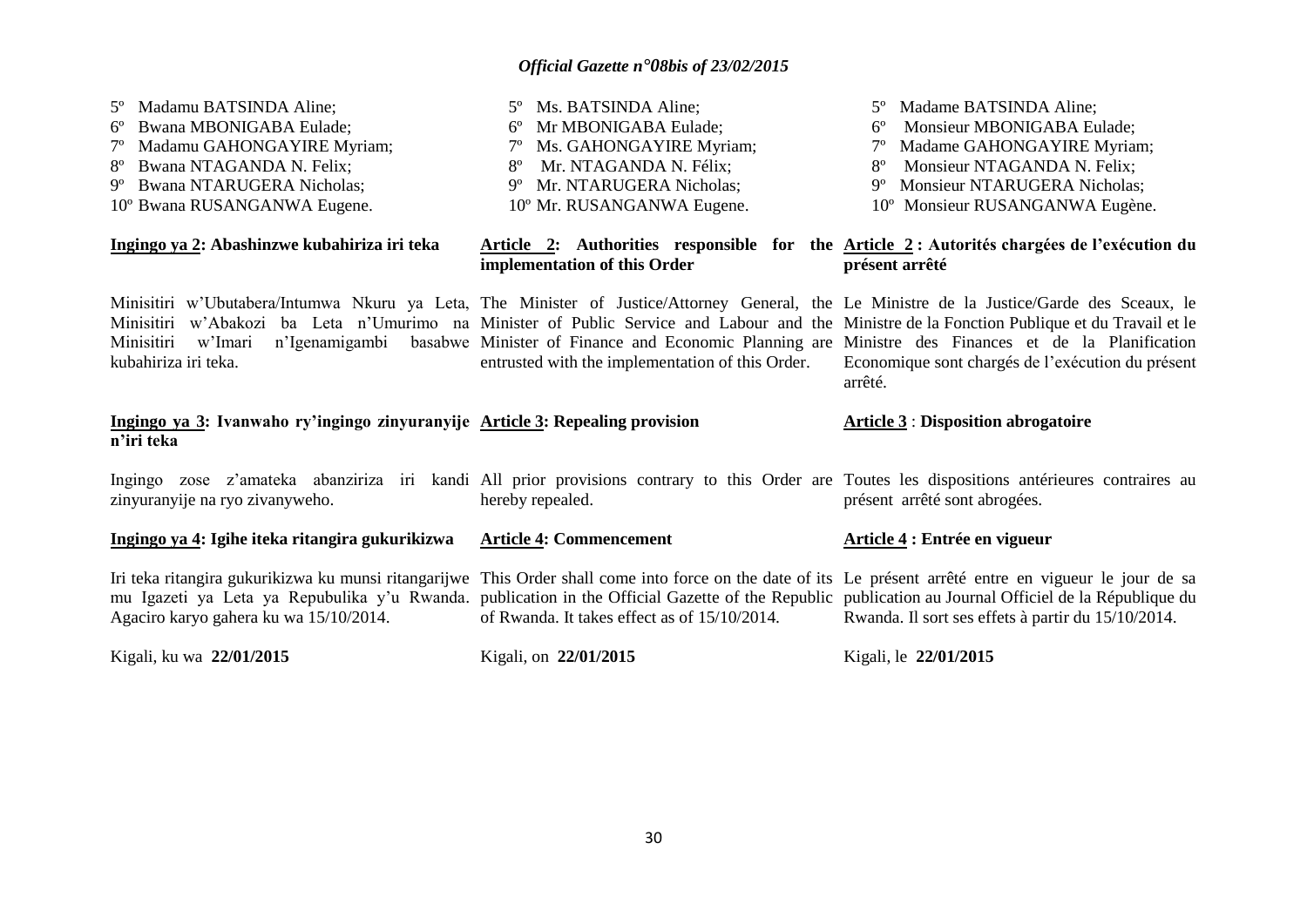5º Madame BATSINDA Aline;

5º Ms. BATSINDA Aline;

5º Madamu BATSINDA Aline;

| Bwana MBONIGABA Eulade;<br>Madamu GAHONGAYIRE Myriam;<br>Bwana NTAGANDA N. Felix;<br>$8^{\circ}$<br>Bwana NTARUGERA Nicholas;<br>9°<br>10° Bwana RUSANGANWA Eugene.                                                                                                                                                                                         | 6° Mr MBONIGABA Eulade;<br>7° Ms. GAHONGAYIRE Myriam;<br>Mr. NTAGANDA N. Félix;<br>$8^{\circ}$<br>9° Mr. NTARUGERA Nicholas;<br>10° Mr. RUSANGANWA Eugene.            | Monsieur MBONIGABA Eulade;<br>7° Madame GAHONGAYIRE Myriam;<br>Monsieur NTAGANDA N. Felix;<br>$8^{\circ}$<br>9° Monsieur NTARUGERA Nicholas;<br>10° Monsieur RUSANGANWA Eugène. |
|-------------------------------------------------------------------------------------------------------------------------------------------------------------------------------------------------------------------------------------------------------------------------------------------------------------------------------------------------------------|-----------------------------------------------------------------------------------------------------------------------------------------------------------------------|---------------------------------------------------------------------------------------------------------------------------------------------------------------------------------|
| Ingingo ya 2: Abashinzwe kubahiriza iri teka                                                                                                                                                                                                                                                                                                                | implementation of this Order                                                                                                                                          | Article 2: Authorities responsible for the Article 2: Autorités chargées de l'exécution du<br>présent arrêté                                                                    |
| Minisitiri w'Ubutabera/Intumwa Nkuru ya Leta, The Minister of Justice/Attorney General, the Le Ministre de la Justice/Garde des Sceaux, le<br>Minisitiri w'Abakozi ba Leta n'Umurimo na Minister of Public Service and Labour and the Ministre de la Fonction Publique et du Travail et le<br>Minisitiri<br>w'Imari<br>kubahiriza iri teka.                 | n'Igenamigambi basabwe Minister of Finance and Economic Planning are Ministre des Finances et de la Planification<br>entrusted with the implementation of this Order. | Economique sont chargés de l'exécution du présent<br>arrêté.                                                                                                                    |
| Ingingo ya 3: Ivanwaho ry'ingingo zinyuranyije Article 3: Repealing provision<br>n'iri teka                                                                                                                                                                                                                                                                 |                                                                                                                                                                       | <b>Article 3: Disposition abrogatoire</b>                                                                                                                                       |
|                                                                                                                                                                                                                                                                                                                                                             |                                                                                                                                                                       |                                                                                                                                                                                 |
| Ingingo zose z'amateka abanziriza iri kandi All prior provisions contrary to this Order are Toutes les dispositions antérieures contraires au<br>zinyuranyije na ryo zivanyweho.                                                                                                                                                                            | hereby repealed.                                                                                                                                                      | présent arrêté sont abrogées.                                                                                                                                                   |
| Ingingo ya 4: Igihe iteka ritangira gukurikizwa                                                                                                                                                                                                                                                                                                             | <b>Article 4: Commencement</b>                                                                                                                                        | Article 4 : Entrée en vigueur                                                                                                                                                   |
| Iri teka ritangira gukurikizwa ku munsi ritangarijwe This Order shall come into force on the date of its Le présent arrêté entre en vigueur le jour de sa<br>mu Igazeti ya Leta ya Repubulika y'u Rwanda. publication in the Official Gazette of the Republic publication au Journal Officiel de la République du<br>Agaciro karyo gahera ku wa 15/10/2014. | of Rwanda. It takes effect as of 15/10/2014.                                                                                                                          | Rwanda. Il sort ses effets à partir du 15/10/2014.                                                                                                                              |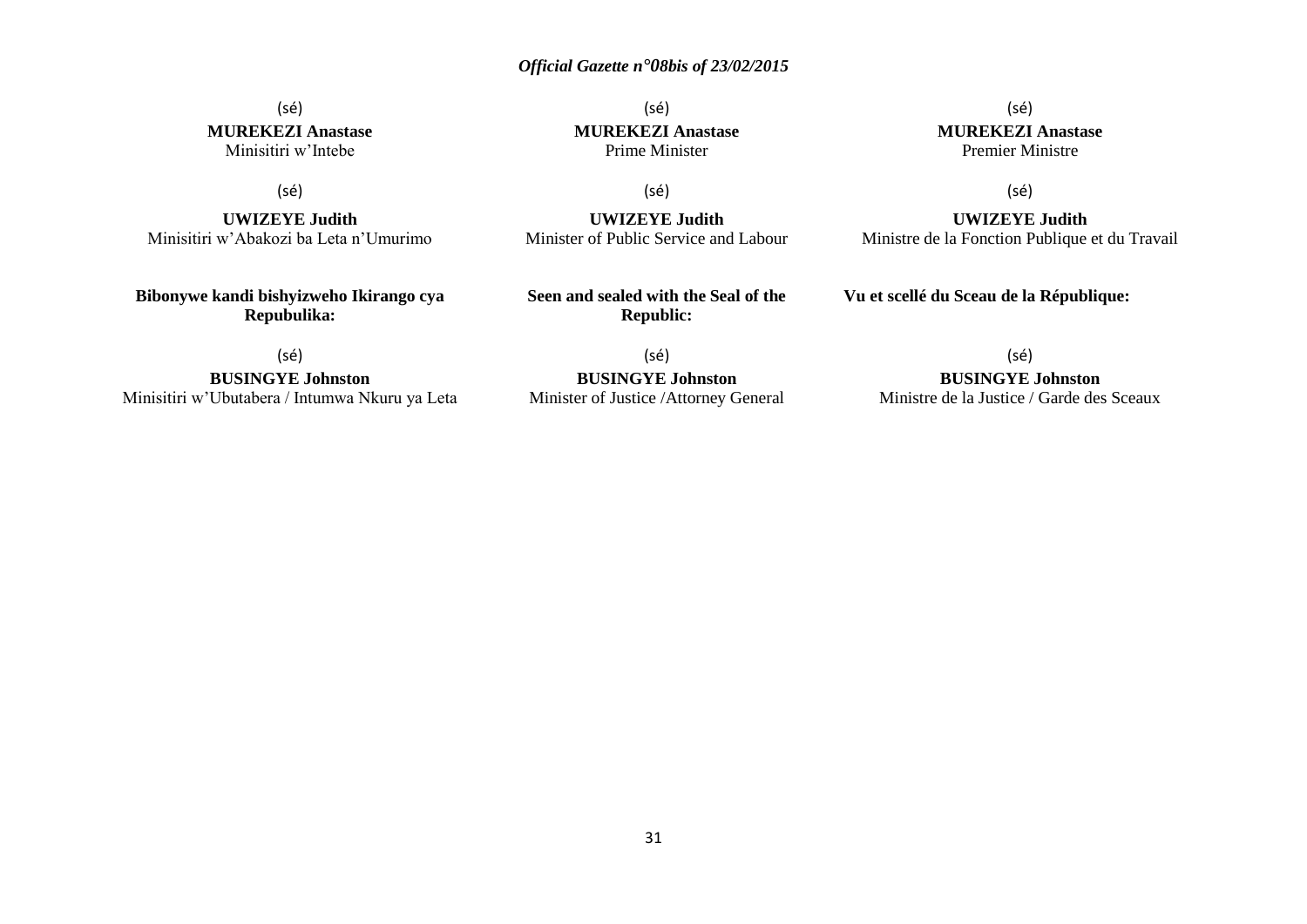(sé) **MUREKEZI Anastase** Minisitiri w'Intebe

(sé)

**UWIZEYE Judith** Minisitiri w'Abakozi ba Leta n'Umurimo

**Bibonywe kandi bishyizweho Ikirango cya Repubulika:**

(sé) **MUREKEZI Anastase** Prime Minister

(sé)

**UWIZEYE Judith** Minister of Public Service and Labour

**Seen and sealed with the Seal of the Republic:**

(sé) **MUREKEZI Anastase** Premier Ministre

(sé)

**UWIZEYE Judith** Ministre de la Fonction Publique et du Travail

**Vu et scellé du Sceau de la République:**

(sé)

**BUSINGYE Johnston** Minisitiri w'Ubutabera / Intumwa Nkuru ya Leta

(sé) **BUSINGYE Johnston** Minister of Justice /Attorney General (sé)

**BUSINGYE Johnston**

Ministre de la Justice / Garde des Sceaux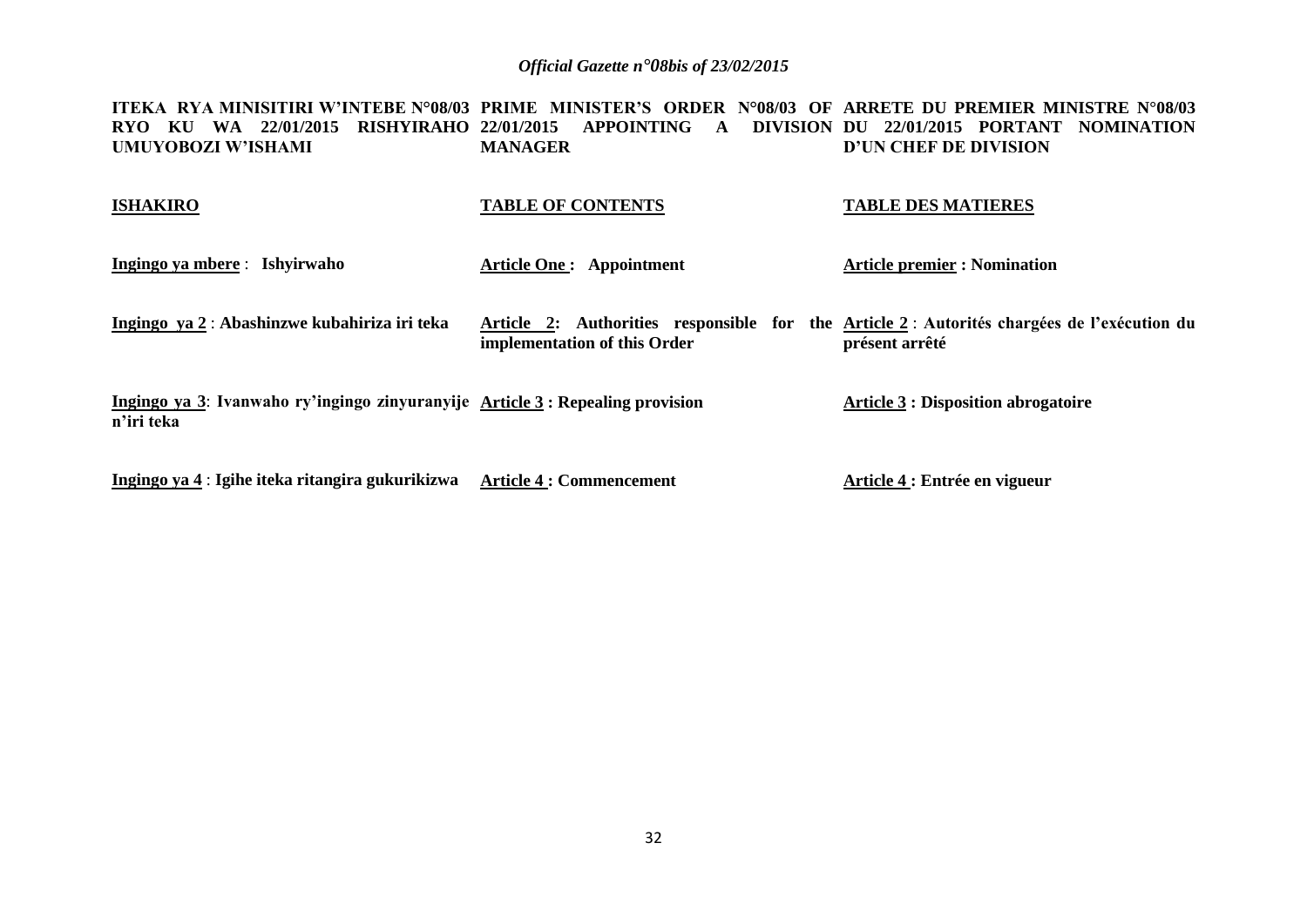**ITEKA RYA MINISITIRI W'INTEBE N°08/03 PRIME MINISTER'S ORDER N°08/03 OF ARRETE DU PREMIER MINISTRE N°08/03 RYO KU WA 22/01/2015 RISHYIRAHO 22/01/2015 APPOINTING A DIVISION DU 22/01/2015 PORTANT NOMINATION UMUYOBOZI W'ISHAMI MANAGER D'UN CHEF DE DIVISION**

| <b>ISHAKIRO</b> | <b>TABLE OF CONTENTS</b> | <b>TABLE DES MATIERES</b> |
|-----------------|--------------------------|---------------------------|
|                 |                          |                           |

| Ingingo ya mbere : Ishyirwaho                                                                | Article One : Appointment                                                                                                   | <b>Article premier : Nomination</b>        |
|----------------------------------------------------------------------------------------------|-----------------------------------------------------------------------------------------------------------------------------|--------------------------------------------|
| Ingingo ya 2 : Abashinzwe kubahiriza iri teka                                                | Article 2: Authorities responsible for the Article 2 : Autorités chargées de l'exécution du<br>implementation of this Order | présent arrêté                             |
| Ingingo ya 3: Ivanwaho ry'ingingo zinyuranyije Article 3 : Repealing provision<br>n'iri teka |                                                                                                                             | <b>Article 3 : Disposition abrogatoire</b> |

**Ingingo ya 4** : **Igihe iteka ritangira gukurikizwa Article 4 : Commencement Article 4 : Entrée en vigueur**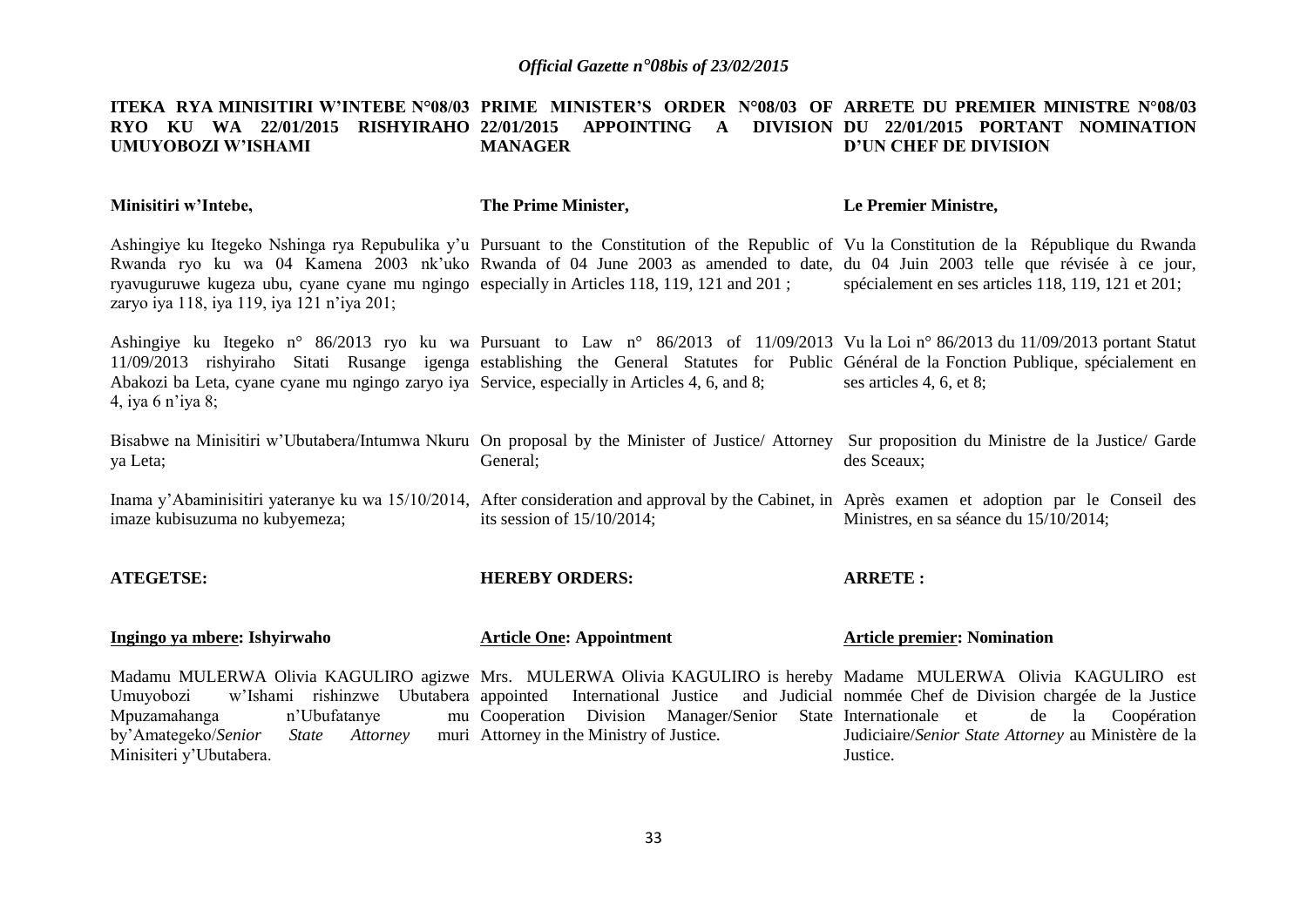#### **ITEKA RYA MINISITIRI W'INTEBE N°08/03 PRIME MINISTER'S ORDER N°08/03 OF ARRETE DU PREMIER MINISTRE N°08/03 RYO KU WA 22/01/2015 RISHYIRAHO 22/01/2015 APPOINTING A DIVISION DU 22/01/2015 PORTANT NOMINATION UMUYOBOZI W'ISHAMI MANAGER D'UN CHEF DE DIVISION**

| Minisitiri w'Intebe,                                                                                                                                                                                                                                                                                                                                                                                                         | The Prime Minister,                                                                                                                                                                                                                 | Le Premier Ministre,                                                                             |
|------------------------------------------------------------------------------------------------------------------------------------------------------------------------------------------------------------------------------------------------------------------------------------------------------------------------------------------------------------------------------------------------------------------------------|-------------------------------------------------------------------------------------------------------------------------------------------------------------------------------------------------------------------------------------|--------------------------------------------------------------------------------------------------|
| Ashingiye ku Itegeko Nshinga rya Repubulika y'u Pursuant to the Constitution of the Republic of Vu la Constitution de la République du Rwanda<br>Rwanda ryo ku wa 04 Kamena 2003 nk'uko Rwanda of 04 June 2003 as amended to date, du 04 Juin 2003 telle que révisée à ce jour,<br>ryavuguruwe kugeza ubu, cyane cyane mu ngingo especially in Articles 118, 119, 121 and 201;<br>zaryo iya 118, iya 119, iya 121 n'iya 201; |                                                                                                                                                                                                                                     | spécialement en ses articles 118, 119, 121 et 201;                                               |
| Ashingiye ku Itegeko n° 86/2013 ryo ku wa Pursuant to Law n° 86/2013 of 11/09/2013 Vu la Loi n° 86/2013 du 11/09/2013 portant Statut<br>11/09/2013 rishyiraho Sitati Rusange igenga establishing the General Statutes for Public Général de la Fonction Publique, spécialement en<br>Abakozi ba Leta, cyane cyane mu ngingo zaryo iya Service, especially in Articles 4, 6, and 8;<br>4, iya 6 n'iya 8;                      |                                                                                                                                                                                                                                     | ses articles 4, 6, et 8;                                                                         |
| Bisabwe na Minisitiri w'Ubutabera/Intumwa Nkuru On proposal by the Minister of Justice/ Attorney Sur proposition du Ministre de la Justice/ Garde<br>ya Leta;                                                                                                                                                                                                                                                                | General;                                                                                                                                                                                                                            | des Sceaux;                                                                                      |
| Inama y'Abaminisitiri yateranye ku wa 15/10/2014, After consideration and approval by the Cabinet, in Après examen et adoption par le Conseil des<br>imaze kubisuzuma no kubyemeza;                                                                                                                                                                                                                                          | its session of $15/10/2014$ ;                                                                                                                                                                                                       | Ministres, en sa séance du 15/10/2014;                                                           |
| <b>ATEGETSE:</b>                                                                                                                                                                                                                                                                                                                                                                                                             | <b>HEREBY ORDERS:</b>                                                                                                                                                                                                               | <b>ARRETE:</b>                                                                                   |
| Ingingo ya mbere: Ishyirwaho                                                                                                                                                                                                                                                                                                                                                                                                 | <b>Article One: Appointment</b>                                                                                                                                                                                                     | <b>Article premier: Nomination</b>                                                               |
| Madamu MULERWA Olivia KAGULIRO agizwe Mrs. MULERWA Olivia KAGULIRO is hereby Madame MULERWA Olivia KAGULIRO est<br>Umuyobozi<br>Mpuzamahanga<br>n'Ubufatanye<br>by'Amategeko/Senior<br><i>State</i><br>Attorney<br>Minisiteri y'Ubutabera.                                                                                                                                                                                   | w'Ishami rishinzwe Ubutabera appointed International Justice and Judicial nommée Chef de Division chargée de la Justice<br>mu Cooperation Division Manager/Senior State Internationale<br>muri Attorney in the Ministry of Justice. | de<br>la<br>Coopération<br>et<br>Judiciaire/Senior State Attorney au Ministère de la<br>Justice. |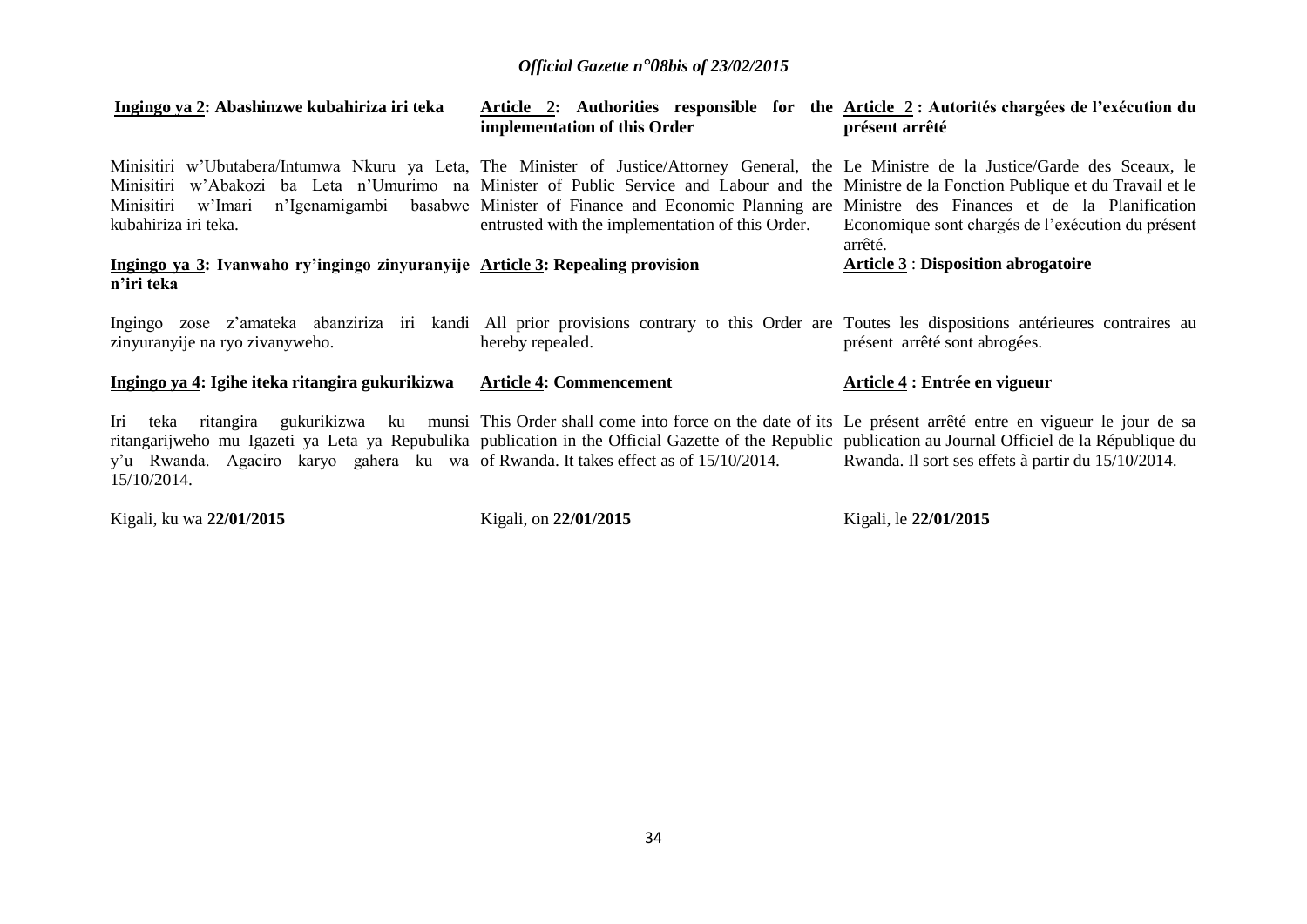| Ingingo ya 2: Abashinzwe kubahiriza iri teka                                                                                                                                                                                                                                                                                                                                                                                                               | implementation of this Order                                                                                                        | Article 2: Authorities responsible for the Article 2: Autorités chargées de l'exécution du<br>présent arrêté |
|------------------------------------------------------------------------------------------------------------------------------------------------------------------------------------------------------------------------------------------------------------------------------------------------------------------------------------------------------------------------------------------------------------------------------------------------------------|-------------------------------------------------------------------------------------------------------------------------------------|--------------------------------------------------------------------------------------------------------------|
| Minisitiri w'Ubutabera/Intumwa Nkuru ya Leta, The Minister of Justice/Attorney General, the Le Ministre de la Justice/Garde des Sceaux, le<br>Minisitiri w'Abakozi ba Leta n'Umurimo na Minister of Public Service and Labour and the Ministre de la Fonction Publique et du Travail et le<br>Minisitiri w'Imari n'Igenamigambi basabwe Minister of Finance and Economic Planning are Ministre des Finances et de la Planification<br>kubahiriza iri teka. | entrusted with the implementation of this Order.                                                                                    | Economique sont chargés de l'exécution du présent<br>arrêté.                                                 |
| Ingingo ya 3: Ivanwaho ry'ingingo zinyuranyije Article 3: Repealing provision<br>n'iri teka                                                                                                                                                                                                                                                                                                                                                                |                                                                                                                                     | <b>Article 3: Disposition abrogatoire</b>                                                                    |
| Ingingo zose z'amateka abanziriza iri kandi All prior provisions contrary to this Order are Toutes les dispositions antérieures contraires au<br>zinyuranyije na ryo zivanyweho.                                                                                                                                                                                                                                                                           | hereby repealed.                                                                                                                    | présent arrêté sont abrogées.                                                                                |
| <u>Ingingo ya 4: Igihe iteka ritangira gukurikizwa</u>                                                                                                                                                                                                                                                                                                                                                                                                     | <b>Article 4: Commencement</b>                                                                                                      | Article 4 : Entrée en vigueur                                                                                |
| Iri teka<br>ritangarijweho mu Igazeti ya Leta ya Repubulika publication in the Official Gazette of the Republic publication au Journal Officiel de la République du<br>y'u Rwanda. Agaciro karyo gahera ku wa of Rwanda. It takes effect as of 15/10/2014.<br>15/10/2014.                                                                                                                                                                                  | ritangira gukurikizwa ku munsi This Order shall come into force on the date of its Le présent arrêté entre en vigueur le jour de sa | Rwanda. Il sort ses effets à partir du 15/10/2014.                                                           |
| Kigali, ku wa 22/01/2015                                                                                                                                                                                                                                                                                                                                                                                                                                   | Kigali, on 22/01/2015                                                                                                               | Kigali, le 22/01/2015                                                                                        |

34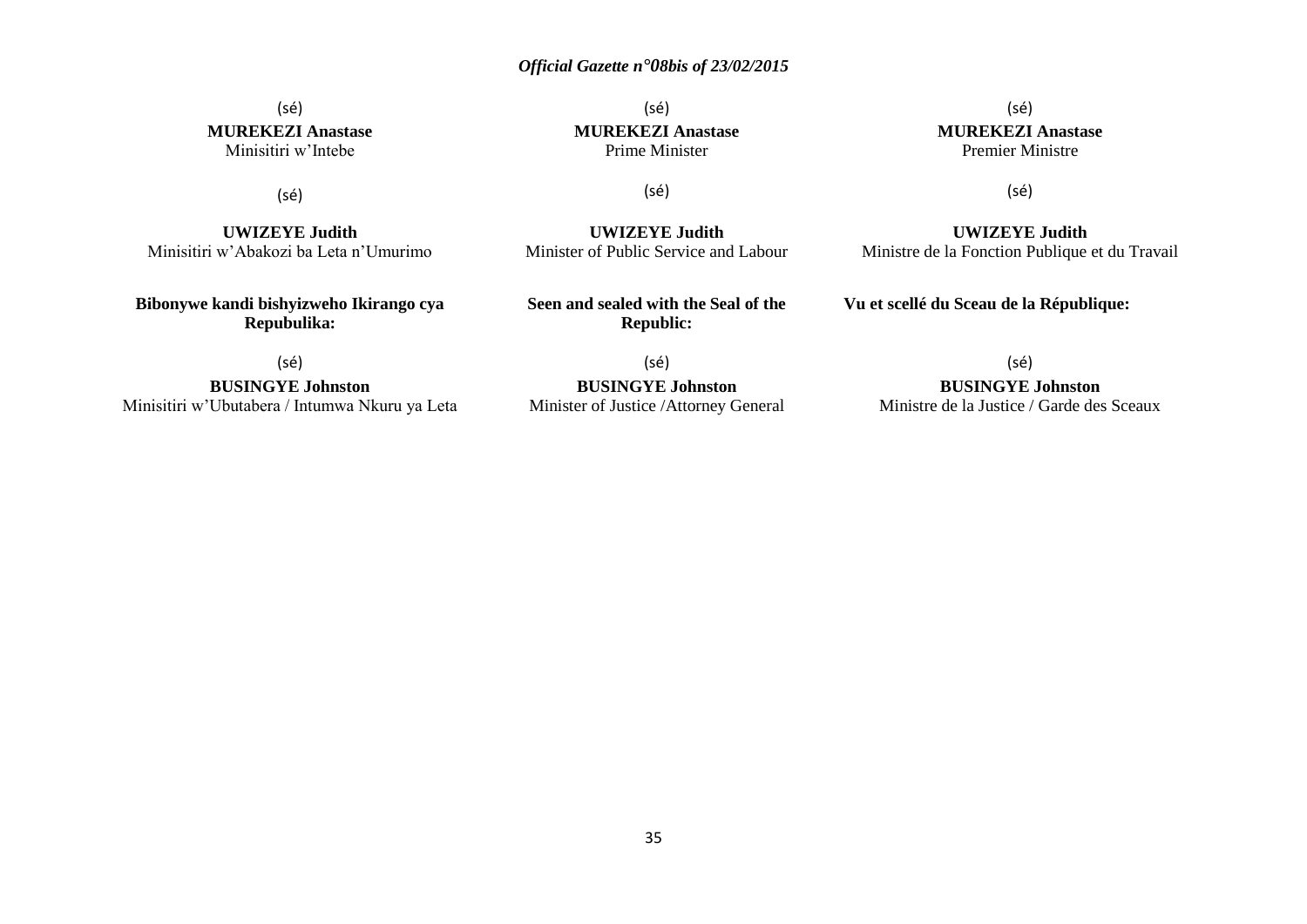(sé) **MUREKEZI Anastase** Minisitiri w'Intebe

(sé)

**UWIZEYE Judith** Minisitiri w'Abakozi ba Leta n'Umurimo

**Bibonywe kandi bishyizweho Ikirango cya Repubulika:**

(sé)

**BUSINGYE Johnston** Minisitiri w'Ubutabera / Intumwa Nkuru ya Leta

(sé) **MUREKEZI Anastase** Prime Minister

(sé)

**UWIZEYE Judith** Minister of Public Service and Labour

**Seen and sealed with the Seal of the Republic:**

(sé) **BUSINGYE Johnston** Minister of Justice /Attorney General

(sé) **MUREKEZI Anastase** Premier Ministre

(sé)

**UWIZEYE Judith** Ministre de la Fonction Publique et du Travail

**Vu et scellé du Sceau de la République:**

(sé)

**BUSINGYE Johnston** Ministre de la Justice / Garde des Sceaux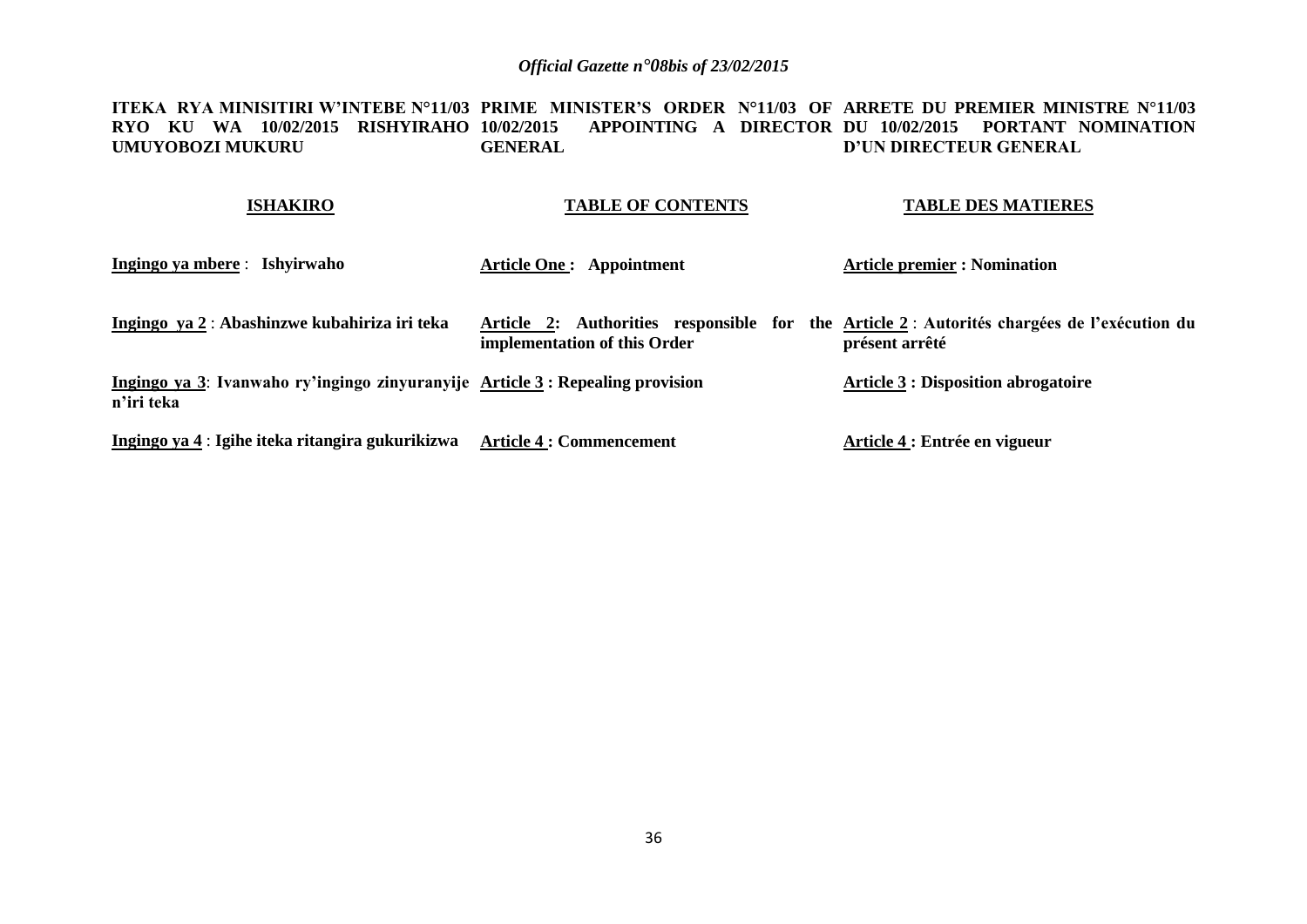**ITEKA RYA MINISITIRI W'INTEBE N°11/03 PRIME MINISTER'S ORDER N°11/03 OF ARRETE DU PREMIER MINISTRE N°11/03 RYO KU WA 10/02/2015 RISHYIRAHO 10/02/2015 APPOINTING A DIRECTOR DU 10/02/2015 PORTANT NOMINATION UMUYOBOZI MUKURU GENERAL D'UN DIRECTEUR GENERAL**

| <b>ISHAKIRO</b>                                                                             | <b>TABLE OF CONTENTS</b>                                               | <b>TABLE DES MATIERES</b>                                              |
|---------------------------------------------------------------------------------------------|------------------------------------------------------------------------|------------------------------------------------------------------------|
| Ingingo ya mbere : Ishyirwaho                                                               | <b>Article One: Appointment</b>                                        | <b>Article premier : Nomination</b>                                    |
| Ingingo ya 2 : Abashinzwe kubahiriza iri teka                                               | Article 2: Authorities responsible for<br>implementation of this Order | the Article 2 : Autorités chargées de l'exécution du<br>présent arrêté |
| Ingingo ya 3: Ivanwaho ry'ingingo zinyuranyije Article 3: Repealing provision<br>n'iri teka |                                                                        | <b>Article 3 : Disposition abrogatoire</b>                             |
| Ingingo ya 4 : Igihe iteka ritangira gukurikizwa                                            | <b>Article 4 : Commencement</b>                                        | Article 4 : Entrée en vigueur                                          |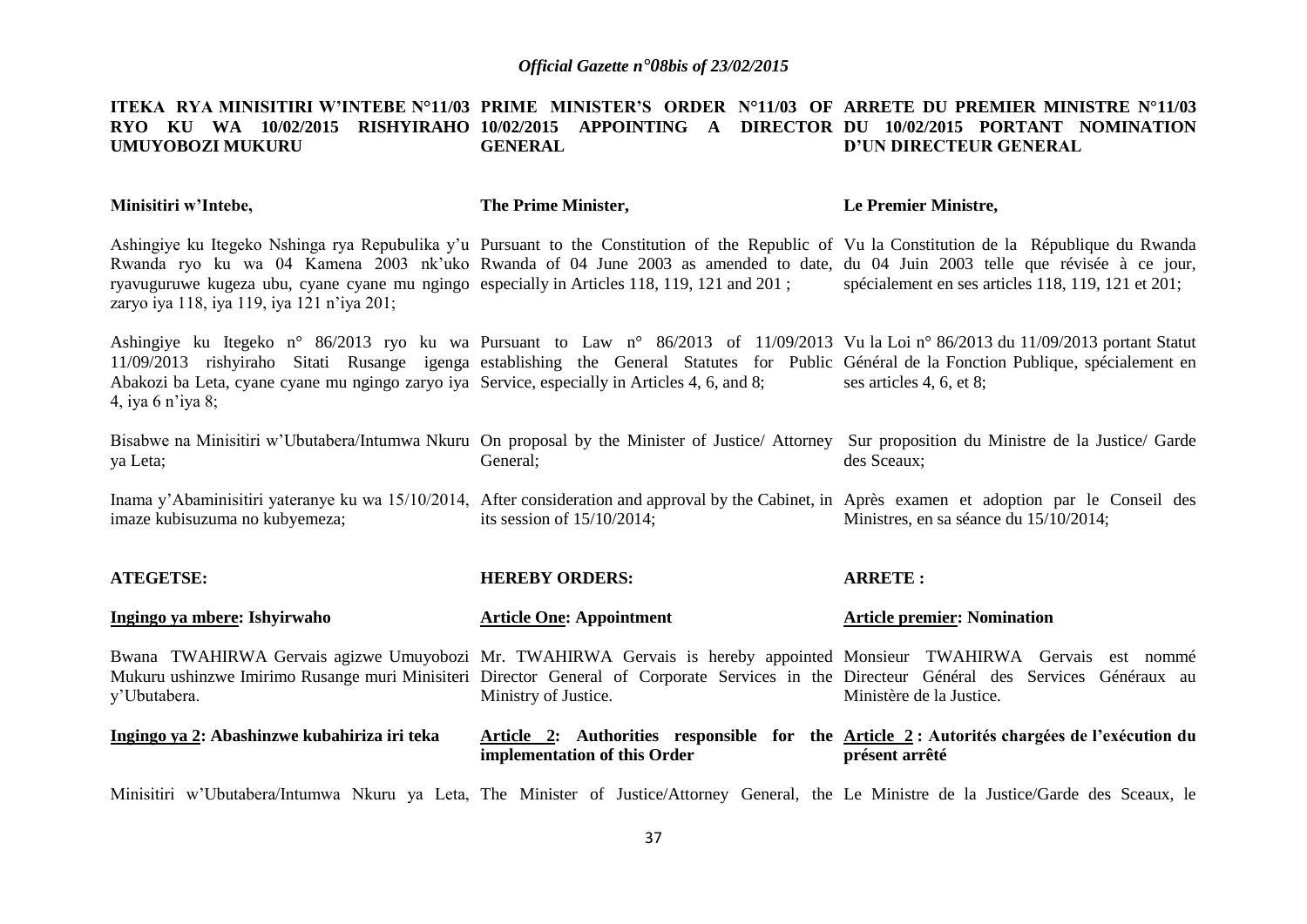#### **ITEKA RYA MINISITIRI W'INTEBE N°11/03 PRIME MINISTER'S ORDER N°11/03 OF ARRETE DU PREMIER MINISTRE N°11/03 RYO KU WA 10/02/2015 RISHYIRAHO 10/02/2015 APPOINTING A DIRECTOR DU 10/02/2015 PORTANT NOMINATION UMUYOBOZI MUKURU GENERAL D'UN DIRECTEUR GENERAL**

| Minisitiri w'Intebe,                                                                                                                                                                                                                                                                                                                                                                                                         | The Prime Minister,             | Le Premier Ministre,                                                                                         |
|------------------------------------------------------------------------------------------------------------------------------------------------------------------------------------------------------------------------------------------------------------------------------------------------------------------------------------------------------------------------------------------------------------------------------|---------------------------------|--------------------------------------------------------------------------------------------------------------|
| Ashingiye ku Itegeko Nshinga rya Repubulika y'u Pursuant to the Constitution of the Republic of Vu la Constitution de la République du Rwanda<br>Rwanda ryo ku wa 04 Kamena 2003 nk'uko Rwanda of 04 June 2003 as amended to date, du 04 Juin 2003 telle que révisée à ce jour,<br>ryavuguruwe kugeza ubu, cyane cyane mu ngingo especially in Articles 118, 119, 121 and 201;<br>zaryo iya 118, iya 119, iya 121 n'iya 201; |                                 | spécialement en ses articles 118, 119, 121 et 201;                                                           |
| Ashingiye ku Itegeko n° 86/2013 ryo ku wa Pursuant to Law n° 86/2013 of 11/09/2013 Vu la Loi n° 86/2013 du 11/09/2013 portant Statut<br>11/09/2013 rishyiraho Sitati Rusange igenga establishing the General Statutes for Public Général de la Fonction Publique, spécialement en<br>Abakozi ba Leta, cyane cyane mu ngingo zaryo iya Service, especially in Articles 4, 6, and 8;<br>4, iya 6 n'iya 8;                      |                                 | ses articles 4, 6, et 8;                                                                                     |
| Bisabwe na Minisitiri w'Ubutabera/Intumwa Nkuru On proposal by the Minister of Justice/Attorney Sur proposition du Ministre de la Justice/Garde<br>ya Leta;                                                                                                                                                                                                                                                                  | General;                        | des Sceaux;                                                                                                  |
| Inama y'Abaminisitiri yateranye ku wa 15/10/2014, After consideration and approval by the Cabinet, in Après examen et adoption par le Conseil des<br>imaze kubisuzuma no kubyemeza;                                                                                                                                                                                                                                          | its session of $15/10/2014$ ;   | Ministres, en sa séance du 15/10/2014;                                                                       |
| <b>ATEGETSE:</b>                                                                                                                                                                                                                                                                                                                                                                                                             | <b>HEREBY ORDERS:</b>           | <b>ARRETE:</b>                                                                                               |
| Ingingo ya mbere: Ishyirwaho                                                                                                                                                                                                                                                                                                                                                                                                 | <b>Article One: Appointment</b> | <b>Article premier: Nomination</b>                                                                           |
| Bwana TWAHIRWA Gervais agizwe Umuyobozi Mr. TWAHIRWA Gervais is hereby appointed Monsieur TWAHIRWA Gervais est nommé<br>Mukuru ushinzwe Imirimo Rusange muri Minisiteri Director General of Corporate Services in the Directeur Général des Services Généraux au<br>y'Ubutabera.                                                                                                                                             | Ministry of Justice.            | Ministère de la Justice.                                                                                     |
| Ingingo ya 2: Abashinzwe kubahiriza iri teka                                                                                                                                                                                                                                                                                                                                                                                 | implementation of this Order    | Article 2: Authorities responsible for the Article 2: Autorités chargées de l'exécution du<br>présent arrêté |
| Minisitiri w'Ubutabera/Intumwa Nkuru ya Leta, The Minister of Justice/Attorney General, the Le Ministre de la Justice/Garde des Sceaux, le                                                                                                                                                                                                                                                                                   |                                 |                                                                                                              |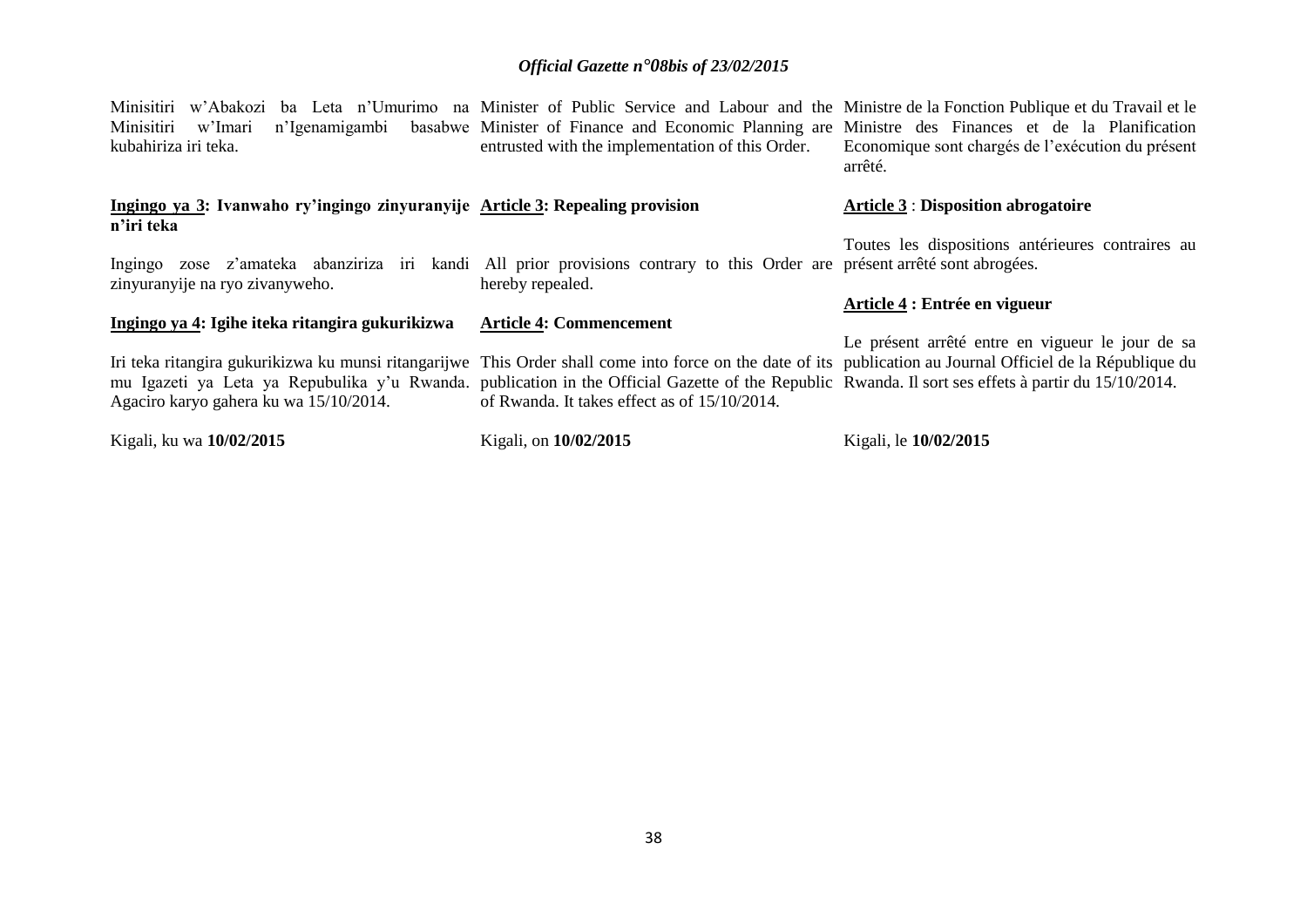| Minisitiri w'Abakozi ba Leta n'Umurimo na Minister of Public Service and Labour and the Ministre de la Fonction Publique et du Travail et le<br>Minisitiri<br>n'Igenamigambi<br>w'Imari<br>kubahiriza iri teka.                                                                                                                                               | basabwe Minister of Finance and Economic Planning are Ministre des Finances et de la Planification<br>entrusted with the implementation of this Order. | Economique sont chargés de l'exécution du présent<br>arrêté. |
|---------------------------------------------------------------------------------------------------------------------------------------------------------------------------------------------------------------------------------------------------------------------------------------------------------------------------------------------------------------|--------------------------------------------------------------------------------------------------------------------------------------------------------|--------------------------------------------------------------|
| Ingingo ya 3: Ivanwaho ry'ingingo zinyuranyije Article 3: Repealing provision<br>n'iri teka                                                                                                                                                                                                                                                                   |                                                                                                                                                        | <b>Article 3 : Disposition abrogatoire</b>                   |
| iri<br>Ingingo zose z'amateka abanziriza<br>zinyuranyije na ryo zivanyweho.                                                                                                                                                                                                                                                                                   | kandi All prior provisions contrary to this Order are présent arrêté sont abrogées.<br>hereby repealed.                                                | Toutes les dispositions antérieures contraires au            |
| Ingingo ya 4: Igihe iteka ritangira gukurikizwa                                                                                                                                                                                                                                                                                                               | <b>Article 4: Commencement</b>                                                                                                                         | Article 4 : Entrée en vigueur                                |
| Iri teka ritangira gukurikizwa ku munsi ritangarijwe This Order shall come into force on the date of its publication au Journal Officiel de la République du<br>mu Igazeti ya Leta ya Repubulika y'u Rwanda. publication in the Official Gazette of the Republic Rwanda. Il sort ses effets à partir du 15/10/2014.<br>Agaciro karyo gahera ku wa 15/10/2014. | of Rwanda. It takes effect as of 15/10/2014.                                                                                                           | Le présent arrêté entre en vigueur le jour de sa             |

Kigali, ku wa **10/02/2015** Kigali, on **10/02/2015** Kigali, le **10/02/2015**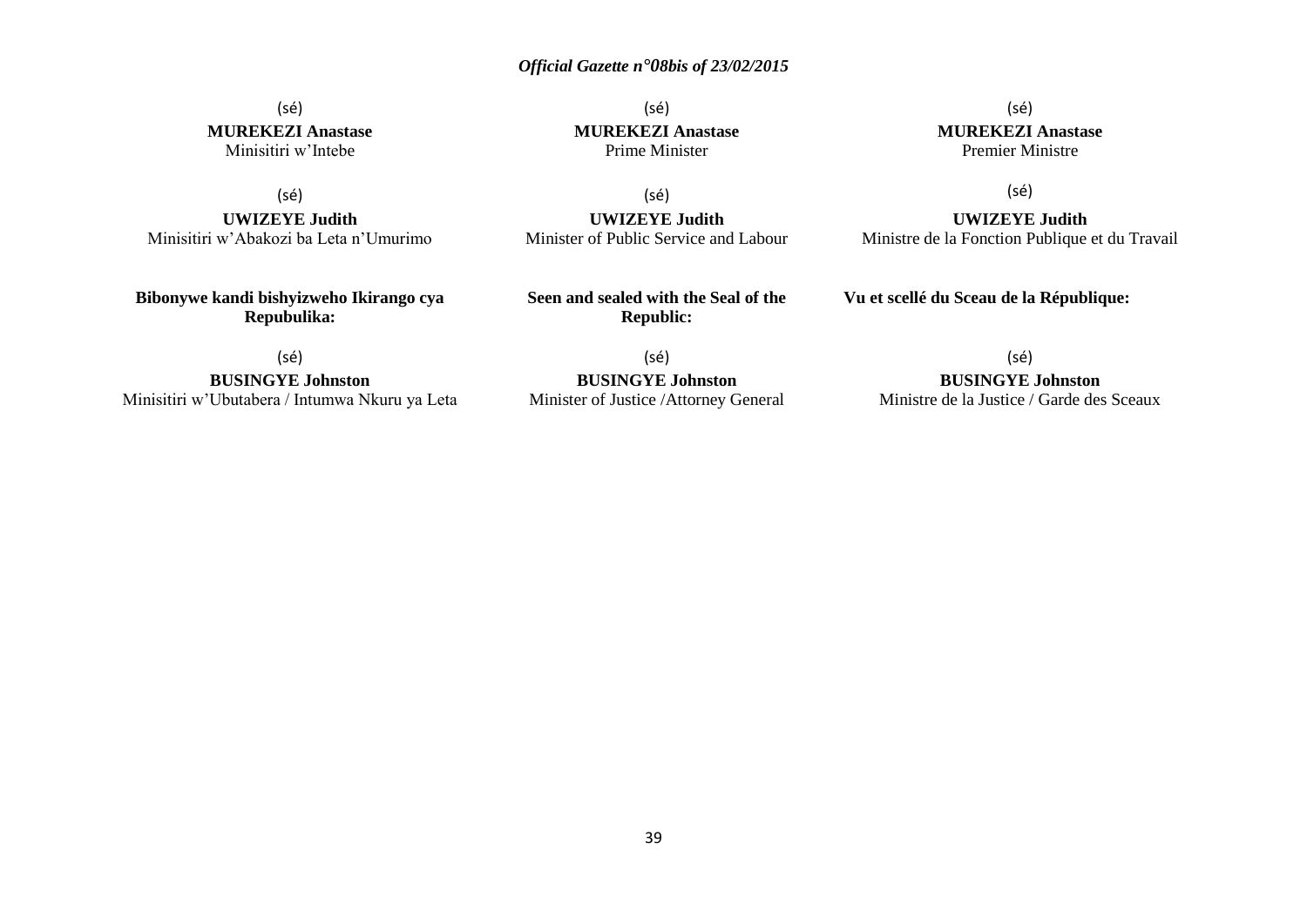(sé) **MUREKEZI Anastase** Minisitiri w'Intebe

(sé)

**UWIZEYE Judith** Minisitiri w'Abakozi ba Leta n'Umurimo

**Bibonywe kandi bishyizweho Ikirango cya Repubulika:**

(sé) **MUREKEZI Anastase** Prime Minister

(sé)

**UWIZEYE Judith** Minister of Public Service and Labour

**Seen and sealed with the Seal of the Republic:**

(sé) **MUREKEZI Anastase** Premier Ministre

(sé)

**UWIZEYE Judith** Ministre de la Fonction Publique et du Travail

**Vu et scellé du Sceau de la République:**

(sé)

**BUSINGYE Johnston** Minisitiri w'Ubutabera / Intumwa Nkuru ya Leta

(sé) **BUSINGYE Johnston** Minister of Justice /Attorney General (sé)

**BUSINGYE Johnston**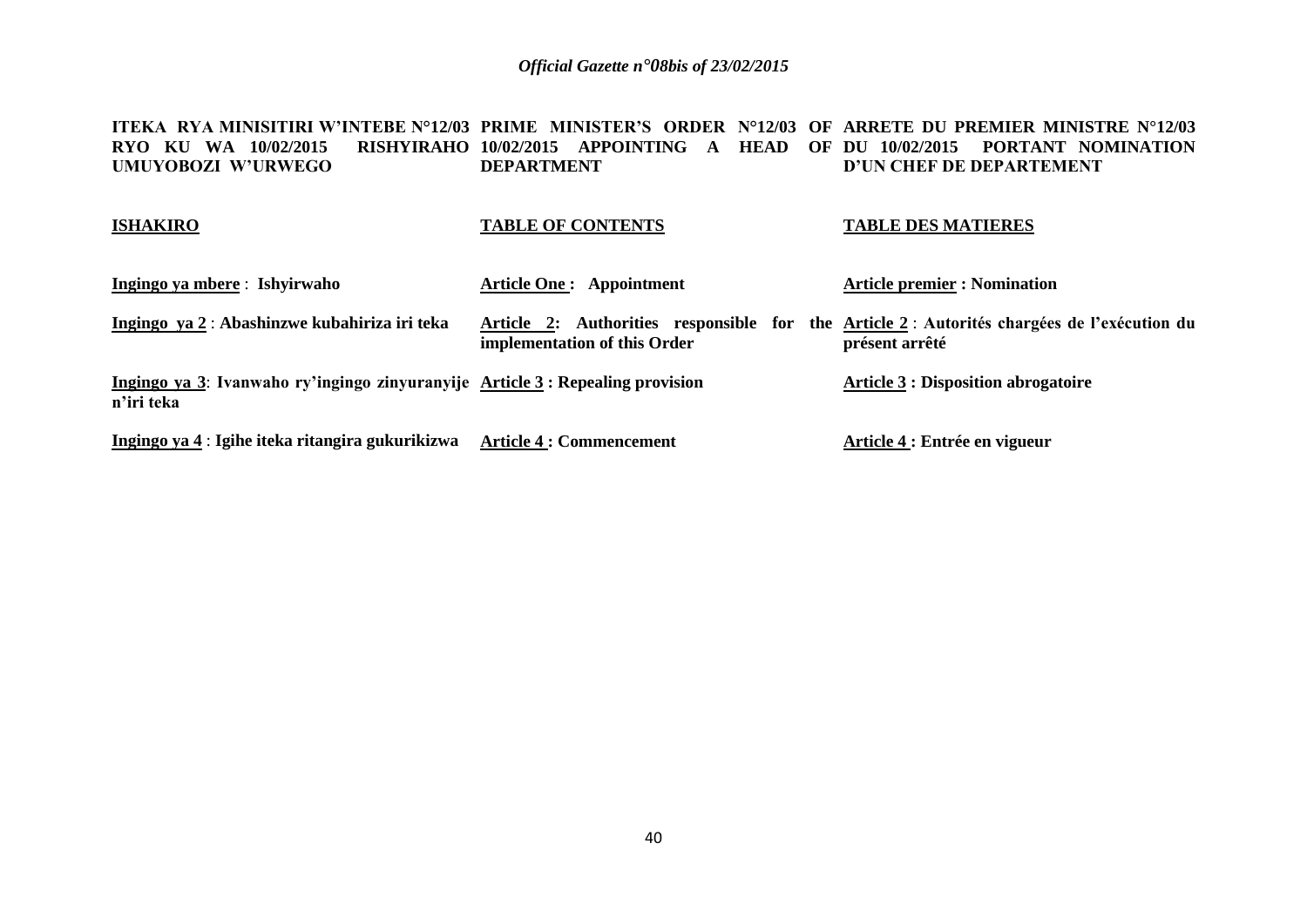#### **ITEKA RYA MINISITIRI W'INTEBE N°12/03 PRIME MINISTER'S ORDER N°12/03 OF ARRETE DU PREMIER MINISTRE N°12/03 RYO KU WA 10/02/2015 UMUYOBOZI W'URWEGO 10/02/2015 APPOINTING A HEAD OF DU 10/02/2015 PORTANT NOMINATION DEPARTMENT D'UN CHEF DE DEPARTEMENT**

#### **ISHAKIRO**

### **TABLE OF CONTENTS**

#### **TABLE DES MATIERES**

| Ingingo ya mbere: Ishyirwaho                                                                | <b>Article One: Appointment</b>                                                                                            | <b>Article premier : Nomination</b>        |
|---------------------------------------------------------------------------------------------|----------------------------------------------------------------------------------------------------------------------------|--------------------------------------------|
| Ingingo ya 2: Abashinzwe kubahiriza iri teka                                                | Article 2: Authorities responsible for the Article 2: Autorités chargées de l'exécution du<br>implementation of this Order | présent arrêté                             |
| Ingingo ya 3: Ivanwaho ry'ingingo zinyuranyije Article 3: Repealing provision<br>n'iri teka |                                                                                                                            | <b>Article 3 : Disposition abrogatoire</b> |
| Ingingo ya 4 : Igihe iteka ritangira gukurikizwa                                            | <b>Article 4 : Commencement</b>                                                                                            | Article 4 : Entrée en vigueur              |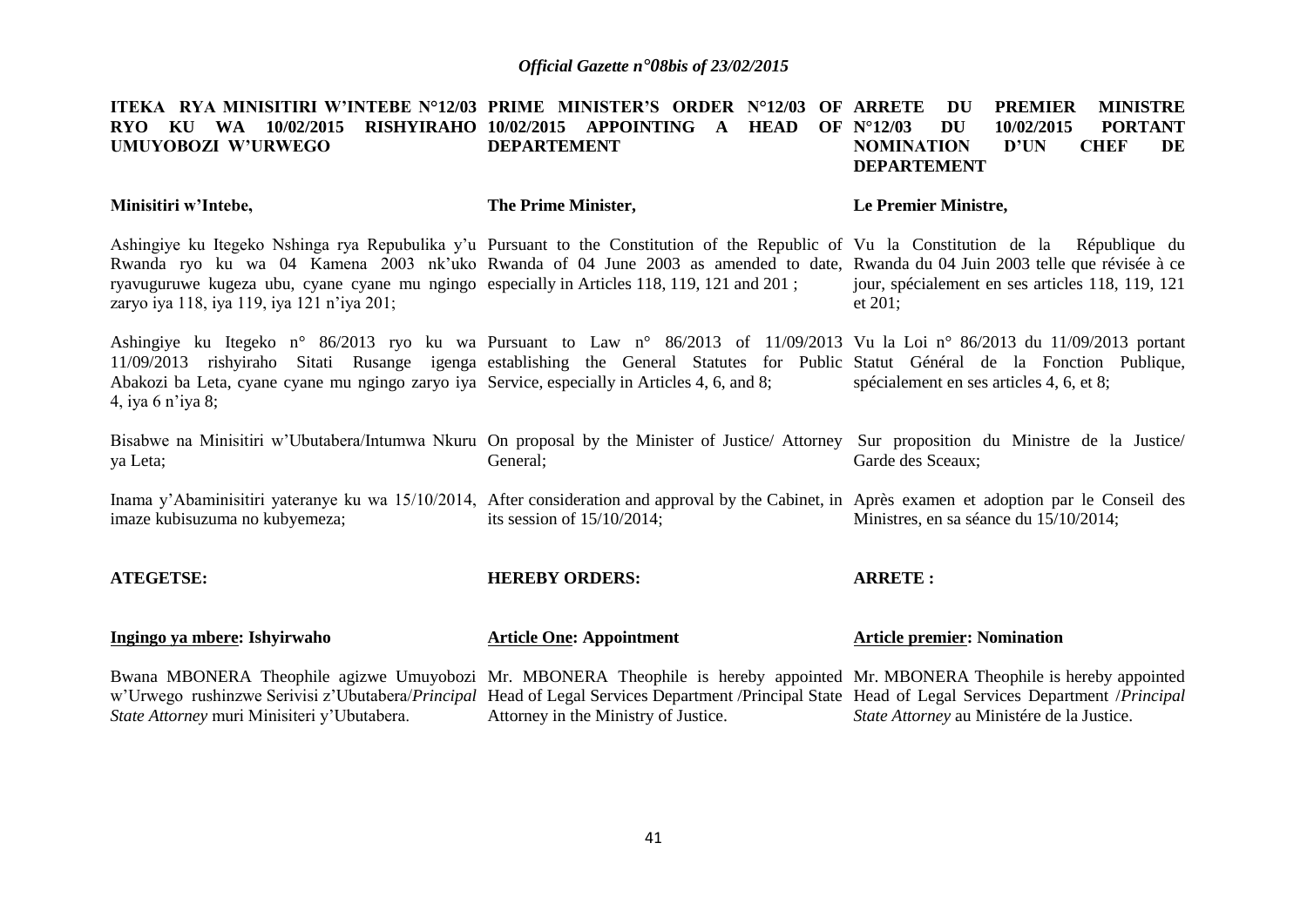#### **ITEKA RYA MINISITIRI W'INTEBE N°12/03 PRIME MINISTER'S ORDER N°12/03 OF ARRETE DU PREMIER MINISTRE RYO KU WA 10/02/2015 RISHYIRAHO 10/02/2015 APPOINTING A HEAD OF N°12/03 DU 10/02/2015 PORTANT UMUYOBOZI W'URWEGO DEPARTEMENT NOMINATION D'UN CHEF DE DEPARTEMENT**

| Minisitiri w'Intebe,                                                                                                                                                                                                                                                                                                                                                                                                   | The Prime Minister,                  | Le Premier Ministre,                                        |
|------------------------------------------------------------------------------------------------------------------------------------------------------------------------------------------------------------------------------------------------------------------------------------------------------------------------------------------------------------------------------------------------------------------------|--------------------------------------|-------------------------------------------------------------|
| Ashingiye ku Itegeko Nshinga rya Repubulika y'u Pursuant to the Constitution of the Republic of Vu la Constitution de la République du<br>Rwanda ryo ku wa 04 Kamena 2003 nk'uko Rwanda of 04 June 2003 as amended to date, Rwanda du 04 Juin 2003 telle que révisée à ce<br>ryavuguruwe kugeza ubu, cyane cyane mu ngingo especially in Articles 118, 119, 121 and 201;<br>zaryo iya 118, iya 119, iya 121 n'iya 201; |                                      | jour, spécialement en ses articles 118, 119, 121<br>et 201; |
| Ashingiye ku Itegeko n° 86/2013 ryo ku wa Pursuant to Law n° 86/2013 of 11/09/2013 Vu la Loi n° 86/2013 du 11/09/2013 portant<br>11/09/2013 rishyiraho Sitati Rusange igenga establishing the General Statutes for Public Statut Général de la Fonction Publique,<br>Abakozi ba Leta, cyane cyane mu ngingo zaryo iya Service, especially in Articles 4, 6, and 8;<br>4, iya 6 n'iya 8;                                |                                      | spécialement en ses articles 4, 6, et 8;                    |
| Bisabwe na Minisitiri w'Ubutabera/Intumwa Nkuru On proposal by the Minister of Justice/ Attorney Sur proposition du Ministre de la Justice/<br>ya Leta;                                                                                                                                                                                                                                                                | General;                             | Garde des Sceaux;                                           |
| Inama y'Abaminisitiri yateranye ku wa 15/10/2014, After consideration and approval by the Cabinet, in Après examen et adoption par le Conseil des<br>imaze kubisuzuma no kubyemeza;                                                                                                                                                                                                                                    | its session of $15/10/2014$ ;        | Ministres, en sa séance du 15/10/2014;                      |
| <b>ATEGETSE:</b>                                                                                                                                                                                                                                                                                                                                                                                                       | <b>HEREBY ORDERS:</b>                | <b>ARRETE:</b>                                              |
| Ingingo ya mbere: Ishyirwaho                                                                                                                                                                                                                                                                                                                                                                                           | <b>Article One: Appointment</b>      | <b>Article premier: Nomination</b>                          |
| Bwana MBONERA Theophile agizwe Umuyobozi Mr. MBONERA Theophile is hereby appointed Mr. MBONERA Theophile is hereby appointed<br>w'Urwego rushinzwe Serivisi z'Ubutabera/Principal Head of Legal Services Department /Principal State Head of Legal Services Department /Principal<br>State Attorney muri Minisiteri y'Ubutabera.                                                                                       | Attorney in the Ministry of Justice. | State Attorney au Ministére de la Justice.                  |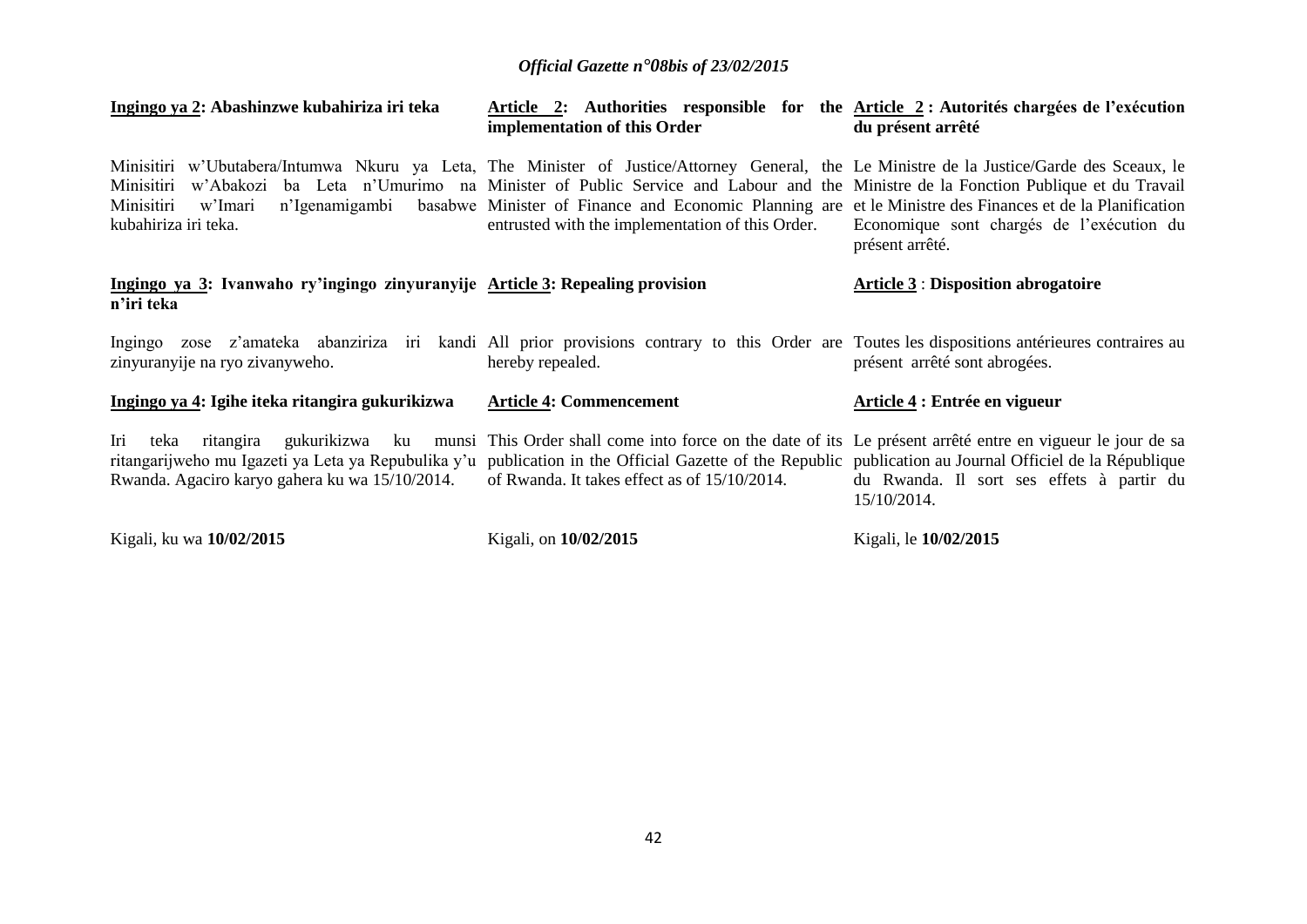| Ingingo ya 2: Abashinzwe kubahiriza iri teka                                                                                                                                                                              | Article 2: Authorities responsible for the <u>Article 2</u> : Autorités chargées de l'exécution<br>implementation of this Order                                                                                                                                                                            | du présent arrêté                                            |
|---------------------------------------------------------------------------------------------------------------------------------------------------------------------------------------------------------------------------|------------------------------------------------------------------------------------------------------------------------------------------------------------------------------------------------------------------------------------------------------------------------------------------------------------|--------------------------------------------------------------|
| Minisitiri w'Ubutabera/Intumwa Nkuru ya Leta, The Minister of Justice/Attorney General, the Le Ministre de la Justice/Garde des Sceaux, le<br>Minisitiri<br>Minisitiri<br>w'Imari<br>kubahiriza iri teka.                 | w'Abakozi ba Leta n'Umurimo na Minister of Public Service and Labour and the Ministre de la Fonction Publique et du Travail<br>n'Igenamigambi basabwe Minister of Finance and Economic Planning are et le Ministre des Finances et de la Planification<br>entrusted with the implementation of this Order. | Economique sont chargés de l'exécution du<br>présent arrêté. |
| Ingingo ya 3: Ivanwaho ry'ingingo zinyuranyije Article 3: Repealing provision<br>n'iri teka                                                                                                                               |                                                                                                                                                                                                                                                                                                            | <b>Article 3 : Disposition abrogatoire</b>                   |
| Ingingo zose z'amateka abanziriza iri kandi All prior provisions contrary to this Order are Toutes les dispositions antérieures contraires au<br>zinyuranyije na ryo zivanyweho.                                          | hereby repealed.                                                                                                                                                                                                                                                                                           | présent arrêté sont abrogées.                                |
| Ingingo ya 4: Igihe iteka ritangira gukurikizwa                                                                                                                                                                           | <b>Article 4: Commencement</b>                                                                                                                                                                                                                                                                             | Article 4 : Entrée en vigueur                                |
| Iri<br>teka<br>ritangarijweho mu Igazeti ya Leta ya Repubulika y'u publication in the Official Gazette of the Republic publication au Journal Officiel de la République<br>Rwanda. Agaciro karyo gahera ku wa 15/10/2014. | ritangira gukurikizwa ku munsi This Order shall come into force on the date of its Le présent arrêté entre en vigueur le jour de sa<br>of Rwanda. It takes effect as of 15/10/2014.                                                                                                                        | du Rwanda. Il sort ses effets à partir du<br>15/10/2014.     |
| Kigali, ku wa 10/02/2015                                                                                                                                                                                                  | Kigali, on 10/02/2015                                                                                                                                                                                                                                                                                      | Kigali, le 10/02/2015                                        |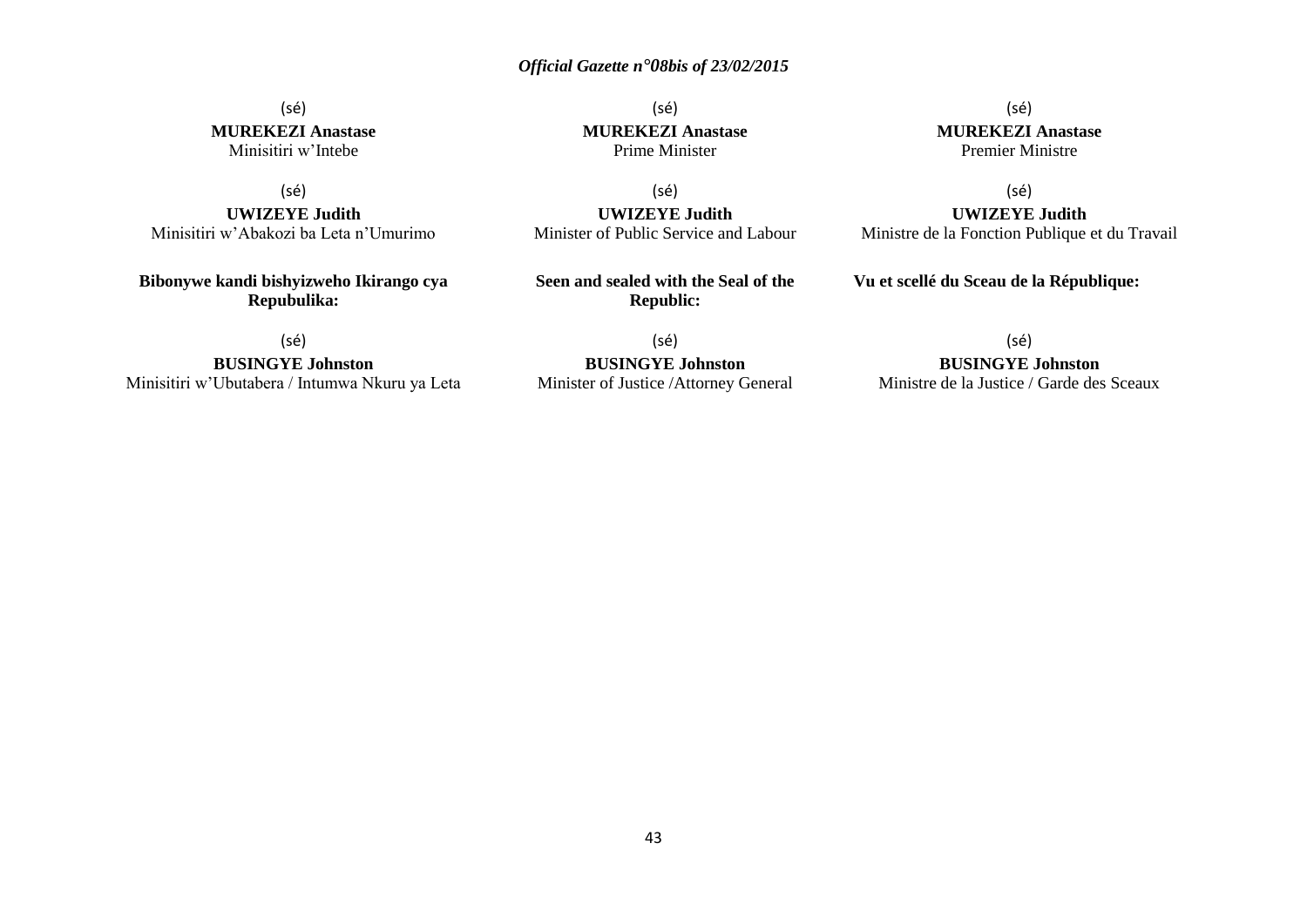### (sé) **MUREKEZI Anastase** Minisitiri w'Intebe

(sé)

**UWIZEYE Judith** Minisitiri w'Abakozi ba Leta n'Umurimo

**Bibonywe kandi bishyizweho Ikirango cya Repubulika:**

(sé)

**BUSINGYE Johnston** Minisitiri w'Ubutabera / Intumwa Nkuru ya Leta

(sé) **MUREKEZI Anastase** Prime Minister

(sé) **UWIZEYE Judith** Minister of Public Service and Labour

**Seen and sealed with the Seal of the Republic:**

(sé) **BUSINGYE Johnston** Minister of Justice /Attorney General

(sé) **MUREKEZI Anastase** Premier Ministre

(sé) **UWIZEYE Judith** Ministre de la Fonction Publique et du Travail

**Vu et scellé du Sceau de la République:**

(sé)

## **BUSINGYE Johnston**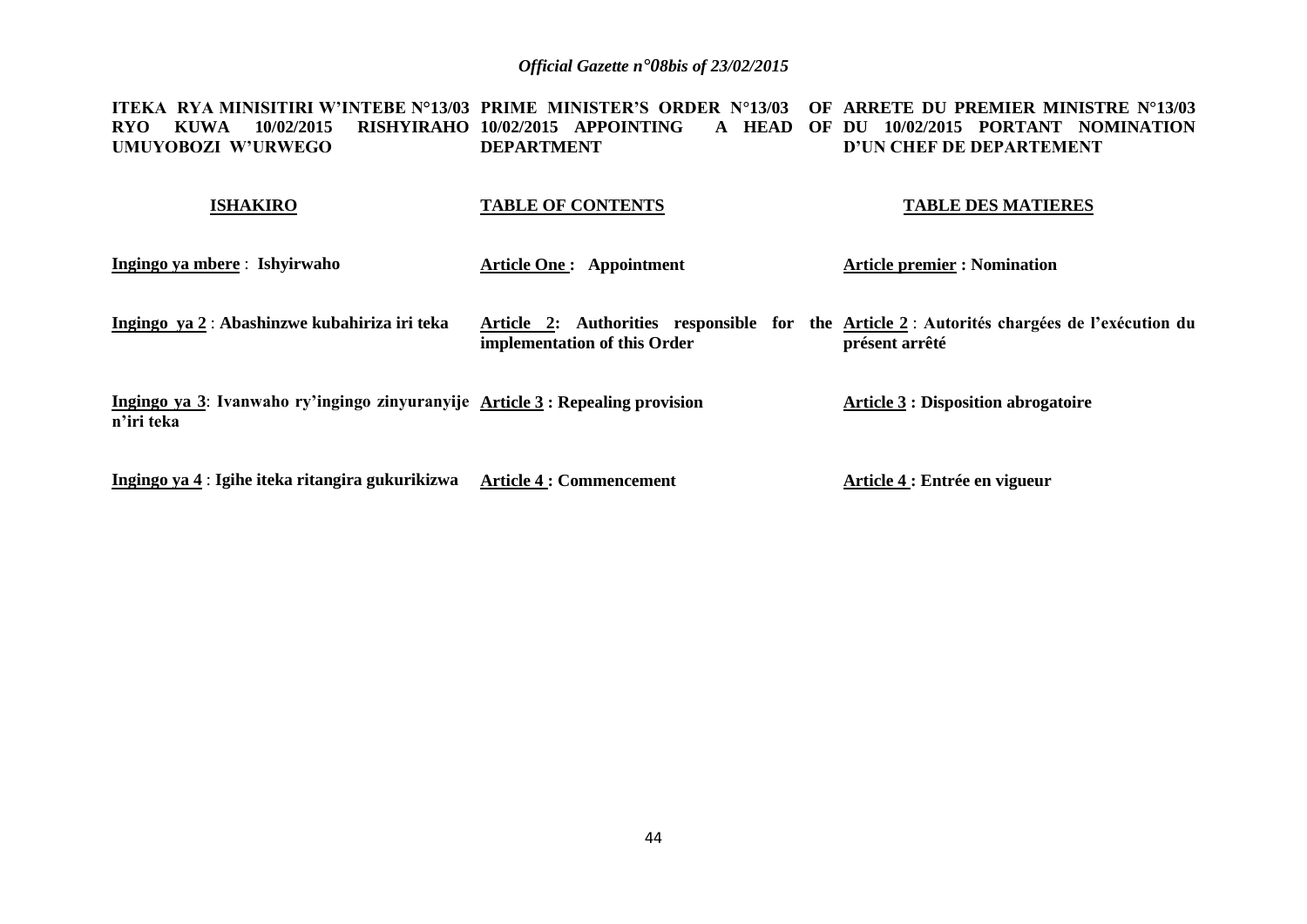**ITEKA RYA MINISITIRI W'INTEBE N°13/03 PRIME MINISTER'S ORDER N°13/03 OF ARRETE DU PREMIER MINISTRE N°13/03 RYO KUWA 10/02/2015 RISHYIRAHO 10/02/2015 APPOINTING A HEAD OF DU 10/02/2015 PORTANT NOMINATION UMUYOBOZI W'URWEGO DEPARTMENT D'UN CHEF DE DEPARTEMENT**

| <b>ISHAKIRO</b>                                                                              | <b>TABLE OF CONTENTS</b>        | <b>TABLE DES MATIERES</b>                                                                                     |
|----------------------------------------------------------------------------------------------|---------------------------------|---------------------------------------------------------------------------------------------------------------|
| Ingingo ya mbere : Ishyirwaho                                                                | <b>Article One: Appointment</b> | <b>Article premier : Nomination</b>                                                                           |
| Ingingo ya 2 : Abashinzwe kubahiriza iri teka                                                | implementation of this Order    | Article 2: Authorities responsible for the Article 2 : Autorités chargées de l'exécution du<br>présent arrêté |
| Ingingo ya 3: Ivanwaho ry'ingingo zinyuranyije Article 3 : Repealing provision<br>n'iri teka |                                 | <b>Article 3 : Disposition abrogatoire</b>                                                                    |
| Ingingo ya 4 : Igihe iteka ritangira gukurikizwa                                             | <b>Article 4 : Commencement</b> | Article 4 : Entrée en vigueur                                                                                 |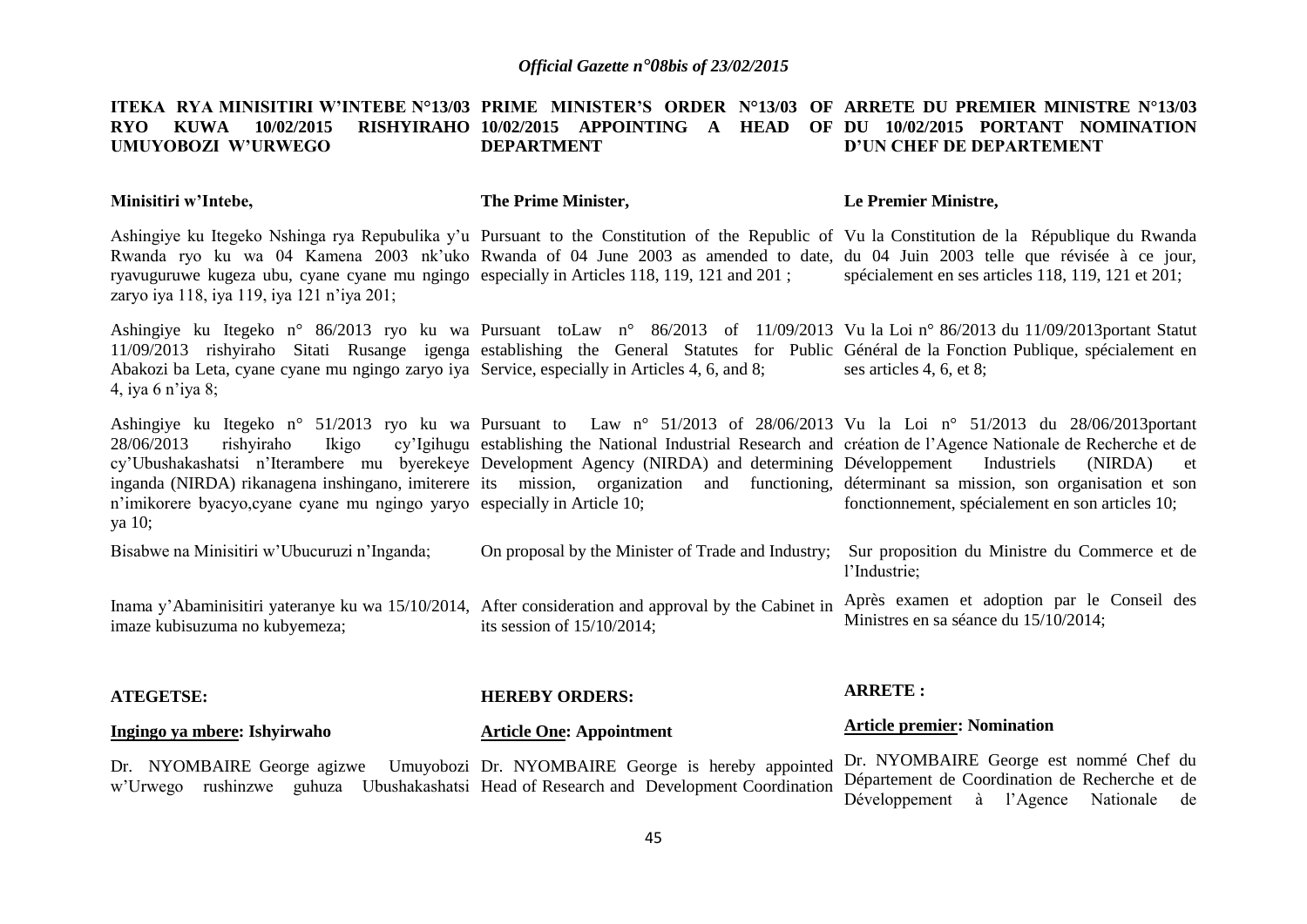#### **ITEKA RYA MINISITIRI W'INTEBE N°13/03 PRIME MINISTER'S ORDER N°13/03 OF ARRETE DU PREMIER MINISTRE N°13/03 RYO KUWA 10/02/2015 UMUYOBOZI W'URWEGO 10/02/2015 APPOINTING A HEAD OF DU 10/02/2015 PORTANT NOMINATION DEPARTMENT D'UN CHEF DE DEPARTEMENT**

#### **Minisitiri w'Intebe, The Prime Minister, Le Premier Ministre,**

Ashingiye ku Itegeko Nshinga rya Repubulika y'u Pursuant to the Constitution of the Republic of Vu la Constitution de la République du Rwanda Rwanda ryo ku wa 04 Kamena 2003 nk'uko Rwanda of 04 June 2003 as amended to date, du 04 Juin 2003 telle que révisée à ce jour, ryavuguruwe kugeza ubu, cyane cyane mu ngingo especially in Articles 118, 119, 121 and 201 ; zaryo iya 118, iya 119, iya 121 n'iya 201; spécialement en ses articles 118, 119, 121 et 201;

Ashingiye ku Itegeko n° 86/2013 ryo ku wa Pursuant toLaw n° 86/2013 of 11/09/2013 Vu la Loi n° 86/2013 du 11/09/2013portant Statut 11/09/2013 rishyiraho Sitati Rusange igenga establishing the General Statutes for Public Général de la Fonction Publique, spécialement en Abakozi ba Leta, cyane cyane mu ngingo zaryo iya Service, especially in Articles 4, 6, and 8; 4, iya 6 n'iya 8; ses articles 4, 6, et 8;

Ashingiye ku Itegeko n° 51/2013 ryo ku wa Pursuant to Law n° 51/2013 of 28/06/2013 Vu la Loi n° 51/2013 du 28/06/2013portant 28/06/2013 rishyiraho Ikigo cy'Igihugu establishing the National Industrial Research and création de l'Agence Nationale de Recherche et de cy'Ubushakashatsi n'Iterambere mu byerekeye Development Agency (NIRDA) and determining Développement Industriels (NIRDA) et inganda (NIRDA) rikanagena inshingano, imiterere its mission, organization and functioning, déterminant sa mission, son organisation et son n'imikorere byacyo,cyane cyane mu ngingo yaryo especially in Article 10; ya 10; fonctionnement, spécialement en son articles 10;

Bisabwe na Minisitiri w'Ubucuruzi n'Inganda; On proposal by the Minister of Trade and Industry; Sur proposition du Ministre du Commerce et de l'Industrie;

Inama y'Abaminisitiri yateranye ku wa 15/10/2014, After consideration and approval by the Cabinet in imaze kubisuzuma no kubyemeza; its session of 15/10/2014; Après examen et adoption par le Conseil des Ministres en sa séance du 15/10/2014;

#### **ATEGETSE: Ingingo ya mbere: Ishyirwaho HEREBY ORDERS: Article One: Appointment ARRETE : Article premier: Nomination**

Dr. NYOMBAIRE George agizwe Umuyobozi Dr. NYOMBAIRE George is hereby appointed w'Urwego rushinzwe guhuza Ubushakashatsi Head of Research and Development Coordination

Dr. NYOMBAIRE George est nommé Chef du Département de Coordination de Recherche et de Développement à l'Agence Nationale de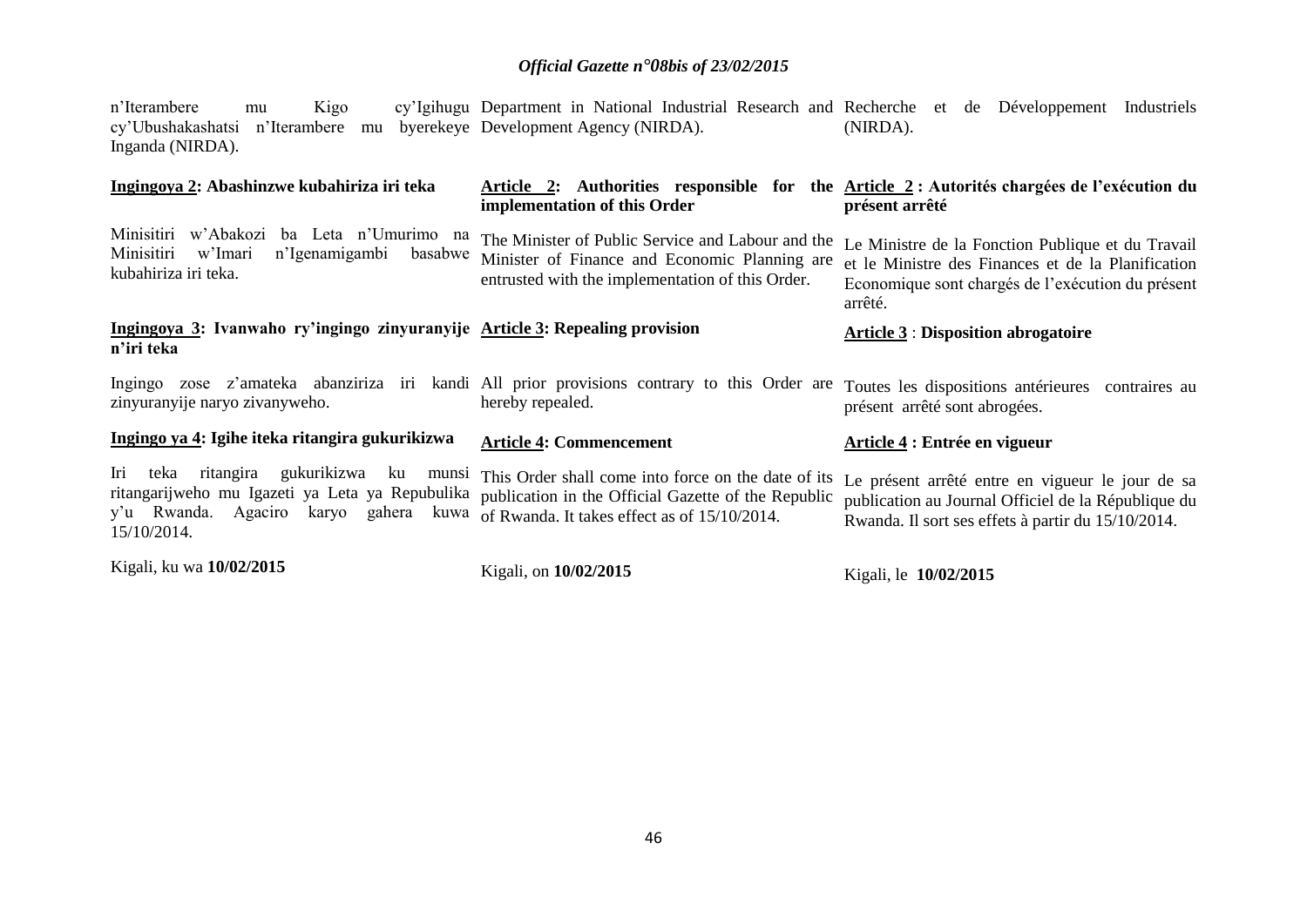n'Iterambere mu Kigo cy'Ubushakashatsi n'Iterambere mu byerekeye Development Agency (NIRDA). Inganda (NIRDA). Department in National Industrial Research and Recherche et de Développement Industriels (NIRDA).

| Ingingoya 2: Abashinzwe kubahiriza iri teka                                                                                                                          | implementation of this Order                                                                                                                                     | Article 2: Authorities responsible for the Article 2 : Autorités chargées de l'exécution du<br>présent arrêté                                                           |
|----------------------------------------------------------------------------------------------------------------------------------------------------------------------|------------------------------------------------------------------------------------------------------------------------------------------------------------------|-------------------------------------------------------------------------------------------------------------------------------------------------------------------------|
| Minisitiri<br>w'Abakozi<br>ba Leta n'Umurimo na<br>Minisitiri<br>w'Imari<br>n'Igenamigambi<br>basabwe<br>kubahiriza iri teka.                                        | The Minister of Public Service and Labour and the<br>Minister of Finance and Economic Planning are<br>entrusted with the implementation of this Order.           | Le Ministre de la Fonction Publique et du Travail<br>et le Ministre des Finances et de la Planification<br>Economique sont chargés de l'exécution du présent<br>arrêté. |
| Ingingoya 3: Ivanwaho ry'ingingo zinyuranyije Article 3: Repealing provision<br>n'iri teka                                                                           |                                                                                                                                                                  | <b>Article 3: Disposition abrogatoire</b>                                                                                                                               |
| Ingingo zose z'amateka abanziriza iri kandi All prior provisions contrary to this Order are<br>zinyuranyije naryo zivanyweho.                                        | hereby repealed.                                                                                                                                                 | Toutes les dispositions antérieures contraires au<br>présent arrêté sont abrogées.                                                                                      |
| Ingingo ya 4: Igihe iteka ritangira gukurikizwa                                                                                                                      | <b>Article 4: Commencement</b>                                                                                                                                   | Article 4 : Entrée en vigueur                                                                                                                                           |
| gukurikizwa<br>ritangira<br>Iri<br>teka<br>ku<br>ritangarijweho mu Igazeti ya Leta ya Repubulika<br>Agaciro<br>y'u Rwanda.<br>karyo<br>gahera<br>kuwa<br>15/10/2014. | munsi This Order shall come into force on the date of its<br>publication in the Official Gazette of the Republic<br>of Rwanda. It takes effect as of 15/10/2014. | Le présent arrêté entre en vigueur le jour de sa<br>publication au Journal Officiel de la République du<br>Rwanda. Il sort ses effets à partir du 15/10/2014.           |
| Kigali, ku wa 10/02/2015                                                                                                                                             | Kigali, on 10/02/2015                                                                                                                                            | Kigali, le 10/02/2015                                                                                                                                                   |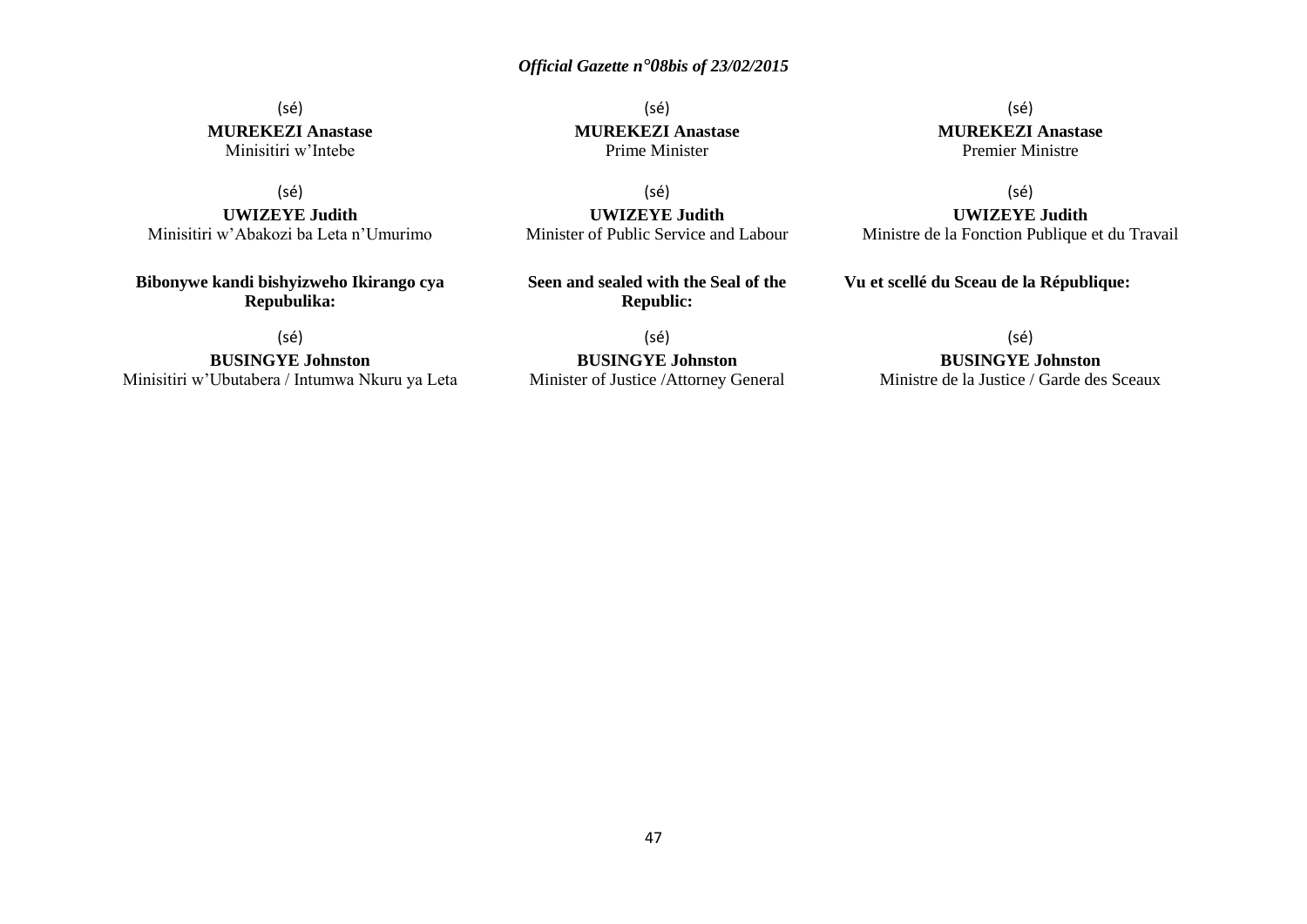### (sé) **MUREKEZI Anastase** Minisitiri w'Intebe

(sé)

**UWIZEYE Judith** Minisitiri w'Abakozi ba Leta n'Umurimo

**Bibonywe kandi bishyizweho Ikirango cya Repubulika:**

(sé)

**BUSINGYE Johnston** Minisitiri w'Ubutabera / Intumwa Nkuru ya Leta

(sé) **MUREKEZI Anastase** Prime Minister

(sé) **UWIZEYE Judith** Minister of Public Service and Labour

**Seen and sealed with the Seal of the Republic:**

(sé) **BUSINGYE Johnston** Minister of Justice /Attorney General

(sé) **MUREKEZI Anastase** Premier Ministre

(sé)

**UWIZEYE Judith** Ministre de la Fonction Publique et du Travail

**Vu et scellé du Sceau de la République:**

#### (sé)

#### **BUSINGYE Johnston**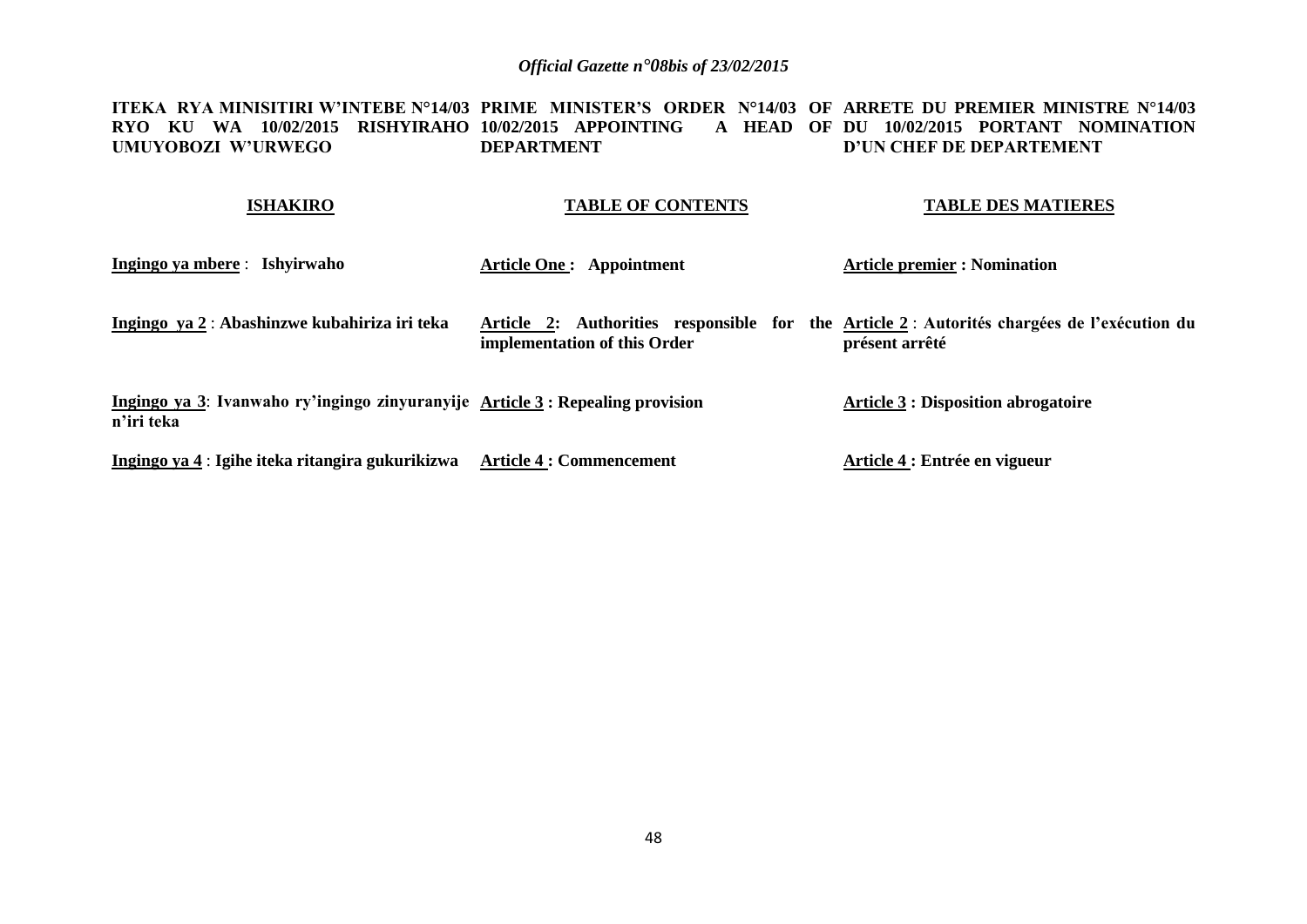**ITEKA RYA MINISITIRI W'INTEBE N°14/03 PRIME MINISTER'S ORDER N°14/03 OF ARRETE DU PREMIER MINISTRE N°14/03 RYO KU WA 10/02/2015 RISHYIRAHO 10/02/2015 APPOINTING A HEAD OF DU 10/02/2015 PORTANT NOMINATION UMUYOBOZI W'URWEGO DEPARTMENT D'UN CHEF DE DEPARTEMENT**

#### **ISHAKIRO TABLE OF CONTENTS TABLE DES MATIERES**

| Ingingo ya mbere : Ishyirwaho                                                                | <b>Article One: Appointment</b> | <b>Article premier : Nomination</b>                                                                          |
|----------------------------------------------------------------------------------------------|---------------------------------|--------------------------------------------------------------------------------------------------------------|
| Ingingo ya 2: Abashinzwe kubahiriza iri teka                                                 | implementation of this Order    | Article 2: Authorities responsible for the Article 2: Autorités chargées de l'exécution du<br>présent arrêté |
| Ingingo ya 3: Ivanwaho ry'ingingo zinyuranyije Article 3 : Repealing provision<br>n'iri teka |                                 | <b>Article 3 : Disposition abrogatoire</b>                                                                   |
| Ingingo ya 4 : Igihe iteka ritangira gukurikizwa                                             | <b>Article 4 : Commencement</b> | Article 4 : Entrée en vigueur                                                                                |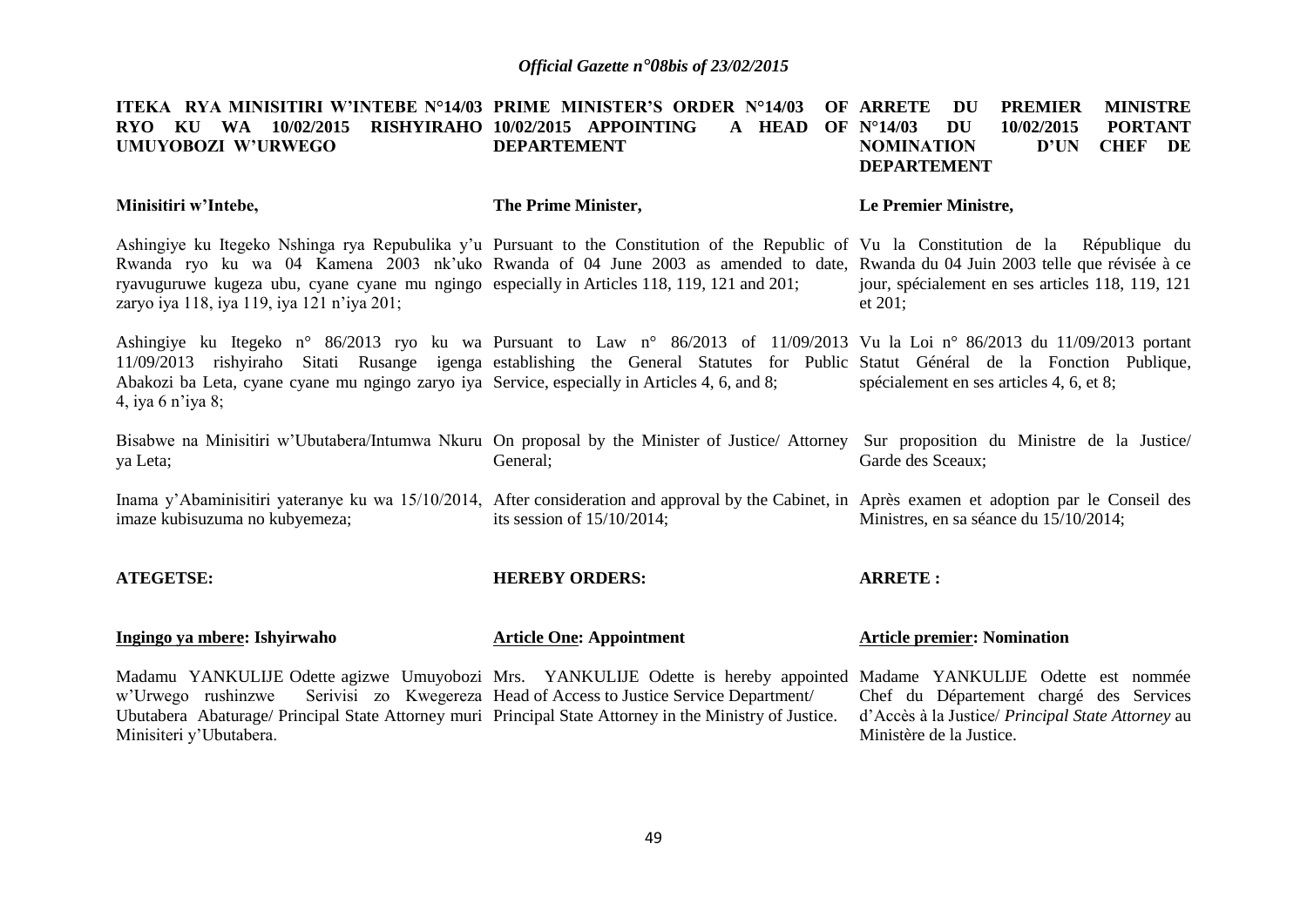| ITEKA RYA MINISITIRI W'INTEBE N°14/03 PRIME MINISTER'S ORDER N°14/03<br>KU WA 10/02/2015<br><b>RYO</b><br>UMUYOBOZI W'URWEGO                                                                                                                                                                                                                                                                                           | RISHYIRAHO 10/02/2015 APPOINTING<br>A HEAD<br><b>DEPARTEMENT</b>    | <b>MINISTRE</b><br>OF ARRETE<br>DU<br><b>PREMIER</b><br><b>OF N°14/03</b><br><b>DU</b><br>10/02/2015<br><b>PORTANT</b><br><b>NOMINATION</b><br><b>CHEF</b><br>D'UN<br>DE<br><b>DEPARTEMENT</b> |
|------------------------------------------------------------------------------------------------------------------------------------------------------------------------------------------------------------------------------------------------------------------------------------------------------------------------------------------------------------------------------------------------------------------------|---------------------------------------------------------------------|------------------------------------------------------------------------------------------------------------------------------------------------------------------------------------------------|
| Minisitiri w'Intebe,                                                                                                                                                                                                                                                                                                                                                                                                   | The Prime Minister,                                                 | Le Premier Ministre,                                                                                                                                                                           |
| Ashingiye ku Itegeko Nshinga rya Repubulika y'u Pursuant to the Constitution of the Republic of Vu la Constitution de la République du<br>Rwanda ryo ku wa 04 Kamena 2003 nk'uko Rwanda of 04 June 2003 as amended to date, Rwanda du 04 Juin 2003 telle que révisée à ce<br>ryavuguruwe kugeza ubu, cyane cyane mu ngingo especially in Articles 118, 119, 121 and 201;<br>zaryo iya 118, iya 119, iya 121 n'iya 201; |                                                                     | jour, spécialement en ses articles 118, 119, 121<br>et 201;                                                                                                                                    |
| Ashingiye ku Itegeko n° 86/2013 ryo ku wa Pursuant to Law n° 86/2013 of 11/09/2013 Vu la Loi n° 86/2013 du 11/09/2013 portant<br>11/09/2013 rishyiraho Sitati Rusange igenga establishing the General Statutes for Public Statut Général de la Fonction Publique,<br>Abakozi ba Leta, cyane cyane mu ngingo zaryo iya Service, especially in Articles 4, 6, and 8;<br>4, iya 6 n'iya 8;                                |                                                                     | spécialement en ses articles 4, 6, et 8;                                                                                                                                                       |
| Bisabwe na Minisitiri w'Ubutabera/Intumwa Nkuru On proposal by the Minister of Justice/ Attorney Sur proposition du Ministre de la Justice/<br>ya Leta;                                                                                                                                                                                                                                                                | General;                                                            | Garde des Sceaux;                                                                                                                                                                              |
| Inama y'Abaminisitiri yateranye ku wa 15/10/2014, After consideration and approval by the Cabinet, in Après examen et adoption par le Conseil des<br>imaze kubisuzuma no kubyemeza;                                                                                                                                                                                                                                    | its session of $15/10/2014$ ;                                       | Ministres, en sa séance du 15/10/2014;                                                                                                                                                         |
| <b>ATEGETSE:</b>                                                                                                                                                                                                                                                                                                                                                                                                       | <b>HEREBY ORDERS:</b>                                               | <b>ARRETE:</b>                                                                                                                                                                                 |
| Ingingo ya mbere: Ishyirwaho                                                                                                                                                                                                                                                                                                                                                                                           | <b>Article One: Appointment</b>                                     | <b>Article premier: Nomination</b>                                                                                                                                                             |
| Madamu YANKULIJE Odette agizwe Umuyobozi Mrs. YANKULIJE Odette is hereby appointed Madame YANKULIJE Odette est nommée<br>w'Urwego rushinzwe<br>Ubutabera Abaturage/ Principal State Attorney muri Principal State Attorney in the Ministry of Justice.<br>Minisiteri y'Ubutabera.                                                                                                                                      | Serivisi zo Kwegereza Head of Access to Justice Service Department/ | Chef du Département chargé des Services<br>d'Accès à la Justice/ Principal State Attorney au<br>Ministère de la Justice.                                                                       |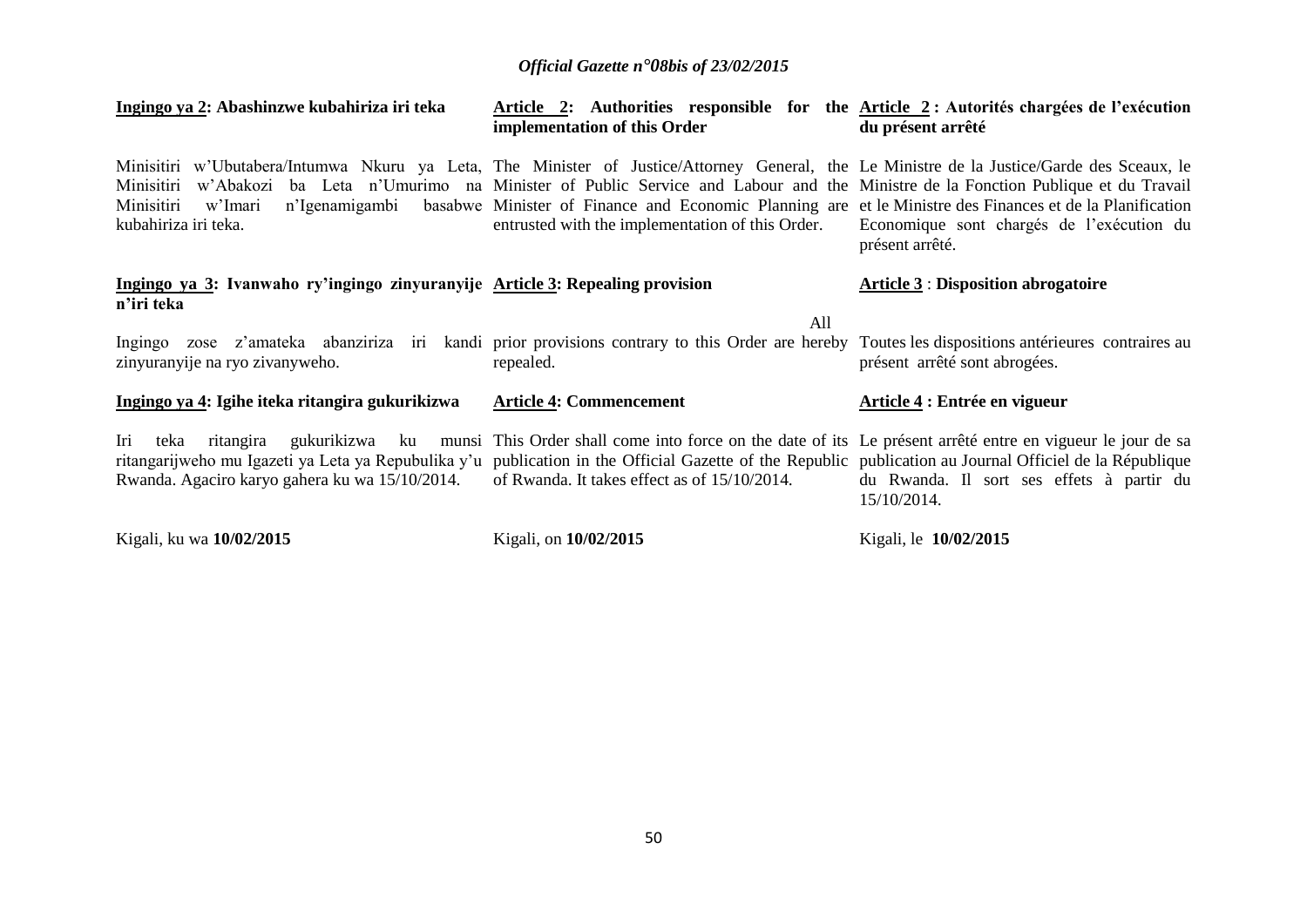| Ingingo ya 2: Abashinzwe kubahiriza iri teka                                                                                                                                                                                           | Article 2: Authorities responsible for the <u>Article 2</u> : Autorités chargées de l'exécution<br>implementation of this Order                                                                                                                                                             | du présent arrêté                                            |
|----------------------------------------------------------------------------------------------------------------------------------------------------------------------------------------------------------------------------------------|---------------------------------------------------------------------------------------------------------------------------------------------------------------------------------------------------------------------------------------------------------------------------------------------|--------------------------------------------------------------|
| Minisitiri w'Ubutabera/Intumwa Nkuru ya Leta, The Minister of Justice/Attorney General, the Le Ministre de la Justice/Garde des Sceaux, le<br>Minisitiri<br>n'Igenamigambi<br>Minisitiri<br>w'Imari<br>kubahiriza iri teka.            | w'Abakozi ba Leta n'Umurimo na Minister of Public Service and Labour and the Ministre de la Fonction Publique et du Travail<br>basabwe Minister of Finance and Economic Planning are et le Ministre des Finances et de la Planification<br>entrusted with the implementation of this Order. | Economique sont chargés de l'exécution du<br>présent arrêté. |
| Ingingo ya 3: Ivanwaho ry'ingingo zinyuranyije Article 3: Repealing provision<br>n'iri teka                                                                                                                                            |                                                                                                                                                                                                                                                                                             | <b>Article 3: Disposition abrogatoire</b>                    |
| Ingingo zose z'amateka abanziriza iri kandi prior provisions contrary to this Order are hereby Toutes les dispositions antérieures contraires au<br>zinyuranyije na ryo zivanyweho.                                                    | All<br>repealed.                                                                                                                                                                                                                                                                            | présent arrêté sont abrogées.                                |
| Ingingo ya 4: Igihe iteka ritangira gukurikizwa                                                                                                                                                                                        | <b>Article 4: Commencement</b>                                                                                                                                                                                                                                                              | Article 4 : Entrée en vigueur                                |
| Iri<br>ritangira<br>teka<br>ritangarijweho mu Igazeti ya Leta ya Repubulika y'u publication in the Official Gazette of the Republic publication au Journal Officiel de la République<br>Rwanda. Agaciro karyo gahera ku wa 15/10/2014. | gukurikizwa ku munsi This Order shall come into force on the date of its Le présent arrêté entre en vigueur le jour de sa<br>of Rwanda. It takes effect as of 15/10/2014.                                                                                                                   | du Rwanda. Il sort ses effets à partir du<br>15/10/2014.     |
| Kigali, ku wa 10/02/2015                                                                                                                                                                                                               | Kigali, on 10/02/2015                                                                                                                                                                                                                                                                       | Kigali, le 10/02/2015                                        |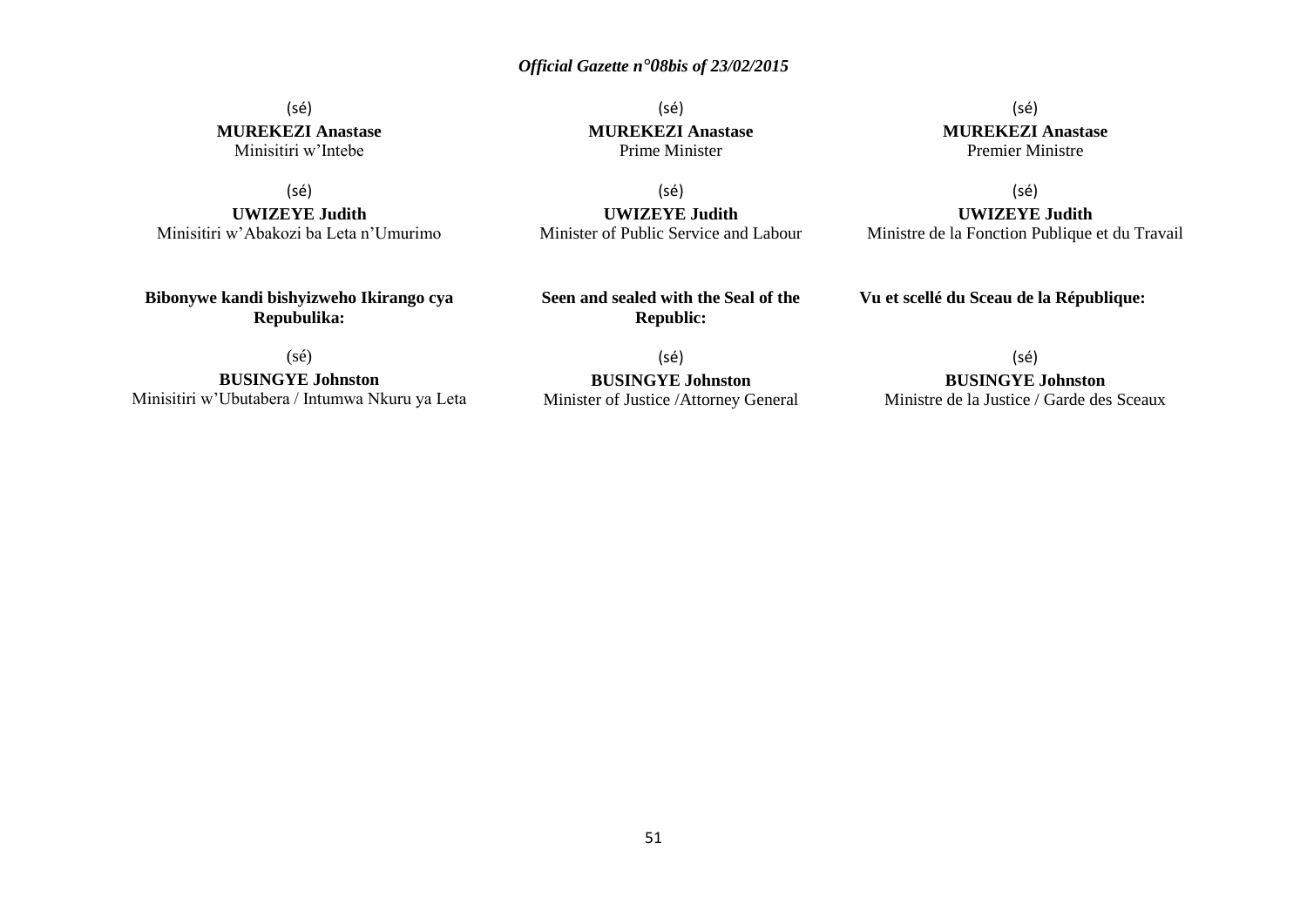### (sé) **MUREKEZI Anastase** Minisitiri w'Intebe

(sé)

**UWIZEYE Judith** Minisitiri w'Abakozi ba Leta n'Umurimo

**Bibonywe kandi bishyizweho Ikirango cya Repubulika:**

(sé) **MUREKEZI Anastase** Prime Minister

(sé) **UWIZEYE Judith** Minister of Public Service and Labour

(sé) **MUREKEZI Anastase** Premier Ministre

(sé) **UWIZEYE Judith** Ministre de la Fonction Publique et du Travail

**Vu et scellé du Sceau de la République:**

(sé)

**BUSINGYE Johnston** Minisitiri w'Ubutabera / Intumwa Nkuru ya Leta

(sé) **BUSINGYE Johnston** Minister of Justice /Attorney General

**Seen and sealed with the Seal of the Republic:**

(sé)

### **BUSINGYE Johnston**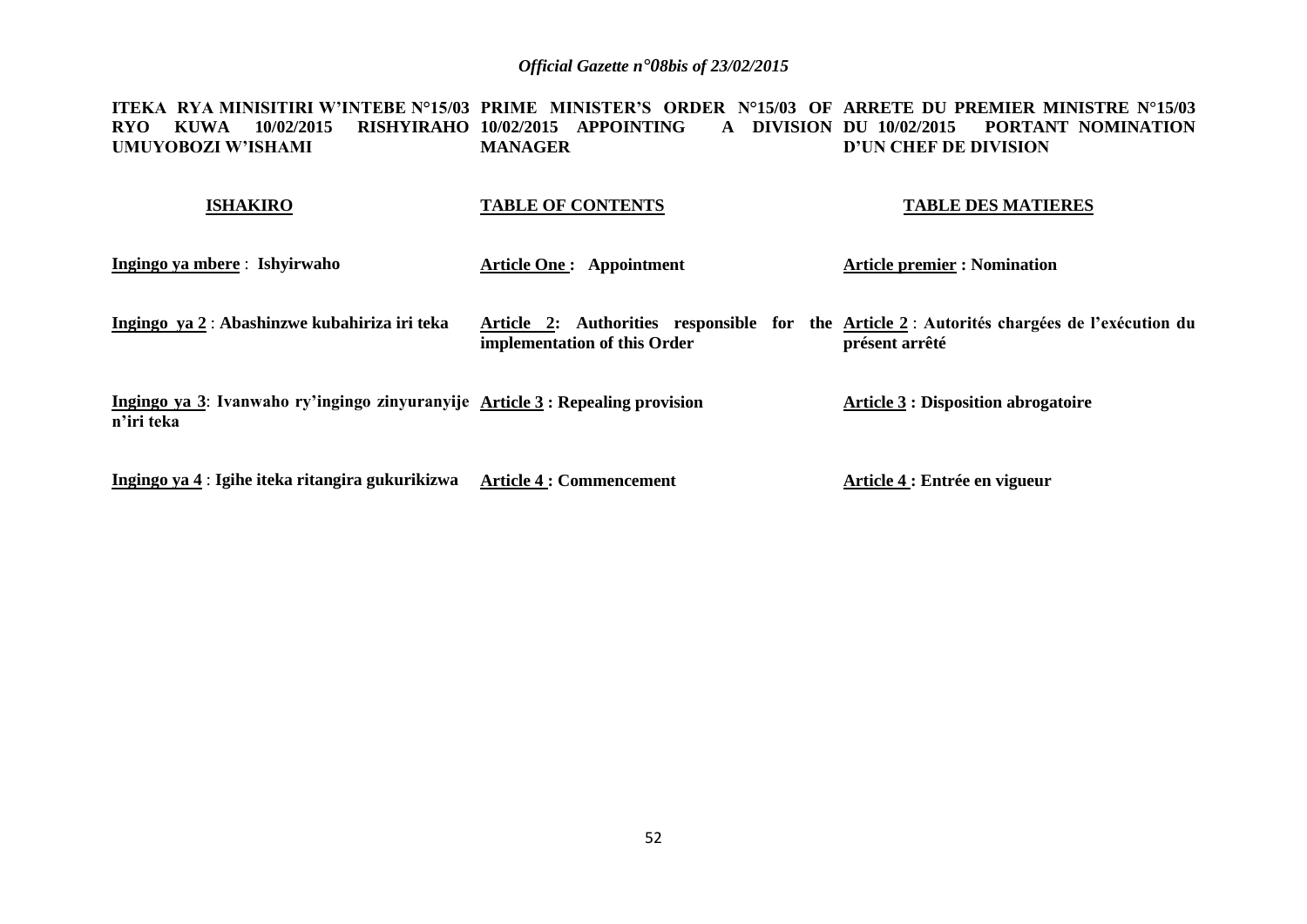**ITEKA RYA MINISITIRI W'INTEBE N°15/03 PRIME MINISTER'S ORDER N°15/03 OF ARRETE DU PREMIER MINISTRE N°15/03 RYO KUWA 10/02/2015 RISHYIRAHO 10/02/2015 APPOINTING A DIVISION DU 10/02/2015 PORTANT NOMINATION UMUYOBOZI W'ISHAMI MANAGER D'UN CHEF DE DIVISION**

| <b>ISHAKIRO</b>                                                                              | <b>TABLE OF CONTENTS</b>        | <b>TABLE DES MATIERES</b>                                                                                    |
|----------------------------------------------------------------------------------------------|---------------------------------|--------------------------------------------------------------------------------------------------------------|
| Ingingo ya mbere : Ishyirwaho                                                                | <b>Article One: Appointment</b> | <b>Article premier : Nomination</b>                                                                          |
| Ingingo ya 2: Abashinzwe kubahiriza iri teka                                                 | implementation of this Order    | Article 2: Authorities responsible for the Article 2: Autorités chargées de l'exécution du<br>présent arrêté |
| Ingingo ya 3: Ivanwaho ry'ingingo zinyuranyije Article 3 : Repealing provision<br>n'iri teka |                                 | <b>Article 3 : Disposition abrogatoire</b>                                                                   |
| Ingingo ya 4 : Igihe iteka ritangira gukurikizwa                                             | <b>Article 4 : Commencement</b> | Article 4 : Entrée en vigueur                                                                                |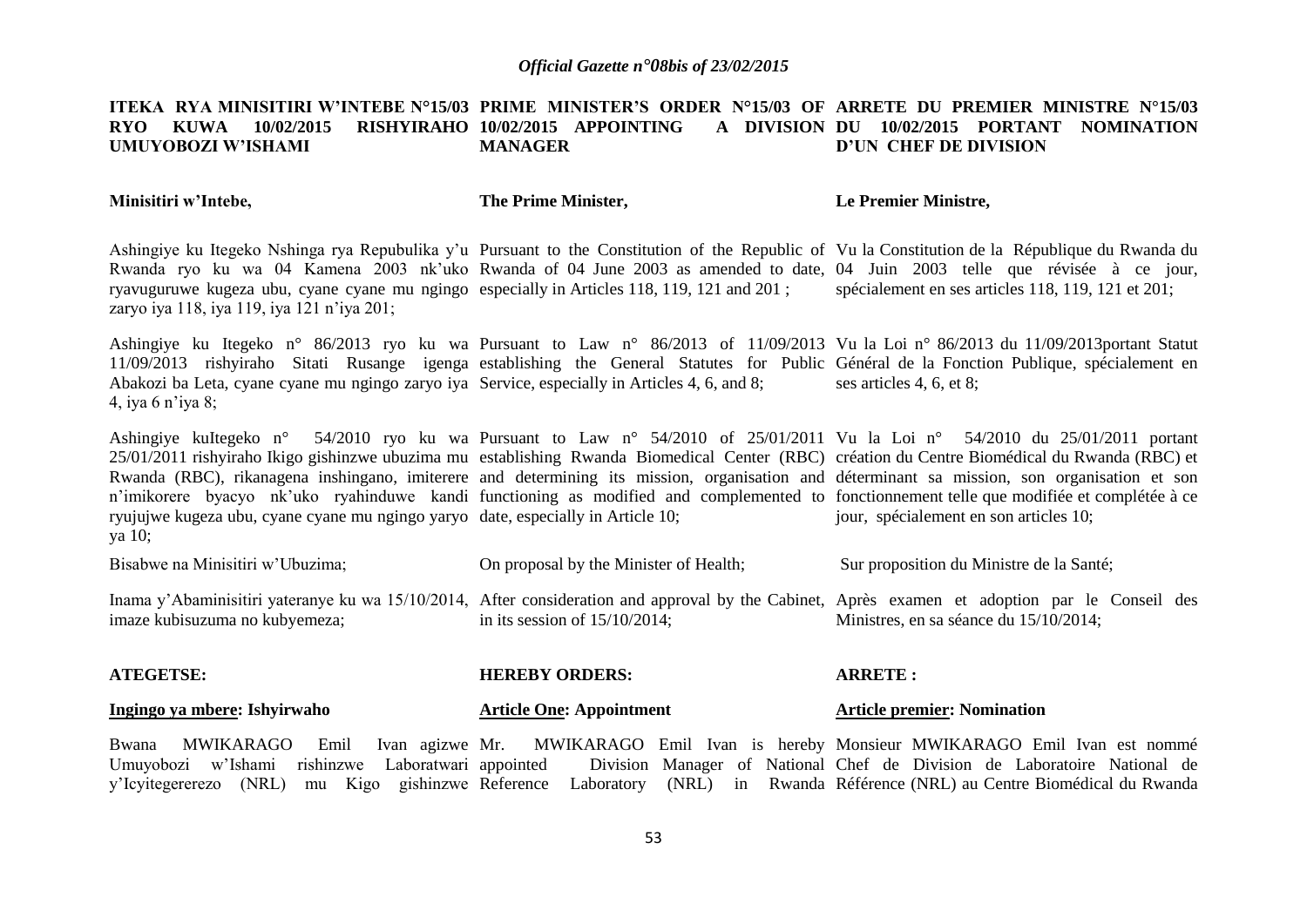#### **ITEKA RYA MINISITIRI W'INTEBE N°15/03 PRIME MINISTER'S ORDER N°15/03 OF ARRETE DU PREMIER MINISTRE N°15/03 RYO KUWA 10/02/2015 UMUYOBOZI W'ISHAMI RISHYIRAHO 10/02/2015 APPOINTING MANAGER DU 10/02/2015 PORTANT NOMINATION D'UN CHEF DE DIVISION**

**Minisitiri w'Intebe,**

**The Prime Minister,**

**Le Premier Ministre,**

Ashingiye ku Itegeko Nshinga rya Repubulika y'u Pursuant to the Constitution of the Republic of Vu la Constitution de la République du Rwanda du Rwanda ryo ku wa 04 Kamena 2003 nk'uko Rwanda of 04 June 2003 as amended to date, 04 Juin 2003 telle que révisée à ce jour, ryavuguruwe kugeza ubu, cyane cyane mu ngingo especially in Articles 118, 119, 121 and 201 ; zaryo iya 118, iya 119, iya 121 n'iya 201; spécialement en ses articles 118, 119, 121 et 201;

Ashingiye ku Itegeko n° 86/2013 ryo ku wa Pursuant to Law n° 86/2013 of 11/09/2013 Vu la Loi n° 86/2013 du 11/09/2013portant Statut 11/09/2013 rishyiraho Sitati Rusange igenga establishing the General Statutes for Public Général de la Fonction Publique, spécialement en Abakozi ba Leta, cyane cyane mu ngingo zaryo iya Service, especially in Articles 4, 6, and 8; 4, iya 6 n'iya 8; ses articles 4, 6, et 8;

Ashingiye kuItegeko n° 25/01/2011 rishyiraho Ikigo gishinzwe ubuzima mu establishing Rwanda Biomedical Center (RBC) création du Centre Biomédical du Rwanda (RBC) et Rwanda (RBC), rikanagena inshingano, imiterere and determining its mission, organisation and déterminant sa mission, son organisation et son n'imikorere byacyo nk'uko ryahinduwe kandi functioning as modified and complemented to fonctionnement telle que modifiée et complétée à ce ryujujwe kugeza ubu, cyane cyane mu ngingo yaryo date, especially in Article 10; ya 10; Pursuant to Law n° 54/2010 of 25/01/2011 Vu la Loi n° 54/2010 du 25/01/2011 portant jour, spécialement en son articles 10;

| Bisabwe na Minisitiri w'Ubuzima; | On proposal by the Minister of Health; | Sur proposition du Ministre de la Santé;                                                                                                                                                 |
|----------------------------------|----------------------------------------|------------------------------------------------------------------------------------------------------------------------------------------------------------------------------------------|
| imaze kubisuzuma no kubyemeza;   | in its session of $15/10/2014$ ;       | Inama y'Abaminisitiri yateranye ku wa 15/10/2014, After consideration and approval by the Cabinet, Après examen et adoption par le Conseil des<br>Ministres, en sa séance du 15/10/2014; |

| <b>ATEGETSE:</b>             | <b>HEREBY ORDERS:</b>           | <b>ARRETE:</b>                     |
|------------------------------|---------------------------------|------------------------------------|
| Ingingo ya mbere: Ishyirwaho | <b>Article One: Appointment</b> | <b>Article premier: Nomination</b> |

Bwana MWIKARAGO Emil Ivan agizwe Umuyobozi w'Ishami rishinzwe Laboratwari y'Icyitegererezo (NRL) mu Kigo gishinzwe Reference Laboratory (NRL) in Rwanda Référence (NRL) au Centre Biomédical du Rwanda Mr. MWIKARAGO Emil Ivan is hereby Monsieur MWIKARAGO Emil Ivan est nommé appointed Division Manager of National Chef de Division de Laboratoire National de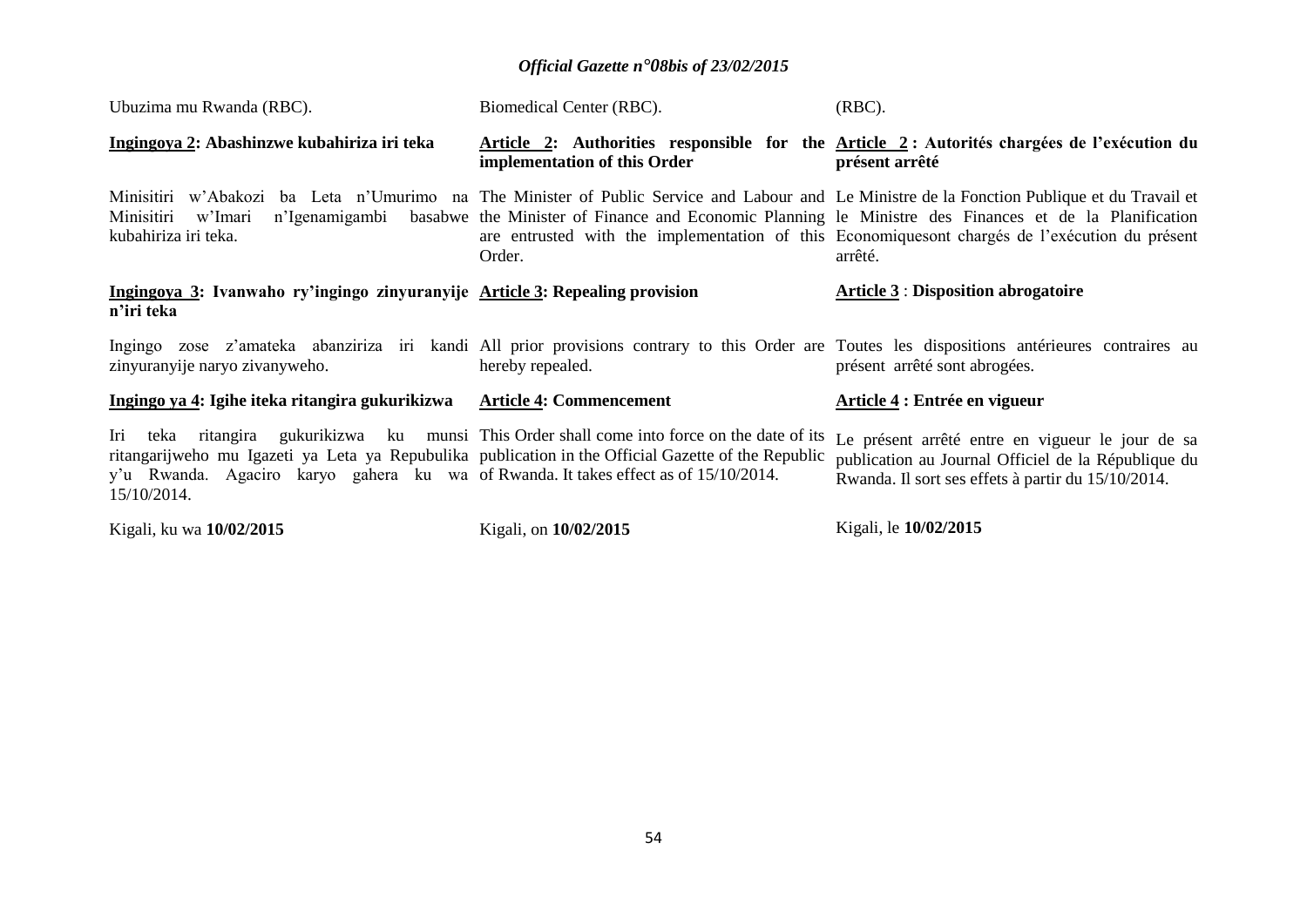| Ubuzima mu Rwanda (RBC).                                                                                                                                                                                         | Biomedical Center (RBC).                                                                | $(RBC)$ .                                                                                                                                                                                                                                                                                                                                                          |  |  |
|------------------------------------------------------------------------------------------------------------------------------------------------------------------------------------------------------------------|-----------------------------------------------------------------------------------------|--------------------------------------------------------------------------------------------------------------------------------------------------------------------------------------------------------------------------------------------------------------------------------------------------------------------------------------------------------------------|--|--|
| Ingingoya 2: Abashinzwe kubahiriza iri teka                                                                                                                                                                      | implementation of this Order                                                            | Article 2: Authorities responsible for the Article 2: Autorités chargées de l'exécution du<br>présent arrêté                                                                                                                                                                                                                                                       |  |  |
| Minisitiri w'Imari<br>n'Igenamigambi<br>kubahiriza iri teka.                                                                                                                                                     | Order.                                                                                  | Minisitiri w'Abakozi ba Leta n'Umurimo na The Minister of Public Service and Labour and Le Ministre de la Fonction Publique et du Travail et<br>basabwe the Minister of Finance and Economic Planning le Ministre des Finances et de la Planification<br>are entrusted with the implementation of this Economiquesont chargés de l'exécution du présent<br>arrêté. |  |  |
| Ingingoya 3: Ivanwaho ry'ingingo zinyuranyije Article 3: Repealing provision<br>n'iri teka                                                                                                                       |                                                                                         | <b>Article 3: Disposition abrogatoire</b>                                                                                                                                                                                                                                                                                                                          |  |  |
| zinyuranyije naryo zivanyweho.                                                                                                                                                                                   | hereby repealed.                                                                        | Ingingo zose z'amateka abanziriza iri kandi All prior provisions contrary to this Order are Toutes les dispositions antérieures contraires au<br>présent arrêté sont abrogées.                                                                                                                                                                                     |  |  |
| Ingingo ya 4: Igihe iteka ritangira gukurikizwa                                                                                                                                                                  | <b>Article 4: Commencement</b>                                                          | Article 4 : Entrée en vigueur                                                                                                                                                                                                                                                                                                                                      |  |  |
| Iri<br>ritangarijweho mu Igazeti ya Leta ya Repubulika publication in the Official Gazette of the Republic<br>y'u Rwanda. Agaciro karyo gahera ku wa of Rwanda. It takes effect as of 15/10/2014.<br>15/10/2014. | teka ritangira gukurikizwa ku munsi This Order shall come into force on the date of its | Le présent arrêté entre en vigueur le jour de sa<br>publication au Journal Officiel de la République du<br>Rwanda. Il sort ses effets à partir du 15/10/2014.                                                                                                                                                                                                      |  |  |
| Kigali, ku wa 10/02/2015                                                                                                                                                                                         | Kigali, on 10/02/2015                                                                   | Kigali, le 10/02/2015                                                                                                                                                                                                                                                                                                                                              |  |  |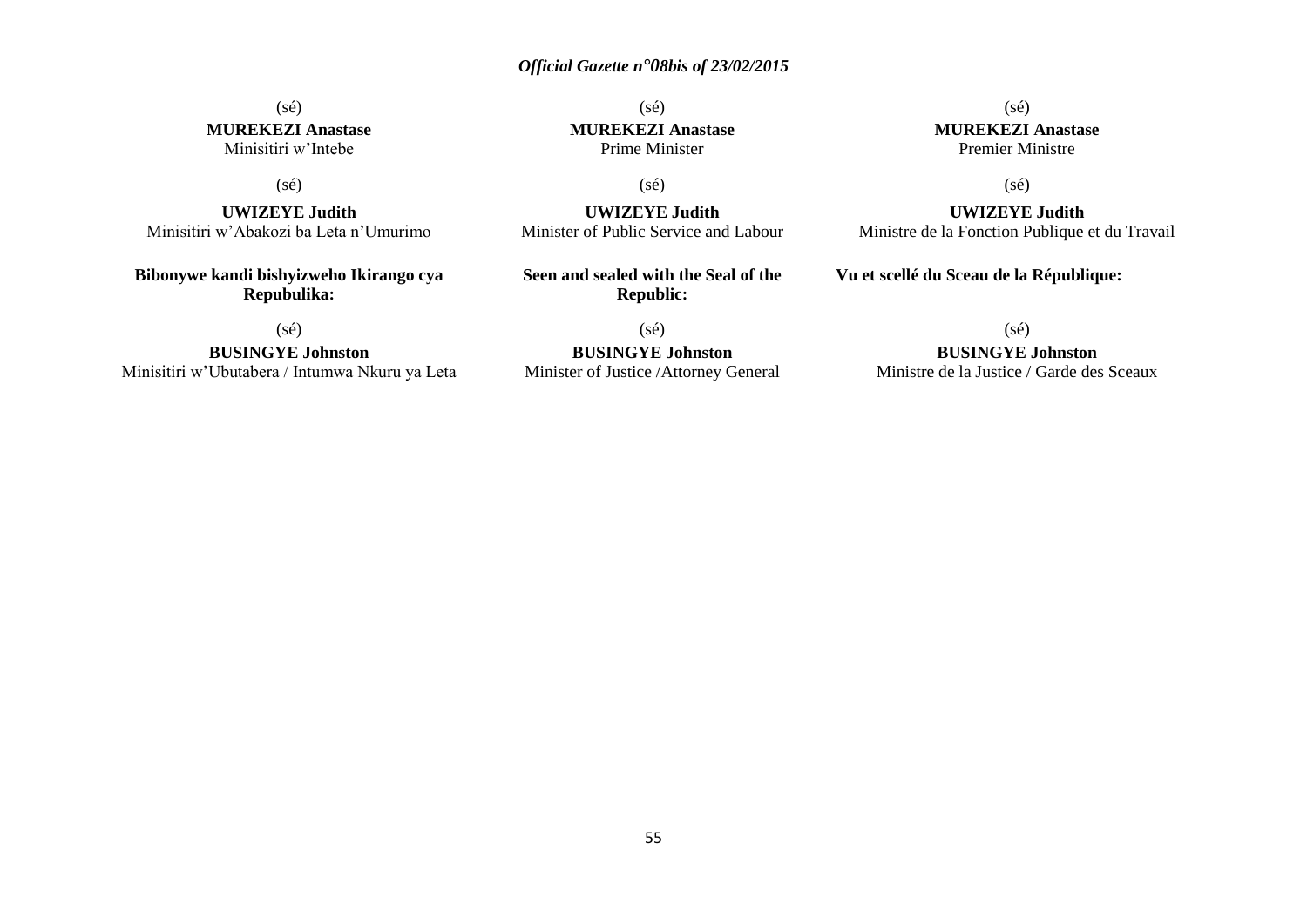#### (sé) **MUREKEZI Anastase** Minisitiri w'Intebe

#### (sé)

**UWIZEYE Judith** Minisitiri w'Abakozi ba Leta n'Umurimo

**Bibonywe kandi bishyizweho Ikirango cya Repubulika:**

(sé)

**BUSINGYE Johnston** Minisitiri w'Ubutabera / Intumwa Nkuru ya Leta

(sé) **MUREKEZI Anastase** Prime Minister

(sé)

**UWIZEYE Judith** Minister of Public Service and Labour

**Seen and sealed with the Seal of the Republic:**

(sé)

**BUSINGYE Johnston** Minister of Justice /Attorney General

(sé) **MUREKEZI Anastase** Premier Ministre

(sé)

**UWIZEYE Judith** Ministre de la Fonction Publique et du Travail

**Vu et scellé du Sceau de la République:**

(sé)

**BUSINGYE Johnston**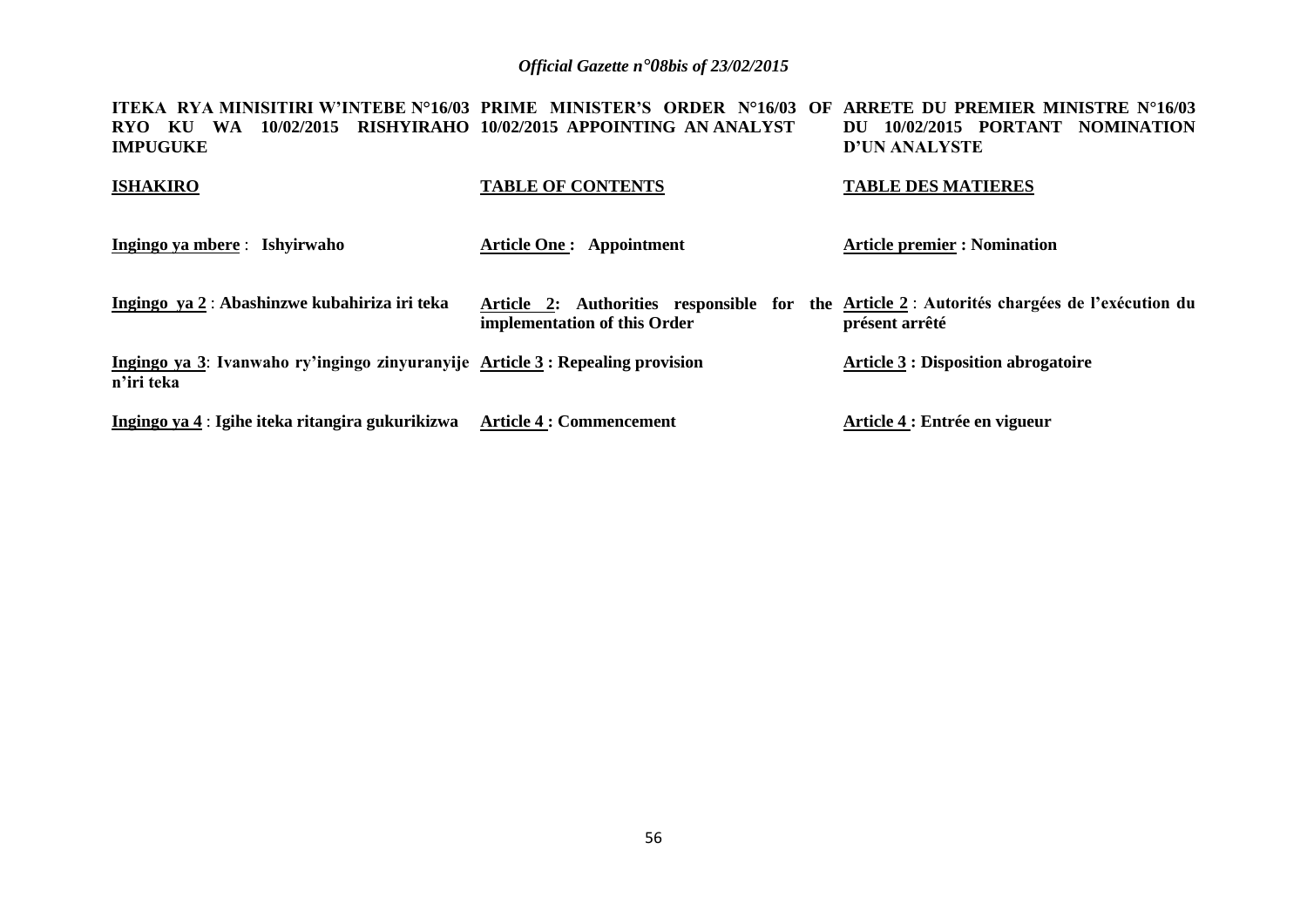**ITEKA RYA MINISITIRI W'INTEBE N°16/03 PRIME MINISTER'S ORDER N°16/03 OF ARRETE DU PREMIER MINISTRE N°16/03 RYO KU WA 10/02/2015 RISHYIRAHO 10/02/2015 APPOINTING AN ANALYST IMPUGUKE DU 10/02/2015 PORTANT NOMINATION D'UN ANALYSTE** 

| <b>ISHAKIRO</b>                                                                             | <b>TABLE OF CONTENTS</b>        | <b>TABLE DES MATIERES</b>                                                                                     |
|---------------------------------------------------------------------------------------------|---------------------------------|---------------------------------------------------------------------------------------------------------------|
| Ingingo ya mbere : Ishyirwaho                                                               | <b>Article One: Appointment</b> | <b>Article premier : Nomination</b>                                                                           |
| Ingingo ya 2 : Abashinzwe kubahiriza iri teka                                               | implementation of this Order    | Article 2: Authorities responsible for the Article 2 : Autorités chargées de l'exécution du<br>présent arrêté |
| Ingingo ya 3: Ivanwaho ry'ingingo zinyuranyije Article 3: Repealing provision<br>n'iri teka |                                 | <b>Article 3 : Disposition abrogatoire</b>                                                                    |
| Ingingo ya 4 : Igihe iteka ritangira gukurikizwa Article 4 : Commencement                   |                                 | Article 4 : Entrée en vigueur                                                                                 |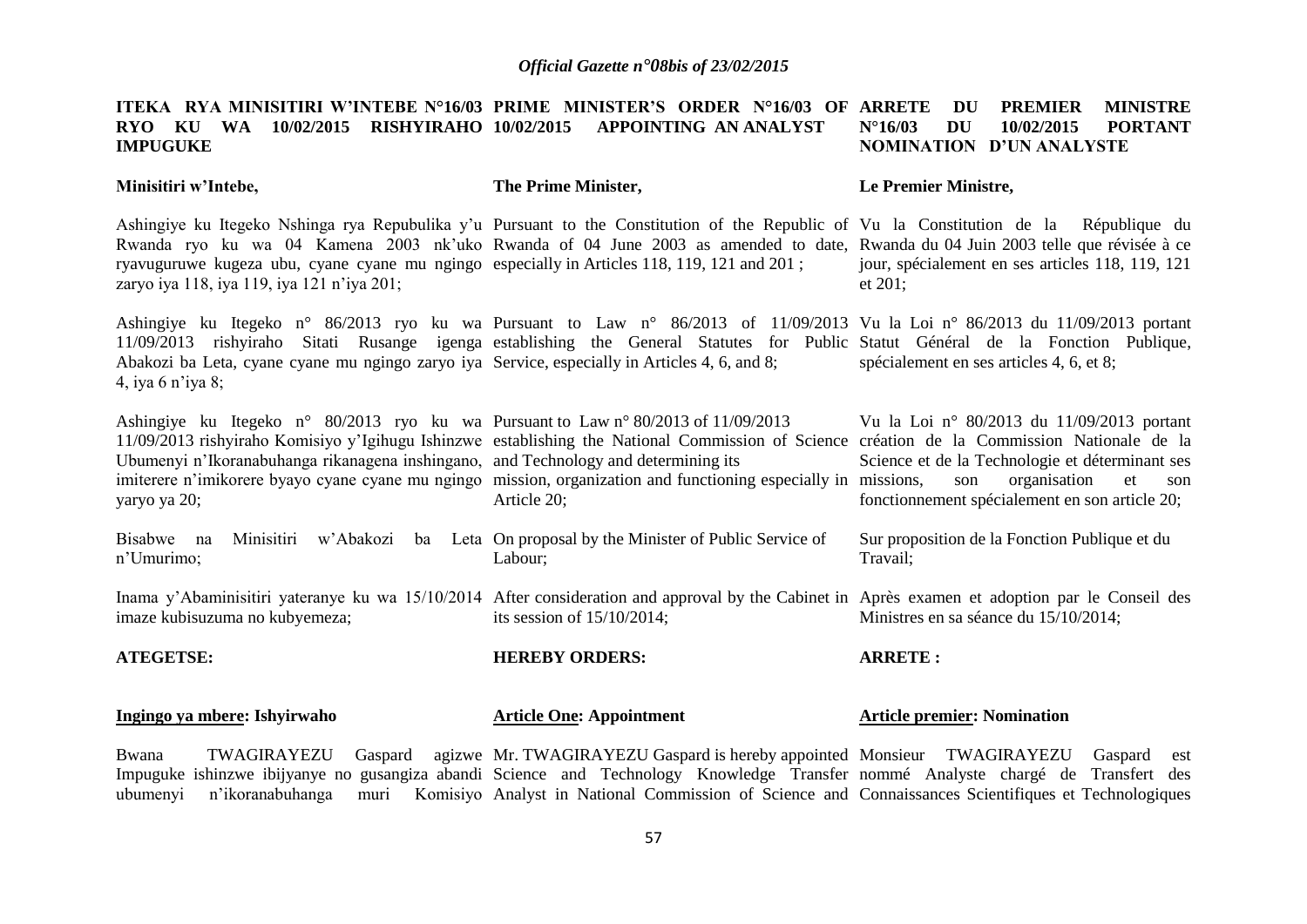#### **ITEKA RYA MINISITIRI W'INTEBE N°16/03 PRIME MINISTER'S ORDER N°16/03 OF ARRETE DU PREMIER MINISTRE RYO KU WA 10/02/2015 RISHYIRAHO 10/02/2015 APPOINTING AN ANALYST IMPUGUKE N°16/03 DU 10/02/2015 PORTANT NOMINATION D'UN ANALYSTE**

#### **Minisitiri w'Intebe,**

**The Prime Minister,**

#### **Le Premier Ministre,**

Ashingiye ku Itegeko Nshinga rya Repubulika y'u Pursuant to the Constitution of the Republic of Vu la Constitution de la République du Rwanda ryo ku wa 04 Kamena 2003 nk'uko Rwanda of 04 June 2003 as amended to date, Rwanda du 04 Juin 2003 telle que révisée à ce ryavuguruwe kugeza ubu, cyane cyane mu ngingo especially in Articles 118, 119, 121 and 201 ; zaryo iya 118, iya 119, iya 121 n'iya 201; jour, spécialement en ses articles 118, 119, 121 et 201;

Ashingiye ku Itegeko n° 86/2013 ryo ku wa Pursuant to Law n° 86/2013 of 11/09/2013 Vu la Loi n° 86/2013 du 11/09/2013 portant 11/09/2013 rishyiraho Sitati Rusange igenga establishing the General Statutes for Public Statut Général de la Fonction Publique, Abakozi ba Leta, cyane cyane mu ngingo zaryo iya Service, especially in Articles 4, 6, and 8; 4, iya 6 n'iya 8; spécialement en ses articles 4, 6, et 8;

Ashingiye ku Itegeko n° 80/2013 ryo ku wa Pursuant to Law n° 80/2013 of 11/09/2013 11/09/2013 rishyiraho Komisiyo y'Igihugu Ishinzwe establishing the National Commission of Science création de la Commission Nationale de la Ubumenyi n'Ikoranabuhanga rikanagena inshingano, and Technology and determining its imiterere n'imikorere byayo cyane cyane mu ngingo mission, organization and functioning especially in yaryo ya 20; Article 20;

Science et de la Technologie et déterminant ses son organisation et son fonctionnement spécialement en son article 20;

Vu la Loi n° 80/2013 du 11/09/2013 portant

Bisabwe na Minisitiri w'Abakozi ba Leta On proposal by the Minister of Public Service of n'Umurimo; Labour; Sur proposition de la Fonction Publique et du Travail;

Inama y'Abaminisitiri yateranye ku wa 15/10/2014 After consideration and approval by the Cabinet in Après examen et adoption par le Conseil des imaze kubisuzuma no kubyemeza; its session of 15/10/2014; Ministres en sa séance du 15/10/2014;

**ATEGETSE: Ingingo ya mbere: Ishyirwaho HEREBY ORDERS: Article One: Appointment ARRETE : Article premier: Nomination** 

Bwana TWAGIRAYEZU Gaspard agizwe Mr. TWAGIRAYEZU Gaspard is hereby appointed Monsieur TWAGIRAYEZU Gaspard est Impuguke ishinzwe ibijyanye no gusangiza abandi Science and Technology Knowledge Transfer nommé Analyste chargé de Transfert des ubumenyi n'ikoranabuhanga muri Komisiyo Analyst in National Commission of Science and Connaissances Scientifiques et Technologiques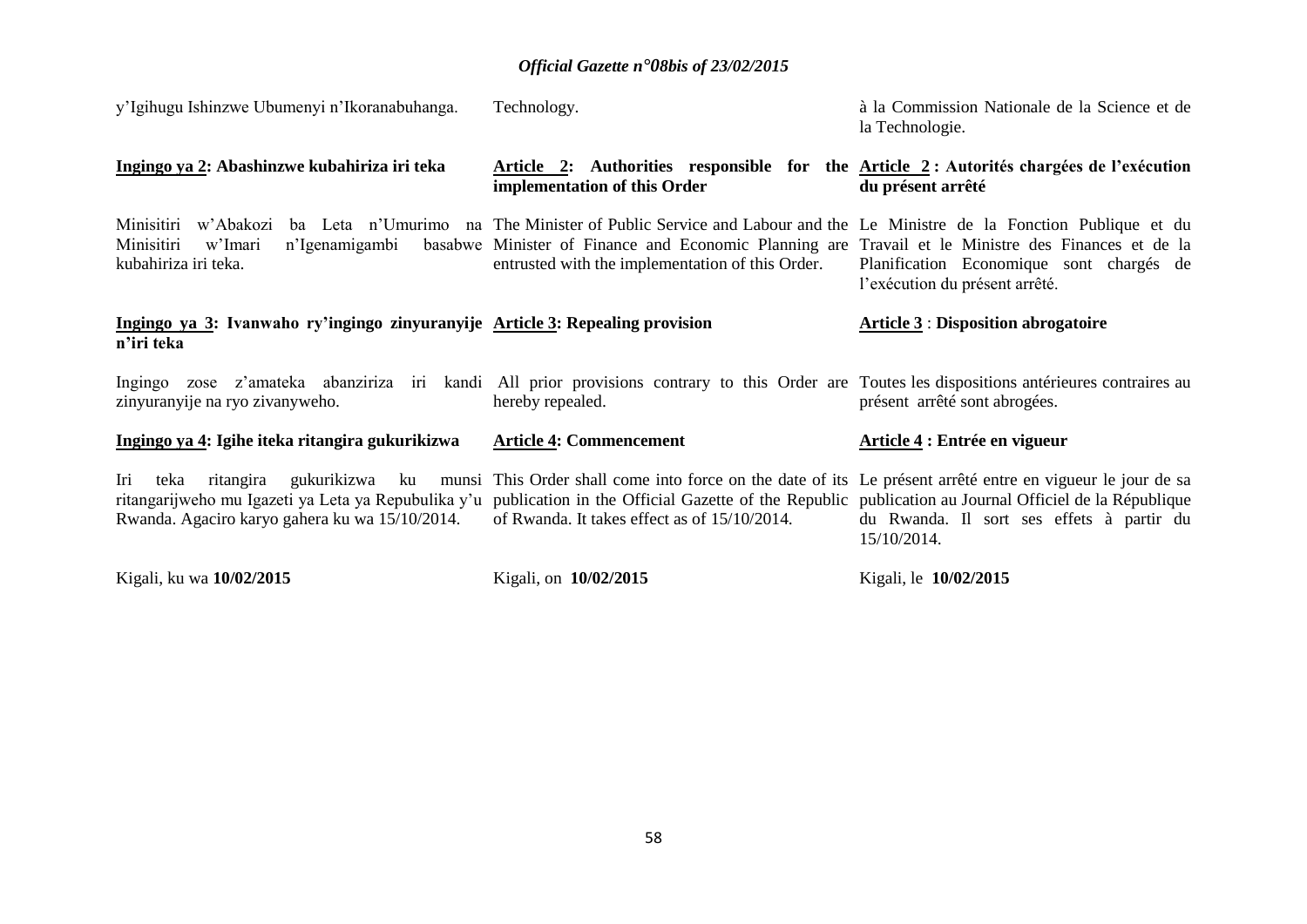| y'Igihugu Ishinzwe Ubumenyi n'Ikoranabuhanga.                                                                                                                                                                                                         | Technology.                                                                                                                                                                                                                                                                | à la Commission Nationale de la Science et de<br>la Technologie.           |
|-------------------------------------------------------------------------------------------------------------------------------------------------------------------------------------------------------------------------------------------------------|----------------------------------------------------------------------------------------------------------------------------------------------------------------------------------------------------------------------------------------------------------------------------|----------------------------------------------------------------------------|
| Ingingo ya 2: Abashinzwe kubahiriza iri teka                                                                                                                                                                                                          | Article 2: Authorities responsible for the Article 2: Autorités chargées de l'exécution<br>implementation of this Order                                                                                                                                                    | du présent arrêté                                                          |
| Minisitiri w'Abakozi<br>Minisitiri<br>n'Igenamigambi<br>w'Imari<br>kubahiriza iri teka.                                                                                                                                                               | ba Leta n'Umurimo na The Minister of Public Service and Labour and the Le Ministre de la Fonction Publique et du<br>basabwe Minister of Finance and Economic Planning are Travail et le Ministre des Finances et de la<br>entrusted with the implementation of this Order. | Planification Economique sont chargés de<br>l'exécution du présent arrêté. |
| Ingingo ya 3: Ivanwaho ry'ingingo zinyuranyije Article 3: Repealing provision<br>n'iri teka                                                                                                                                                           |                                                                                                                                                                                                                                                                            | <b>Article 3: Disposition abrogatoire</b>                                  |
| Ingingo zose z'amateka abanziriza iri kandi All prior provisions contrary to this Order are Toutes les dispositions antérieures contraires au<br>zinyuranyije na ryo zivanyweho.                                                                      | hereby repealed.                                                                                                                                                                                                                                                           | présent arrêté sont abrogées.                                              |
| Ingingo ya 4: Igihe iteka ritangira gukurikizwa                                                                                                                                                                                                       | <b>Article 4: Commencement</b>                                                                                                                                                                                                                                             | Article 4 : Entrée en vigueur                                              |
| Iri<br>ritangira gukurikizwa ku<br>teka<br>ritangarijweho mu Igazeti ya Leta ya Repubulika y'u publication in the Official Gazette of the Republic publication au Journal Officiel de la République<br>Rwanda. Agaciro karyo gahera ku wa 15/10/2014. | munsi This Order shall come into force on the date of its Le présent arrêté entre en vigueur le jour de sa<br>of Rwanda. It takes effect as of 15/10/2014.                                                                                                                 | du Rwanda. Il sort ses effets à partir du<br>15/10/2014.                   |
| Kigali, ku wa 10/02/2015                                                                                                                                                                                                                              | Kigali, on 10/02/2015                                                                                                                                                                                                                                                      | Kigali, le 10/02/2015                                                      |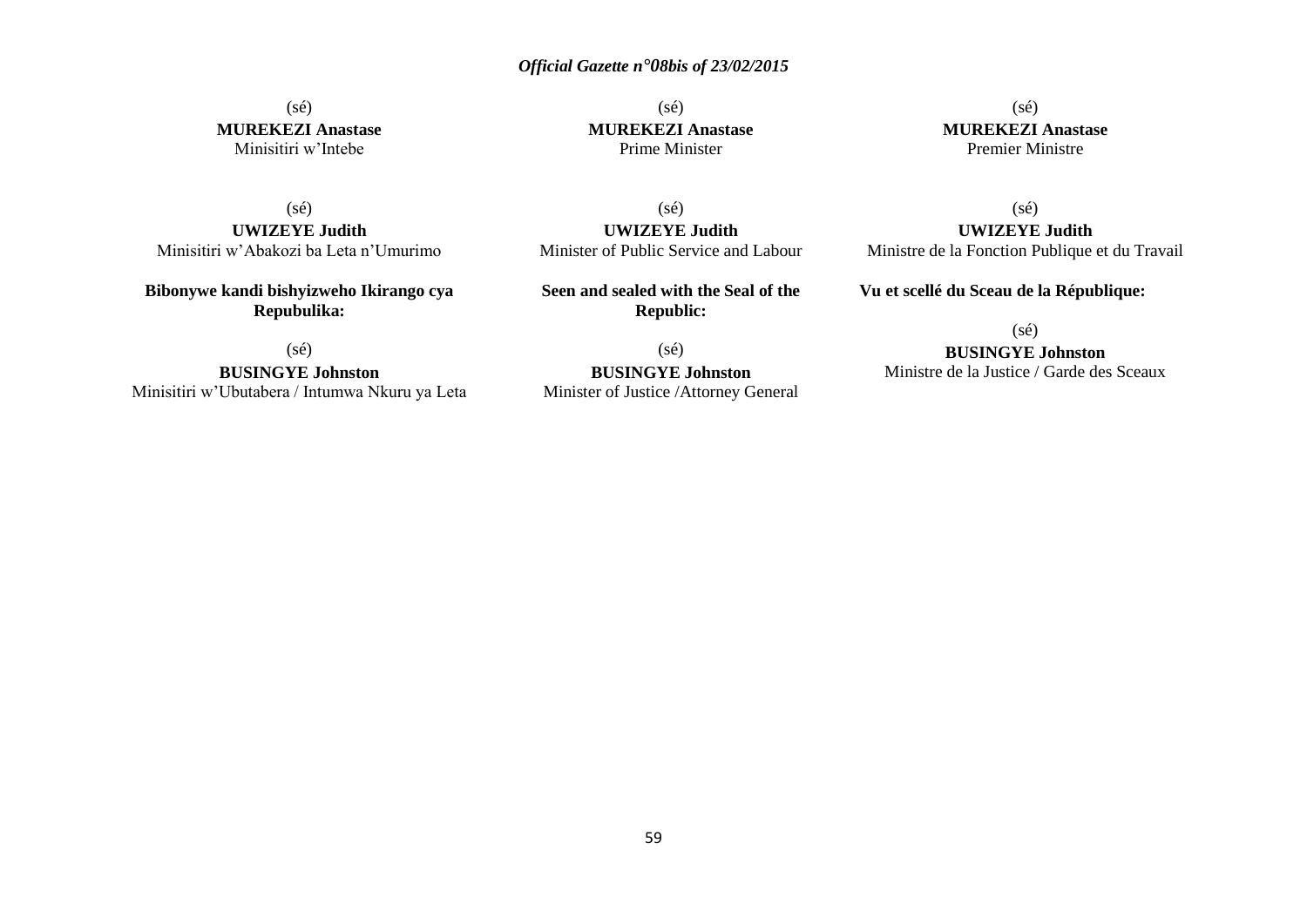(sé) **MUREKEZI Anastase** Minisitiri w'Intebe

(sé) **MUREKEZI Anastase** Prime Minister

(sé) **MUREKEZI Anastase** Premier Ministre

(sé) **UWIZEYE Judith** Minisitiri w'Abakozi ba Leta n'Umurimo

**Bibonywe kandi bishyizweho Ikirango cya Repubulika:**

(sé)

**BUSINGYE Johnston** Minisitiri w'Ubutabera / Intumwa Nkuru ya Leta

(sé) **UWIZEYE Judith** Minister of Public Service and Labour

**Seen and sealed with the Seal of the Republic:**

(sé) **BUSINGYE Johnston** Minister of Justice /Attorney General

(sé) **UWIZEYE Judith** Ministre de la Fonction Publique et du Travail

**Vu et scellé du Sceau de la République:**

 $(s\acute{e})$ 

**BUSINGYE Johnston**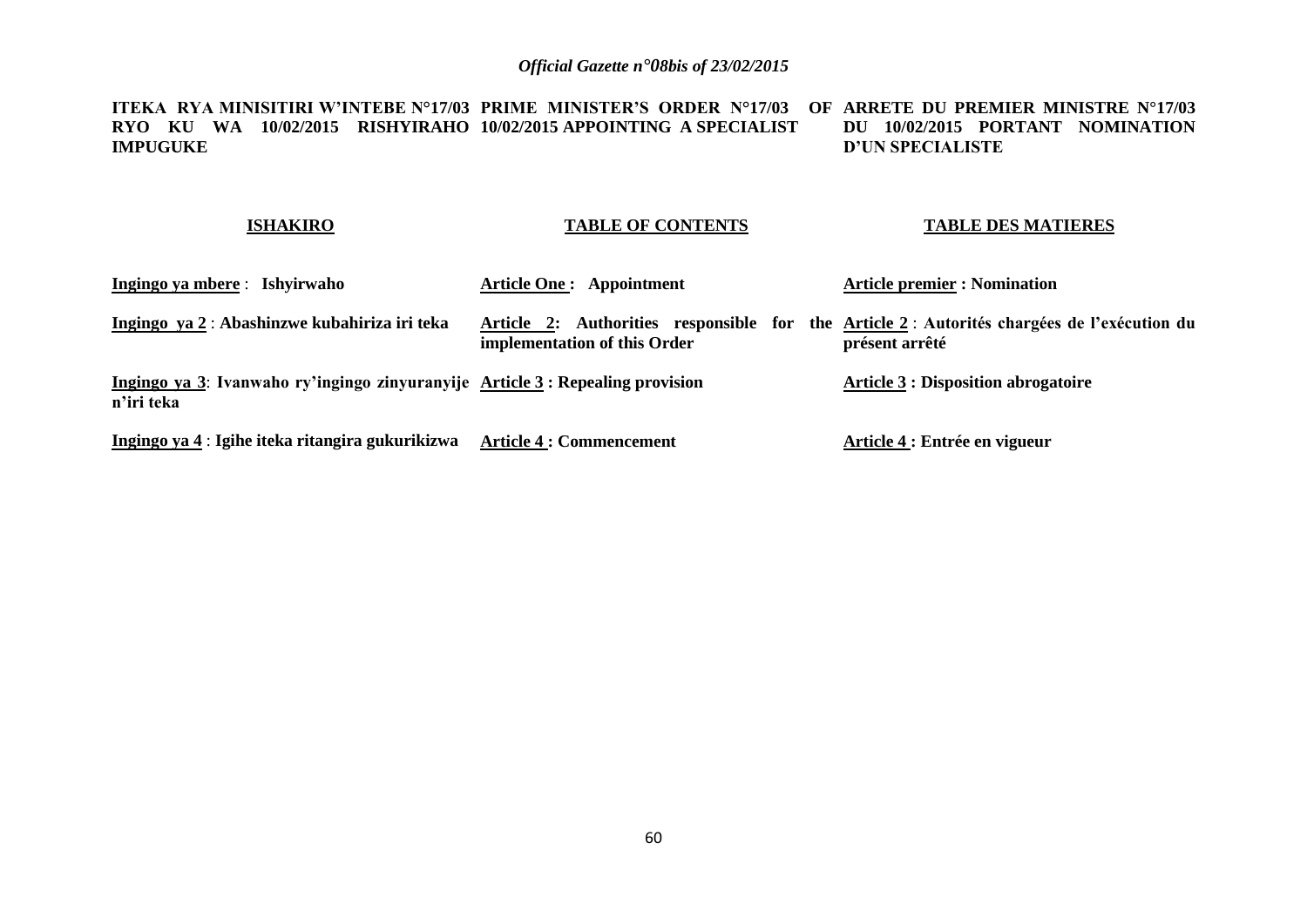**ITEKA RYA MINISITIRI W'INTEBE N°17/03 PRIME MINISTER'S ORDER N°17/03 OF ARRETE DU PREMIER MINISTRE N°17/03 RYO KU WA 10/02/2015 RISHYIRAHO 10/02/2015 APPOINTING A SPECIALIST IMPUGUKE DU 10/02/2015 PORTANT NOMINATION D'UN SPECIALISTE**

### **ISHAKIRO**

#### **TABLE OF CONTENTS**

#### **TABLE DES MATIERES**

| Ingingo ya mbere : Ishyirwaho                                                               | <b>Article One: Appointment</b>                                                                                            | <b>Article premier : Nomination</b>        |
|---------------------------------------------------------------------------------------------|----------------------------------------------------------------------------------------------------------------------------|--------------------------------------------|
| Ingingo ya 2 : Abashinzwe kubahiriza iri teka                                               | Article 2: Authorities responsible for the Article 2: Autorités chargées de l'exécution du<br>implementation of this Order | présent arrêté                             |
| Ingingo ya 3: Ivanwaho ry'ingingo zinyuranyije Article 3: Repealing provision<br>n'iri teka |                                                                                                                            | <b>Article 3 : Disposition abrogatoire</b> |
| Ingingo ya 4 : Igihe iteka ritangira gukurikizwa                                            | <b>Article 4 : Commencement</b>                                                                                            | Article 4 : Entrée en vigueur              |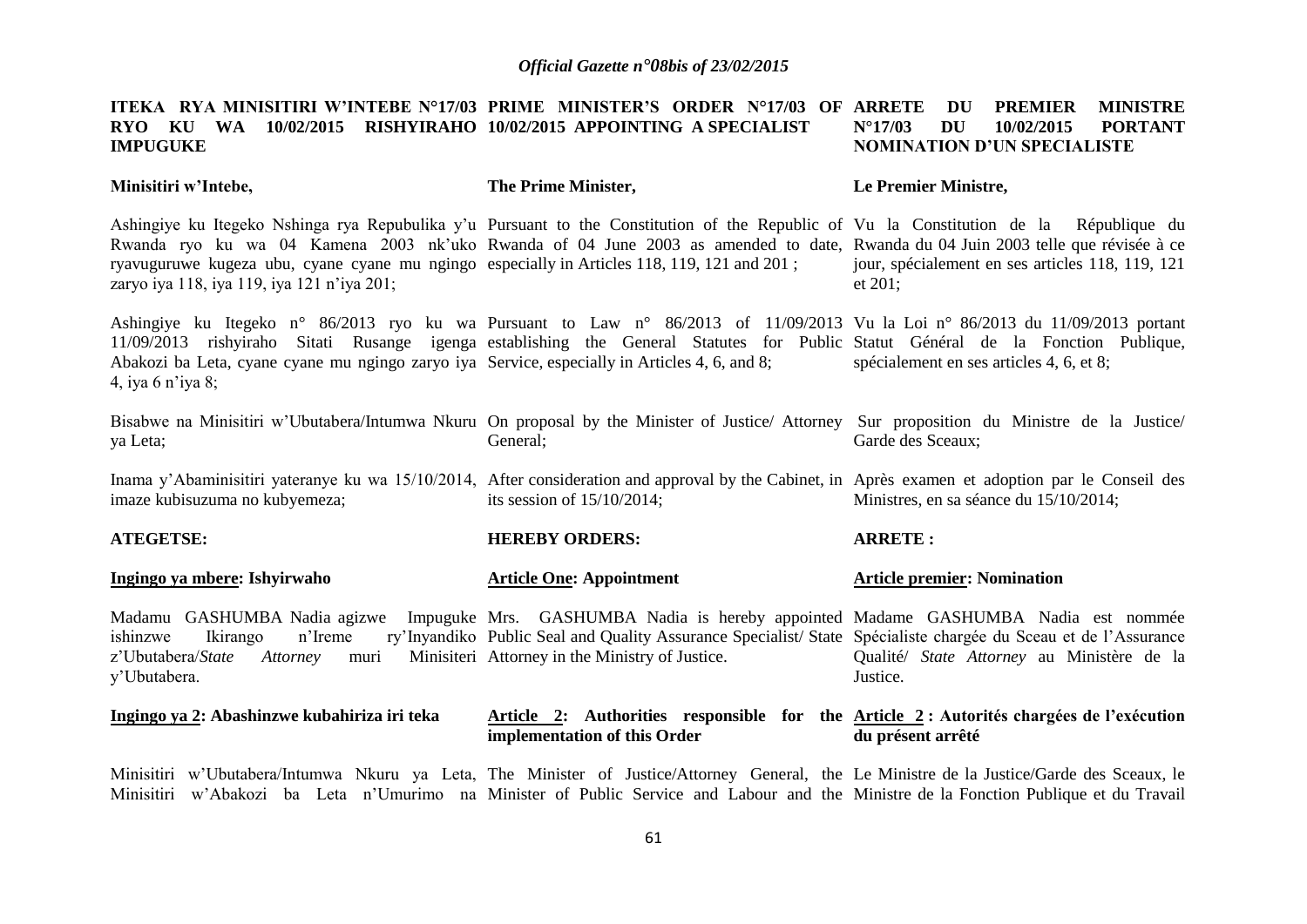|                 |  | ITEKA RYA-MINISITIRI-W'INTEBE-N°17/03 PRIME MINISTER'S ORDER N°17/03 OF ARRETE -DU -PREMIER --MINISTRE |  |  |                     |                             |         |
|-----------------|--|--------------------------------------------------------------------------------------------------------|--|--|---------------------|-----------------------------|---------|
|                 |  | RYO KU WA 10/02/2015 RISHYIRAHO 10/02/2015 APPOINTING A SPECIALIST                                     |  |  | $N^{\circ}17/03$ DU | 10/02/2015                  | PORTANT |
| <b>IMPUGUKE</b> |  |                                                                                                        |  |  |                     | NOMINATION D'UN SPECIALISTE |         |

| Minisitiri w'Intebe,                                                                                                                                                                                                                                                                                                                                                                                                   | The Prime Minister,                                                                                                                                               | Le Premier Ministre,                                        |  |  |  |
|------------------------------------------------------------------------------------------------------------------------------------------------------------------------------------------------------------------------------------------------------------------------------------------------------------------------------------------------------------------------------------------------------------------------|-------------------------------------------------------------------------------------------------------------------------------------------------------------------|-------------------------------------------------------------|--|--|--|
| Ashingiye ku Itegeko Nshinga rya Repubulika y'u Pursuant to the Constitution of the Republic of Vu la Constitution de la République du<br>Rwanda ryo ku wa 04 Kamena 2003 nk'uko Rwanda of 04 June 2003 as amended to date, Rwanda du 04 Juin 2003 telle que révisée à ce<br>ryavuguruwe kugeza ubu, cyane cyane mu ngingo especially in Articles 118, 119, 121 and 201;<br>zaryo iya 118, iya 119, iya 121 n'iya 201; |                                                                                                                                                                   | jour, spécialement en ses articles 118, 119, 121<br>et 201; |  |  |  |
| Ashingiye ku Itegeko n° 86/2013 ryo ku wa Pursuant to Law n° 86/2013 of 11/09/2013 Vu la Loi n° 86/2013 du 11/09/2013 portant<br>11/09/2013 rishyiraho Sitati Rusange igenga establishing the General Statutes for Public Statut Général de la Fonction Publique,<br>Abakozi ba Leta, cyane cyane mu ngingo zaryo iya Service, especially in Articles 4, 6, and 8;<br>4, iya 6 n'iya 8;                                |                                                                                                                                                                   | spécialement en ses articles 4, 6, et 8;                    |  |  |  |
| Bisabwe na Minisitiri w'Ubutabera/Intumwa Nkuru On proposal by the Minister of Justice/Attorney Sur proposition du Ministre de la Justice/<br>ya Leta;                                                                                                                                                                                                                                                                 | General;                                                                                                                                                          | Garde des Sceaux;                                           |  |  |  |
| Inama y'Abaminisitiri yateranye ku wa 15/10/2014, After consideration and approval by the Cabinet, in Après examen et adoption par le Conseil des<br>imaze kubisuzuma no kubyemeza;                                                                                                                                                                                                                                    | its session of $15/10/2014$ ;                                                                                                                                     | Ministres, en sa séance du 15/10/2014;                      |  |  |  |
| <b>ATEGETSE:</b>                                                                                                                                                                                                                                                                                                                                                                                                       | <b>HEREBY ORDERS:</b>                                                                                                                                             | <b>ARRETE:</b>                                              |  |  |  |
| Ingingo ya mbere: Ishyirwaho                                                                                                                                                                                                                                                                                                                                                                                           | <b>Article One: Appointment</b>                                                                                                                                   | <b>Article premier: Nomination</b>                          |  |  |  |
| Madamu GASHUMBA Nadia agizwe Impuguke Mrs. GASHUMBA Nadia is hereby appointed Madame GASHUMBA Nadia est nommée<br>ishinzwe<br>n'Ireme<br>Ikirango<br>z'Ubutabera/State<br>Attorney<br>muri<br>y'Ubutabera.                                                                                                                                                                                                             | ry'Inyandiko Public Seal and Quality Assurance Specialist/State Spécialiste chargée du Sceau et de l'Assurance<br>Minisiteri Attorney in the Ministry of Justice. | Qualité/ State Attorney au Ministère de la<br>Justice.      |  |  |  |
| Ingingo ya 2: Abashinzwe kubahiriza iri teka                                                                                                                                                                                                                                                                                                                                                                           | Article 2: Authorities responsible for the Article 2: Autorités chargées de l'exécution<br>implementation of this Order                                           | du présent arrêté                                           |  |  |  |
|                                                                                                                                                                                                                                                                                                                                                                                                                        | Minisitiri w'Uhutabera/Intumwa Nkuru ya Leta The Minister of Iustice/Attorney General the Le Ministre de la Iustice/Garde des Sceaux le                           |                                                             |  |  |  |

Minisitiri w'Ubutabera/Intumwa Nkuru ya Leta, The Minister of Justice/Attorney General, the Le Ministre de la Justice/Garde des Sceaux, le Minisitiri w'Abakozi ba Leta n'Umurimo na Minister of Public Service and Labour and the Ministre de la Fonction Publique et du Travail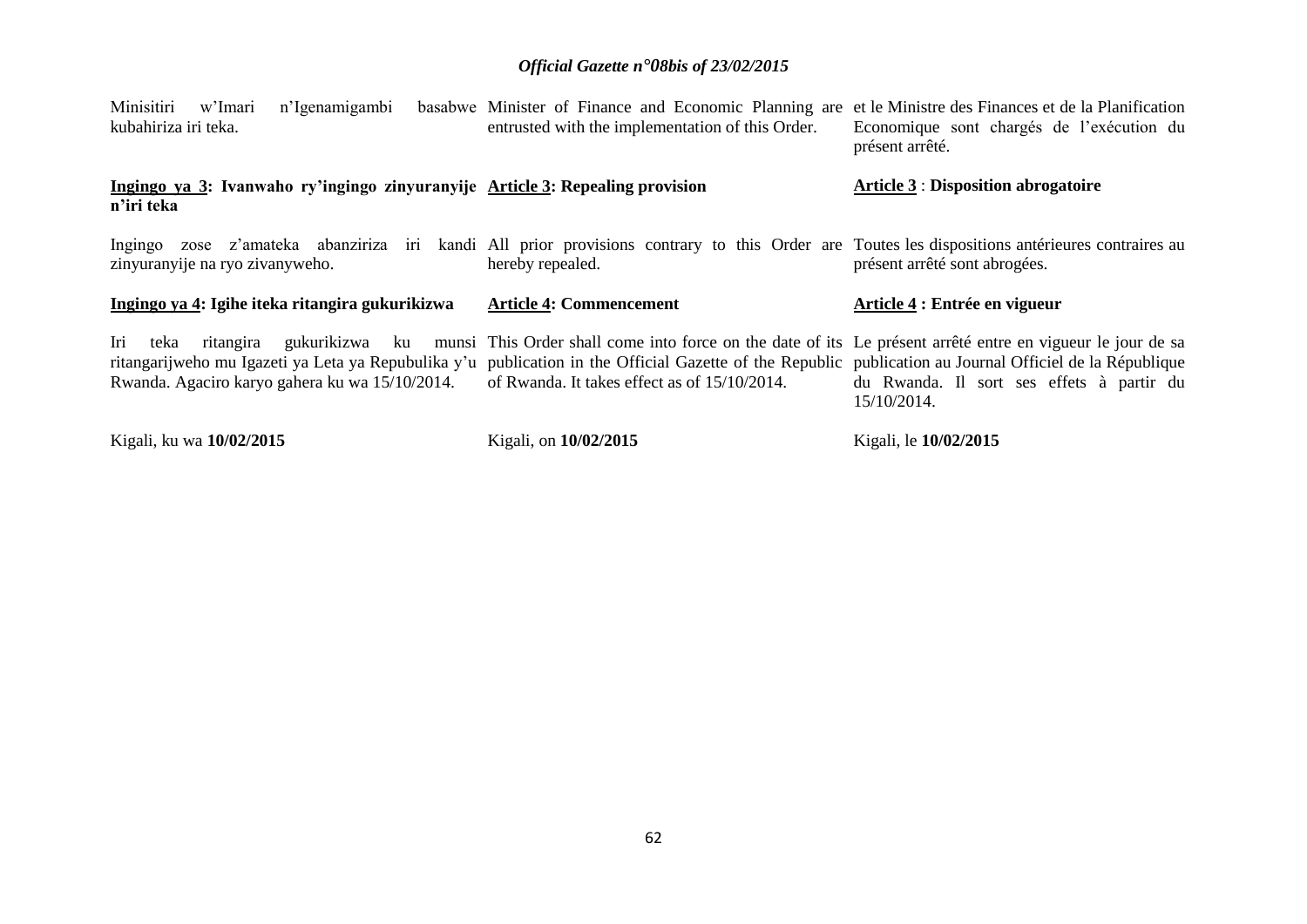| Minisitiri w'Imari<br>n'Igenamigambi<br>kubahiriza iri teka.                                                                                                                                                              | basabwe Minister of Finance and Economic Planning are et le Ministre des Finances et de la Planification<br>entrusted with the implementation of this Order.                        | Economique sont chargés de l'exécution du<br>présent arrêté. |  |
|---------------------------------------------------------------------------------------------------------------------------------------------------------------------------------------------------------------------------|-------------------------------------------------------------------------------------------------------------------------------------------------------------------------------------|--------------------------------------------------------------|--|
| Ingingo ya 3: Ivanwaho ry'ingingo zinyuranyije Article 3: Repealing provision<br>n'iri teka                                                                                                                               |                                                                                                                                                                                     | <b>Article 3: Disposition abrogatoire</b>                    |  |
| Ingingo zose z'amateka abanziriza iri kandi All prior provisions contrary to this Order are Toutes les dispositions antérieures contraires au<br>zinyuranyije na ryo zivanyweho.                                          | hereby repealed.                                                                                                                                                                    | présent arrêté sont abrogées.                                |  |
|                                                                                                                                                                                                                           |                                                                                                                                                                                     |                                                              |  |
| Ingingo ya 4: Igihe iteka ritangira gukurikizwa                                                                                                                                                                           | <b>Article 4: Commencement</b>                                                                                                                                                      | Article 4 : Entrée en vigueur                                |  |
| Iri<br>teka<br>ritangarijweho mu Igazeti ya Leta ya Repubulika y'u publication in the Official Gazette of the Republic publication au Journal Officiel de la République<br>Rwanda. Agaciro karyo gahera ku wa 15/10/2014. | ritangira gukurikizwa ku munsi This Order shall come into force on the date of its Le présent arrêté entre en vigueur le jour de sa<br>of Rwanda. It takes effect as of 15/10/2014. | du Rwanda. Il sort ses effets à partir du<br>15/10/2014.     |  |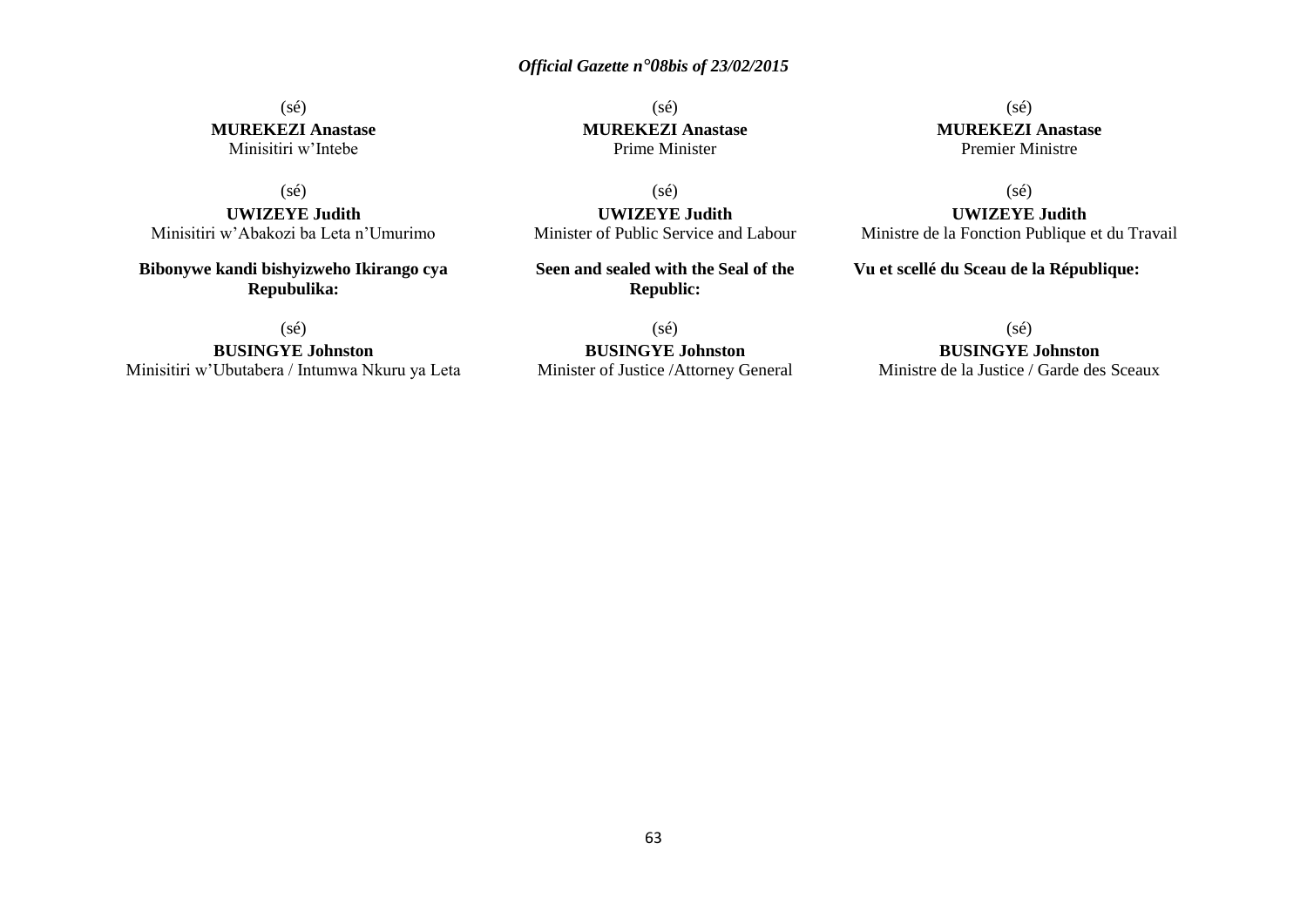#### (sé) **MUREKEZI Anastase** Minisitiri w'Intebe

(sé)

**UWIZEYE Judith** Minisitiri w'Abakozi ba Leta n'Umurimo

**Bibonywe kandi bishyizweho Ikirango cya Repubulika:**

(sé)

**BUSINGYE Johnston** Minisitiri w'Ubutabera / Intumwa Nkuru ya Leta

(sé) **MUREKEZI Anastase** Prime Minister

(sé) **UWIZEYE Judith** Minister of Public Service and Labour

**Seen and sealed with the Seal of the Republic:**

(sé)

**BUSINGYE Johnston** Minister of Justice /Attorney General

(sé) **MUREKEZI Anastase** Premier Ministre

(sé)

**UWIZEYE Judith** Ministre de la Fonction Publique et du Travail

**Vu et scellé du Sceau de la République:**

(sé)

**BUSINGYE Johnston**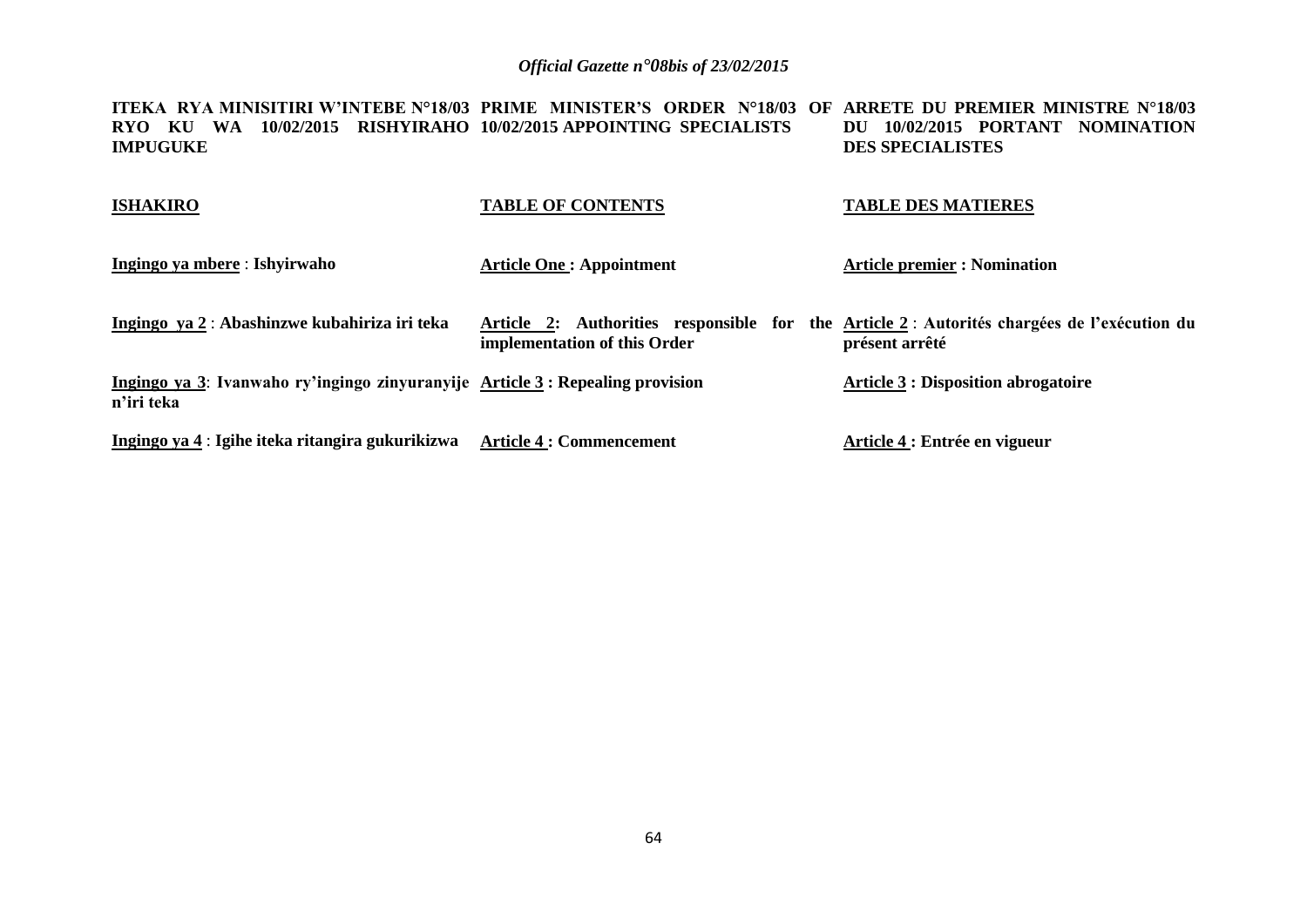**ITEKA RYA MINISITIRI W'INTEBE N°18/03 PRIME MINISTER'S ORDER N°18/03 OF ARRETE DU PREMIER MINISTRE N°18/03 RYO KU WA 10/02/2015 RISHYIRAHO 10/02/2015 APPOINTING SPECIALISTS IMPUGUKE DU 10/02/2015 PORTANT NOMINATION DES SPECIALISTES**

| <b>ISHAKIRO</b>                                                                             | <b>TABLE OF CONTENTS</b>        | <b>TABLE DES MATIERES</b>                                                                                    |
|---------------------------------------------------------------------------------------------|---------------------------------|--------------------------------------------------------------------------------------------------------------|
| Ingingo ya mbere : Ishyirwaho                                                               | <b>Article One: Appointment</b> | <b>Article premier : Nomination</b>                                                                          |
| Ingingo ya 2 : Abashinzwe kubahiriza iri teka                                               | implementation of this Order    | Article 2: Authorities responsible for the Article 2: Autorités chargées de l'exécution du<br>présent arrêté |
| Ingingo ya 3: Ivanwaho ry'ingingo zinyuranyije Article 3: Repealing provision<br>n'iri teka |                                 | <b>Article 3 : Disposition abrogatoire</b>                                                                   |
| Ingingo ya 4 : Igihe iteka ritangira gukurikizwa                                            | <b>Article 4 : Commencement</b> | Article 4 : Entrée en vigueur                                                                                |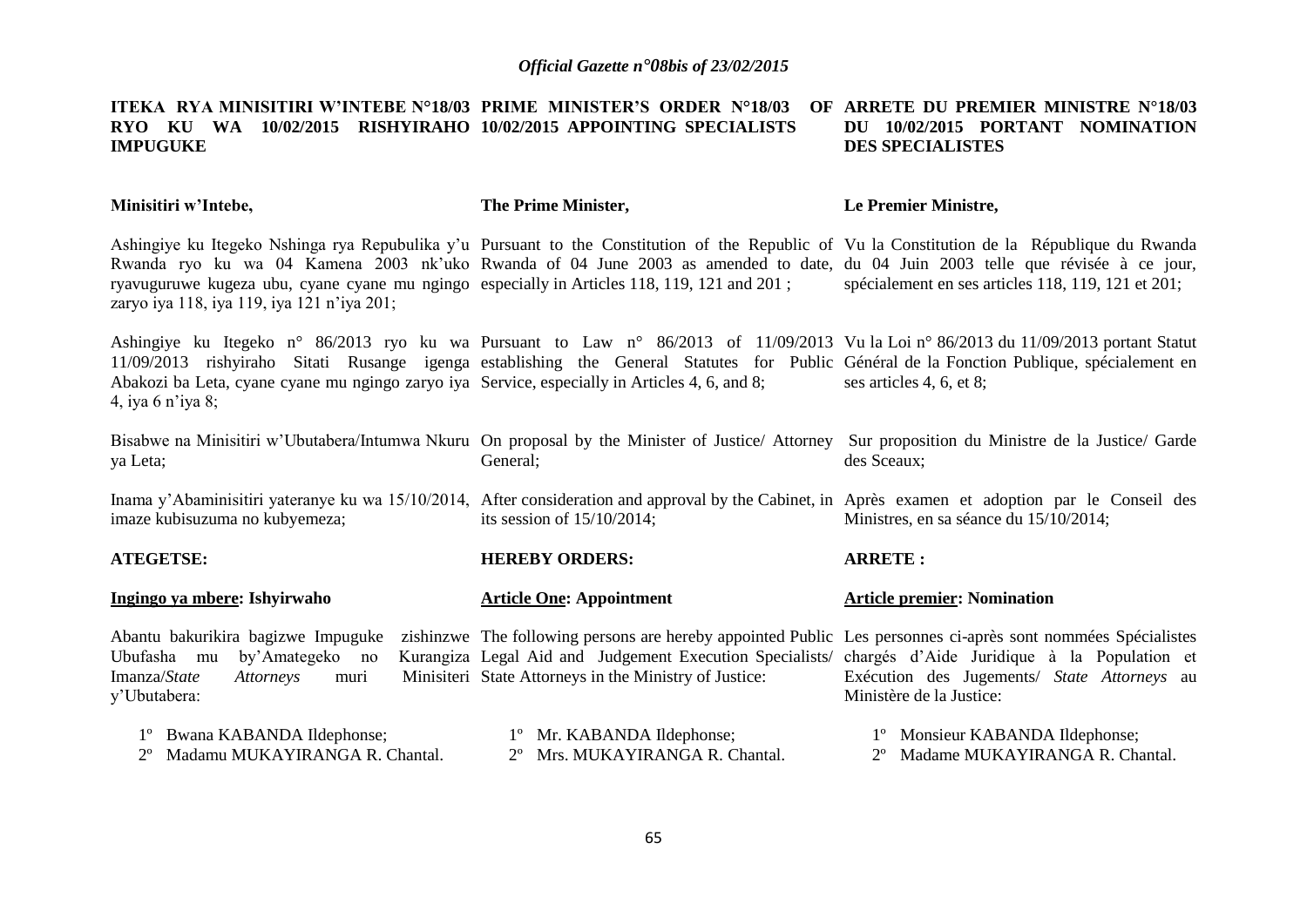#### **ITEKA RYA MINISITIRI W'INTEBE N°18/03 PRIME MINISTER'S ORDER N°18/03 OF RYO KU WA 10/02/2015 RISHYIRAHO 10/02/2015 APPOINTING SPECIALISTS IMPUGUKE ARRETE DU PREMIER MINISTRE N°18/03 DU 10/02/2015 PORTANT NOMINATION DES SPECIALISTES**

**Minisitiri w'Intebe,** Ashingiye ku Itegeko Nshinga rya Repubulika y'u Pursuant to the Constitution of the Republic of Vu la Constitution de la République du Rwanda Rwanda ryo ku wa 04 Kamena 2003 nk'uko Rwanda of 04 June 2003 as amended to date, du 04 Juin 2003 telle que révisée à ce jour, ryavuguruwe kugeza ubu, cyane cyane mu ngingo especially in Articles 118, 119, 121 and 201 ; zaryo iya 118, iya 119, iya 121 n'iya 201; Ashingiye ku Itegeko n° 86/2013 ryo ku wa Pursuant to Law n° 86/2013 of 11/09/2013 Vu la Loi n° 86/2013 du 11/09/2013 portant Statut 11/09/2013 rishyiraho Sitati Rusange igenga establishing the General Statutes for Public Général de la Fonction Publique, spécialement en Abakozi ba Leta, cyane cyane mu ngingo zaryo iya Service, especially in Articles 4, 6, and 8; 4, iya 6 n'iya 8; Bisabwe na Minisitiri w'Ubutabera/Intumwa Nkuru On proposal by the Minister of Justice/ Attorney ya Leta; Inama y'Abaminisitiri yateranye ku wa 15/10/2014, After consideration and approval by the Cabinet, in Après examen et adoption par le Conseil des imaze kubisuzuma no kubyemeza; **ATEGETSE: Ingingo ya mbere: Ishyirwaho** Abantu bakurikira bagizwe Impuguke zishinzwe The following persons are hereby appointed Public Les personnes ci-après sont nommées Spécialistes Ubufasha mu by'Amategeko no Imanza/*State Attorneys* muri y'Ubutabera: 1º Bwana KABANDA Ildephonse; 2º Madamu MUKAYIRANGA R. Chantal. **The Prime Minister,** General; its session of 15/10/2014; **HEREBY ORDERS: Article One: Appointment** Legal Aid and Judgement Execution Specialists/ chargés d'Aide Juridique à la Population et Minisiteri State Attorneys in the Ministry of Justice: 1º Mr. KABANDA Ildephonse; 2º Mrs. MUKAYIRANGA R. Chantal. **Le Premier Ministre,** spécialement en ses articles 118, 119, 121 et 201; ses articles 4, 6, et 8; Sur proposition du Ministre de la Justice/ Garde des Sceaux; Ministres, en sa séance du 15/10/2014; **ARRETE : Article premier: Nomination**  Exécution des Jugements/ *State Attorneys* au Ministère de la Justice: 1º Monsieur KABANDA Ildephonse; 2º Madame MUKAYIRANGA R. Chantal.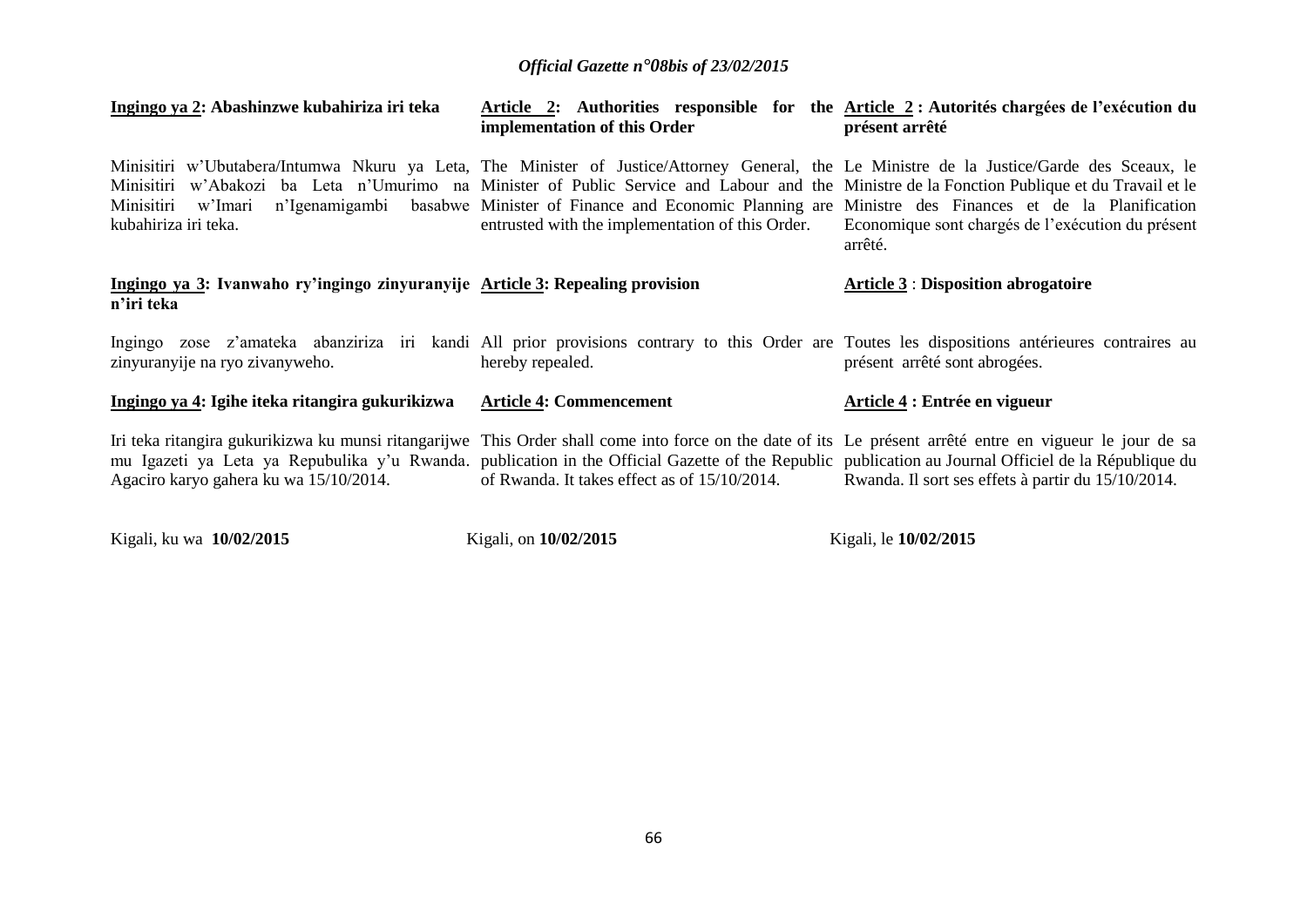| Ingingo ya 2: Abashinzwe kubahiriza iri teka                                                                                                                                                                                                                                                                                                                | implementation of this Order                     | Article 2: Authorities responsible for the Article 2 : Autorités chargées de l'exécution du<br>présent arrêté                                                                                                                                                                                                          |  |  |
|-------------------------------------------------------------------------------------------------------------------------------------------------------------------------------------------------------------------------------------------------------------------------------------------------------------------------------------------------------------|--------------------------------------------------|------------------------------------------------------------------------------------------------------------------------------------------------------------------------------------------------------------------------------------------------------------------------------------------------------------------------|--|--|
| Minisitiri w'Ubutabera/Intumwa Nkuru ya Leta, The Minister of Justice/Attorney General, the Le Ministre de la Justice/Garde des Sceaux, le<br>Minisitiri<br>Minisitiri<br>w'Imari<br>kubahiriza iri teka.                                                                                                                                                   | entrusted with the implementation of this Order. | w'Abakozi ba Leta n'Umurimo na Minister of Public Service and Labour and the Ministre de la Fonction Publique et du Travail et le<br>n'Igenamigambi basabwe Minister of Finance and Economic Planning are Ministre des Finances et de la Planification<br>Economique sont chargés de l'exécution du présent<br>arrêté. |  |  |
| Ingingo ya 3: Ivanwaho ry'ingingo zinyuranyije Article 3: Repealing provision<br>n'iri teka                                                                                                                                                                                                                                                                 |                                                  | <b>Article 3 : Disposition abrogatoire</b>                                                                                                                                                                                                                                                                             |  |  |
| Ingingo zose z'amateka abanziriza iri kandi All prior provisions contrary to this Order are Toutes les dispositions antérieures contraires au<br>zinyuranyije na ryo zivanyweho.                                                                                                                                                                            | hereby repealed.                                 | présent arrêté sont abrogées.                                                                                                                                                                                                                                                                                          |  |  |
| Ingingo ya 4: Igihe iteka ritangira gukurikizwa                                                                                                                                                                                                                                                                                                             | <b>Article 4: Commencement</b>                   | Article 4 : Entrée en vigueur                                                                                                                                                                                                                                                                                          |  |  |
| Iri teka ritangira gukurikizwa ku munsi ritangarijwe This Order shall come into force on the date of its Le présent arrêté entre en vigueur le jour de sa<br>mu Igazeti ya Leta ya Repubulika y'u Rwanda. publication in the Official Gazette of the Republic publication au Journal Officiel de la République du<br>Agaciro karyo gahera ku wa 15/10/2014. | of Rwanda. It takes effect as of 15/10/2014.     | Rwanda. Il sort ses effets à partir du 15/10/2014.                                                                                                                                                                                                                                                                     |  |  |

Kigali, ku wa **10/02/2015** Kigali, on **10/02/2015** Kigali, le **10/02/2015**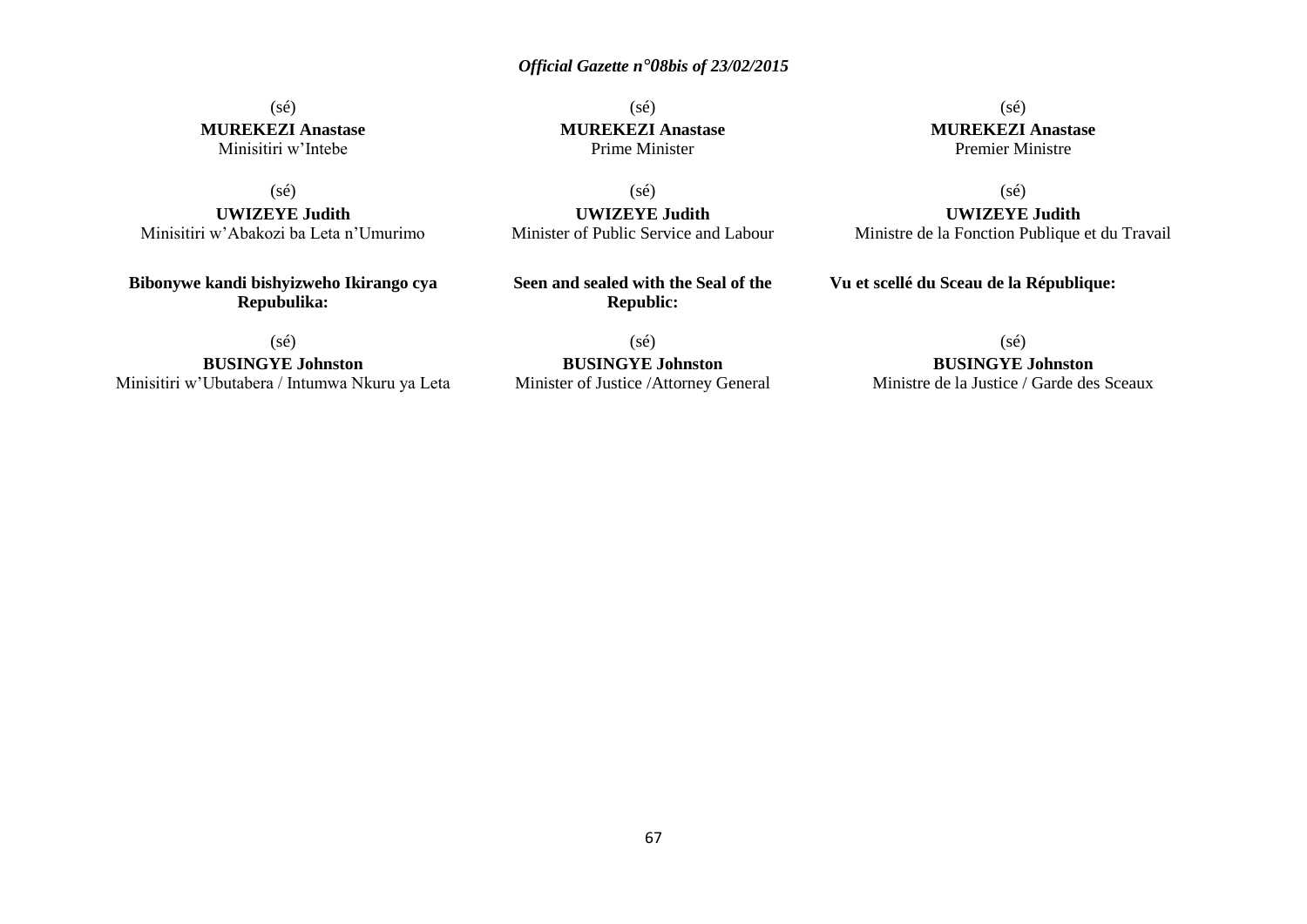(sé) **MUREKEZI Anastase** Minisitiri w'Intebe

(sé)

**UWIZEYE Judith** Minisitiri w'Abakozi ba Leta n'Umurimo

**Bibonywe kandi bishyizweho Ikirango cya Repubulika:**

(sé)

**BUSINGYE Johnston** Minisitiri w'Ubutabera / Intumwa Nkuru ya Leta

(sé) **MUREKEZI Anastase** Prime Minister

(sé) **UWIZEYE Judith** Minister of Public Service and Labour

**Seen and sealed with the Seal of the Republic:**

(sé) **BUSINGYE Johnston** Minister of Justice /Attorney General

(sé) **MUREKEZI Anastase** Premier Ministre

(sé) **UWIZEYE Judith** Ministre de la Fonction Publique et du Travail

**Vu et scellé du Sceau de la République:**

(sé)

**BUSINGYE Johnston** Ministre de la Justice / Garde des Sceaux

67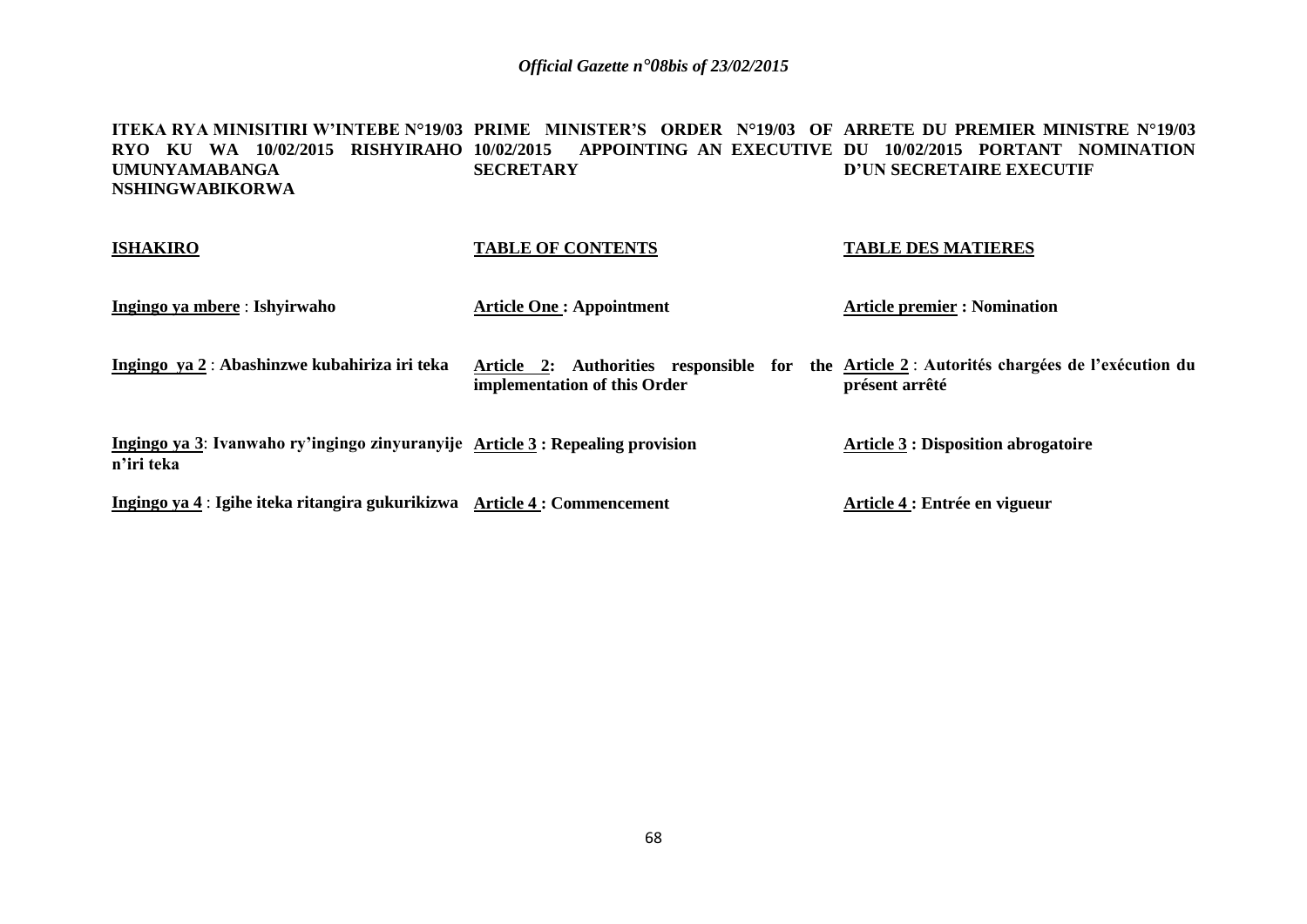#### **ITEKA RYA MINISITIRI W'INTEBE N°19/03 PRIME MINISTER'S ORDER N°19/03 OF ARRETE DU PREMIER MINISTRE N°19/03 RYO KU WA 10/02/2015 RISHYIRAHO 10/02/2015 APPOINTING AN EXECUTIVE DU 10/02/2015 PORTANT NOMINATION UMUNYAMABANGA NSHINGWABIKORWA SECRETARY D'UN SECRETAIRE EXECUTIF**

# **ISHAKIRO**

### **TABLE OF CONTENTS**

#### **TABLE DES MATIERES**

| Ingingo ya mbere : Ishyirwaho                                                                | <b>Article One: Appointment</b>                                        | <b>Article premier : Nomination</b>                                    |
|----------------------------------------------------------------------------------------------|------------------------------------------------------------------------|------------------------------------------------------------------------|
| Ingingo ya 2 : Abashinzwe kubahiriza iri teka                                                | Article 2: Authorities responsible for<br>implementation of this Order | the Article 2 : Autorités chargées de l'exécution du<br>présent arrêté |
| Ingingo ya 3: Ivanwaho ry'ingingo zinyuranyije Article 3 : Repealing provision<br>n'iri teka |                                                                        | <b>Article 3 : Disposition abrogatoire</b>                             |
| Ingingo ya 4 : Igihe iteka ritangira gukurikizwa Article 4 : Commencement                    |                                                                        | Article 4 : Entrée en vigueur                                          |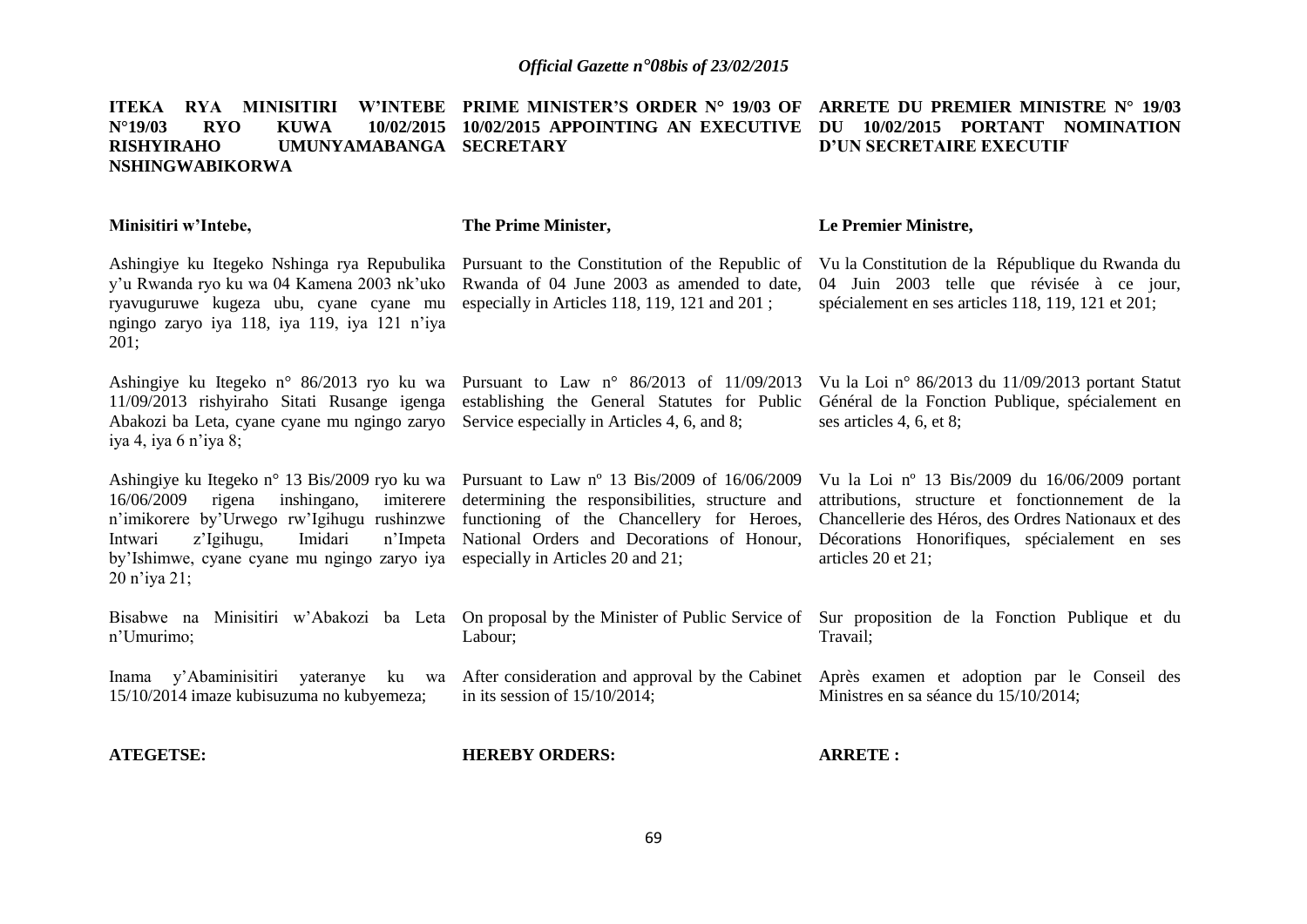|                        |            |      | ITEKA RYA MINISITIRI W'INTEBE PRIME-MINISTER'S ORDER N° 19/03 OF ARRETE DU PREMIER-MINISTRE N° 19/03 |  |                          |  |
|------------------------|------------|------|------------------------------------------------------------------------------------------------------|--|--------------------------|--|
| $N^{\circ}19/03$       | <b>RYO</b> | KUWA | 10/02/2015 10/02/2015 APPOINTING AN EXECUTIVE DU 10/02/2015 PORTANT NOMINATION                       |  |                          |  |
| <b>RISHYIRAHO</b>      |            |      | UMUNYAMABANGA SECRETARY                                                                              |  | D'UN SECRETAIRE EXECUTIF |  |
| <b>NSHINGWABIKORWA</b> |            |      |                                                                                                      |  |                          |  |

| Minisitiri w'Intebe,                                                                                                                                                                                                                                                | The Prime Minister,                                                                                                                                                                                                              | Le Premier Ministre,                                                                                                                                                                                                              |
|---------------------------------------------------------------------------------------------------------------------------------------------------------------------------------------------------------------------------------------------------------------------|----------------------------------------------------------------------------------------------------------------------------------------------------------------------------------------------------------------------------------|-----------------------------------------------------------------------------------------------------------------------------------------------------------------------------------------------------------------------------------|
| Ashingiye ku Itegeko Nshinga rya Repubulika<br>y'u Rwanda ryo ku wa 04 Kamena 2003 nk'uko<br>ryavuguruwe kugeza ubu, cyane cyane mu<br>ngingo zaryo iya 118, iya 119, iya 121 n'iya<br>201;                                                                         | Pursuant to the Constitution of the Republic of<br>Rwanda of 04 June 2003 as amended to date,<br>especially in Articles 118, 119, 121 and 201;                                                                                   | Vu la Constitution de la République du Rwanda du<br>04 Juin 2003 telle que révisée à ce jour,<br>spécialement en ses articles 118, 119, 121 et 201;                                                                               |
| Ashingiye ku Itegeko n° 86/2013 ryo ku wa<br>11/09/2013 rishyiraho Sitati Rusange igenga<br>Abakozi ba Leta, cyane cyane mu ngingo zaryo<br>iya 4, iya 6 n'iya 8;                                                                                                   | Pursuant to Law $n^{\circ}$ 86/2013 of 11/09/2013<br>establishing the General Statutes for Public<br>Service especially in Articles 4, 6, and 8;                                                                                 | Vu la Loi nº 86/2013 du 11/09/2013 portant Statut<br>Général de la Fonction Publique, spécialement en<br>ses articles 4, 6, et 8;                                                                                                 |
| Ashingiye ku Itegeko n° 13 Bis/2009 ryo ku wa<br>16/06/2009<br>inshingano,<br>imiterere<br>rigena<br>n'imikorere by'Urwego rw'Igihugu rushinzwe<br>z'Igihugu,<br>Imidari<br>n'Impeta<br>Intwari<br>by'Ishimwe, cyane cyane mu ngingo zaryo iya<br>$20$ n'iya $21$ ; | Pursuant to Law n° 13 Bis/2009 of 16/06/2009<br>determining the responsibilities, structure and<br>functioning of the Chancellery for Heroes,<br>National Orders and Decorations of Honour,<br>especially in Articles 20 and 21; | Vu la Loi nº 13 Bis/2009 du $16/06/2009$ portant<br>attributions, structure et fonctionnement de la<br>Chancellerie des Héros, des Ordres Nationaux et des<br>Décorations Honorifiques, spécialement en ses<br>articles 20 et 21; |
| Bisabwe na<br>Minisitiri w'Abakozi ba Leta<br>n'Umurimo;                                                                                                                                                                                                            | Labour;                                                                                                                                                                                                                          | On proposal by the Minister of Public Service of Sur proposition de la Fonction Publique et du<br>Travail;                                                                                                                        |
| Inama y'Abaminisitiri yateranye ku wa<br>15/10/2014 imaze kubisuzuma no kubyemeza;                                                                                                                                                                                  | After consideration and approval by the Cabinet<br>in its session of $15/10/2014$ ;                                                                                                                                              | Après examen et adoption par le Conseil des<br>Ministres en sa séance du 15/10/2014;                                                                                                                                              |
| <b>ATEGETSE:</b>                                                                                                                                                                                                                                                    | <b>HEREBY ORDERS:</b>                                                                                                                                                                                                            | <b>ARRETE:</b>                                                                                                                                                                                                                    |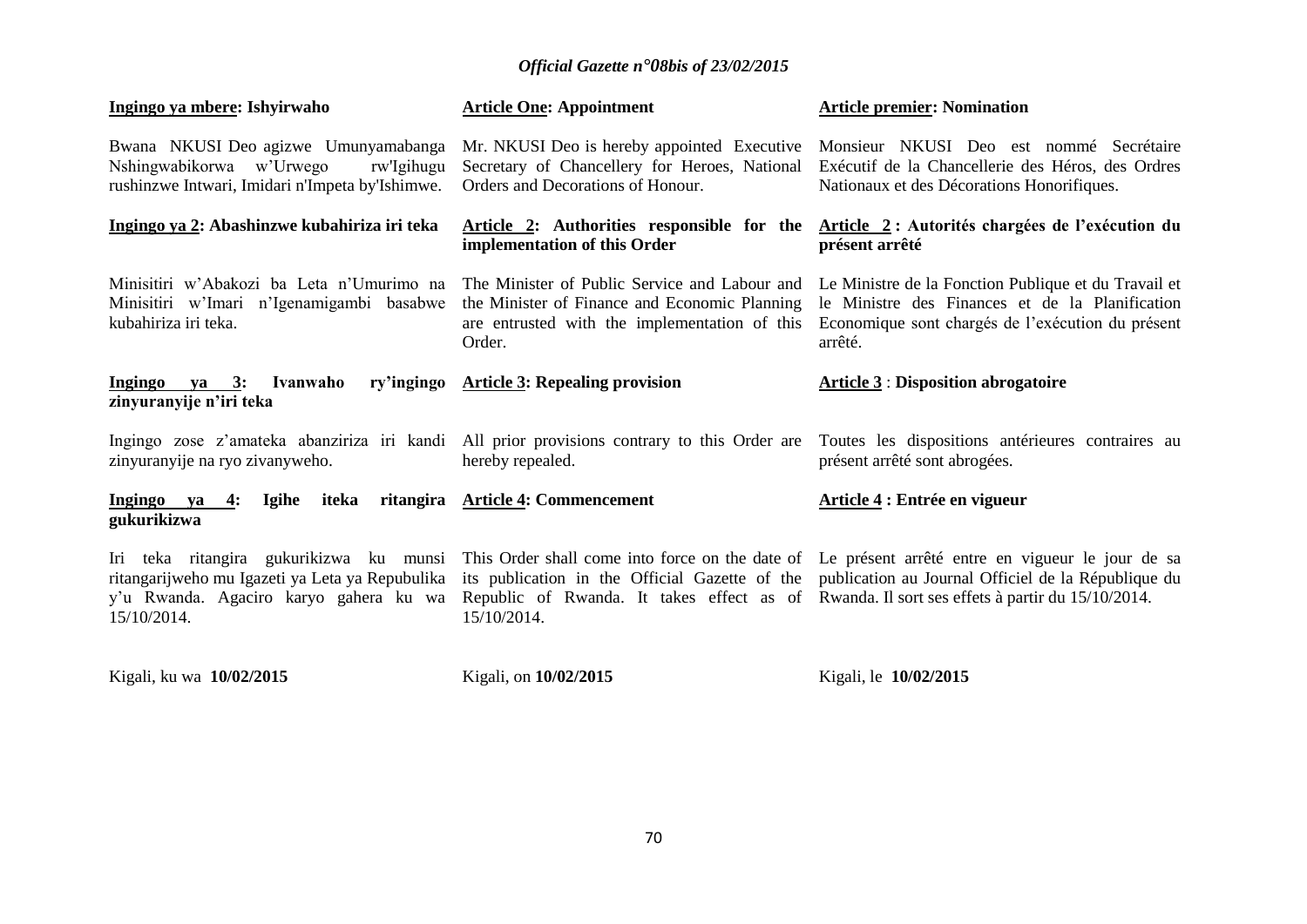| Ingingo ya mbere: Ishyirwaho                                                                                                                        | <b>Article One: Appointment</b>                                                                                                                           | <b>Article premier: Nomination</b>                                                                                                                                                                     |
|-----------------------------------------------------------------------------------------------------------------------------------------------------|-----------------------------------------------------------------------------------------------------------------------------------------------------------|--------------------------------------------------------------------------------------------------------------------------------------------------------------------------------------------------------|
| Bwana NKUSI Deo agizwe Umunyamabanga<br>Nshingwabikorwa w'Urwego<br>rw'Igihugu<br>rushinzwe Intwari, Imidari n'Impeta by'Ishimwe.                   | Mr. NKUSI Deo is hereby appointed Executive<br>Secretary of Chancellery for Heroes, National<br>Orders and Decorations of Honour.                         | Monsieur NKUSI Deo est nommé Secrétaire<br>Exécutif de la Chancellerie des Héros, des Ordres<br>Nationaux et des Décorations Honorifiques.                                                             |
| Ingingo ya 2: Abashinzwe kubahiriza iri teka                                                                                                        | Article 2: Authorities responsible for the<br>implementation of this Order                                                                                | Article 2: Autorités chargées de l'exécution du<br>présent arrêté                                                                                                                                      |
| Minisitiri w'Abakozi ba Leta n'Umurimo na<br>Minisitiri w'Imari n'Igenamigambi basabwe<br>kubahiriza iri teka.                                      | The Minister of Public Service and Labour and<br>the Minister of Finance and Economic Planning<br>are entrusted with the implementation of this<br>Order. | Le Ministre de la Fonction Publique et du Travail et<br>le Ministre des Finances et de la Planification<br>Economique sont chargés de l'exécution du présent<br>arrêté.                                |
| Ivanwaho<br>ry'ingingo<br>Ingingo ya 3:<br>zinyuranyije n'iri teka                                                                                  | <b>Article 3: Repealing provision</b>                                                                                                                     | <b>Article 3: Disposition abrogatoire</b>                                                                                                                                                              |
| zinyuranyije na ryo zivanyweho.                                                                                                                     | hereby repealed.                                                                                                                                          | Ingingo zose z'amateka abanziriza iri kandi All prior provisions contrary to this Order are Toutes les dispositions antérieures contraires au<br>présent arrêté sont abrogées.                         |
| Ingingo ya<br>Igihe<br>iteka<br>4:<br>gukurikizwa                                                                                                   | ritangira Article 4: Commencement                                                                                                                         | Article 4 : Entrée en vigueur                                                                                                                                                                          |
| Iri teka ritangira gukurikizwa ku munsi<br>ritangarijweho mu Igazeti ya Leta ya Repubulika<br>y'u Rwanda. Agaciro karyo gahera ku wa<br>15/10/2014. | Republic of Rwanda. It takes effect as of Rwanda. Il sort ses effets à partir du 15/10/2014.<br>15/10/2014.                                               | This Order shall come into force on the date of Le présent arrêté entre en vigueur le jour de sa<br>its publication in the Official Gazette of the publication au Journal Officiel de la République du |

Kigali, ku wa **10/02/2015** 

Kigali, on **10/02/2015** 

Kigali, le **10/02/2015**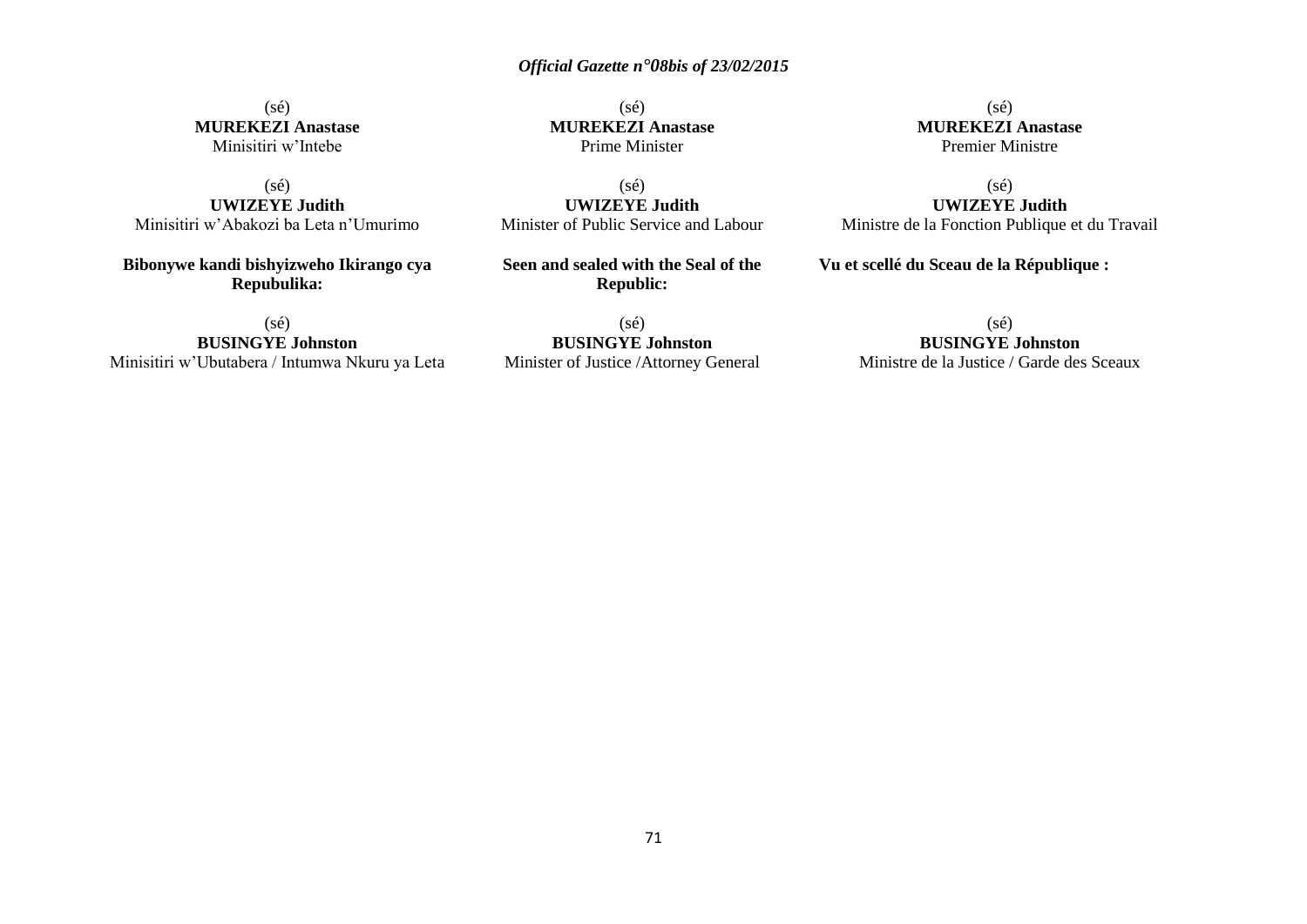(sé) **MUREKEZI Anastase** Minisitiri w'Intebe

 $(s\acute{e})$ **UWIZEYE Judith** Minisitiri w'Abakozi ba Leta n'Umurimo

**Bibonywe kandi bishyizweho Ikirango cya Repubulika:**

(sé) **BUSINGYE Johnston** Minisitiri w'Ubutabera / Intumwa Nkuru ya Leta

(sé) **MUREKEZI Anastase** Prime Minister

(sé) **UWIZEYE Judith** Minister of Public Service and Labour

**Seen and sealed with the Seal of the Republic:**

(sé) **BUSINGYE Johnston** Minister of Justice /Attorney General

(sé) **MUREKEZI Anastase** Premier Ministre

(sé) **UWIZEYE Judith** Ministre de la Fonction Publique et du Travail

**Vu et scellé du Sceau de la République :**

#### (sé) **BUSINGYE Johnston**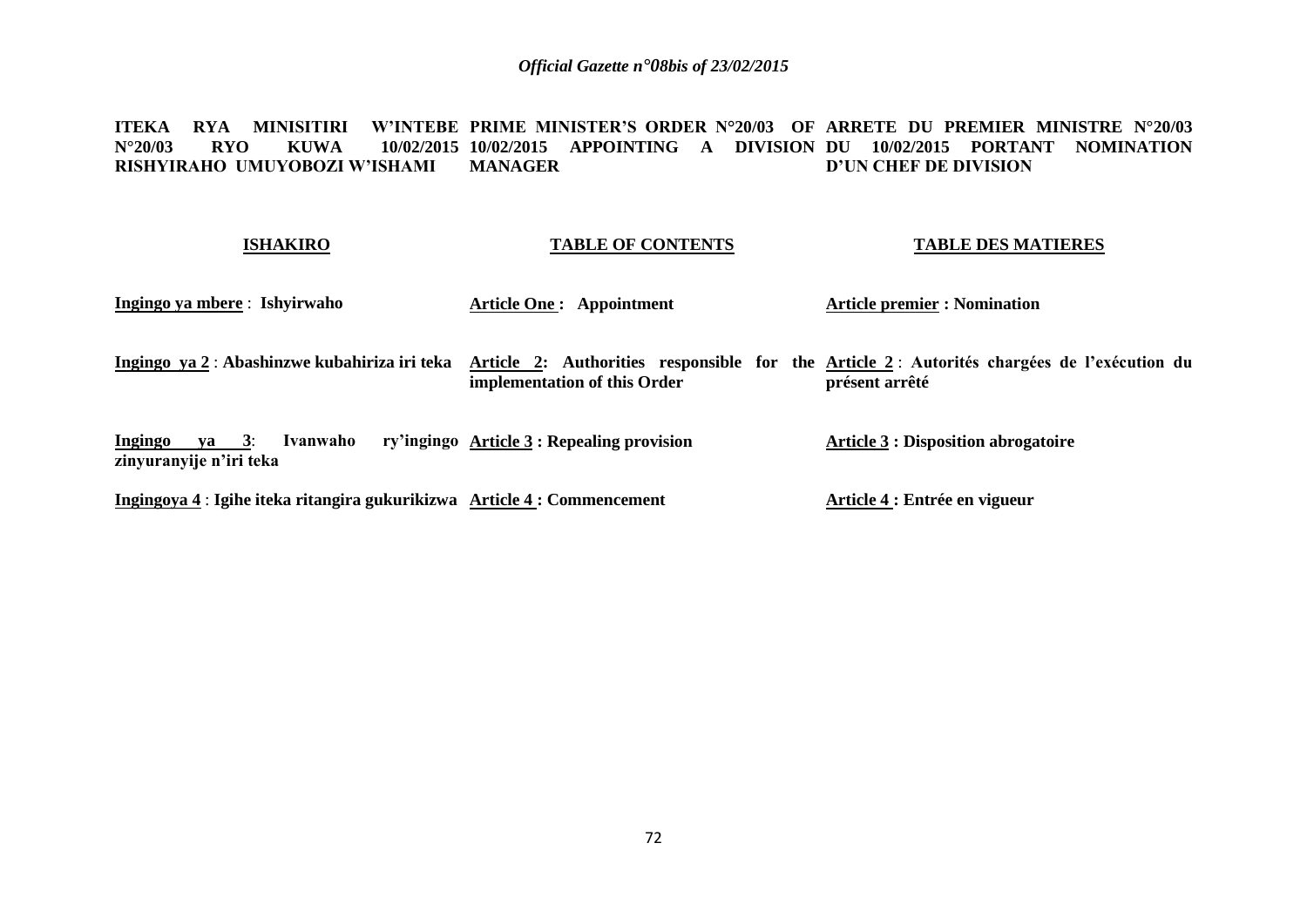**ITEKA RYA MINISITIRI W'INTEBE PRIME MINISTER'S ORDER N°20/03 OF ARRETE DU PREMIER MINISTRE N°20/03 N°20/03 RYO KUWA 10/02/2015 10/02/2015 APPOINTING A DIVISION DU 10/02/2015 PORTANT NOMINATION RISHYIRAHO UMUYOBOZI W'ISHAMI MANAGER D'UN CHEF DE DIVISION**

#### **ISHAKIRO**

## **TABLE OF CONTENTS**

#### **TABLE DES MATIERES**

| Ingingo ya mbere : Ishyirwaho                                            | <b>Article One: Appointment</b>            | <b>Article premier : Nomination</b>                                                                          |
|--------------------------------------------------------------------------|--------------------------------------------|--------------------------------------------------------------------------------------------------------------|
| Ingingo ya 2 : Abashinzwe kubahiriza iri teka                            | implementation of this Order               | Article 2: Authorities responsible for the Article 2: Autorités chargées de l'exécution du<br>présent arrêté |
| $ya = 3$ :<br>Ivanwaho<br>Ingingo<br>zinyuranyije n'iri teka             | ry'ingingo Article 3 : Repealing provision | <b>Article 3 : Disposition abrogatoire</b>                                                                   |
| Ingingoya 4 : Igihe iteka ritangira gukurikizwa Article 4 : Commencement |                                            | Article 4 : Entrée en vigueur                                                                                |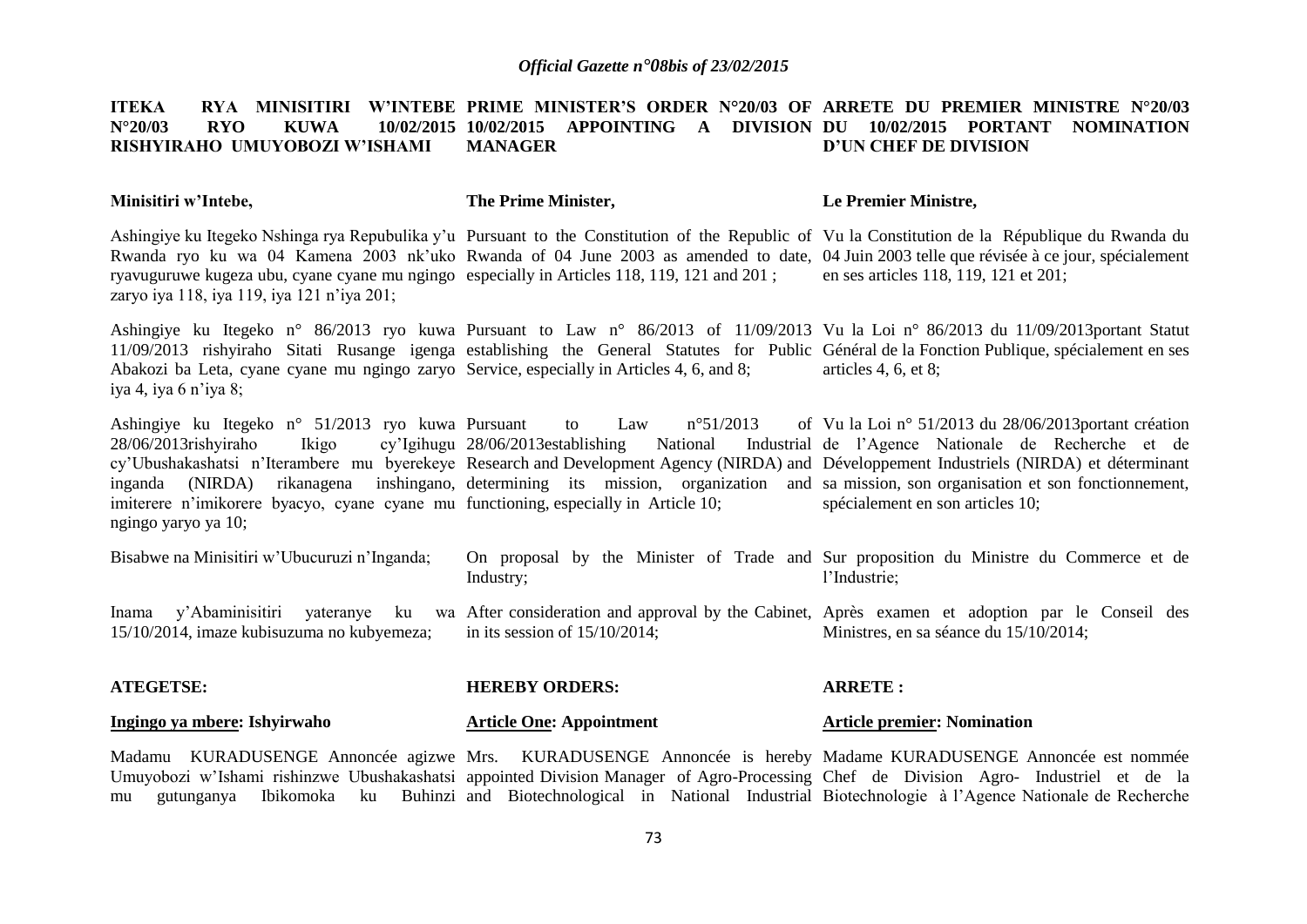#### **ITEKA RYA MINISITIRI W'INTEBE PRIME MINISTER'S ORDER N°20/03 OF ARRETE DU PREMIER MINISTRE N°20/03 N°20/03 RYO KUWA 10/02/2015 10/02/2015 APPOINTING A DIVISION DU 10/02/2015 PORTANT NOMINATION RISHYIRAHO UMUYOBOZI W'ISHAMI MANAGER D'UN CHEF DE DIVISION**

#### **Minisitiri w'Intebe, The Prime Minister, Le Premier Ministre,**

Ashingiye ku Itegeko Nshinga rya Repubulika y'u Pursuant to the Constitution of the Republic of Vu la Constitution de la République du Rwanda du Rwanda ryo ku wa 04 Kamena 2003 nk'uko Rwanda of 04 June 2003 as amended to date, 04 Juin 2003 telle que révisée à ce jour, spécialement ryavuguruwe kugeza ubu, cyane cyane mu ngingo especially in Articles 118, 119, 121 and 201 ; zaryo iya 118, iya 119, iya 121 n'iya 201; en ses articles 118, 119, 121 et 201;

Ashingiye ku Itegeko n° 86/2013 ryo kuwa Pursuant to Law n° 86/2013 of 11/09/2013 Vu la Loi n° 86/2013 du 11/09/2013portant Statut 11/09/2013 rishyiraho Sitati Rusange igenga establishing the General Statutes for Public Général de la Fonction Publique, spécialement en ses Abakozi ba Leta, cyane cyane mu ngingo zaryo Service, especially in Articles 4, 6, and 8; iya 4, iya 6 n'iya 8; articles 4, 6, et 8;

Ashingiye ku Itegeko n° 51/2013 ryo kuwa Pursuant to Law n°51/2013 of 28/06/2013rishyiraho Ikigo cy'Ubushakashatsi n'Iterambere mu byerekeye Research and Development Agency (NIRDA) and Développement Industriels (NIRDA) et déterminant inganda (NIRDA) rikanagena inshingano, determining its mission, organization and sa mission, son organisation et son fonctionnement, imiterere n'imikorere byacyo, cyane cyane mu functioning, especially in Article 10; ngingo yaryo ya 10;  $cv'$ Igihugu 28/06/2013establishing National Vu la Loi n° 51/2013 du 28/06/2013portant création Industrial de l'Agence Nationale de Recherche et de spécialement en son articles 10;

| Bisabwe na Minisitiri w'Ubucuruzi n'Inganda; | Industry;                        | On proposal by the Minister of Trade and Sur proposition du Ministre du Commerce et de<br>l'Industrie:                                                                       |
|----------------------------------------------|----------------------------------|------------------------------------------------------------------------------------------------------------------------------------------------------------------------------|
| 15/10/2014, imaze kubisuzuma no kubyemeza;   | in its session of $15/10/2014$ ; | Inama y'Abaminisitiri yateranye ku wa After consideration and approval by the Cabinet, Après examen et adoption par le Conseil des<br>Ministres, en sa séance du 15/10/2014; |

#### **ATEGETSE: Ingingo ya mbere: Ishyirwaho HEREBY ORDERS: Article One: Appointment ARRETE : Article premier: Nomination**

Madamu KURADUSENGE Annoncée agizwe Mrs. KURADUSENGE Annoncée is hereby Madame KURADUSENGE Annoncée est nommée Umuyobozi w'Ishami rishinzwe Ubushakashatsi appointed Division Manager of Agro-Processing Chef de Division Agro- Industriel et de la mu gutunganya Ibikomoka ku Buhinzi and Biotechnological in National Industrial Biotechnologie à l'Agence Nationale de Recherche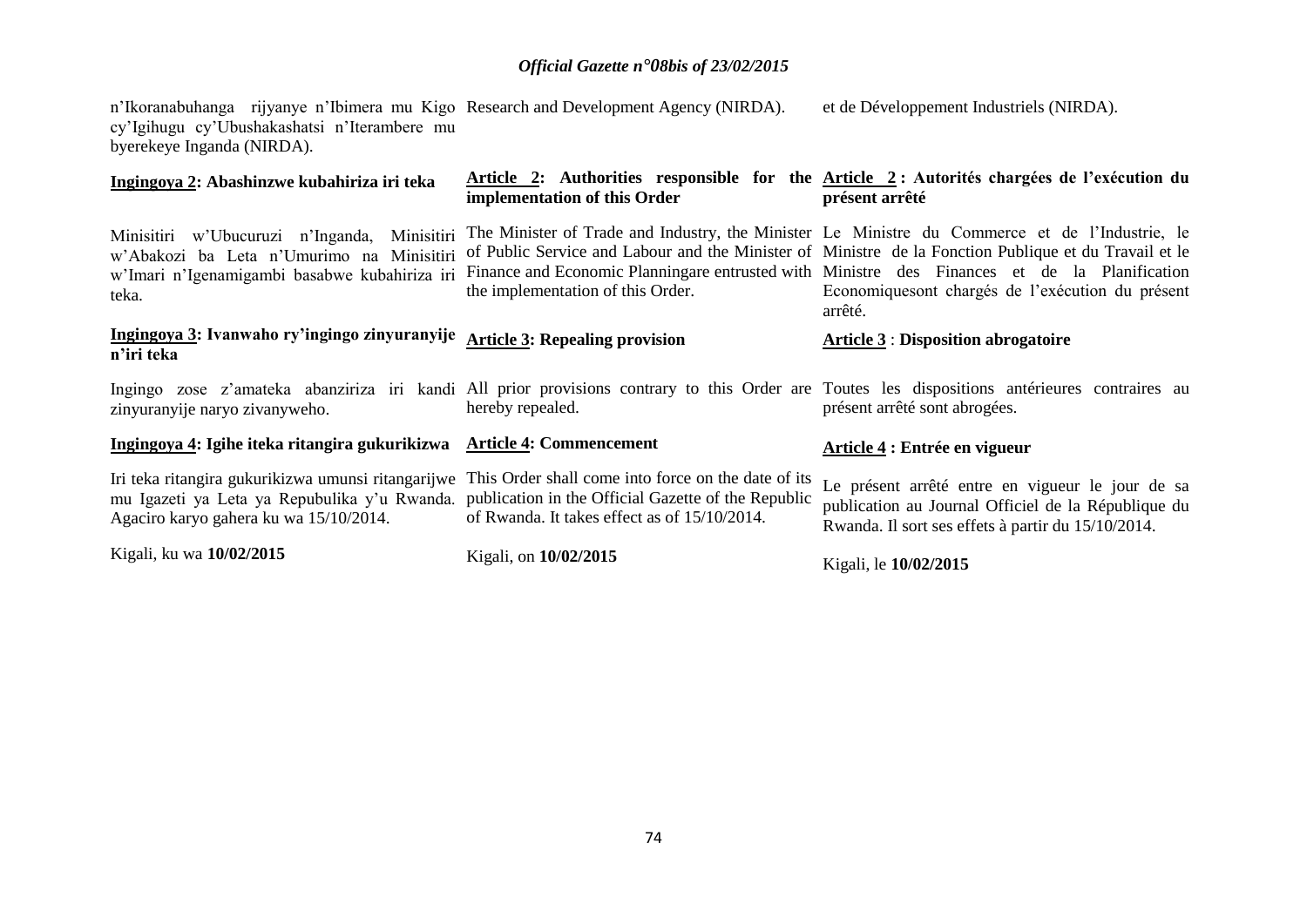n'Ikoranabuhanga rijyanye n'Ibimera mu Kigo cy'Igihugu cy'Ubushakashatsi n'Iterambere mu byerekeye Inganda (NIRDA). Research and Development Agency (NIRDA). et de Développement Industriels (NIRDA).

| Ingingoya 2: Abashinzwe kubahiriza iri teka                                                                                                         | implementation of this Order                                                                                                                               | Article 2: Authorities responsible for the Article 2: Autorités chargées de l'exécution du<br>présent arrêté                                                                                                                                                                                                                                                           |
|-----------------------------------------------------------------------------------------------------------------------------------------------------|------------------------------------------------------------------------------------------------------------------------------------------------------------|------------------------------------------------------------------------------------------------------------------------------------------------------------------------------------------------------------------------------------------------------------------------------------------------------------------------------------------------------------------------|
| Minisitiri w'Ubucuruzi n'Inganda, Minisitiri<br>w'Abakozi ba Leta n'Umurimo na Minisitiri<br>w'Imari n'Igenamigambi basabwe kubahiriza iri<br>teka. | the implementation of this Order.                                                                                                                          | The Minister of Trade and Industry, the Minister Le Ministre du Commerce et de l'Industrie, le<br>of Public Service and Labour and the Minister of Ministre de la Fonction Publique et du Travail et le<br>Finance and Economic Planningare entrusted with Ministre des Finances et de la Planification<br>Economiquesont chargés de l'exécution du présent<br>arrêté. |
| Ingingoya 3: Ivanwaho ry'ingingo zinyuranyije<br>n'iri teka                                                                                         | <b>Article 3: Repealing provision</b>                                                                                                                      | <b>Article 3 : Disposition abrogatoire</b>                                                                                                                                                                                                                                                                                                                             |
| zinyuranyije naryo zivanyweho.                                                                                                                      | hereby repealed.                                                                                                                                           | Ingingo zose z'amateka abanziriza iri kandi All prior provisions contrary to this Order are Toutes les dispositions antérieures contraires au<br>présent arrêté sont abrogées.                                                                                                                                                                                         |
| Ingingoya 4: Igihe iteka ritangira gukurikizwa                                                                                                      | <b>Article 4: Commencement</b>                                                                                                                             | Article 4 : Entrée en vigueur                                                                                                                                                                                                                                                                                                                                          |
| Iri teka ritangira gukurikizwa umunsi ritangarijwe<br>mu Igazeti ya Leta ya Repubulika y'u Rwanda.<br>Agaciro karyo gahera ku wa 15/10/2014.        | This Order shall come into force on the date of its<br>publication in the Official Gazette of the Republic<br>of Rwanda. It takes effect as of 15/10/2014. | Le présent arrêté entre en vigueur le jour de sa<br>publication au Journal Officiel de la République du<br>Rwanda. Il sort ses effets à partir du 15/10/2014.                                                                                                                                                                                                          |
| Kigali, ku wa 10/02/2015                                                                                                                            | Kigali, on 10/02/2015                                                                                                                                      | Kigali, le 10/02/2015                                                                                                                                                                                                                                                                                                                                                  |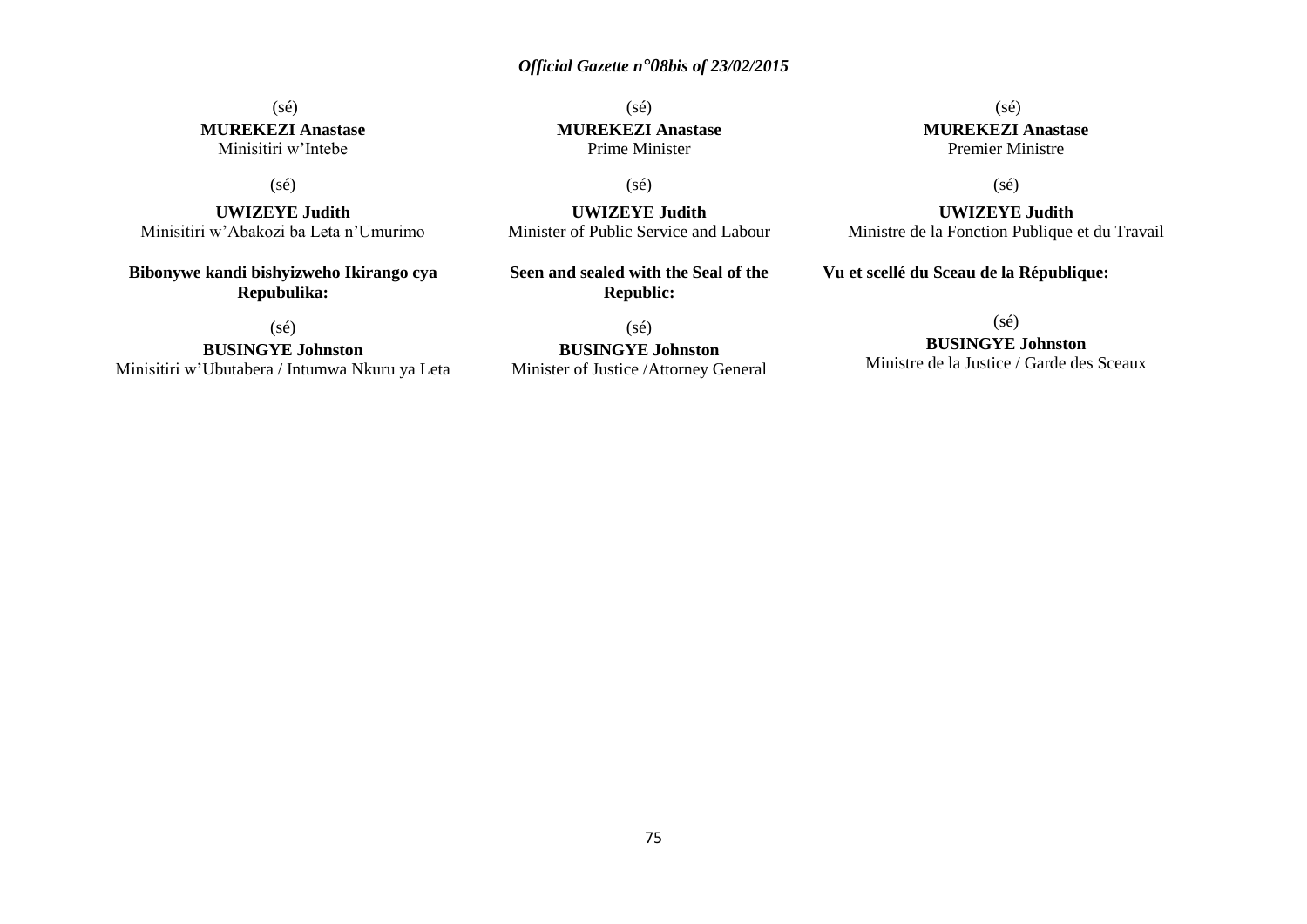## (sé) **MUREKEZI Anastase** Minisitiri w'Intebe

## (sé)

**UWIZEYE Judith** Minisitiri w'Abakozi ba Leta n'Umurimo

**Bibonywe kandi bishyizweho Ikirango cya Repubulika:**

(sé)

**BUSINGYE Johnston** Minisitiri w'Ubutabera / Intumwa Nkuru ya Leta

(sé) **MUREKEZI Anastase** Prime Minister

(sé)

**UWIZEYE Judith** Minister of Public Service and Labour

**Seen and sealed with the Seal of the Republic:**

(sé)

**BUSINGYE Johnston** Minister of Justice /Attorney General

(sé) **MUREKEZI Anastase** Premier Ministre

(sé)

**UWIZEYE Judith** Ministre de la Fonction Publique et du Travail

**Vu et scellé du Sceau de la République:**

(sé)

**BUSINGYE Johnston**

Ministre de la Justice / Garde des Sceaux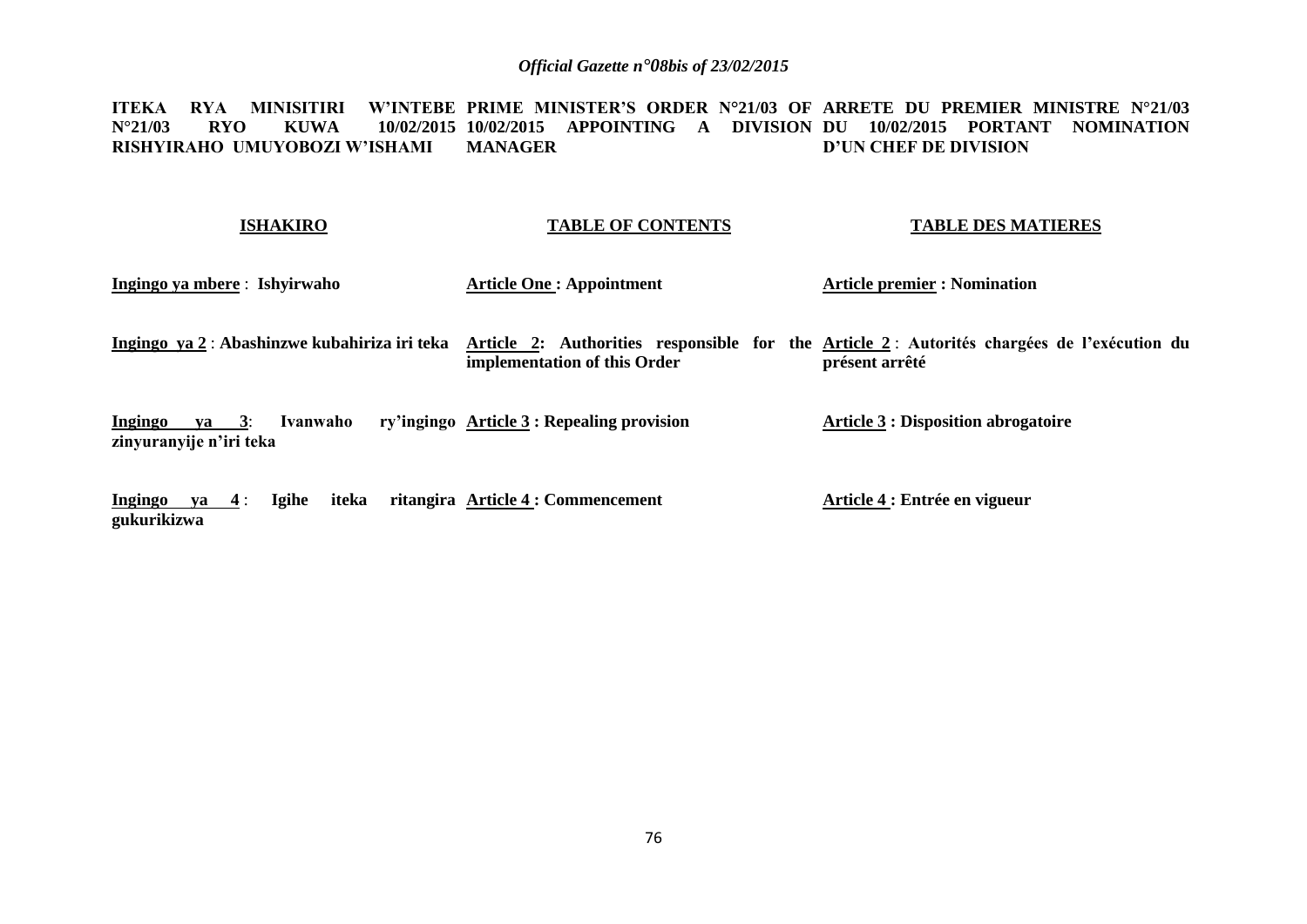**ITEKA RYA MINISITIRI W'INTEBE PRIME MINISTER'S ORDER N°21/03 OF ARRETE DU PREMIER MINISTRE N°21/03 N°21/03 RYO KUWA 10/02/2015 10/02/2015 APPOINTING A DIVISION DU 10/02/2015 PORTANT NOMINATION RISHYIRAHO UMUYOBOZI W'ISHAMI MANAGER D'UN CHEF DE DIVISION**

#### **ISHAKIRO**

#### **TABLE OF CONTENTS**

**TABLE DES MATIERES**

**Ingingo ya mbere** : **Ishyirwaho**

**Article One : Appointment**

**Article premier : Nomination**

Ingingo ya 2 : Abashinzwe kubahiriza iri teka Article 2: Authorities responsible for the Article 2 : Autorités chargées de l'exécution du **implementation of this Order présent arrêté**

**Ingingo va 3: Ivanwaho zinyuranyije n'iri teka Article 3 : Repealing provision Article 3 : Disposition abrogatoire**

**Ingingo ya 4** : **Igihe iteka ritangira Article 4 : Commencement gukurikizwa Article 4 : Entrée en vigueur**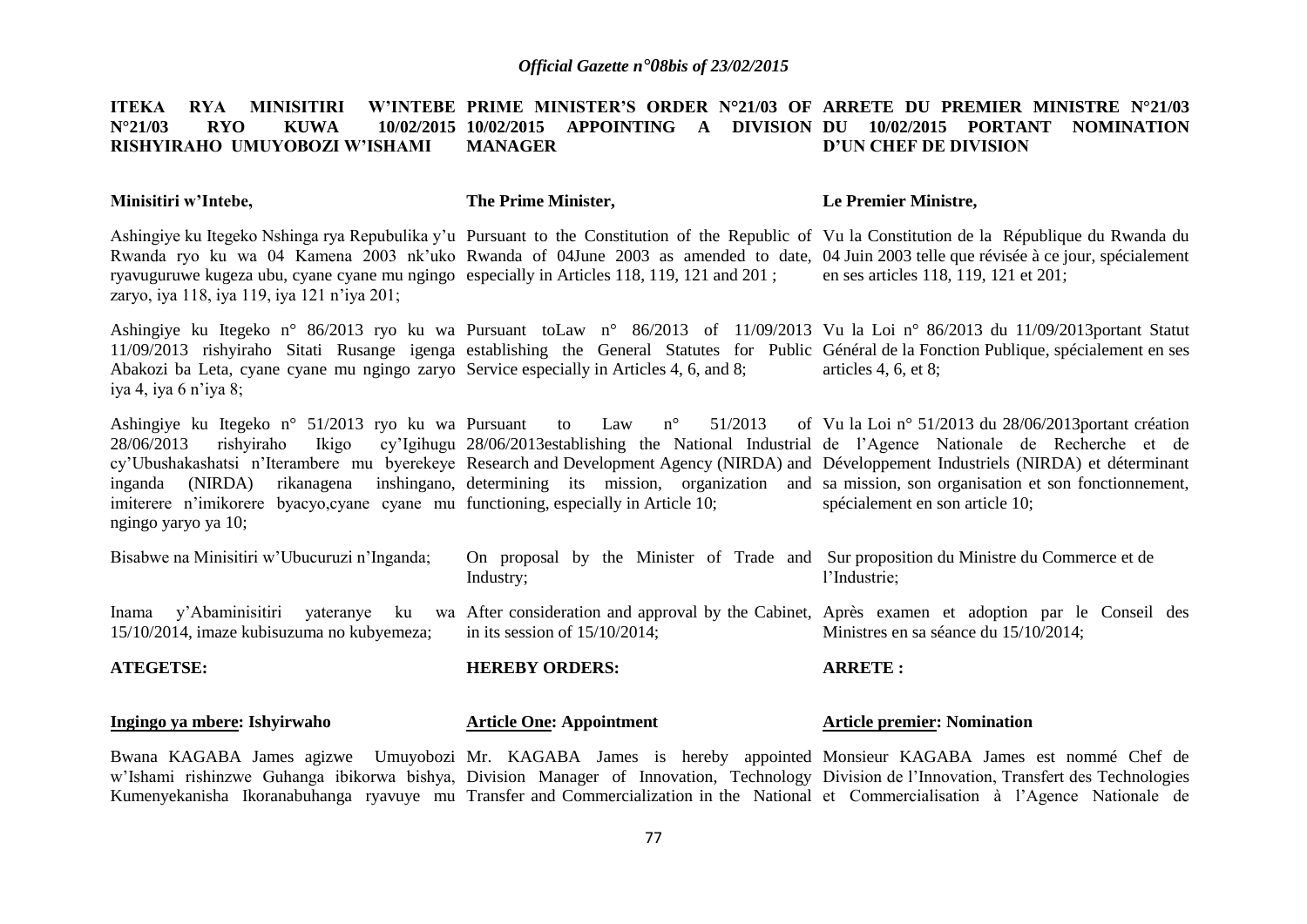#### **ITEKA RYA MINISITIRI W'INTEBE PRIME MINISTER'S ORDER N°21/03 OF ARRETE DU PREMIER MINISTRE N°21/03 N°21/03 RYO KUWA 10/02/2015 10/02/2015 APPOINTING A DIVISION DU 10/02/2015 PORTANT NOMINATION RISHYIRAHO UMUYOBOZI W'ISHAMI MANAGER D'UN CHEF DE DIVISION**

#### **Minisitiri w'Intebe, The Prime Minister, Le Premier Ministre,**

Ashingiye ku Itegeko Nshinga rya Repubulika y'u Pursuant to the Constitution of the Republic of Vu la Constitution de la République du Rwanda du Rwanda ryo ku wa 04 Kamena 2003 nk'uko Rwanda of 04June 2003 as amended to date, 04 Juin 2003 telle que révisée à ce jour, spécialement ryavuguruwe kugeza ubu, cyane cyane mu ngingo especially in Articles 118, 119, 121 and 201 ; zaryo, iya 118, iya 119, iya 121 n'iya 201; en ses articles 118, 119, 121 et 201;

Ashingiye ku Itegeko n° 86/2013 ryo ku wa Pursuant toLaw n° 86/2013 of 11/09/2013 Vu la Loi n° 86/2013 du 11/09/2013portant Statut 11/09/2013 rishyiraho Sitati Rusange igenga establishing the General Statutes for Public Général de la Fonction Publique, spécialement en ses Abakozi ba Leta, cyane cyane mu ngingo zaryo Service especially in Articles 4, 6, and 8; iya 4, iya 6 n'iya 8; articles 4, 6, et 8;

Ashingiye ku Itegeko n° 51/2013 ryo ku wa Pursuant to Law n° 51/2013 of 28/06/2013 rishyiraho Ikigo cy'Igihugu 28/06/2013establishing the National Industrial de l'Agence Nationale de Recherche et de cy'Ubushakashatsi n'Iterambere mu byerekeye Research and Development Agency (NIRDA) and Développement Industriels (NIRDA) et déterminant inganda (NIRDA) rikanagena inshingano, determining its mission, organization and sa mission, son organisation et son fonctionnement, imiterere n'imikorere byacyo,cyane cyane mu functioning, especially in Article 10; ngingo yaryo ya 10; Vu la Loi n° 51/2013 du 28/06/2013portant création spécialement en son article 10;

| <b>ATEGETSE:</b>                                                                    | <b>HEREBY ORDERS:</b>                                                                               | <b>ARRETE:</b>                                                                                                                            |
|-------------------------------------------------------------------------------------|-----------------------------------------------------------------------------------------------------|-------------------------------------------------------------------------------------------------------------------------------------------|
| y'Abaminisitiri yateranye ku<br>Inama<br>15/10/2014, imaze kubisuzuma no kubyemeza; | in its session of $15/10/2014$ ;                                                                    | wa After consideration and approval by the Cabinet, Après exament et adoption par le Conseil des<br>Ministres en sa séance du 15/10/2014; |
| Bisabwe na Minisitiri w'Ubucuruzi n'Inganda;                                        | On proposal by the Minister of Trade and Sur proposition du Ministre du Commerce et de<br>Industry; | l'Industrie:                                                                                                                              |

#### **Ingingo ya mbere: Ishyirwaho Article One: Appointment Article premier: Nomination**

Bwana KAGABA James agizwe Umuyobozi Mr. KAGABA James is hereby appointed Monsieur KAGABA James est nommé Chef de w'Ishami rishinzwe Guhanga ibikorwa bishya, Division Manager of Innovation, Technology Division de l'Innovation, Transfert des Technologies Kumenyekanisha Ikoranabuhanga ryavuye mu Transfer and Commercialization in the National et Commercialisation à l'Agence Nationale de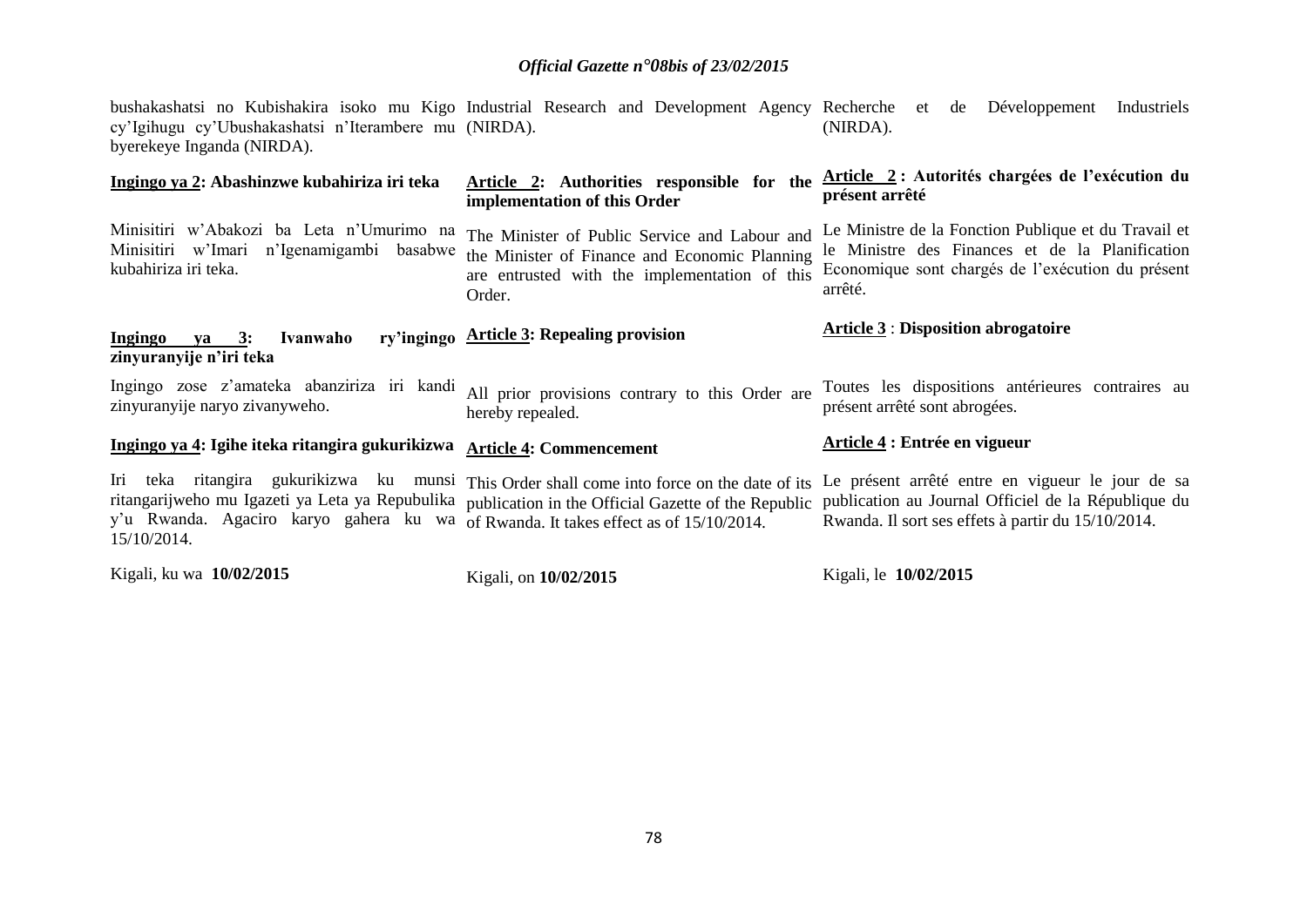bushakashatsi no Kubishakira isoko mu Kigo Industrial Research and Development Agency Recherche et de Développement Industriels cy'Igihugu cy'Ubushakashatsi n'Iterambere mu (NIRDA). byerekeye Inganda (NIRDA). (NIRDA).

| Ingingo ya 2: Abashinzwe kubahiriza iri teka                                                                                            | Article 2: Authorities responsible for the<br>implementation of this Order                                                                                       | Article 2: Autorités chargées de l'exécution du<br>présent arrêté                                                                                                       |
|-----------------------------------------------------------------------------------------------------------------------------------------|------------------------------------------------------------------------------------------------------------------------------------------------------------------|-------------------------------------------------------------------------------------------------------------------------------------------------------------------------|
| Minisitiri w'Abakozi ba Leta n'Umurimo na<br>Minisitiri w'Imari n'Igenamigambi basabwe<br>kubahiriza iri teka.                          | The Minister of Public Service and Labour and<br>the Minister of Finance and Economic Planning<br>are entrusted with the implementation of this<br>Order.        | Le Ministre de la Fonction Publique et du Travail et<br>le Ministre des Finances et de la Planification<br>Economique sont chargés de l'exécution du présent<br>arrêté. |
| Ingingo<br>Ivanwaho<br>$ya \quad 3:$<br>zinyuranyije n'iri teka                                                                         | ry'ingingo Article 3: Repealing provision                                                                                                                        | <b>Article 3: Disposition abrogatoire</b>                                                                                                                               |
| Ingingo zose z'amateka abanziriza iri kandi<br>zinyuranyije naryo zivanyweho.                                                           | All prior provisions contrary to this Order are<br>hereby repealed.                                                                                              | Toutes les dispositions antérieures contraires au<br>présent arrêté sont abrogées.                                                                                      |
| Ingingo ya 4: Igihe iteka ritangira gukurikizwa                                                                                         | <b>Article 4: Commencement</b>                                                                                                                                   | Article 4 : Entrée en vigueur                                                                                                                                           |
| Iri teka ritangira gukurikizwa ku<br>y'u Rwanda. Agaciro karyo gahera ku wa of Rwanda. It takes effect as of 15/10/2014.<br>15/10/2014. | munsi This Order shall come into force on the date of its<br>ritangarijweho mu Igazeti ya Leta ya Repubulika publication in the Official Gazette of the Republic | Le présent arrêté entre en vigueur le jour de sa<br>publication au Journal Officiel de la République du<br>Rwanda. Il sort ses effets à partir du 15/10/2014.           |
| Kigali, ku wa 10/02/2015                                                                                                                | Kigali, on 10/02/2015                                                                                                                                            | Kigali, le 10/02/2015                                                                                                                                                   |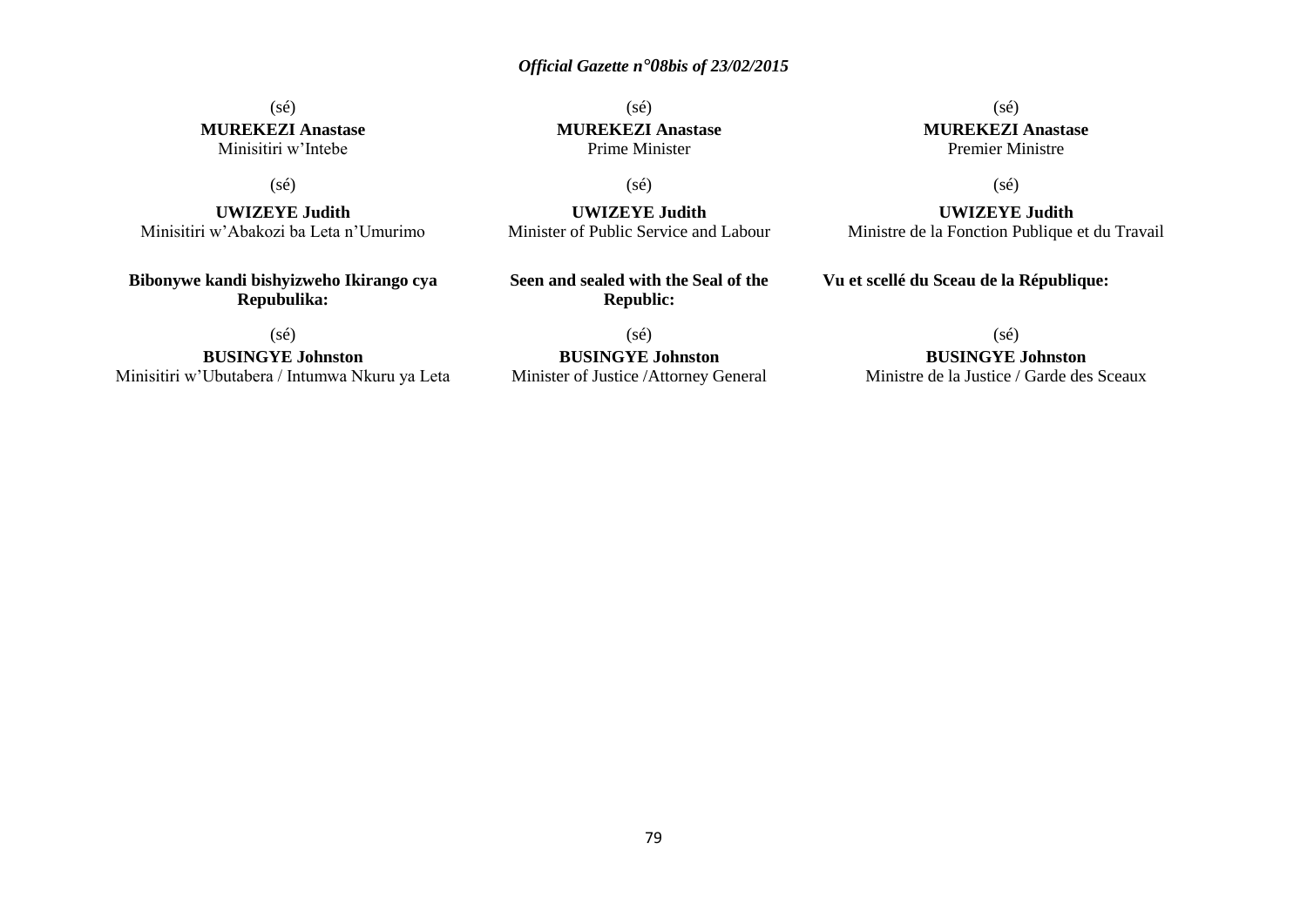## (sé) **MUREKEZI Anastase** Minisitiri w'Intebe

## (sé)

**UWIZEYE Judith** Minisitiri w'Abakozi ba Leta n'Umurimo

**Bibonywe kandi bishyizweho Ikirango cya Repubulika:**

(sé)

**BUSINGYE Johnston** Minisitiri w'Ubutabera / Intumwa Nkuru ya Leta

(sé) **MUREKEZI Anastase** Prime Minister

(sé)

**UWIZEYE Judith** Minister of Public Service and Labour

**Seen and sealed with the Seal of the Republic:**

(sé)

**BUSINGYE Johnston** Minister of Justice /Attorney General

(sé) **MUREKEZI Anastase** Premier Ministre

(sé)

**UWIZEYE Judith** Ministre de la Fonction Publique et du Travail

**Vu et scellé du Sceau de la République:**

 $(sé)$ 

**BUSINGYE Johnston**

Ministre de la Justice / Garde des Sceaux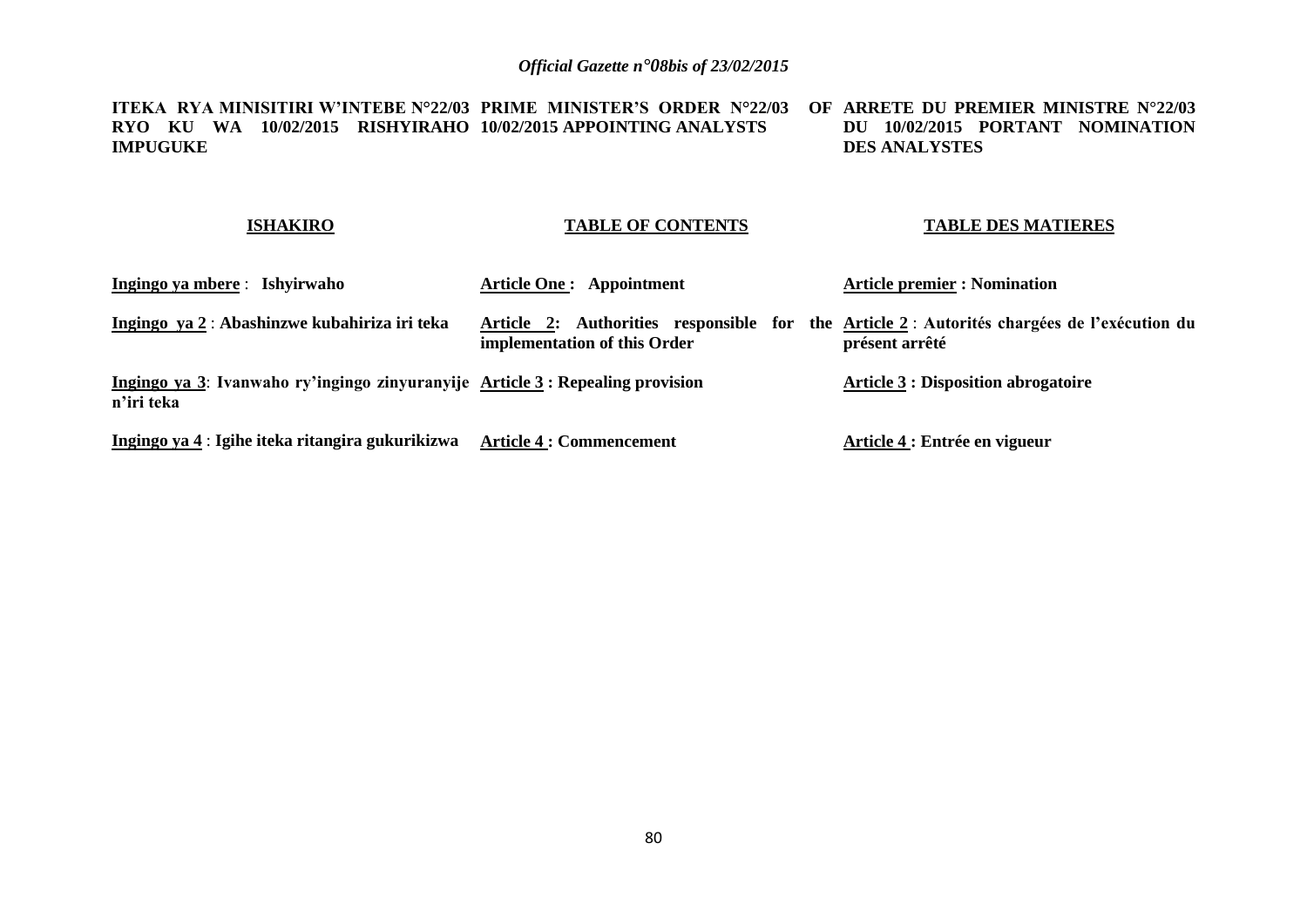**ITEKA RYA MINISITIRI W'INTEBE N°22/03 PRIME MINISTER'S ORDER N°22/03 OF ARRETE DU PREMIER MINISTRE N°22/03 RYO KU WA 10/02/2015 RISHYIRAHO 10/02/2015 APPOINTING ANALYSTS IMPUGUKE DU 10/02/2015 PORTANT NOMINATION DES ANALYSTES**

## **ISHAKIRO**

### **TABLE OF CONTENTS**

### **TABLE DES MATIERES**

| Ingingo ya mbere: Ishyirwaho                                                                | <b>Article One: Appointment</b>                                                                                             | <b>Article premier : Nomination</b>        |
|---------------------------------------------------------------------------------------------|-----------------------------------------------------------------------------------------------------------------------------|--------------------------------------------|
| Ingingo ya 2 : Abashinzwe kubahiriza iri teka                                               | Article 2: Authorities responsible for the Article 2 : Autorités chargées de l'exécution du<br>implementation of this Order | présent arrêté                             |
| Ingingo ya 3: Ivanwaho ry'ingingo zinyuranyije Article 3: Repealing provision<br>n'iri teka |                                                                                                                             | <b>Article 3 : Disposition abrogatoire</b> |
| Ingingo ya 4 : Igihe iteka ritangira gukurikizwa                                            | <b>Article 4 : Commencement</b>                                                                                             | Article 4 : Entrée en vigueur              |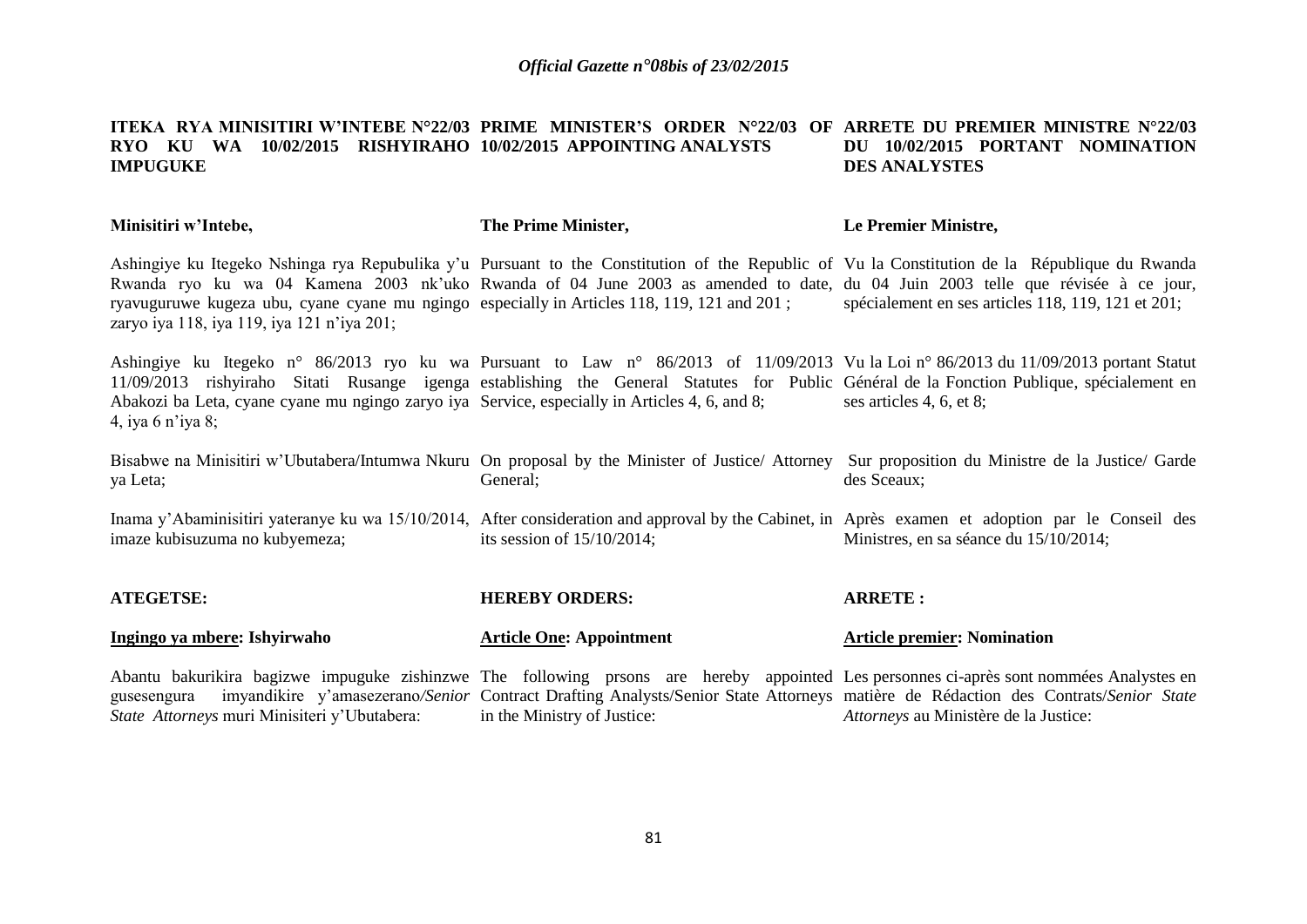#### **ITEKA RYA MINISITIRI W'INTEBE N°22/03 PRIME MINISTER'S ORDER N°22/03 OF ARRETE DU PREMIER MINISTRE N°22/03 RYO KU WA 10/02/2015 RISHYIRAHO 10/02/2015 APPOINTING ANALYSTS IMPUGUKE DU 10/02/2015 PORTANT NOMINATION DES ANALYSTES**

| Minisitiri w'Intebe,                                                                                                                                                                                                                                                                                                                                                                                                         | The Prime Minister,                                                                                                                                              | Le Premier Ministre,                               |
|------------------------------------------------------------------------------------------------------------------------------------------------------------------------------------------------------------------------------------------------------------------------------------------------------------------------------------------------------------------------------------------------------------------------------|------------------------------------------------------------------------------------------------------------------------------------------------------------------|----------------------------------------------------|
| Ashingiye ku Itegeko Nshinga rya Repubulika y'u Pursuant to the Constitution of the Republic of Vu la Constitution de la République du Rwanda<br>Rwanda ryo ku wa 04 Kamena 2003 nk'uko Rwanda of 04 June 2003 as amended to date, du 04 Juin 2003 telle que révisée à ce jour,<br>ryavuguruwe kugeza ubu, cyane cyane mu ngingo especially in Articles 118, 119, 121 and 201;<br>zaryo iya 118, iya 119, iya 121 n'iya 201; |                                                                                                                                                                  | spécialement en ses articles 118, 119, 121 et 201; |
| Ashingiye ku Itegeko n° 86/2013 ryo ku wa Pursuant to Law n° 86/2013 of 11/09/2013 Vu la Loi n° 86/2013 du 11/09/2013 portant Statut<br>11/09/2013 rishyiraho Sitati Rusange igenga establishing the General Statutes for Public Général de la Fonction Publique, spécialement en<br>Abakozi ba Leta, cyane cyane mu ngingo zaryo iya Service, especially in Articles 4, 6, and 8;<br>4, iya 6 n'iya 8;                      |                                                                                                                                                                  | ses articles 4, 6, et 8;                           |
| Bisabwe na Minisitiri w'Ubutabera/Intumwa Nkuru On proposal by the Minister of Justice/Attorney Sur proposition du Ministre de la Justice/Garde<br>ya Leta;                                                                                                                                                                                                                                                                  | General;                                                                                                                                                         | des Sceaux;                                        |
| Inama y'Abaminisitiri yateranye ku wa 15/10/2014, After consideration and approval by the Cabinet, in Après examen et adoption par le Conseil des<br>imaze kubisuzuma no kubyemeza;                                                                                                                                                                                                                                          | its session of $15/10/2014$ ;                                                                                                                                    | Ministres, en sa séance du 15/10/2014;             |
| <b>ATEGETSE:</b>                                                                                                                                                                                                                                                                                                                                                                                                             | <b>HEREBY ORDERS:</b>                                                                                                                                            | <b>ARRETE:</b>                                     |
| Ingingo ya mbere: Ishyirwaho                                                                                                                                                                                                                                                                                                                                                                                                 | <b>Article One: Appointment</b>                                                                                                                                  | <b>Article premier: Nomination</b>                 |
| Abantu bakurikira bagizwe impuguke zishinzwe The following prsons are hereby appointed Les personnes ci-après sont nommées Analystes en<br>gusesengura<br>State Attorneys muri Minisiteri y'Ubutabera:                                                                                                                                                                                                                       | imyandikire y'amasezerano/Senior Contract Drafting Analysts/Senior State Attorneys matière de Rédaction des Contrats/Senior State<br>in the Ministry of Justice: | Attorneys au Ministère de la Justice:              |

*State Attorneys* muri Minisiteri y'Ubutabera: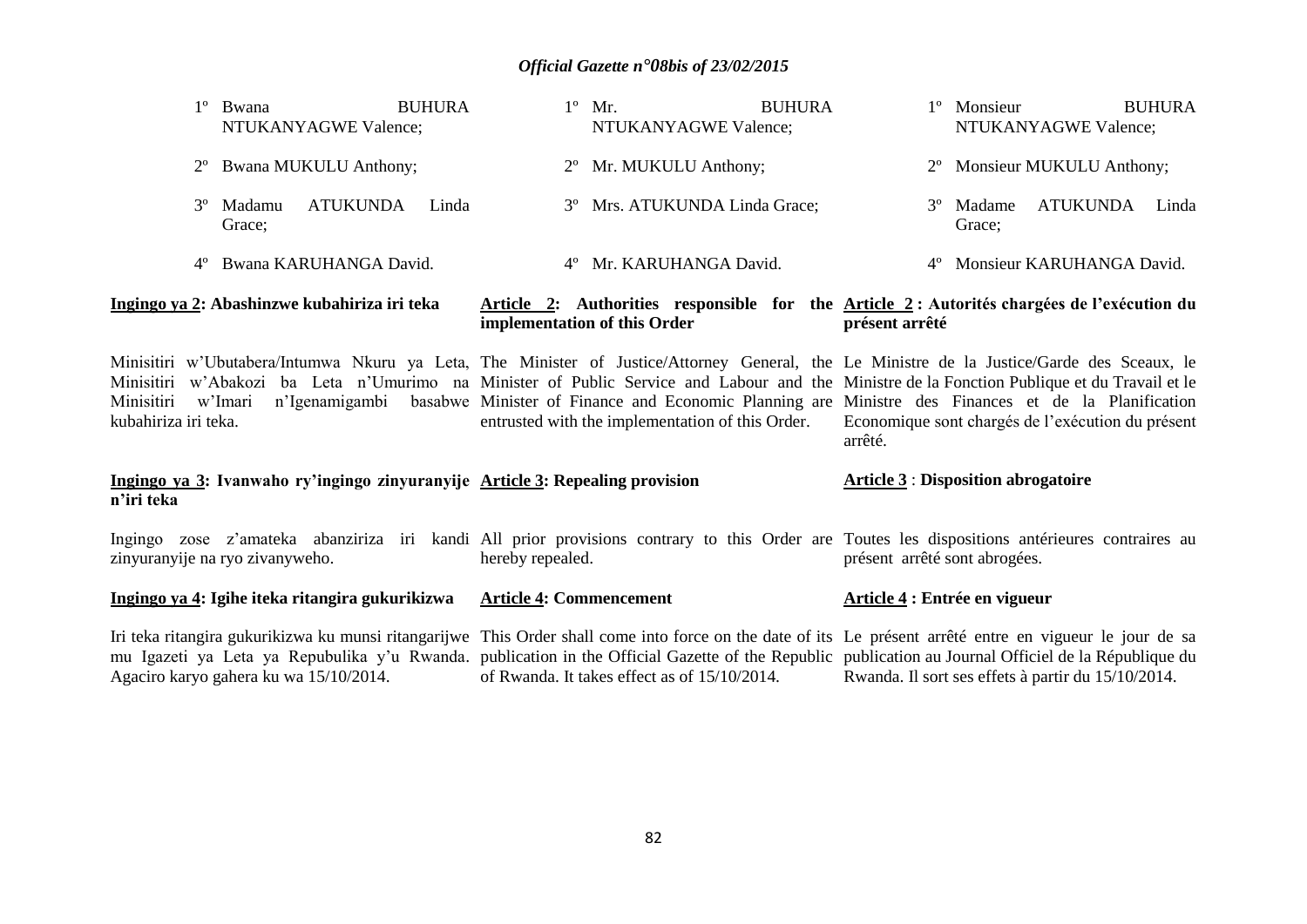| <b>BUHURA</b><br>Bwana<br>NTUKANYAGWE Valence;                                                                                                                                                                                                                                                                                                              | $1^{\circ}$ Mr.<br><b>BUHURA</b><br>NTUKANYAGWE Valence; | <b>BUHURA</b><br>1 <sup>°</sup> Monsieur<br>NTUKANYAGWE Valence;                                                                                                                                                                                                                                        |
|-------------------------------------------------------------------------------------------------------------------------------------------------------------------------------------------------------------------------------------------------------------------------------------------------------------------------------------------------------------|----------------------------------------------------------|---------------------------------------------------------------------------------------------------------------------------------------------------------------------------------------------------------------------------------------------------------------------------------------------------------|
| <b>Bwana MUKULU Anthony;</b><br>$2^{\circ}$                                                                                                                                                                                                                                                                                                                 | Mr. MUKULU Anthony;                                      | 2° Monsieur MUKULU Anthony;                                                                                                                                                                                                                                                                             |
| <b>ATUKUNDA</b><br>$3^{\circ}$<br>Madamu<br>Linda<br>Grace;                                                                                                                                                                                                                                                                                                 | Mrs. ATUKUNDA Linda Grace;<br>$3^{\circ}$                | ATUKUNDA<br>Madame<br>Linda<br>$3^{\circ}$<br>Grace;                                                                                                                                                                                                                                                    |
| Bwana KARUHANGA David.<br>$4^{\circ}$                                                                                                                                                                                                                                                                                                                       | Mr. KARUHANGA David.<br>$4^{\circ}$                      | 4º Monsieur KARUHANGA David.                                                                                                                                                                                                                                                                            |
| Ingingo ya 2: Abashinzwe kubahiriza iri teka                                                                                                                                                                                                                                                                                                                | implementation of this Order                             | Article 2: Authorities responsible for the Article 2: Autorités chargées de l'exécution du<br>présent arrêté                                                                                                                                                                                            |
| Minisitiri w'Ubutabera/Intumwa Nkuru ya Leta, The Minister of Justice/Attorney General, the Le Ministre de la Justice/Garde des Sceaux, le<br>Minisitiri<br>Minisitiri<br>n'Igenamigambi<br>w'Imari<br>kubahiriza iri teka.                                                                                                                                 | entrusted with the implementation of this Order.         | w'Abakozi ba Leta n'Umurimo na Minister of Public Service and Labour and the Ministre de la Fonction Publique et du Travail et le<br>basabwe Minister of Finance and Economic Planning are Ministre des Finances et de la Planification<br>Economique sont chargés de l'exécution du présent<br>arrêté. |
| Ingingo ya 3: Ivanwaho ry'ingingo zinyuranyije Article 3: Repealing provision<br>n'iri teka                                                                                                                                                                                                                                                                 |                                                          | <b>Article 3 : Disposition abrogatoire</b>                                                                                                                                                                                                                                                              |
| Ingingo zose z'amateka abanziriza iri kandi All prior provisions contrary to this Order are Toutes les dispositions antérieures contraires au<br>zinyuranyije na ryo zivanyweho.                                                                                                                                                                            | hereby repealed.                                         | présent arrêté sont abrogées.                                                                                                                                                                                                                                                                           |
| Ingingo ya 4: Igihe iteka ritangira gukurikizwa                                                                                                                                                                                                                                                                                                             | <b>Article 4: Commencement</b>                           | Article 4 : Entrée en vigueur                                                                                                                                                                                                                                                                           |
| Iri teka ritangira gukurikizwa ku munsi ritangarijwe This Order shall come into force on the date of its Le présent arrêté entre en vigueur le jour de sa<br>mu Igazeti ya Leta ya Repubulika y'u Rwanda. publication in the Official Gazette of the Republic publication au Journal Officiel de la République du<br>Agaciro karyo gahera ku wa 15/10/2014. | of Rwanda. It takes effect as of 15/10/2014.             | Rwanda. Il sort ses effets à partir du 15/10/2014.                                                                                                                                                                                                                                                      |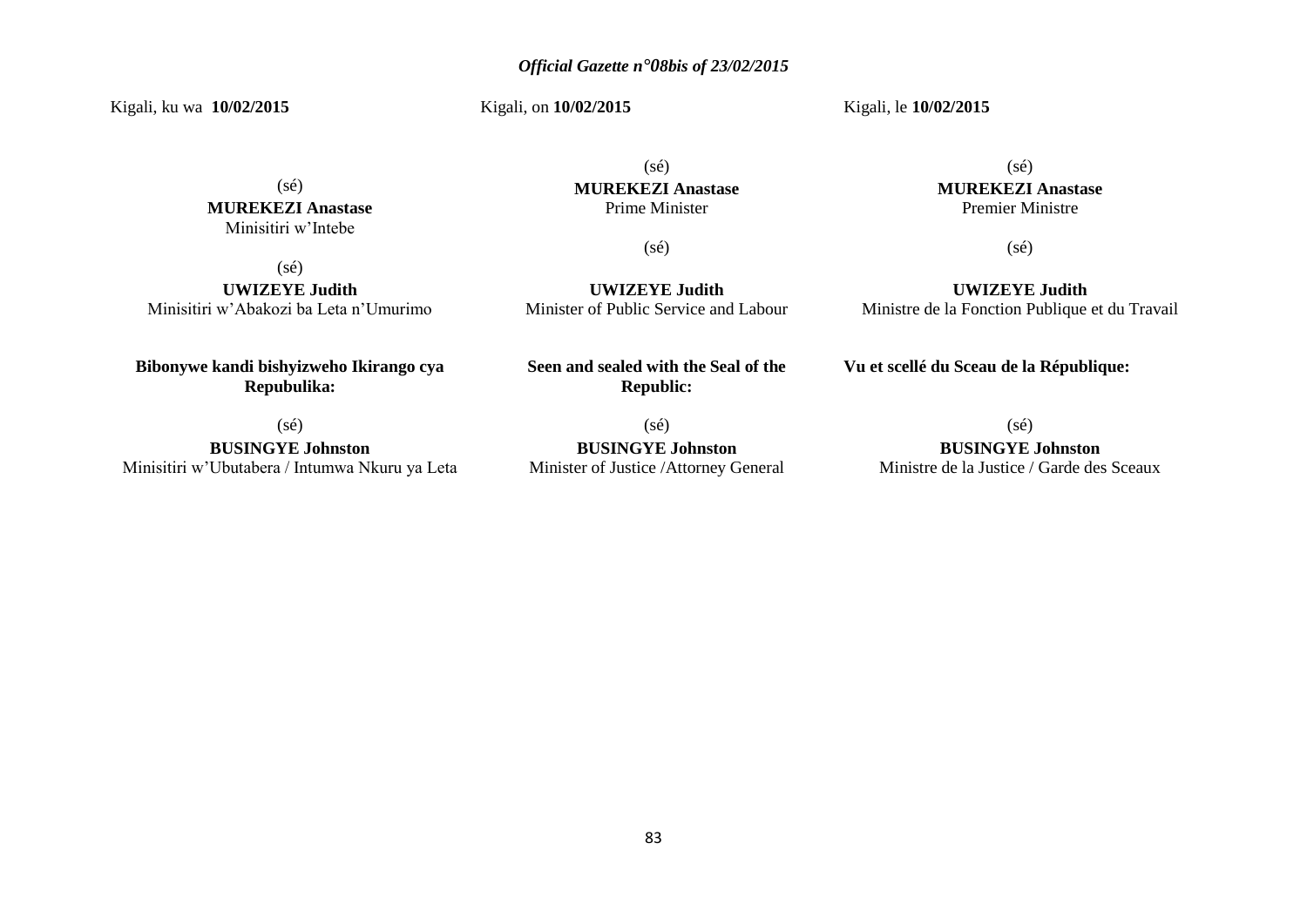Kigali, ku wa **10/02/2015** 

Kigali, on **10/02/2015** 

Kigali, le **10/02/2015** 

 $(sé)$ **MUREKEZI Anastase** Minisitiri w'Intebe

(sé)

**UWIZEYE Judith** Minisitiri w'Abakozi ba Leta n'Umurimo

(sé) **MUREKEZI Anastase** Prime Minister

(sé)

**UWIZEYE Judith** Minister of Public Service and Labour

**Bibonywe kandi bishyizweho Ikirango cya Repubulika:**

(sé)

**BUSINGYE Johnston** Minisitiri w'Ubutabera / Intumwa Nkuru ya Leta **Seen and sealed with the Seal of the Republic:**

(sé) **BUSINGYE Johnston** Minister of Justice /Attorney General

(sé) **MUREKEZI Anastase** Premier Ministre

(sé)

**UWIZEYE Judith** Ministre de la Fonction Publique et du Travail

**Vu et scellé du Sceau de la République:**

 $(sé)$ 

**BUSINGYE Johnston** Ministre de la Justice / Garde des Sceaux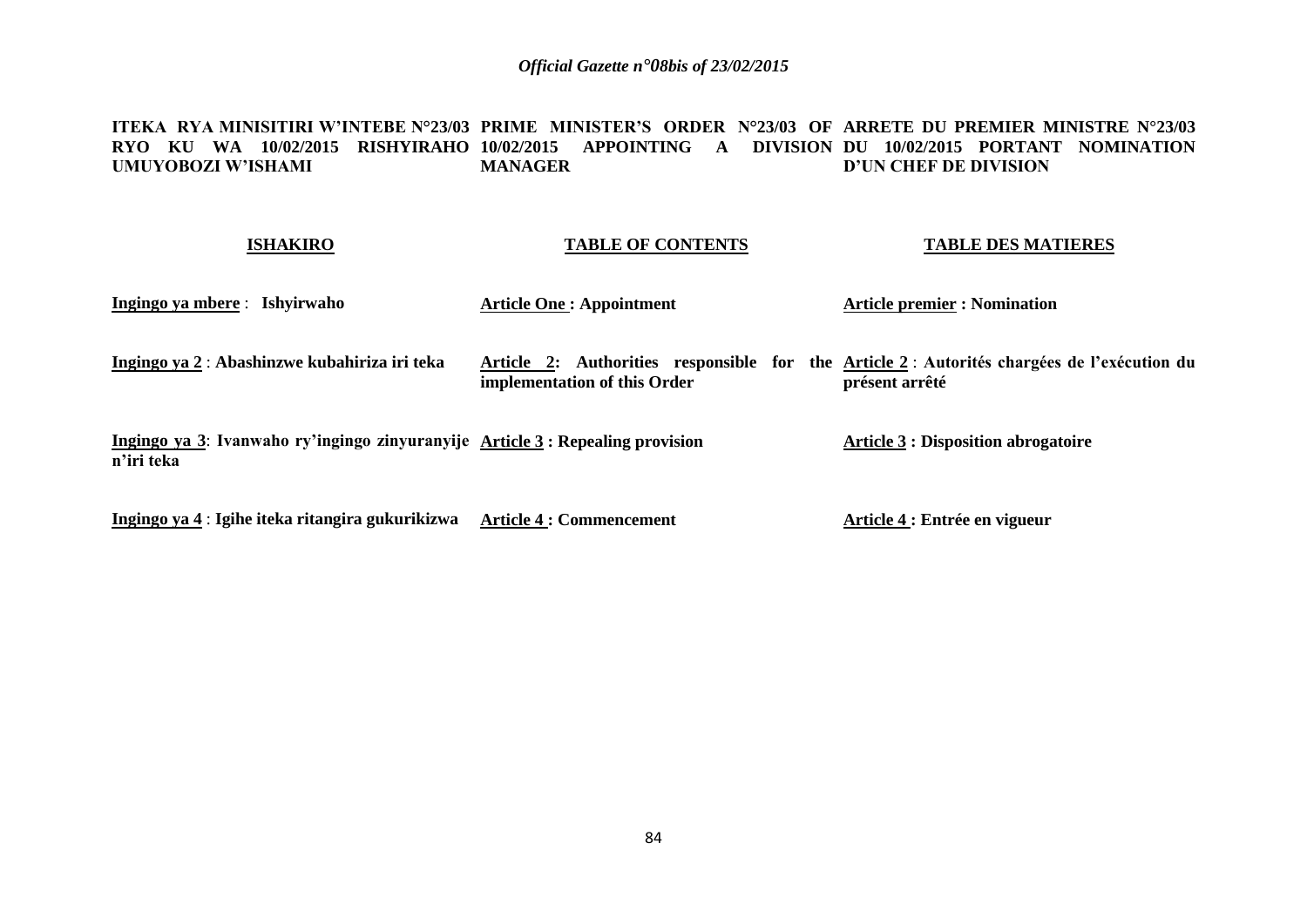#### **ITEKA RYA MINISITIRI W'INTEBE N°23/03 PRIME MINISTER'S ORDER N°23/03 OF ARRETE DU PREMIER MINISTRE N°23/03 RYO KU WA 10/02/2015 RISHYIRAHO 10/02/2015 APPOINTING A DIVISION DU 10/02/2015 PORTANT NOMINATION UMUYOBOZI W'ISHAMI MANAGER D'UN CHEF DE DIVISION**

### **ISHAKIRO**

## **TABLE OF CONTENTS**

### **TABLE DES MATIERES**

| Ingingo ya mbere : Ishyirwaho                                                                | <b>Article One: Appointment</b> | <b>Article premier : Nomination</b>                                                                           |
|----------------------------------------------------------------------------------------------|---------------------------------|---------------------------------------------------------------------------------------------------------------|
| Ingingo ya 2 : Abashinzwe kubahiriza iri teka                                                | implementation of this Order    | Article 2: Authorities responsible for the Article 2 : Autorités chargées de l'exécution du<br>présent arrêté |
| Ingingo ya 3: Ivanwaho ry'ingingo zinyuranyije Article 3 : Repealing provision<br>n'iri teka |                                 | <b>Article 3 : Disposition abrogatoire</b>                                                                    |
| Ingingo ya 4 : Igihe iteka ritangira gukurikizwa                                             | <b>Article 4 : Commencement</b> | Article 4 : Entrée en vigueur                                                                                 |

**Ingingo ya 4** : **Igihe iteka ritangira gukurikizwa Article 4 : Commencement**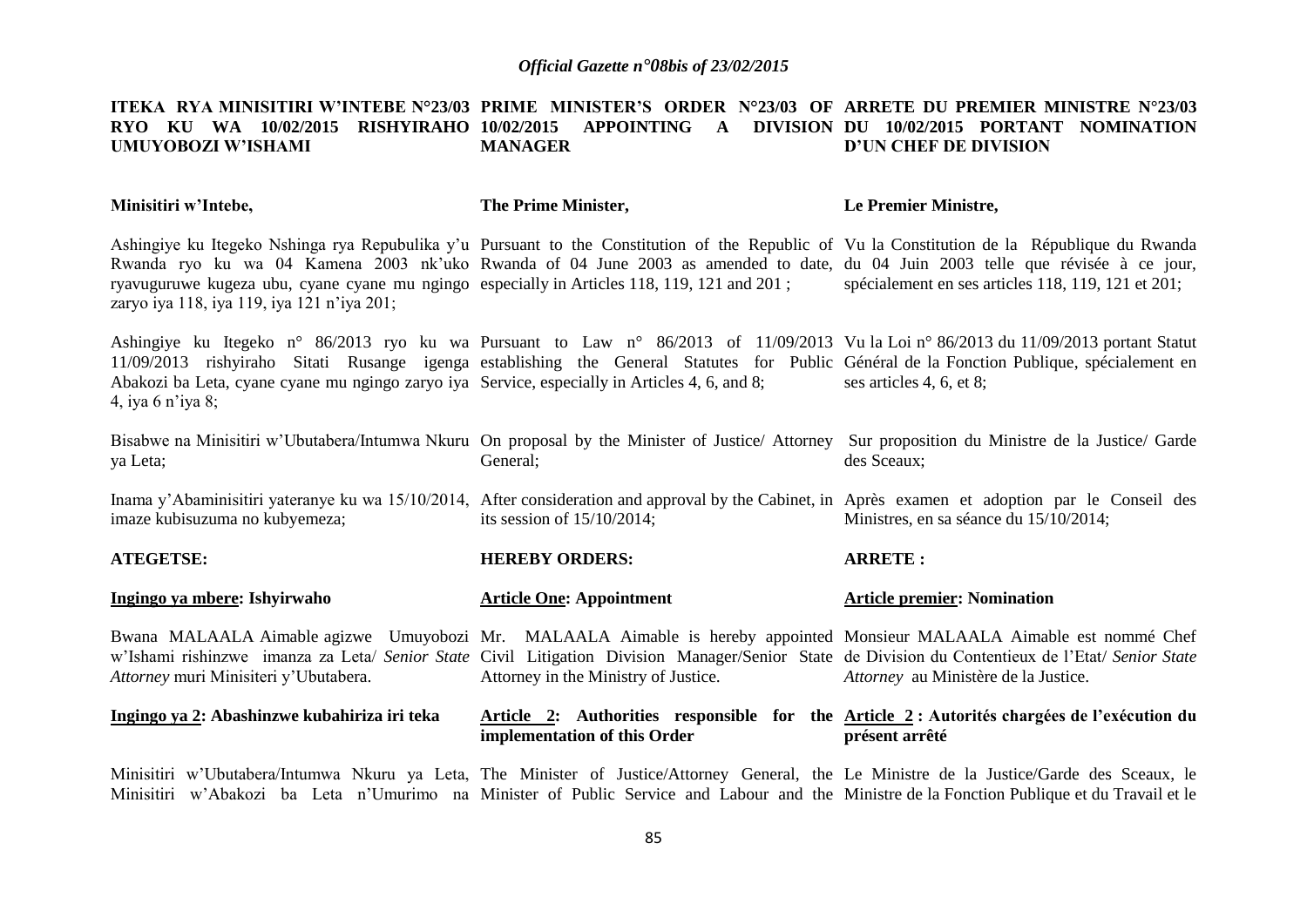#### **ITEKA RYA MINISITIRI W'INTEBE N°23/03 PRIME MINISTER'S ORDER N°23/03 OF ARRETE DU PREMIER MINISTRE N°23/03 RYO KU WA 10/02/2015 RISHYIRAHO 10/02/2015 APPOINTING A DIVISION DU 10/02/2015 PORTANT NOMINATION UMUYOBOZI W'ISHAMI MANAGER D'UN CHEF DE DIVISION**

| Minisitiri w'Intebe,                                                                                                                                                                                                                                                                                                                                                                                                         | The Prime Minister,                  | Le Premier Ministre,                                                                                         |
|------------------------------------------------------------------------------------------------------------------------------------------------------------------------------------------------------------------------------------------------------------------------------------------------------------------------------------------------------------------------------------------------------------------------------|--------------------------------------|--------------------------------------------------------------------------------------------------------------|
| Ashingiye ku Itegeko Nshinga rya Repubulika y'u Pursuant to the Constitution of the Republic of Vu la Constitution de la République du Rwanda<br>Rwanda ryo ku wa 04 Kamena 2003 nk'uko Rwanda of 04 June 2003 as amended to date, du 04 Juin 2003 telle que révisée à ce jour,<br>ryavuguruwe kugeza ubu, cyane cyane mu ngingo especially in Articles 118, 119, 121 and 201;<br>zaryo iya 118, iya 119, iya 121 n'iya 201; |                                      | spécialement en ses articles 118, 119, 121 et 201;                                                           |
| Ashingiye ku Itegeko n° 86/2013 ryo ku wa Pursuant to Law n° 86/2013 of 11/09/2013 Vu la Loi n° 86/2013 du 11/09/2013 portant Statut<br>11/09/2013 rishyiraho Sitati Rusange igenga establishing the General Statutes for Public Général de la Fonction Publique, spécialement en<br>Abakozi ba Leta, cyane cyane mu ngingo zaryo iya Service, especially in Articles 4, 6, and 8;<br>4, iya 6 n'iya 8;                      |                                      | ses articles 4, 6, et 8;                                                                                     |
| Bisabwe na Minisitiri w'Ubutabera/Intumwa Nkuru On proposal by the Minister of Justice/Attorney Sur proposition du Ministre de la Justice/Garde<br>ya Leta;                                                                                                                                                                                                                                                                  | General;                             | des Sceaux;                                                                                                  |
| Inama y'Abaminisitiri yateranye ku wa 15/10/2014, After consideration and approval by the Cabinet, in Après examen et adoption par le Conseil des<br>imaze kubisuzuma no kubyemeza;                                                                                                                                                                                                                                          | its session of $15/10/2014$ ;        | Ministres, en sa séance du 15/10/2014;                                                                       |
| <b>ATEGETSE:</b>                                                                                                                                                                                                                                                                                                                                                                                                             | <b>HEREBY ORDERS:</b>                | <b>ARRETE:</b>                                                                                               |
| Ingingo ya mbere: Ishyirwaho                                                                                                                                                                                                                                                                                                                                                                                                 | <b>Article One: Appointment</b>      | <b>Article premier: Nomination</b>                                                                           |
| Bwana MALAALA Aimable agizwe Umuyobozi Mr. MALAALA Aimable is hereby appointed Monsieur MALAALA Aimable est nommé Chef<br>w'Ishami rishinzwe imanza za Leta/ Senior State Civil Litigation Division Manager/Senior State de Division du Contentieux de l'Etat/ Senior State<br>Attorney muri Minisiteri y'Ubutabera.                                                                                                         | Attorney in the Ministry of Justice. | Attorney au Ministère de la Justice.                                                                         |
| Ingingo ya 2: Abashinzwe kubahiriza iri teka                                                                                                                                                                                                                                                                                                                                                                                 | implementation of this Order         | Article 2: Authorities responsible for the Article 2: Autorités chargées de l'exécution du<br>présent arrêté |
| Minisitiri w'Ubutabera/Intumwa Nkuru ya Leta, The Minister of Justice/Attorney General, the Le Ministre de la Justice/Garde des Sceaux, le<br>Minisitiri w'Abakozi ba Leta n'Umurimo na Minister of Public Service and Labour and the Ministre de la Fonction Publique et du Travail et le                                                                                                                                   |                                      |                                                                                                              |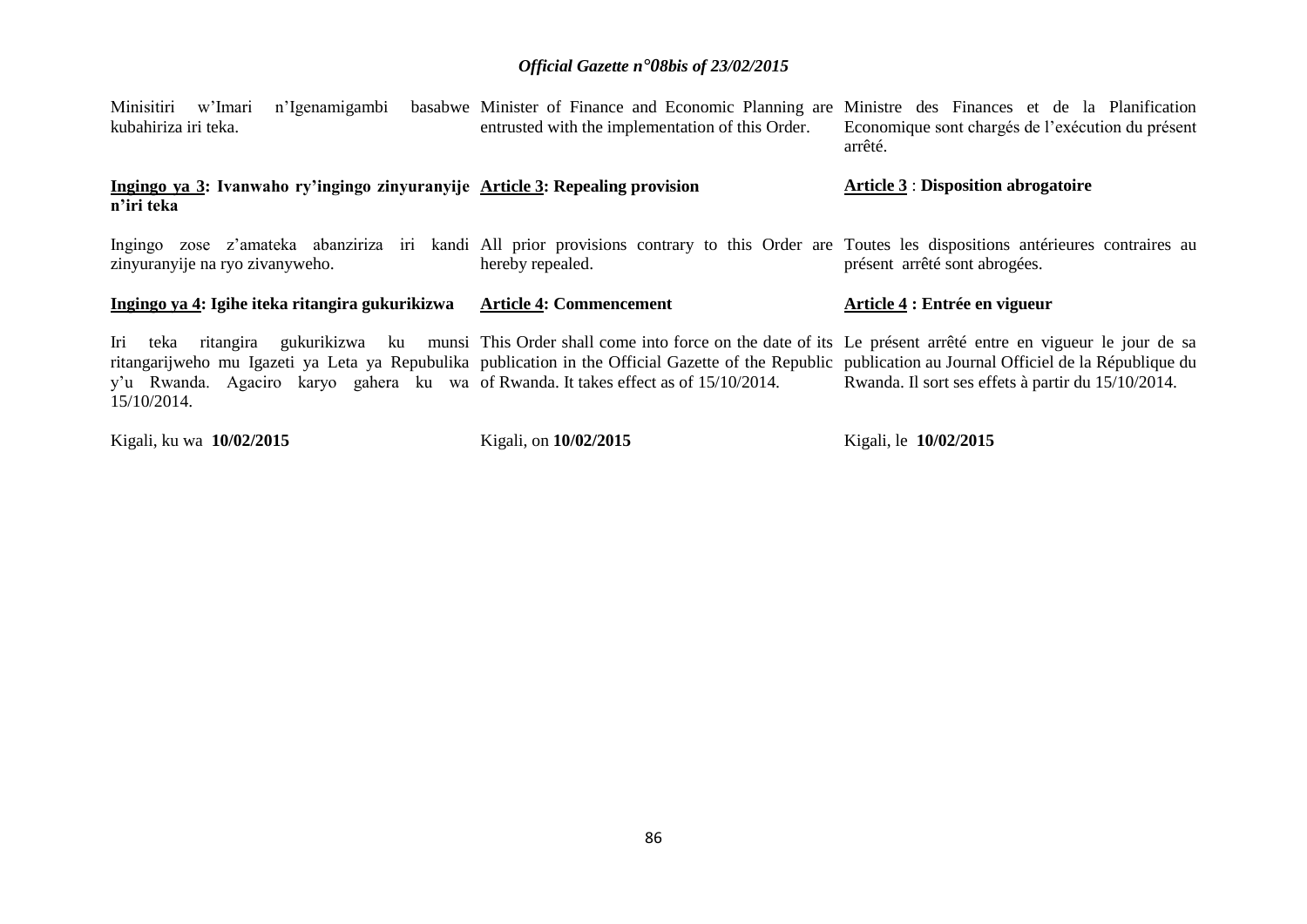| Minisitiri w'Imari<br>n'Igenamigambi<br>kubahiriza iri teka.                                                                                                                                                                                                  | basabwe Minister of Finance and Economic Planning are Ministre des Finances et de la Planification<br>entrusted with the implementation of this Order. | Economique sont chargés de l'exécution du présent<br>arrêté. |
|---------------------------------------------------------------------------------------------------------------------------------------------------------------------------------------------------------------------------------------------------------------|--------------------------------------------------------------------------------------------------------------------------------------------------------|--------------------------------------------------------------|
| Ingingo ya 3: Ivanwaho ry'ingingo zinyuranyije Article 3: Repealing provision<br>n'iri teka                                                                                                                                                                   |                                                                                                                                                        | <b>Article 3: Disposition abrogatoire</b>                    |
| Ingingo zose z'amateka abanziriza iri kandi All prior provisions contrary to this Order are Toutes les dispositions antérieures contraires au<br>zinyuranyije na ryo zivanyweho.                                                                              | hereby repealed.                                                                                                                                       | présent arrêté sont abrogées.                                |
| Ingingo ya 4: Igihe iteka ritangira gukurikizwa                                                                                                                                                                                                               | <b>Article 4: Commencement</b>                                                                                                                         | Article 4 : Entrée en vigueur                                |
| teka<br>lri -                                                                                                                                                                                                                                                 |                                                                                                                                                        |                                                              |
| ritangarijweho mu Igazeti ya Leta ya Repubulika publication in the Official Gazette of the Republic publication au Journal Officiel de la République du<br>y'u Rwanda. Agaciro karyo gahera ku wa of Rwanda. It takes effect as of 15/10/2014.<br>15/10/2014. | ritangira gukurikizwa ku munsi This Order shall come into force on the date of its Le présent arrêté entre en vigueur le jour de sa                    | Rwanda. Il sort ses effets à partir du 15/10/2014.           |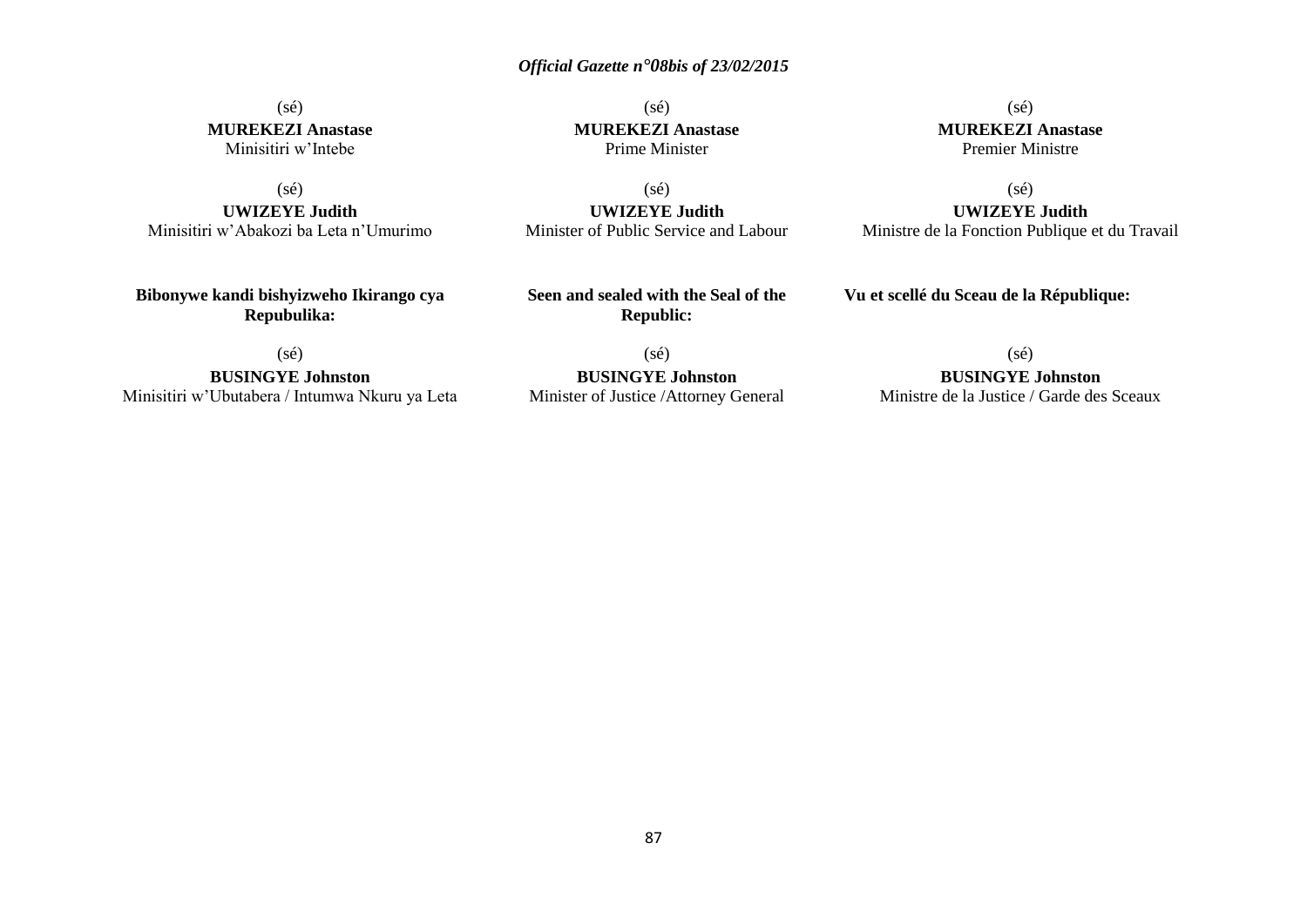## (sé) **MUREKEZI Anastase** Minisitiri w'Intebe

(sé)

**UWIZEYE Judith** Minisitiri w'Abakozi ba Leta n'Umurimo

**Bibonywe kandi bishyizweho Ikirango cya Repubulika:**

(sé) **MUREKEZI Anastase** Prime Minister

(sé) **MUREKEZI Anastase** Premier Ministre

(sé) **UWIZEYE Judith** Minister of Public Service and Labour

(sé) **UWIZEYE Judith** Ministre de la Fonction Publique et du Travail

**Vu et scellé du Sceau de la République:**

(sé)

**BUSINGYE Johnston** Minisitiri w'Ubutabera / Intumwa Nkuru ya Leta

(sé) **BUSINGYE Johnston** Minister of Justice /Attorney General

**Seen and sealed with the Seal of the Republic:**

 $(s\acute{e})$ 

**BUSINGYE Johnston**

Ministre de la Justice / Garde des Sceaux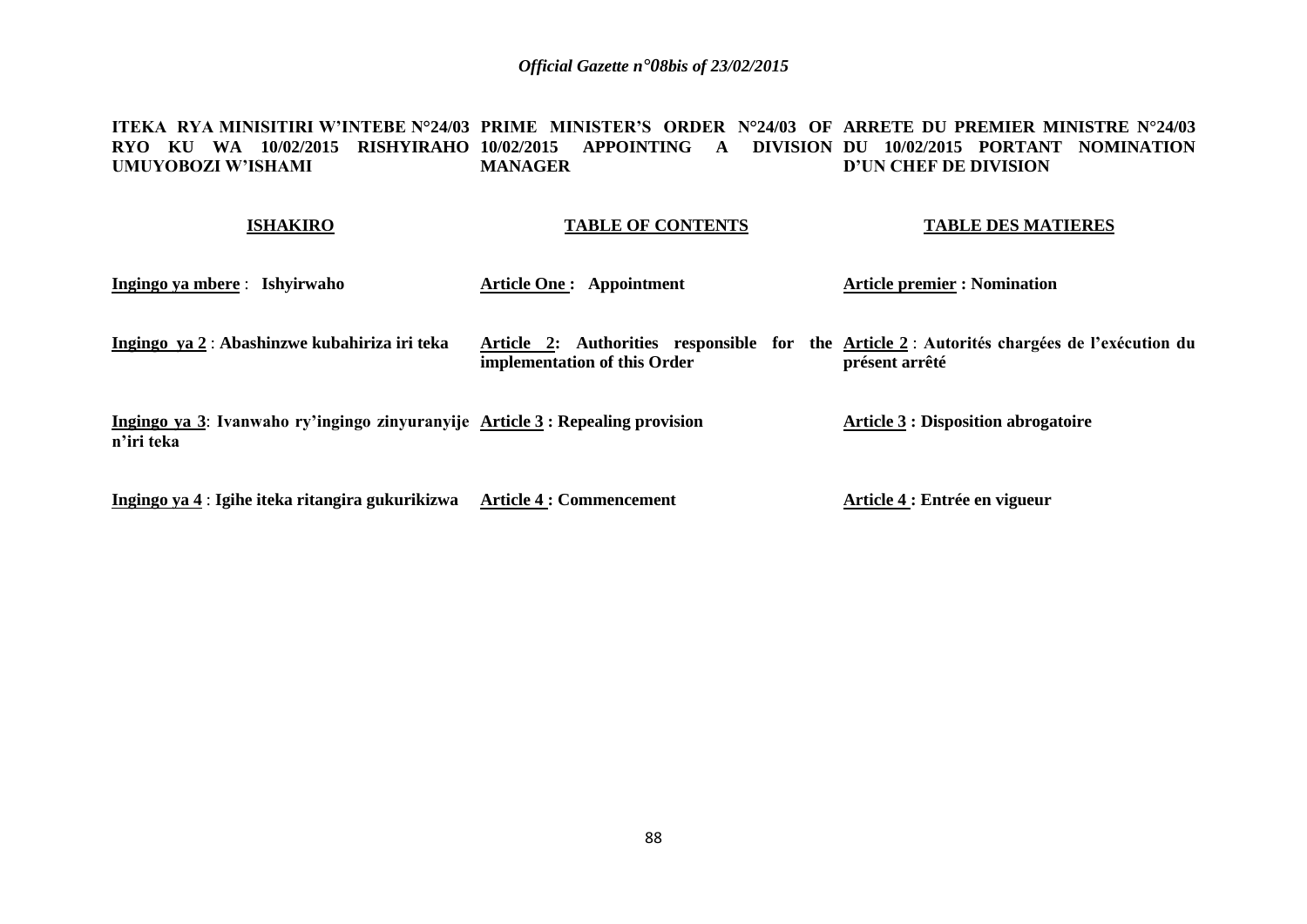#### **ITEKA RYA MINISITIRI W'INTEBE N°24/03 PRIME MINISTER'S ORDER N°24/03 OF ARRETE DU PREMIER MINISTRE N°24/03 RYO KU WA 10/02/2015 RISHYIRAHO 10/02/2015 APPOINTING A DIVISION DU 10/02/2015 PORTANT NOMINATION UMUYOBOZI W'ISHAMI MANAGER D'UN CHEF DE DIVISION**

#### **ISHAKIRO**

### **TABLE OF CONTENTS**

#### **TABLE DES MATIERES**

**Ingingo ya mbere** : **Ishyirwaho Ingingo ya 2** : **Abashinzwe kubahiriza iri teka Ingingo ya 3**: **Ivanwaho ry'ingingo zinyuranyije Article 3 : Repealing provision n'iri teka Ingingo ya 4** : **Igihe iteka ritangira gukurikizwa Article 4 : Commencement Article One : Appointment Article 2: Authorities responsible for the Article 2** : **Autorités chargées de l'exécution du implementation of this Order Article premier : Nomination présent arrêté Article 3 : Disposition abrogatoire Article 4 : Entrée en vigueur**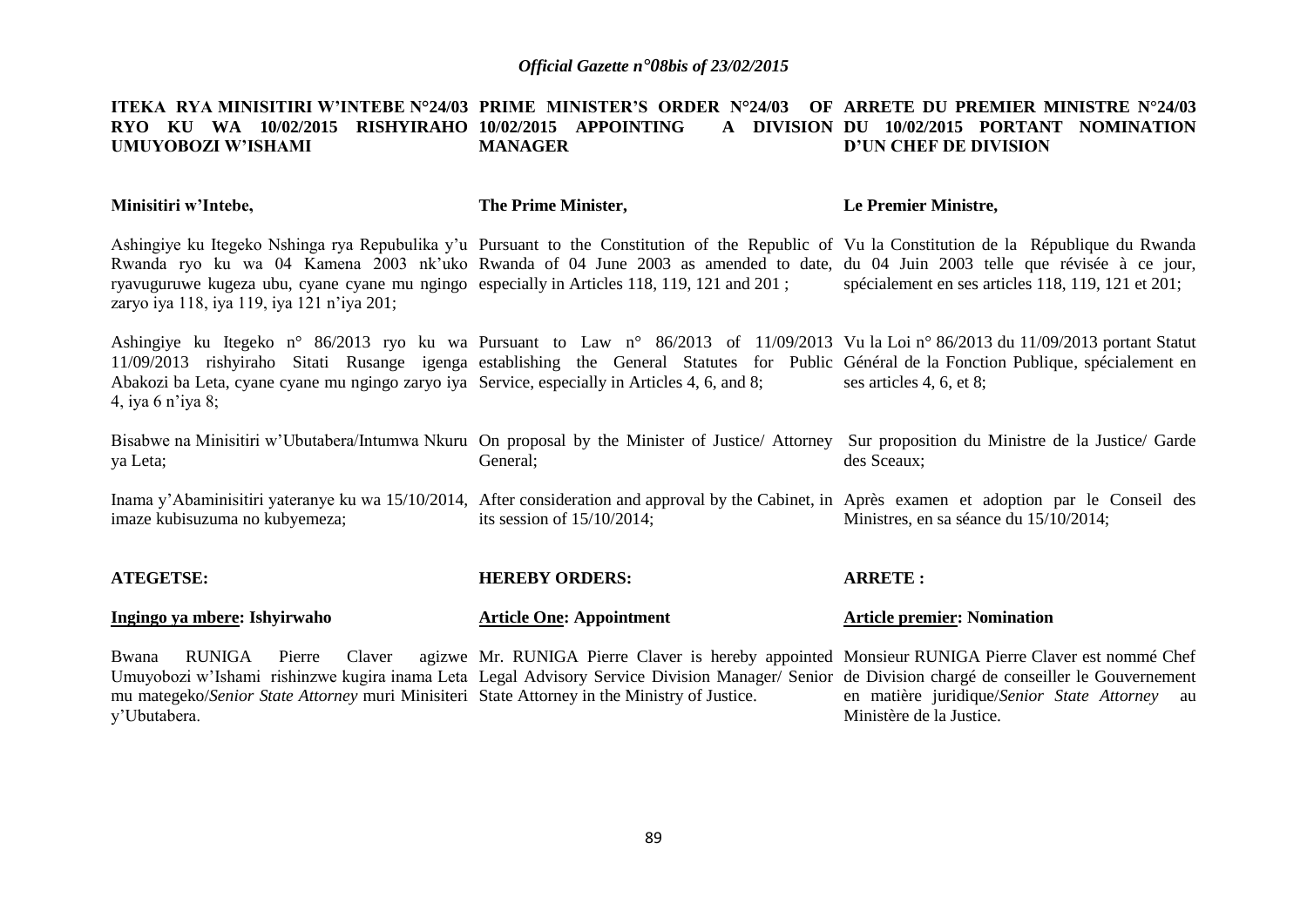#### **ITEKA RYA MINISITIRI W'INTEBE N°24/03 PRIME MINISTER'S ORDER N°24/03 OF ARRETE DU PREMIER MINISTRE N°24/03 RYO KU WA 10/02/2015 RISHYIRAHO 10/02/2015 APPOINTING A DIVISION UMUYOBOZI W'ISHAMI MANAGER** A DIVISION DU 10/02/2015 PORTANT NOMINATION **D'UN CHEF DE DIVISION**

| Minisitiri w'Intebe,                                                                                                                      | The Prime Minister,                                                                                                                                                                                                                                                               | Le Premier Ministre,                                                                                                                                           |
|-------------------------------------------------------------------------------------------------------------------------------------------|-----------------------------------------------------------------------------------------------------------------------------------------------------------------------------------------------------------------------------------------------------------------------------------|----------------------------------------------------------------------------------------------------------------------------------------------------------------|
| ryavuguruwe kugeza ubu, cyane cyane mu ngingo especially in Articles 118, 119, 121 and 201;<br>zaryo iya 118, iya 119, iya 121 n'iya 201; | Ashingiye ku Itegeko Nshinga rya Repubulika y'u Pursuant to the Constitution of the Republic of Vu la Constitution de la République du Rwanda<br>Rwanda ryo ku wa 04 Kamena 2003 nk'uko Rwanda of 04 June 2003 as amended to date, du 04 Juin 2003 telle que révisée à ce jour,   | spécialement en ses articles 118, 119, 121 et 201;                                                                                                             |
| Abakozi ba Leta, cyane cyane mu ngingo zaryo iya Service, especially in Articles 4, 6, and 8;<br>4, iya 6 n'iya 8;                        | Ashingiye ku Itegeko n° 86/2013 ryo ku wa Pursuant to Law n° 86/2013 of 11/09/2013 Vu la Loi n° 86/2013 du 11/09/2013 portant Statut<br>11/09/2013 rishyiraho Sitati Rusange igenga establishing the General Statutes for Public Général de la Fonction Publique, spécialement en | ses articles 4, 6, et 8;                                                                                                                                       |
| ya Leta;                                                                                                                                  | General;                                                                                                                                                                                                                                                                          | Bisabwe na Minisitiri w'Ubutabera/Intumwa Nkuru On proposal by the Minister of Justice/Attorney Sur proposition du Ministre de la Justice/Garde<br>des Sceaux; |
| imaze kubisuzuma no kubyemeza;                                                                                                            | Inama y'Abaminisitiri yateranye ku wa 15/10/2014, After consideration and approval by the Cabinet, in Après examen et adoption par le Conseil des<br>its session of $15/10/2014$ ;                                                                                                | Ministres, en sa séance du 15/10/2014;                                                                                                                         |
| <b>ATEGETSE:</b>                                                                                                                          | <b>HEREBY ORDERS:</b>                                                                                                                                                                                                                                                             | <b>ARRETE:</b>                                                                                                                                                 |
| Ingingo ya mbere: Ishyirwaho                                                                                                              | <b>Article One: Appointment</b>                                                                                                                                                                                                                                                   | <b>Article premier: Nomination</b>                                                                                                                             |
| Bwana<br>RUNIGA<br>mu mategeko/Senior State Attorney muri Minisiteri State Attorney in the Ministry of Justice.                           | Pierre Claver agizwe Mr. RUNIGA Pierre Claver is hereby appointed Monsieur RUNIGA Pierre Claver est nommé Chef<br>Umuyobozi w'Ishami rishinzwe kugira inama Leta Legal Advisory Service Division Manager/ Senior de Division chargé de conseiller le Gouvernement                 | en matière juridique/Senior State Attorney au                                                                                                                  |

Ministère de la Justice.

y'Ubutabera.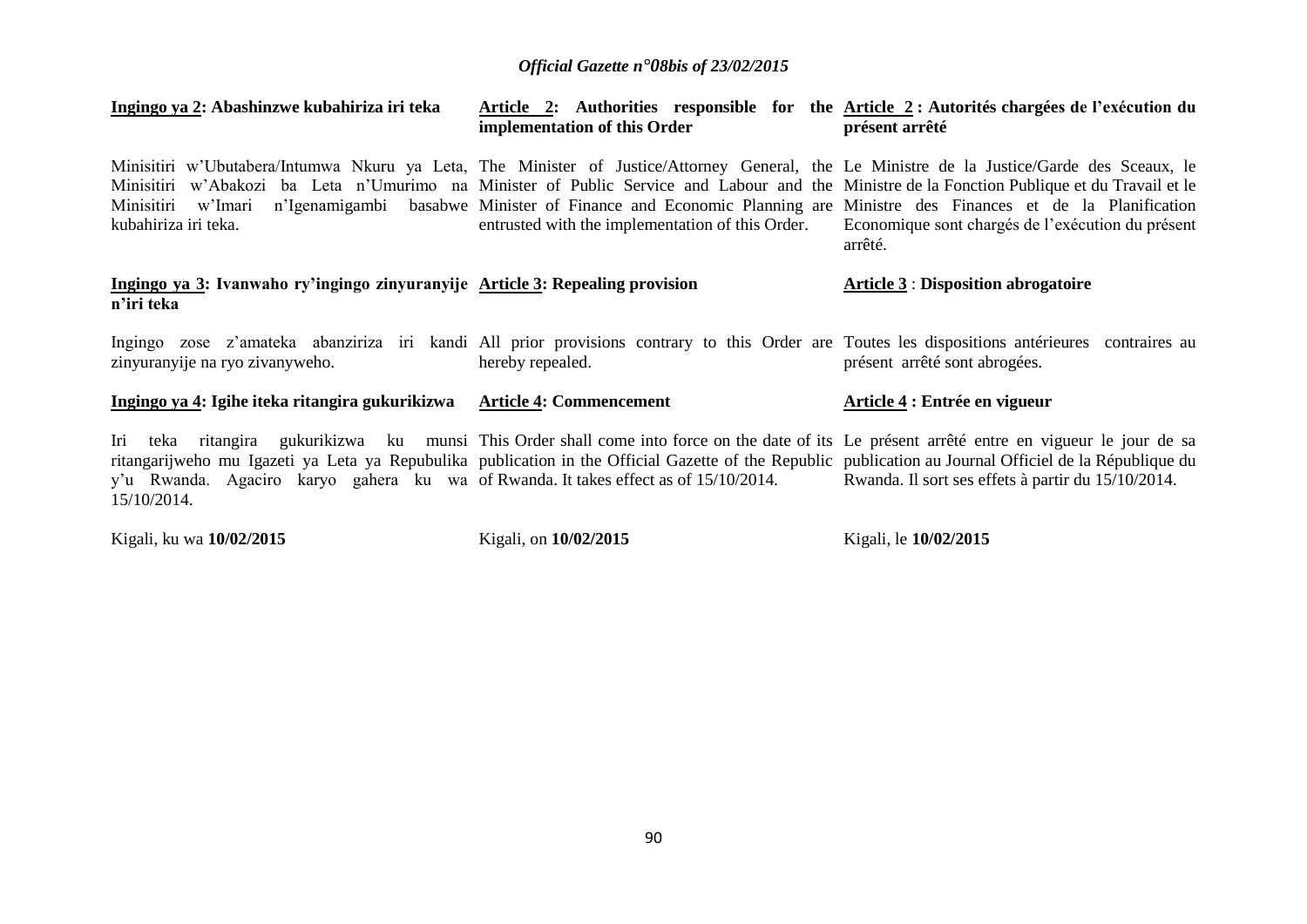| Ingingo ya 2: Abashinzwe kubahiriza iri teka                                                                                                                                                                                                                                              | implementation of this Order                                                                                                                                                                                                                                                                                                                                                                                                                                                           | Article 2: Authorities responsible for the Article 2: Autorités chargées de l'exécution du<br>présent arrêté |
|-------------------------------------------------------------------------------------------------------------------------------------------------------------------------------------------------------------------------------------------------------------------------------------------|----------------------------------------------------------------------------------------------------------------------------------------------------------------------------------------------------------------------------------------------------------------------------------------------------------------------------------------------------------------------------------------------------------------------------------------------------------------------------------------|--------------------------------------------------------------------------------------------------------------|
| kubahiriza iri teka.                                                                                                                                                                                                                                                                      | Minisitiri w'Ubutabera/Intumwa Nkuru ya Leta, The Minister of Justice/Attorney General, the Le Ministre de la Justice/Garde des Sceaux, le<br>Minisitiri w'Abakozi ba Leta n'Umurimo na Minister of Public Service and Labour and the Ministre de la Fonction Publique et du Travail et le<br>Minisitiri w'Imari n'Igenamigambi basabwe Minister of Finance and Economic Planning are Ministre des Finances et de la Planification<br>entrusted with the implementation of this Order. | Economique sont chargés de l'exécution du présent<br>arrêté.                                                 |
| Ingingo ya 3: Ivanwaho ry'ingingo zinyuranyije Article 3: Repealing provision<br>n'iri teka                                                                                                                                                                                               |                                                                                                                                                                                                                                                                                                                                                                                                                                                                                        | <b>Article 3 : Disposition abrogatoire</b>                                                                   |
| zinyuranyije na ryo zivanyweho.                                                                                                                                                                                                                                                           | Ingingo zose z'amateka abanziriza iri kandi All prior provisions contrary to this Order are Toutes les dispositions antérieures contraires au<br>hereby repealed.                                                                                                                                                                                                                                                                                                                      | présent arrêté sont abrogées.                                                                                |
| Ingingo ya 4: Igihe iteka ritangira gukurikizwa Article 4: Commencement                                                                                                                                                                                                                   |                                                                                                                                                                                                                                                                                                                                                                                                                                                                                        | Article 4 : Entrée en vigueur                                                                                |
| Iri<br>teka<br>ritangira<br>ritangarijweho mu Igazeti ya Leta ya Repubulika publication in the Official Gazette of the Republic publication au Journal Officiel de la République du<br>y'u Rwanda. Agaciro karyo gahera ku wa of Rwanda. It takes effect as of 15/10/2014.<br>15/10/2014. | gukurikizwa ku munsi This Order shall come into force on the date of its Le présent arrêté entre en vigueur le jour de sa                                                                                                                                                                                                                                                                                                                                                              | Rwanda. Il sort ses effets à partir du 15/10/2014.                                                           |

Kigali, ku wa **10/02/2015** 

Kigali, on **10/02/2015** 

Kigali, le **10/02/2015**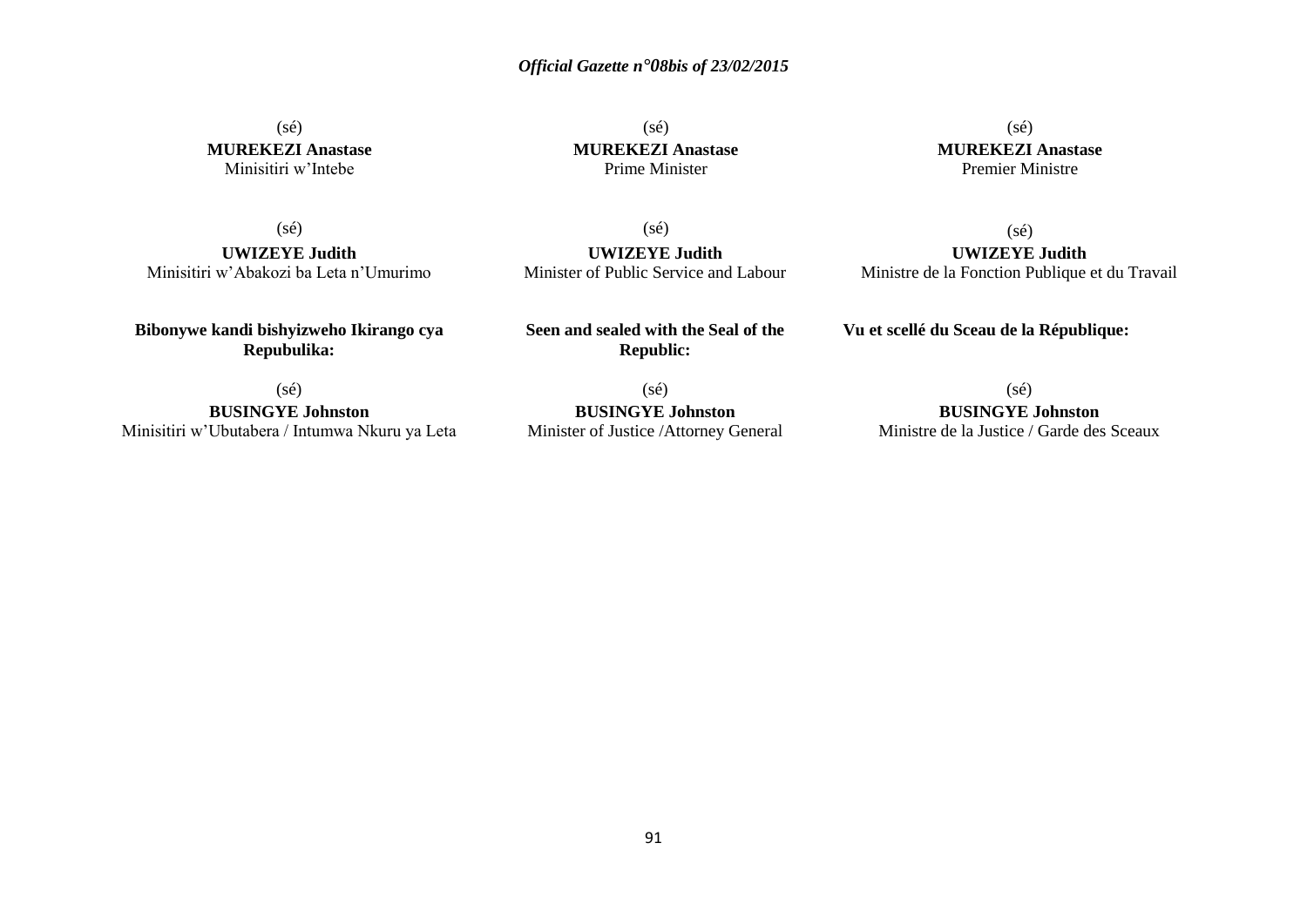(sé) **MUREKEZI Anastase** Minisitiri w'Intebe

 $(s\acute{e})$ **MUREKEZI Anastase** Prime Minister

 $(sé)$ **MUREKEZI Anastase** Premier Ministre

(sé)

**UWIZEYE Judith** Minisitiri w'Abakozi ba Leta n'Umurimo

**Bibonywe kandi bishyizweho Ikirango cya Repubulika:**

(sé) **UWIZEYE Judith** Minister of Public Service and Labour

**Seen and sealed with the Seal of the Republic:**

(sé)

**UWIZEYE Judith** Ministre de la Fonction Publique et du Travail

**Vu et scellé du Sceau de la République:**

(sé)

**BUSINGYE Johnston** Minisitiri w'Ubutabera / Intumwa Nkuru ya Leta

(sé) **BUSINGYE Johnston** Minister of Justice /Attorney General (sé)

**BUSINGYE Johnston** Ministre de la Justice / Garde des Sceaux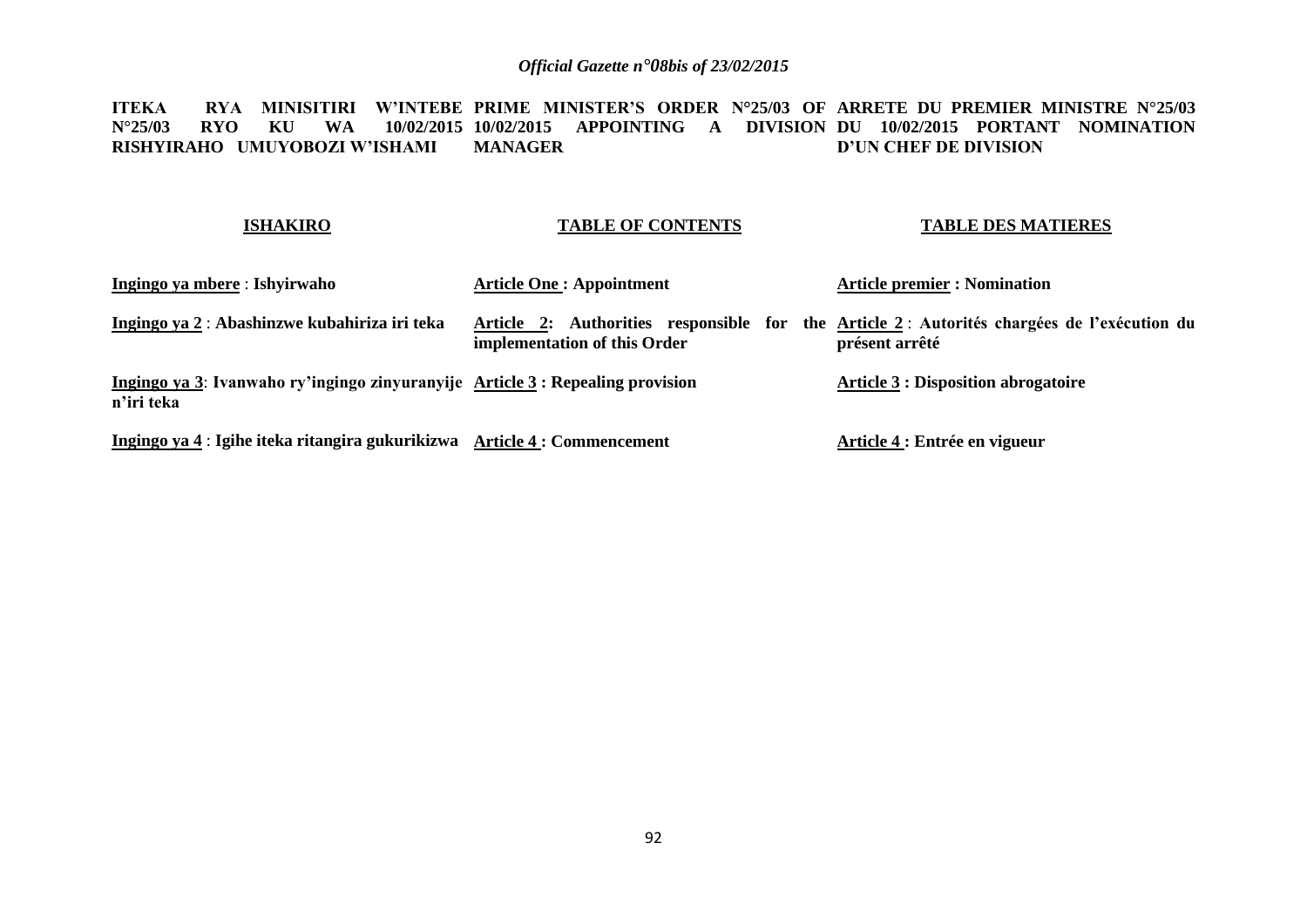**ITEKA RYA MINISITIRI W'INTEBE PRIME MINISTER'S ORDER N°25/03 OF ARRETE DU PREMIER MINISTRE N°25/03 N°25/03 RYO KU WA RISHYIRAHO UMUYOBOZI W'ISHAMI 10/02/2015 APPOINTING A DIVISION DU 10/02/2015 PORTANT NOMINATION MANAGER D'UN CHEF DE DIVISION**

### **ISHAKIRO**

### **TABLE OF CONTENTS**

### **TABLE DES MATIERES**

| Ingingo ya mbere : Ishyirwaho                                                                | <b>Article One: Appointment</b> | <b>Article premier : Nomination</b>                                                                          |
|----------------------------------------------------------------------------------------------|---------------------------------|--------------------------------------------------------------------------------------------------------------|
| Ingingo ya 2: Abashinzwe kubahiriza iri teka                                                 | implementation of this Order    | Article 2: Authorities responsible for the Article 2: Autorités chargées de l'exécution du<br>présent arrêté |
| Ingingo ya 3: Ivanwaho ry'ingingo zinyuranyije Article 3 : Repealing provision<br>n'iri teka |                                 | <b>Article 3 : Disposition abrogatoire</b>                                                                   |
| Ingingo ya 4 : Igihe iteka ritangira gukurikizwa Article 4 : Commencement                    |                                 | Article 4 : Entrée en vigueur                                                                                |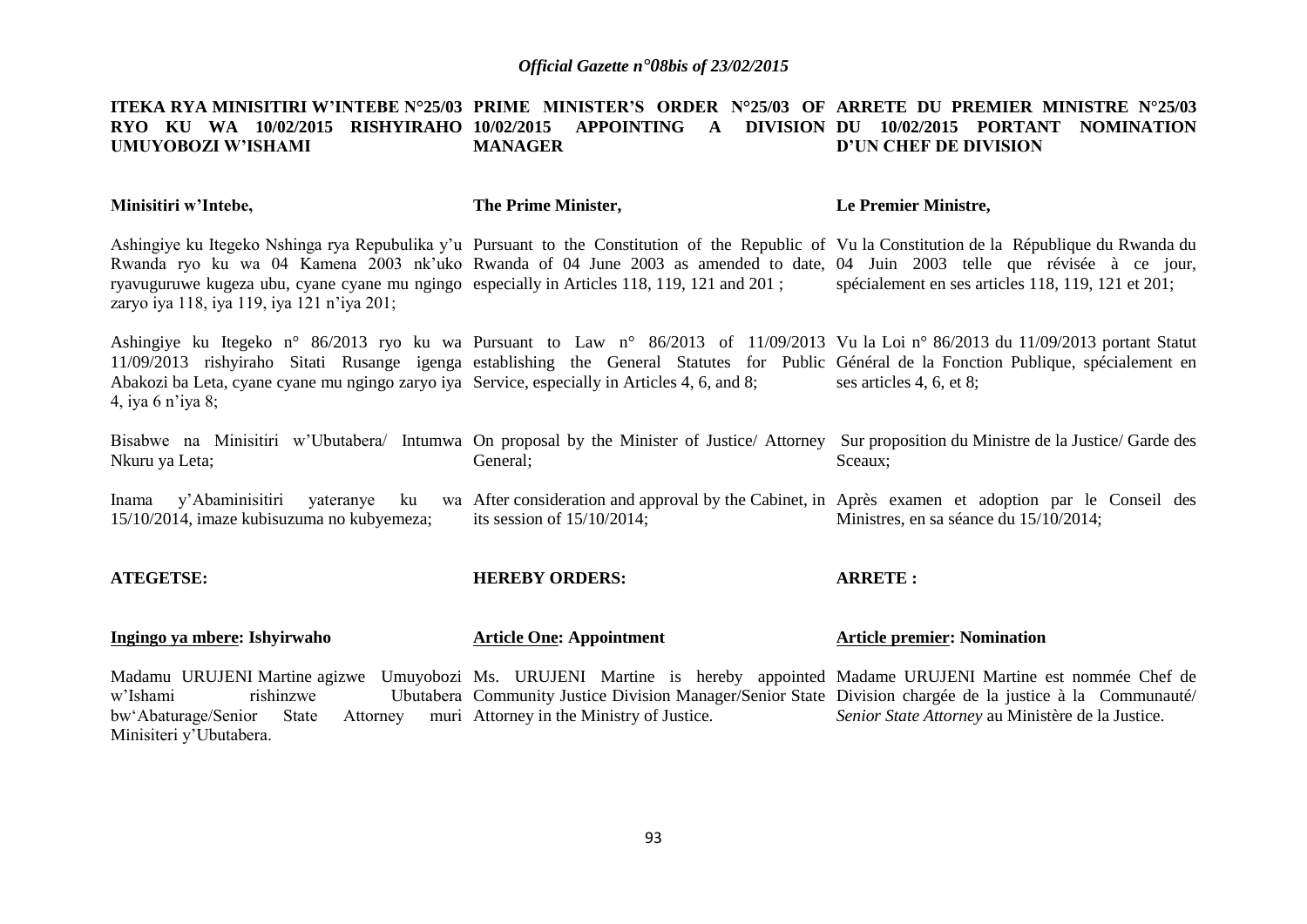#### **ITEKA RYA MINISITIRI W'INTEBE N°25/03 PRIME MINISTER'S ORDER N°25/03 OF ARRETE DU PREMIER MINISTRE N°25/03 RYO KU WA 10/02/2015 RISHYIRAHO 10/02/2015 APPOINTING A DIVISION DU 10/02/2015 PORTANT NOMINATION UMUYOBOZI W'ISHAMI MANAGER D'UN CHEF DE DIVISION**

| Minisitiri w'Intebe,                                                                                                                      | The Prime Minister,                       | Le Premier Ministre,                                                                                                                                                                                                                                                                                                                  |
|-------------------------------------------------------------------------------------------------------------------------------------------|-------------------------------------------|---------------------------------------------------------------------------------------------------------------------------------------------------------------------------------------------------------------------------------------------------------------------------------------------------------------------------------------|
| ryavuguruwe kugeza ubu, cyane cyane mu ngingo especially in Articles 118, 119, 121 and 201;<br>zaryo iya 118, iya 119, iya 121 n'iya 201; |                                           | Ashingiye ku Itegeko Nshinga rya Repubulika y'u Pursuant to the Constitution of the Republic of Vu la Constitution de la République du Rwanda du<br>Rwanda ryo ku wa 04 Kamena 2003 nk'uko Rwanda of 04 June 2003 as amended to date, 04 Juin 2003 telle que révisée à ce jour,<br>spécialement en ses articles 118, 119, 121 et 201; |
| Abakozi ba Leta, cyane cyane mu ngingo zaryo iya Service, especially in Articles 4, 6, and 8;<br>4, iya 6 n'iya 8;                        |                                           | Ashingiye ku Itegeko n° 86/2013 ryo ku wa Pursuant to Law n° 86/2013 of 11/09/2013 Vu la Loi n° 86/2013 du 11/09/2013 portant Statut<br>11/09/2013 rishyiraho Sitati Rusange igenga establishing the General Statutes for Public Général de la Fonction Publique, spécialement en<br>ses articles 4, 6, et 8;                         |
| Nkuru ya Leta;                                                                                                                            | General;                                  | Bisabwe na Minisitiri w'Ubutabera/ Intumwa On proposal by the Minister of Justice/Attorney Sur proposition du Ministre de la Justice/Garde des<br>Sceaux;                                                                                                                                                                             |
| Inama y'Abaminisitiri yateranye<br>15/10/2014, imaze kubisuzuma no kubyemeza;                                                             | its session of $15/10/2014$ ;             | ku wa After consideration and approval by the Cabinet, in Après examen et adoption par le Conseil des<br>Ministres, en sa séance du 15/10/2014;                                                                                                                                                                                       |
| <b>ATEGETSE:</b>                                                                                                                          | <b>HEREBY ORDERS:</b>                     | <b>ARRETE:</b>                                                                                                                                                                                                                                                                                                                        |
| Ingingo ya mbere: Ishyirwaho                                                                                                              | <b>Article One: Appointment</b>           | <b>Article premier: Nomination</b>                                                                                                                                                                                                                                                                                                    |
| w'Ishami<br>rishinzwe<br>State<br>bw'Abaturage/Senior<br>Attorney<br>Minisiteri y'Ubutabera.                                              | muri Attorney in the Ministry of Justice. | Madamu URUJENI Martine agizwe Umuyobozi Ms. URUJENI Martine is hereby appointed Madame URUJENI Martine est nommée Chef de<br>Ubutabera Community Justice Division Manager/Senior State Division chargée de la justice à la Communauté/<br>Senior State Attorney au Ministère de la Justice.                                           |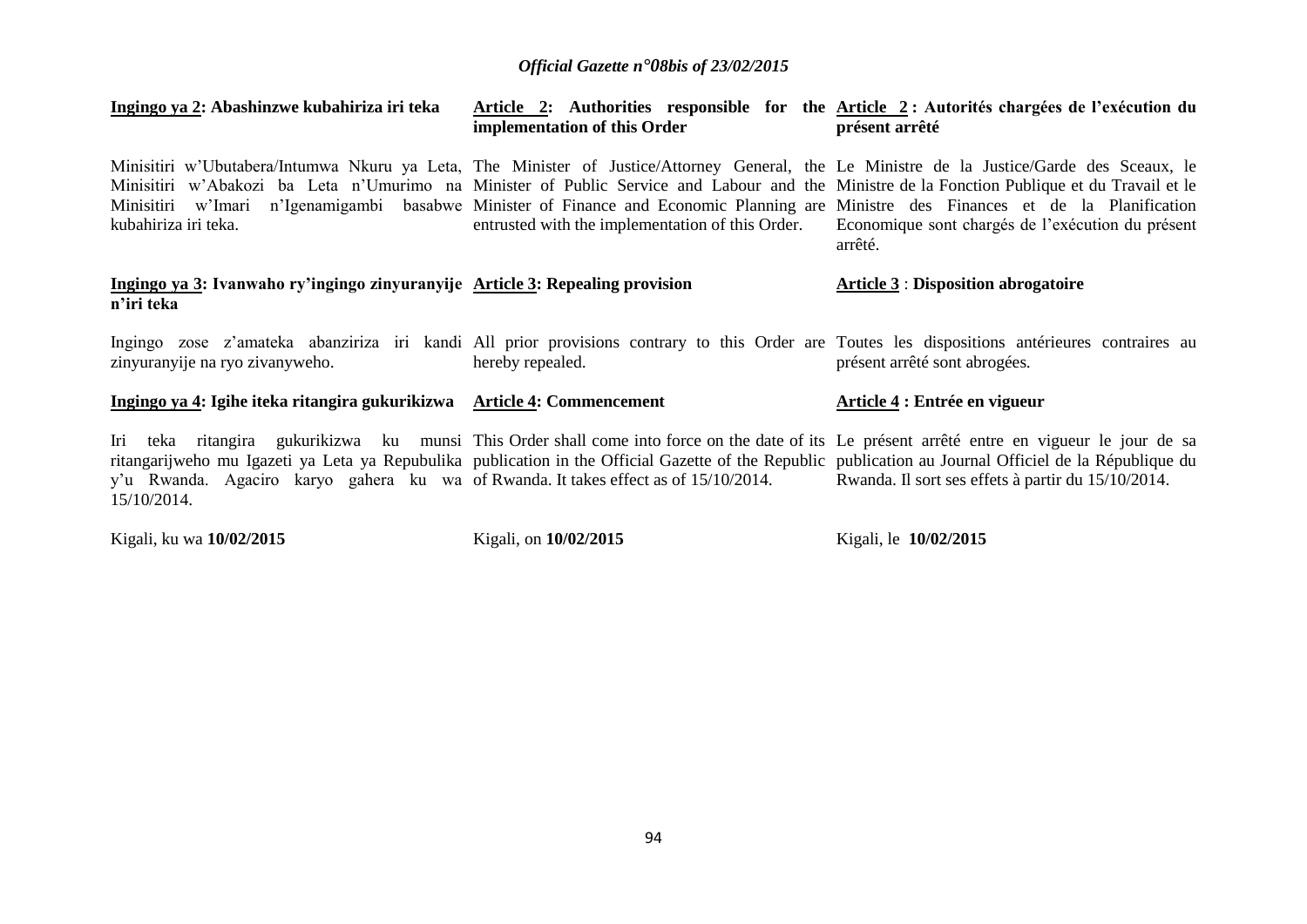| Ingingo ya 2: Abashinzwe kubahiriza iri teka                                                       | implementation of this Order                     | Article 2: Authorities responsible for the Article 2: Autorités chargées de l'exécution du<br>présent arrêté                                                                                                                                                                                                                                                                                                                                                                                       |
|----------------------------------------------------------------------------------------------------|--------------------------------------------------|----------------------------------------------------------------------------------------------------------------------------------------------------------------------------------------------------------------------------------------------------------------------------------------------------------------------------------------------------------------------------------------------------------------------------------------------------------------------------------------------------|
| kubahiriza iri teka.                                                                               | entrusted with the implementation of this Order. | Minisitiri w'Ubutabera/Intumwa Nkuru ya Leta, The Minister of Justice/Attorney General, the Le Ministre de la Justice/Garde des Sceaux, le<br>Minisitiri w'Abakozi ba Leta n'Umurimo na Minister of Public Service and Labour and the Ministre de la Fonction Publique et du Travail et le<br>Minisitiri w'Imari n'Igenamigambi basabwe Minister of Finance and Economic Planning are Ministre des Finances et de la Planification<br>Economique sont chargés de l'exécution du présent<br>arrêté. |
| Ingingo ya 3: Ivanwaho ry'ingingo zinyuranyije Article 3: Repealing provision<br>n'iri teka        |                                                  | <b>Article 3: Disposition abrogatoire</b>                                                                                                                                                                                                                                                                                                                                                                                                                                                          |
| zinyuranyije na ryo zivanyweho.                                                                    | hereby repealed.                                 | Ingingo zose z'amateka abanziriza iri kandi All prior provisions contrary to this Order are Toutes les dispositions antérieures contraires au<br>présent arrêté sont abrogées.                                                                                                                                                                                                                                                                                                                     |
| Ingingo ya 4: Igihe iteka ritangira gukurikizwa Article 4: Commencement                            |                                                  | Article 4 : Entrée en vigueur                                                                                                                                                                                                                                                                                                                                                                                                                                                                      |
| y'u Rwanda. Agaciro karyo gahera ku wa of Rwanda. It takes effect as of 15/10/2014.<br>15/10/2014. |                                                  | Iri teka ritangira gukurikizwa ku munsi This Order shall come into force on the date of its Le présent arrêté entre en vigueur le jour de sa<br>ritangarijweho mu Igazeti ya Leta ya Repubulika publication in the Official Gazette of the Republic publication au Journal Officiel de la République du<br>Rwanda. Il sort ses effets à partir du 15/10/2014.                                                                                                                                      |

Kigali, ku wa **10/02/2015** 

Kigali, on **10/02/2015** 

Kigali, le **10/02/2015**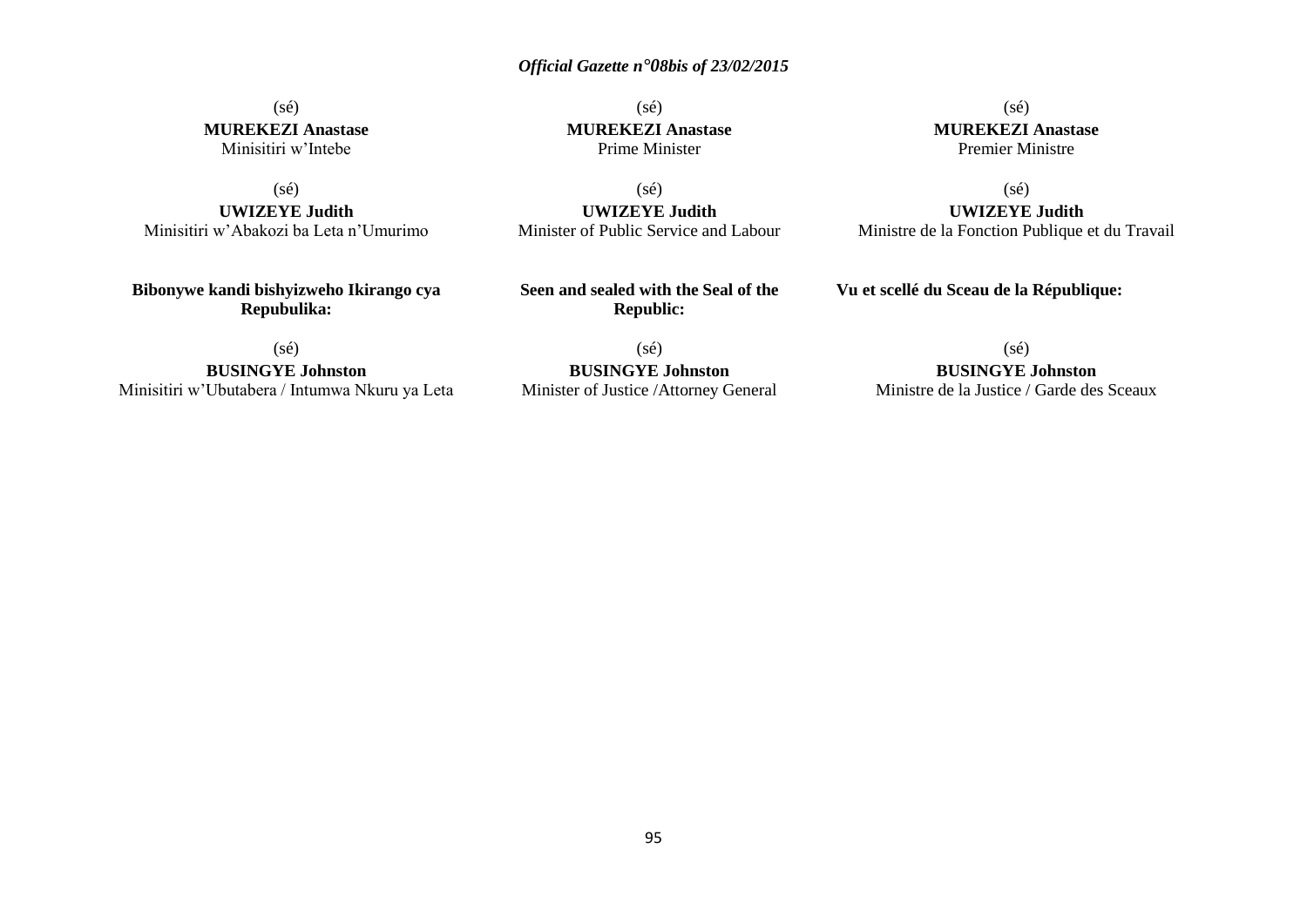## (sé) **MUREKEZI Anastase** Minisitiri w'Intebe

(sé)

**UWIZEYE Judith** Minisitiri w'Abakozi ba Leta n'Umurimo

**Bibonywe kandi bishyizweho Ikirango cya Repubulika:**

(sé) **MUREKEZI Anastase** Prime Minister

(sé) **MUREKEZI Anastase** Premier Ministre

(sé)

**UWIZEYE Judith** Ministre de la Fonction Publique et du Travail

(sé) **UWIZEYE Judith** Minister of Public Service and Labour

**Seen and sealed with the Seal of the Republic:**

(sé)

**Vu et scellé du Sceau de la République:**

(sé) **BUSINGYE Johnston** Minisitiri w'Ubutabera / Intumwa Nkuru ya Leta

(sé) **BUSINGYE Johnston** Minister of Justice /Attorney General

**BUSINGYE Johnston** Ministre de la Justice / Garde des Sceaux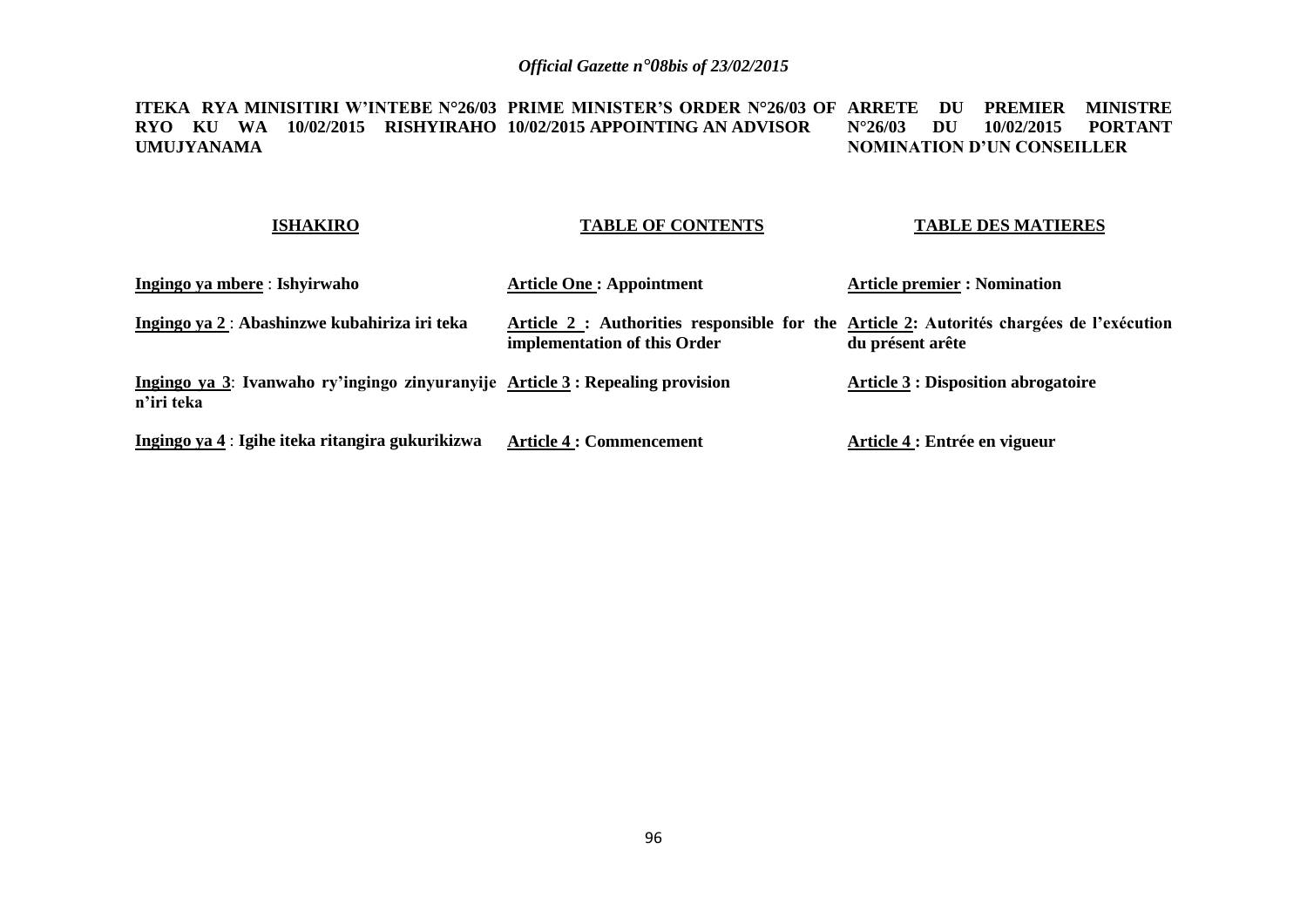#### **ITEKA RYA MINISITIRI W'INTEBE N°26/03 PRIME MINISTER'S ORDER N°26/03 OF ARRETE DU PREMIER MINISTRE RYO KU WA 10/02/2015 RISHYIRAHO 10/02/2015 APPOINTING AN ADVISOR UMUJYANAMA N°26/03 DU 10/02/2015 PORTANT NOMINATION D'UN CONSEILLER**

### **ISHAKIRO**

### **TABLE OF CONTENTS**

### **TABLE DES MATIERES**

| Ingingo ya mbere : Ishyirwaho                                                               | <b>Article One: Appointment</b>                                                                                          | <b>Article premier : Nomination</b>        |
|---------------------------------------------------------------------------------------------|--------------------------------------------------------------------------------------------------------------------------|--------------------------------------------|
| Ingingo ya 2: Abashinzwe kubahiriza iri teka                                                | Article 2 : Authorities responsible for the Article 2: Autorités chargées de l'exécution<br>implementation of this Order | du présent arête                           |
| Ingingo ya 3: Ivanwaho ry'ingingo zinyuranyije Article 3: Repealing provision<br>n'iri teka |                                                                                                                          | <b>Article 3 : Disposition abrogatoire</b> |
| Ingingo ya 4 : Igihe iteka ritangira gukurikizwa                                            | <b>Article 4 : Commencement</b>                                                                                          | Article 4 : Entrée en vigueur              |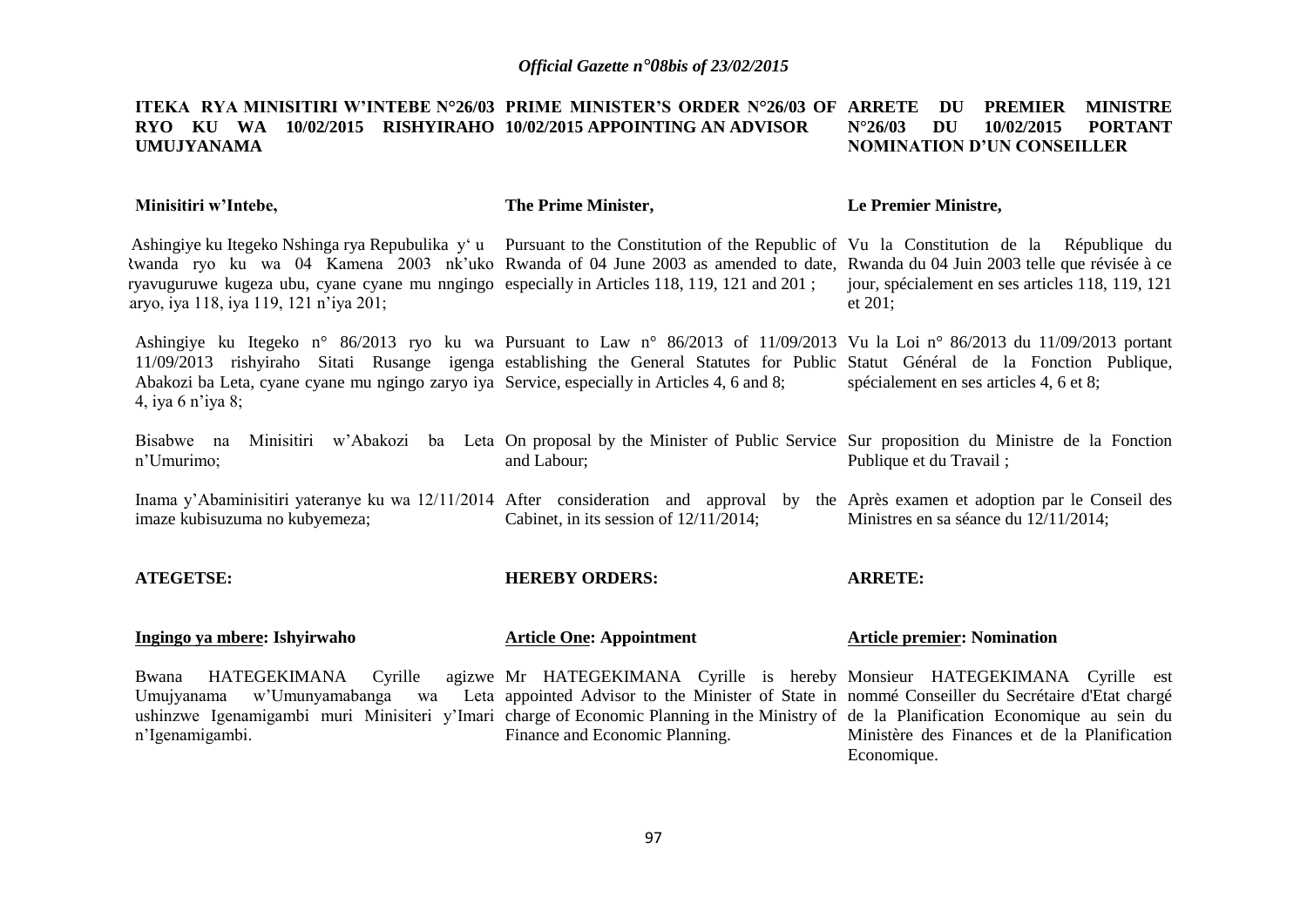#### **ITEKA RYA MINISITIRI W'INTEBE N°26/03 PRIME MINISTER'S ORDER N°26/03 OF ARRETE DU PREMIER MINISTRE RYO KU WA 10/02/2015 RISHYIRAHO 10/02/2015 APPOINTING AN ADVISOR UMUJYANAMA N°26/03 DU 10/02/2015 PORTANT NOMINATION D'UN CONSEILLER**

| Minisitiri w'Intebe,                                                                                                                                                                                                                                                                                                                                                                                                | The Prime Minister,                                                                                                                                                                                                                                     | Le Premier Ministre,                                         |
|---------------------------------------------------------------------------------------------------------------------------------------------------------------------------------------------------------------------------------------------------------------------------------------------------------------------------------------------------------------------------------------------------------------------|---------------------------------------------------------------------------------------------------------------------------------------------------------------------------------------------------------------------------------------------------------|--------------------------------------------------------------|
| Ashingiye ku Itegeko Nshinga rya Repubulika y'u Pursuant to the Constitution of the Republic of Vu la Constitution de la République du<br>twanda ryo ku wa 04 Kamena 2003 nk'uko Rwanda of 04 June 2003 as amended to date, Rwanda du 04 Juin 2003 telle que révisée à ce<br>ryavuguruwe kugeza ubu, cyane cyane mu nngingo especially in Articles 118, 119, 121 and 201;<br>aryo, iya 118, iya 119, 121 n'iya 201; |                                                                                                                                                                                                                                                         | jour, spécialement en ses articles 118, 119, 121<br>et 201;  |
| Ashingiye ku Itegeko n° 86/2013 ryo ku wa Pursuant to Law n° 86/2013 of 11/09/2013 Vu la Loi n° 86/2013 du 11/09/2013 portant<br>11/09/2013 rishyiraho Sitati Rusange igenga establishing the General Statutes for Public Statut Général de la Fonction Publique,<br>Abakozi ba Leta, cyane cyane mu ngingo zaryo iya Service, especially in Articles 4, 6 and 8;<br>4, iya 6 n'iya 8;                              |                                                                                                                                                                                                                                                         | spécialement en ses articles 4, 6 et 8;                      |
| Bisabwe na Minisitiri w'Abakozi ba Leta On proposal by the Minister of Public Service Sur proposition du Ministre de la Fonction<br>n'Umurimo;                                                                                                                                                                                                                                                                      | and Labour;                                                                                                                                                                                                                                             | Publique et du Travail;                                      |
| Inama y'Abaminisitiri yateranye ku wa 12/11/2014 After consideration and approval by the Après examen et adoption par le Conseil des<br>imaze kubisuzuma no kubyemeza;                                                                                                                                                                                                                                              | Cabinet, in its session of $12/11/2014$ ;                                                                                                                                                                                                               | Ministres en sa séance du 12/11/2014;                        |
| <b>ATEGETSE:</b>                                                                                                                                                                                                                                                                                                                                                                                                    | <b>HEREBY ORDERS:</b>                                                                                                                                                                                                                                   | <b>ARRETE:</b>                                               |
| Ingingo ya mbere: Ishyirwaho                                                                                                                                                                                                                                                                                                                                                                                        | <b>Article One: Appointment</b>                                                                                                                                                                                                                         | <b>Article premier: Nomination</b>                           |
| Bwana<br>Umujyanama<br>ushinzwe Igenamigambi muri Minisiteri y'Imari charge of Economic Planning in the Ministry of de la Planification Economique au sein du<br>n'Igenamigambi.                                                                                                                                                                                                                                    | HATEGEKIMANA Cyrille agizwe Mr HATEGEKIMANA Cyrille is hereby Monsieur HATEGEKIMANA Cyrille est<br>w'Umunyamabanga wa Leta appointed Advisor to the Minister of State in nommé Conseiller du Secrétaire d'Etat chargé<br>Finance and Economic Planning. | Ministère des Finances et de la Planification<br>Economique. |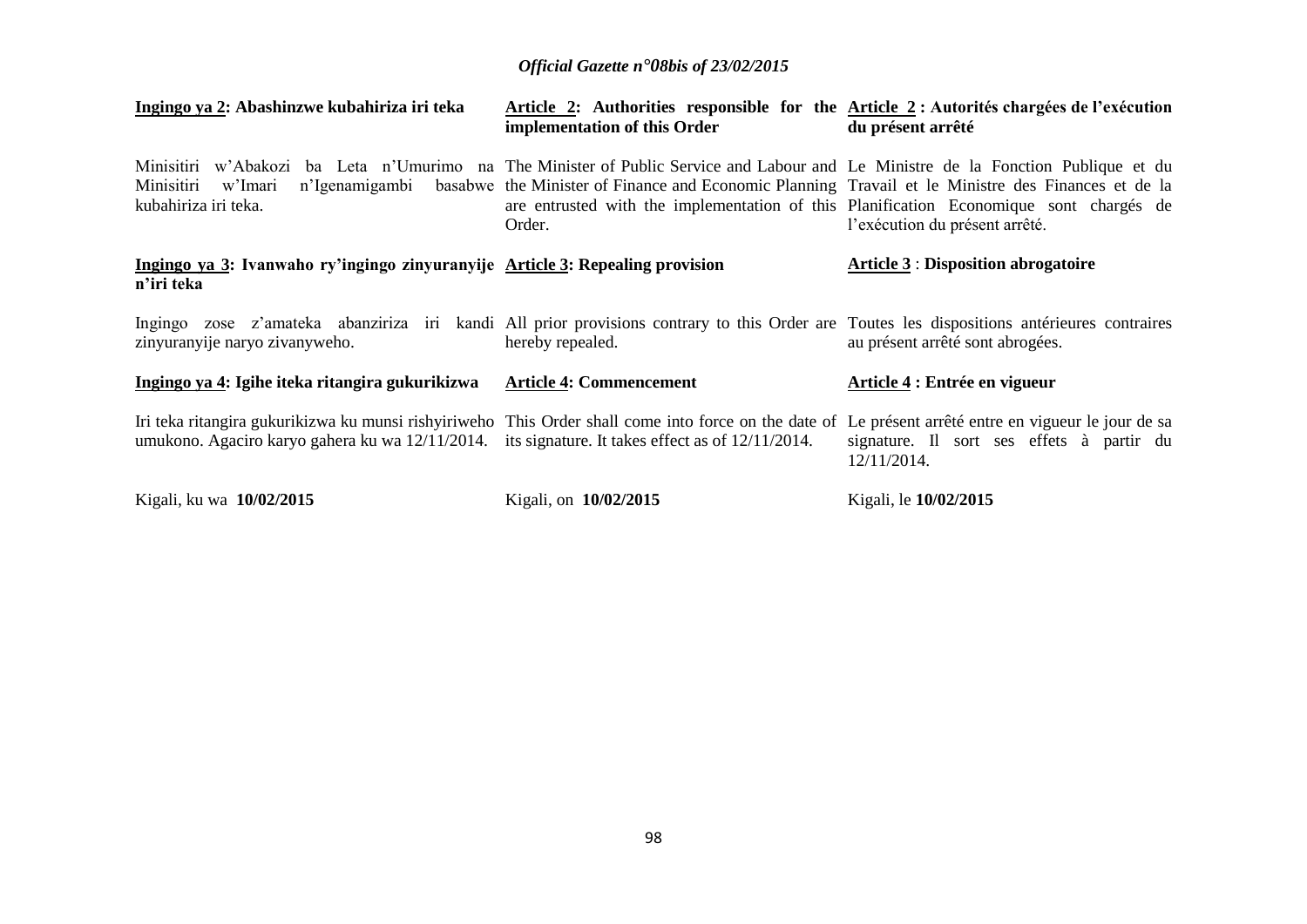| Ingingo ya 2: Abashinzwe kubahiriza iri teka                                                                                                                                                                                                                    | Article 2: Authorities responsible for the Article 2: Autorités chargées de l'exécution<br>implementation of this Order                                                                                | du présent arrêté                                        |
|-----------------------------------------------------------------------------------------------------------------------------------------------------------------------------------------------------------------------------------------------------------------|--------------------------------------------------------------------------------------------------------------------------------------------------------------------------------------------------------|----------------------------------------------------------|
| Minisitiri w'Abakozi ba Leta n'Umurimo na The Minister of Public Service and Labour and Le Ministre de la Fonction Publique et du<br>n'Igenamigambi<br>Minisitiri<br>w'Imari<br>kubahiriza iri teka.                                                            | basabwe the Minister of Finance and Economic Planning Travail et le Ministre des Finances et de la<br>are entrusted with the implementation of this Planification Economique sont chargés de<br>Order. | l'exécution du présent arrêté.                           |
| Ingingo ya 3: Ivanwaho ry'ingingo zinyuranyije Article 3: Repealing provision<br>n'iri teka                                                                                                                                                                     |                                                                                                                                                                                                        | <b>Article 3: Disposition abrogatoire</b>                |
| Ingingo zose z'amateka abanziriza iri kandi All prior provisions contrary to this Order are Toutes les dispositions antérieures contraires<br>zinyuranyije naryo zivanyweho.                                                                                    | hereby repealed.                                                                                                                                                                                       | au présent arrêté sont abrogées.                         |
| Ingingo ya 4: Igihe iteka ritangira gukurikizwa                                                                                                                                                                                                                 | <b>Article 4: Commencement</b>                                                                                                                                                                         | Article 4 : Entrée en vigueur                            |
| Iri teka ritangira gukurikizwa ku munsi rishyiriweho This Order shall come into force on the date of Le présent arrêté entre en vigueur le jour de sa<br>umukono. Agaciro karyo gahera ku wa $12/11/2014$ . its signature. It takes effect as of $12/11/2014$ . |                                                                                                                                                                                                        | signature. Il sort ses effets à partir du<br>12/11/2014. |
| Kigali, ku wa 10/02/2015                                                                                                                                                                                                                                        | Kigali, on 10/02/2015                                                                                                                                                                                  | Kigali, le 10/02/2015                                    |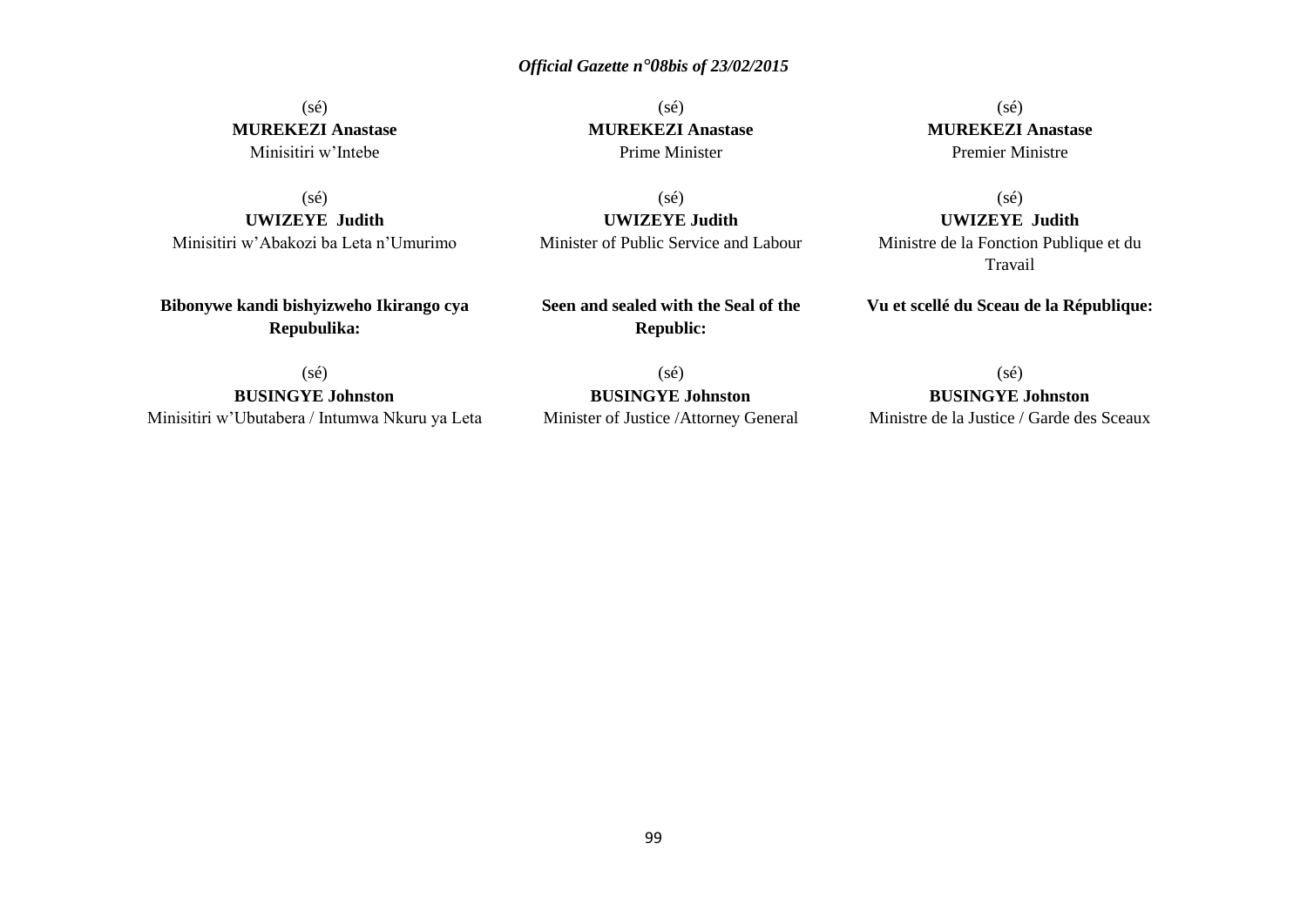# (sé) **MUREKEZI Anastase** Minisitiri w'Intebe

(sé)

**UWIZEYE Judith**  Minisitiri w'Abakozi ba Leta n'Umurimo

**Bibonywe kandi bishyizweho Ikirango cya Repubulika:**

(sé) **MUREKEZI Anastase** Prime Minister

(sé)

**UWIZEYE Judith**  Minister of Public Service and Labour

**Seen and sealed with the Seal of the Republic:**

(sé) **MUREKEZI Anastase** Premier Ministre

(sé)

**UWIZEYE Judith**  Ministre de la Fonction Publique et du Travail

**Vu et scellé du Sceau de la République:**

 $(s\acute{e})$ 

**BUSINGYE Johnston** Minisitiri w'Ubutabera / Intumwa Nkuru ya Leta

(sé) **BUSINGYE Johnston** Minister of Justice /Attorney General (sé)

**BUSINGYE Johnston** Ministre de la Justice / Garde des Sceaux